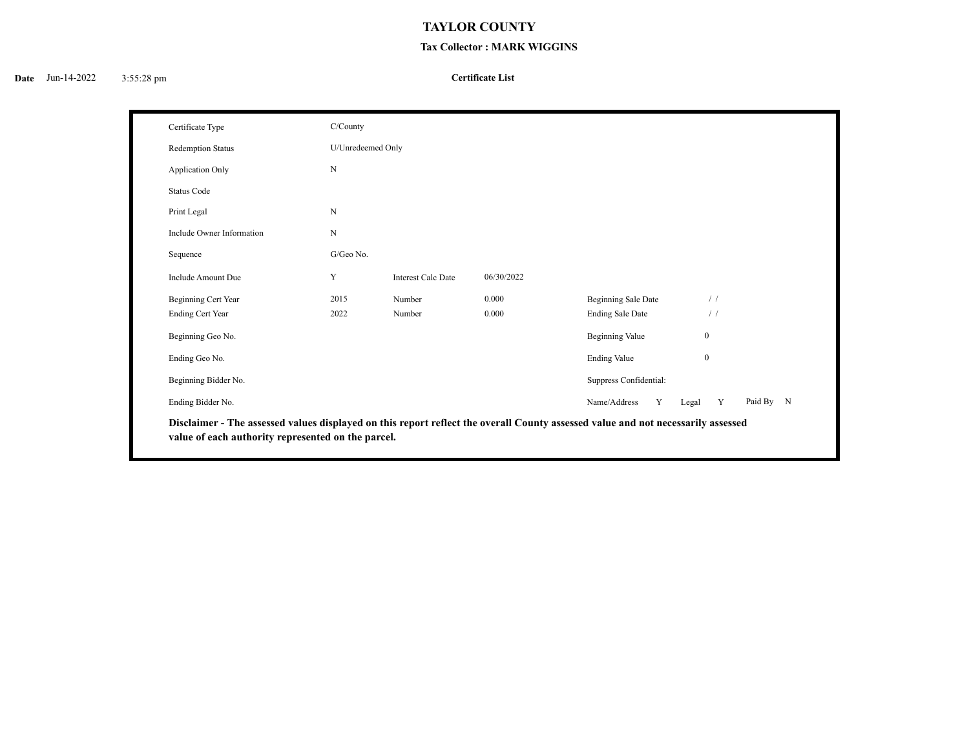## **TAYLOR COUNTY**

## **Tax Collector : MARK WIGGINS**

## **Certificate List**

| Certificate Type                                                                                                                                                                       | C/County          |                           |            |                         |               |           |  |
|----------------------------------------------------------------------------------------------------------------------------------------------------------------------------------------|-------------------|---------------------------|------------|-------------------------|---------------|-----------|--|
| <b>Redemption Status</b>                                                                                                                                                               | U/Unredeemed Only |                           |            |                         |               |           |  |
| Application Only                                                                                                                                                                       | $\mathbf N$       |                           |            |                         |               |           |  |
| <b>Status Code</b>                                                                                                                                                                     |                   |                           |            |                         |               |           |  |
| Print Legal                                                                                                                                                                            | N                 |                           |            |                         |               |           |  |
| Include Owner Information                                                                                                                                                              | ${\bf N}$         |                           |            |                         |               |           |  |
| Sequence                                                                                                                                                                               | G/Geo No.         |                           |            |                         |               |           |  |
| Include Amount Due                                                                                                                                                                     | Y                 | <b>Interest Calc Date</b> | 06/30/2022 |                         |               |           |  |
| Beginning Cert Year                                                                                                                                                                    | 2015              | Number                    | 0.000      | Beginning Sale Date     | /             |           |  |
| <b>Ending Cert Year</b>                                                                                                                                                                | 2022              | Number                    | 0.000      | <b>Ending Sale Date</b> | $\frac{1}{2}$ |           |  |
| Beginning Geo No.                                                                                                                                                                      |                   |                           |            | <b>Beginning Value</b>  | $\mathbf{0}$  |           |  |
| Ending Geo No.                                                                                                                                                                         |                   |                           |            | <b>Ending Value</b>     | $\mathbf{0}$  |           |  |
| Beginning Bidder No.                                                                                                                                                                   |                   |                           |            | Suppress Confidential:  |               |           |  |
| Ending Bidder No.                                                                                                                                                                      |                   |                           |            | Name/Address<br>Y       | Y<br>Legal    | Paid By N |  |
| Disclaimer - The assessed values displayed on this report reflect the overall County assessed value and not necessarily assessed<br>value of each authority represented on the parcel. |                   |                           |            |                         |               |           |  |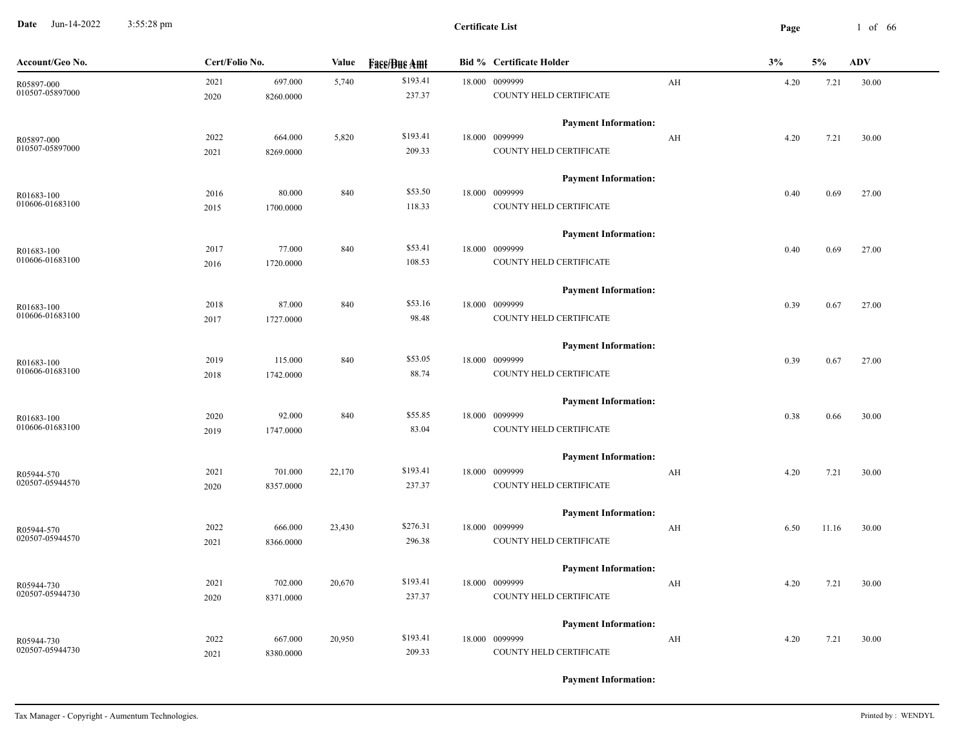**Date** Jun-14-2022 3:55:28 pm **Page** 1 of 66 3:55:28 pm

| Account/Geo No. | Cert/Folio No. |           | Value  | <b>Fass/Bus Amt</b> | <b>Bid % Certificate Holder</b> |    | 3%   | 5%    | <b>ADV</b> |
|-----------------|----------------|-----------|--------|---------------------|---------------------------------|----|------|-------|------------|
| R05897-000      | 2021           | 697.000   | 5,740  | \$193.41            | 18.000 0099999                  | AH | 4.20 | 7.21  | 30.00      |
| 010507-05897000 | 2020           | 8260.0000 |        | 237.37              | COUNTY HELD CERTIFICATE         |    |      |       |            |
|                 |                |           |        |                     | <b>Payment Information:</b>     |    |      |       |            |
| R05897-000      | 2022           | 664.000   | 5,820  | \$193.41            | 18.000 0099999                  | AH | 4.20 | 7.21  | 30.00      |
| 010507-05897000 | 2021           | 8269.0000 |        | 209.33              | COUNTY HELD CERTIFICATE         |    |      |       |            |
|                 |                |           |        |                     | <b>Payment Information:</b>     |    |      |       |            |
| R01683-100      | 2016           | 80.000    | 840    | \$53.50             | 18.000 0099999                  |    | 0.40 | 0.69  | 27.00      |
| 010606-01683100 | 2015           | 1700.0000 |        | 118.33              | COUNTY HELD CERTIFICATE         |    |      |       |            |
|                 |                |           |        |                     | <b>Payment Information:</b>     |    |      |       |            |
| R01683-100      | 2017           | 77.000    | 840    | \$53.41             | 18.000 0099999                  |    | 0.40 | 0.69  | 27.00      |
| 010606-01683100 | 2016           | 1720.0000 |        | 108.53              | COUNTY HELD CERTIFICATE         |    |      |       |            |
|                 |                |           |        |                     | <b>Payment Information:</b>     |    |      |       |            |
| R01683-100      | 2018           | 87.000    | 840    | \$53.16             | 18.000 0099999                  |    | 0.39 | 0.67  | 27.00      |
| 010606-01683100 | 2017           | 1727.0000 |        | 98.48               | COUNTY HELD CERTIFICATE         |    |      |       |            |
|                 |                |           |        |                     | <b>Payment Information:</b>     |    |      |       |            |
| R01683-100      | 2019           | 115.000   | 840    | \$53.05             | 18.000 0099999                  |    | 0.39 | 0.67  | 27.00      |
| 010606-01683100 | 2018           | 1742.0000 |        | 88.74               | COUNTY HELD CERTIFICATE         |    |      |       |            |
|                 |                |           |        |                     | <b>Payment Information:</b>     |    |      |       |            |
| R01683-100      | 2020           | 92.000    | 840    | \$55.85             | 18.000 0099999                  |    | 0.38 | 0.66  | 30.00      |
| 010606-01683100 | 2019           | 1747.0000 |        | 83.04               | COUNTY HELD CERTIFICATE         |    |      |       |            |
|                 |                |           |        |                     | <b>Payment Information:</b>     |    |      |       |            |
| R05944-570      | 2021           | 701.000   | 22,170 | \$193.41            | 18.000 0099999                  | AH | 4.20 | 7.21  | 30.00      |
| 020507-05944570 | 2020           | 8357.0000 |        | 237.37              | COUNTY HELD CERTIFICATE         |    |      |       |            |
|                 |                |           |        |                     | <b>Payment Information:</b>     |    |      |       |            |
| R05944-570      | 2022           | 666.000   | 23,430 | \$276.31            | 18.000 0099999                  | AH | 6.50 | 11.16 | 30.00      |
| 020507-05944570 | 2021           | 8366.0000 |        | 296.38              | COUNTY HELD CERTIFICATE         |    |      |       |            |
|                 |                |           |        |                     | <b>Payment Information:</b>     |    |      |       |            |
| R05944-730      | 2021           | 702.000   | 20,670 | \$193.41            | 18.000 0099999                  | AH | 4.20 | 7.21  | 30.00      |
| 020507-05944730 | 2020           | 8371.0000 |        | 237.37              | COUNTY HELD CERTIFICATE         |    |      |       |            |
|                 |                |           |        |                     | <b>Payment Information:</b>     |    |      |       |            |
| R05944-730      | 2022           | 667.000   | 20,950 | \$193.41            | 18.000 0099999                  | AH | 4.20 | 7.21  | 30.00      |
| 020507-05944730 | 2021           | 8380.0000 |        | 209.33              | COUNTY HELD CERTIFICATE         |    |      |       |            |
|                 |                |           |        |                     |                                 |    |      |       |            |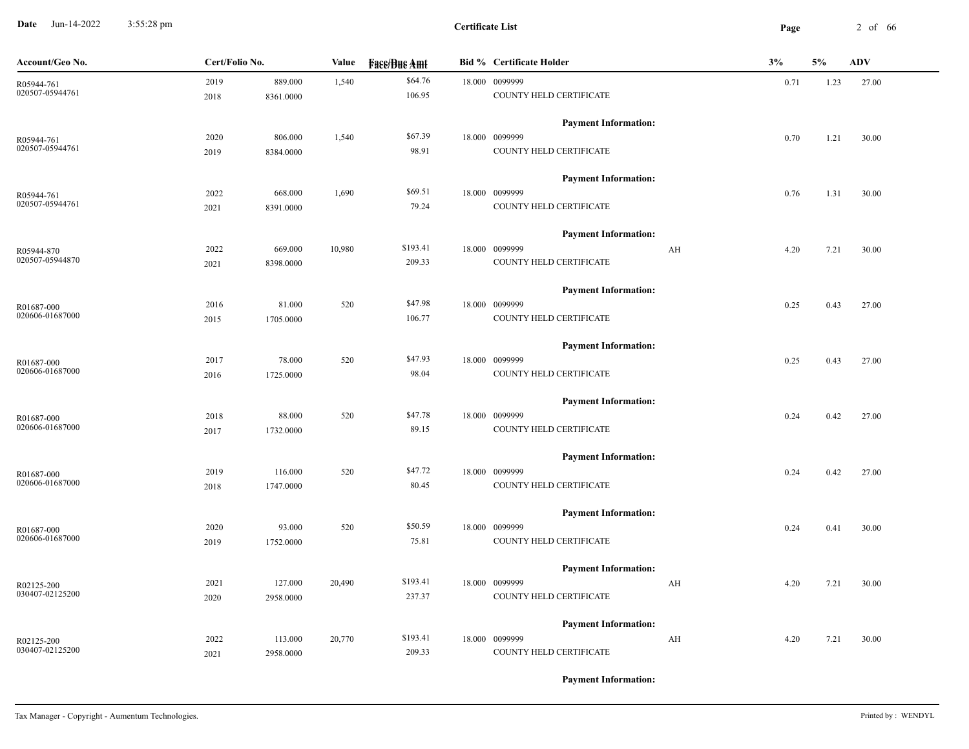**Date** Jun-14-2022 3:55:28 pm **Page** 2 of 66 3:55:28 pm

| Account/Geo No.               | Cert/Folio No. |           | Value  | <b>Fase/Bue Amt</b> | <b>Bid % Certificate Holder</b> | 3%   | 5%   | <b>ADV</b> |
|-------------------------------|----------------|-----------|--------|---------------------|---------------------------------|------|------|------------|
| R05944-761                    | 2019           | 889.000   | 1,540  | \$64.76             | 18.000 0099999                  | 0.71 | 1.23 | 27.00      |
| 020507-05944761               | 2018           | 8361.0000 |        | 106.95              | COUNTY HELD CERTIFICATE         |      |      |            |
|                               |                |           |        |                     | <b>Payment Information:</b>     |      |      |            |
| R05944-761                    | 2020           | 806.000   | 1,540  | \$67.39             | 18.000 0099999                  | 0.70 | 1.21 | 30.00      |
| 020507-05944761               | 2019           | 8384.0000 |        | 98.91               | COUNTY HELD CERTIFICATE         |      |      |            |
|                               |                |           |        |                     | <b>Payment Information:</b>     |      |      |            |
| R05944-761                    | 2022           | 668.000   | 1,690  | \$69.51             | 18.000 0099999                  | 0.76 | 1.31 | 30.00      |
| 020507-05944761               | 2021           | 8391.0000 |        | 79.24               | COUNTY HELD CERTIFICATE         |      |      |            |
|                               |                |           |        |                     | <b>Payment Information:</b>     |      |      |            |
| R05944-870                    | 2022           | 669.000   | 10,980 | \$193.41            | 18.000 0099999<br>AH            | 4.20 | 7.21 | 30.00      |
| 020507-05944870               | 2021           | 8398.0000 |        | 209.33              | COUNTY HELD CERTIFICATE         |      |      |            |
|                               |                |           |        |                     | <b>Payment Information:</b>     |      |      |            |
| R01687-000                    | 2016           | 81.000    | 520    | \$47.98             | 18.000 0099999                  | 0.25 | 0.43 | 27.00      |
| 020606-01687000               | 2015           | 1705.0000 |        | 106.77              | COUNTY HELD CERTIFICATE         |      |      |            |
|                               |                |           |        |                     | <b>Payment Information:</b>     |      |      |            |
| R01687-000                    | 2017           | 78.000    | 520    | \$47.93             | 18.000 0099999                  | 0.25 | 0.43 | 27.00      |
| 020606-01687000               | 2016           | 1725.0000 |        | 98.04               | COUNTY HELD CERTIFICATE         |      |      |            |
|                               |                |           |        |                     | <b>Payment Information:</b>     |      |      |            |
| R01687-000                    | 2018           | 88.000    | 520    | \$47.78             | 18.000 0099999                  | 0.24 | 0.42 | 27.00      |
| 020606-01687000               | 2017           | 1732.0000 |        | 89.15               | COUNTY HELD CERTIFICATE         |      |      |            |
|                               |                |           |        |                     | <b>Payment Information:</b>     |      |      |            |
| R01687-000                    | 2019           | 116.000   | 520    | \$47.72             | 18.000 0099999                  | 0.24 | 0.42 | 27.00      |
| 020606-01687000               | 2018           | 1747.0000 |        | 80.45               | COUNTY HELD CERTIFICATE         |      |      |            |
|                               |                |           |        |                     | <b>Payment Information:</b>     |      |      |            |
| R01687-000<br>020606-01687000 | 2020           | 93.000    | 520    | \$50.59             | 18.000 0099999                  | 0.24 | 0.41 | 30.00      |
|                               | 2019           | 1752.0000 |        | 75.81               | COUNTY HELD CERTIFICATE         |      |      |            |
|                               |                |           |        |                     | <b>Payment Information:</b>     |      |      |            |
| R02125-200<br>030407-02125200 | 2021           | 127.000   | 20,490 | \$193.41            | 18.000 0099999<br>AH            | 4.20 | 7.21 | 30.00      |
|                               | 2020           | 2958.0000 |        | 237.37              | COUNTY HELD CERTIFICATE         |      |      |            |
|                               |                |           |        |                     | <b>Payment Information:</b>     |      |      |            |
| R02125-200<br>030407-02125200 | 2022           | 113.000   | 20,770 | \$193.41            | 18.000 0099999<br>AH            | 4.20 | 7.21 | 30.00      |
|                               | 2021           | 2958.0000 |        | 209.33              | COUNTY HELD CERTIFICATE         |      |      |            |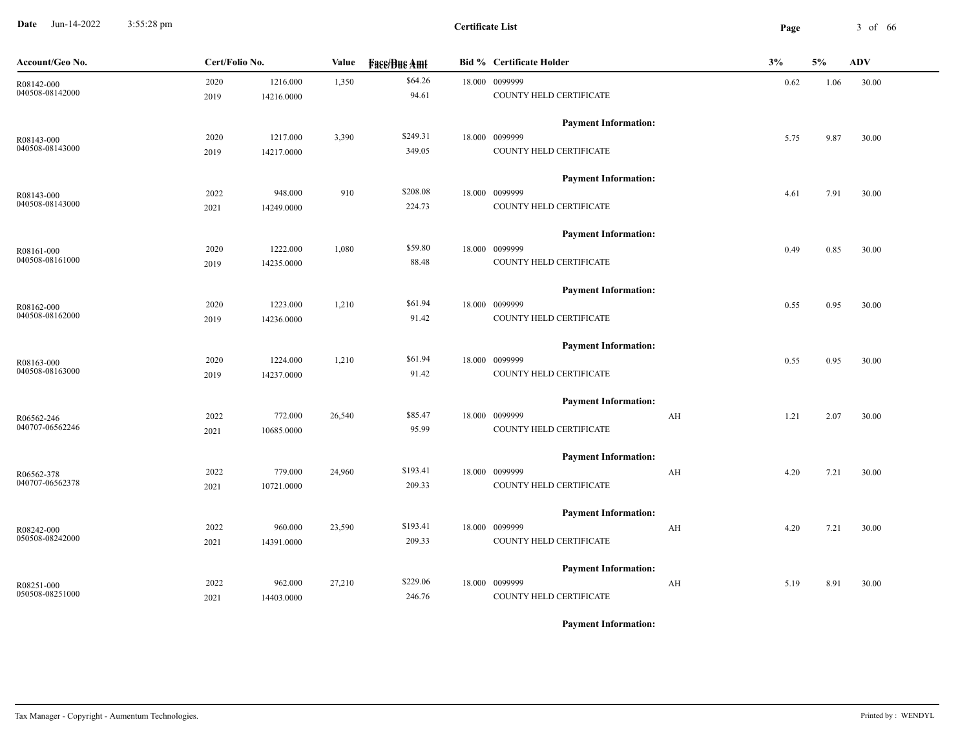**Date** Jun-14-2022 3:55:28 pm **Page** 3 of 66 3:55:28 pm

| Account/Geo No. | Cert/Folio No. |            | Value  | <b>Fase/Bue Amt</b> | <b>Bid % Certificate Holder</b> | 3%         | 5%   | ADV   |
|-----------------|----------------|------------|--------|---------------------|---------------------------------|------------|------|-------|
| R08142-000      | 2020           | 1216.000   | 1,350  | \$64.26             | 18.000 0099999                  | 0.62       | 1.06 | 30.00 |
| 040508-08142000 | 2019           | 14216.0000 |        | 94.61               | COUNTY HELD CERTIFICATE         |            |      |       |
|                 |                |            |        |                     | <b>Payment Information:</b>     |            |      |       |
| R08143-000      | 2020           | 1217.000   | 3,390  | \$249.31            | 18.000 0099999                  | 5.75       | 9.87 | 30.00 |
| 040508-08143000 | 2019           | 14217.0000 |        | 349.05              | COUNTY HELD CERTIFICATE         |            |      |       |
|                 |                |            |        |                     | <b>Payment Information:</b>     |            |      |       |
| R08143-000      | 2022           | 948.000    | 910    | \$208.08            | 18.000 0099999                  | 4.61       | 7.91 | 30.00 |
| 040508-08143000 | 2021           | 14249.0000 |        | 224.73              | COUNTY HELD CERTIFICATE         |            |      |       |
|                 |                |            |        |                     | <b>Payment Information:</b>     |            |      |       |
| R08161-000      | 2020           | 1222.000   | 1,080  | \$59.80             | 18.000 0099999                  | 0.49       | 0.85 | 30.00 |
| 040508-08161000 | 2019           | 14235.0000 |        | 88.48               | COUNTY HELD CERTIFICATE         |            |      |       |
|                 |                |            |        |                     | <b>Payment Information:</b>     |            |      |       |
| R08162-000      | 2020           | 1223.000   | 1,210  | \$61.94             | 18.000 0099999                  | 0.55       | 0.95 | 30.00 |
| 040508-08162000 | 2019           | 14236.0000 |        | 91.42               | COUNTY HELD CERTIFICATE         |            |      |       |
|                 |                |            |        |                     | <b>Payment Information:</b>     |            |      |       |
| R08163-000      | 2020           | 1224.000   | 1,210  | \$61.94             | 18.000 0099999                  | 0.55       | 0.95 | 30.00 |
| 040508-08163000 | 2019           | 14237.0000 |        | 91.42               | COUNTY HELD CERTIFICATE         |            |      |       |
|                 |                |            |        |                     | <b>Payment Information:</b>     |            |      |       |
| R06562-246      | 2022           | 772.000    | 26,540 | \$85.47             | 18.000 0099999                  | AH<br>1.21 | 2.07 | 30.00 |
| 040707-06562246 | 2021           | 10685.0000 |        | 95.99               | COUNTY HELD CERTIFICATE         |            |      |       |
|                 |                |            |        |                     | <b>Payment Information:</b>     |            |      |       |
| R06562-378      | 2022           | 779.000    | 24,960 | \$193.41            | 18.000 0099999                  | AH<br>4.20 | 7.21 | 30.00 |
| 040707-06562378 | 2021           | 10721.0000 |        | 209.33              | COUNTY HELD CERTIFICATE         |            |      |       |
|                 |                |            |        |                     | <b>Payment Information:</b>     |            |      |       |
| R08242-000      | 2022           | 960.000    | 23,590 | \$193.41            | 18.000 0099999                  | AH<br>4.20 | 7.21 | 30.00 |
| 050508-08242000 | 2021           | 14391.0000 |        | 209.33              | COUNTY HELD CERTIFICATE         |            |      |       |
|                 |                |            |        |                     | <b>Payment Information:</b>     |            |      |       |
| R08251-000      | 2022           | 962.000    | 27,210 | \$229.06            | 18.000 0099999                  | AH<br>5.19 | 8.91 | 30.00 |
| 050508-08251000 | 2021           | 14403.0000 |        | 246.76              | COUNTY HELD CERTIFICATE         |            |      |       |
|                 |                |            |        |                     |                                 |            |      |       |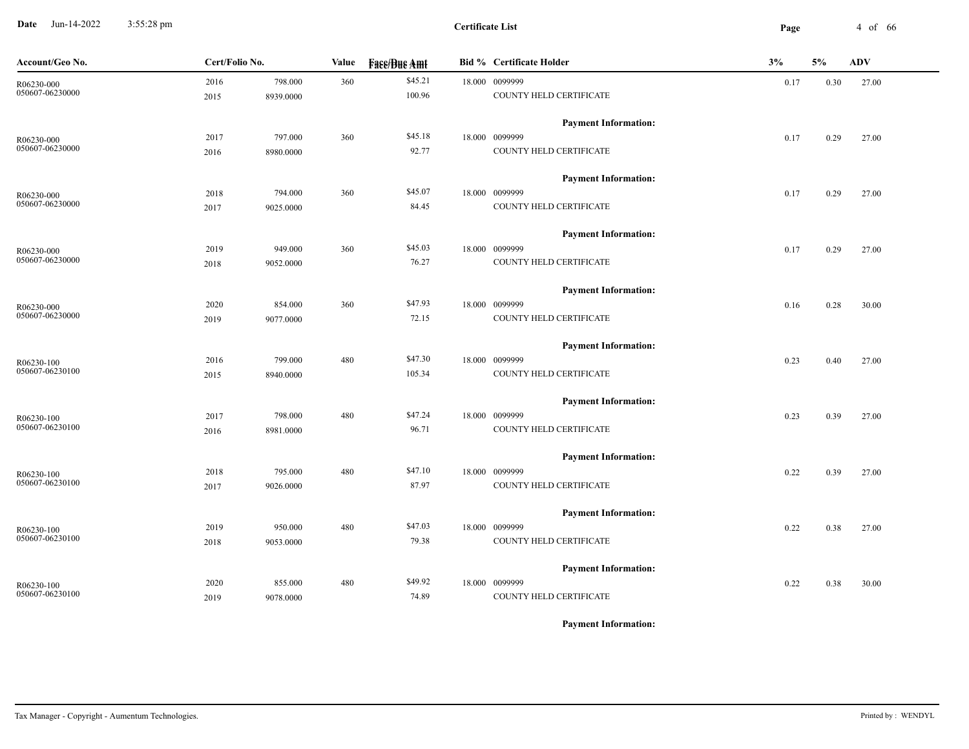**Date** Jun-14-2022 3:55:28 pm **Page** 4 of 66 3:55:28 pm

| Account/Geo No. | Cert/Folio No. |           | Value | <b>Face/Bue Amt</b> | <b>Bid % Certificate Holder</b> | 3%   | 5%   | ADV   |
|-----------------|----------------|-----------|-------|---------------------|---------------------------------|------|------|-------|
| R06230-000      | 2016           | 798.000   | 360   | \$45.21             | 18.000 0099999                  | 0.17 | 0.30 | 27.00 |
| 050607-06230000 | 2015           | 8939.0000 |       | 100.96              | COUNTY HELD CERTIFICATE         |      |      |       |
|                 |                |           |       |                     | <b>Payment Information:</b>     |      |      |       |
| R06230-000      | 2017           | 797.000   | 360   | \$45.18             | 18.000 0099999                  | 0.17 | 0.29 | 27.00 |
| 050607-06230000 | 2016           | 8980.0000 |       | 92.77               | COUNTY HELD CERTIFICATE         |      |      |       |
|                 |                |           |       |                     | <b>Payment Information:</b>     |      |      |       |
| R06230-000      | 2018           | 794.000   | 360   | \$45.07             | 18.000 0099999                  | 0.17 | 0.29 | 27.00 |
| 050607-06230000 | 2017           | 9025.0000 |       | 84.45               | COUNTY HELD CERTIFICATE         |      |      |       |
|                 |                |           |       |                     | <b>Payment Information:</b>     |      |      |       |
| R06230-000      | 2019           | 949.000   | 360   | \$45.03             | 18.000 0099999                  | 0.17 | 0.29 | 27.00 |
| 050607-06230000 | 2018           | 9052.0000 |       | 76.27               | COUNTY HELD CERTIFICATE         |      |      |       |
|                 |                |           |       |                     | <b>Payment Information:</b>     |      |      |       |
| R06230-000      | 2020           | 854.000   | 360   | \$47.93             | 18.000 0099999                  | 0.16 | 0.28 | 30.00 |
| 050607-06230000 | 2019           | 9077.0000 |       | 72.15               | COUNTY HELD CERTIFICATE         |      |      |       |
|                 |                |           |       |                     | <b>Payment Information:</b>     |      |      |       |
| R06230-100      | 2016           | 799.000   | 480   | \$47.30             | 18.000 0099999                  | 0.23 | 0.40 | 27.00 |
| 050607-06230100 | 2015           | 8940.0000 |       | 105.34              | COUNTY HELD CERTIFICATE         |      |      |       |
|                 |                |           |       |                     | <b>Payment Information:</b>     |      |      |       |
| R06230-100      | 2017           | 798.000   | 480   | \$47.24             | 18.000 0099999                  | 0.23 | 0.39 | 27.00 |
| 050607-06230100 | 2016           | 8981.0000 |       | 96.71               | COUNTY HELD CERTIFICATE         |      |      |       |
|                 |                |           |       |                     | <b>Payment Information:</b>     |      |      |       |
| R06230-100      | 2018           | 795.000   | 480   | \$47.10             | 18.000 0099999                  | 0.22 | 0.39 | 27.00 |
| 050607-06230100 | 2017           | 9026.0000 |       | 87.97               | COUNTY HELD CERTIFICATE         |      |      |       |
|                 |                |           |       |                     | <b>Payment Information:</b>     |      |      |       |
| R06230-100      | 2019           | 950.000   | 480   | \$47.03             | 18.000 0099999                  | 0.22 | 0.38 | 27.00 |
| 050607-06230100 | 2018           | 9053.0000 |       | 79.38               | COUNTY HELD CERTIFICATE         |      |      |       |
|                 |                |           |       |                     | <b>Payment Information:</b>     |      |      |       |
| R06230-100      | 2020           | 855.000   | 480   | \$49.92             | 18.000 0099999                  | 0.22 | 0.38 | 30.00 |
| 050607-06230100 | 2019           | 9078.0000 |       | 74.89               | COUNTY HELD CERTIFICATE         |      |      |       |
|                 |                |           |       |                     |                                 |      |      |       |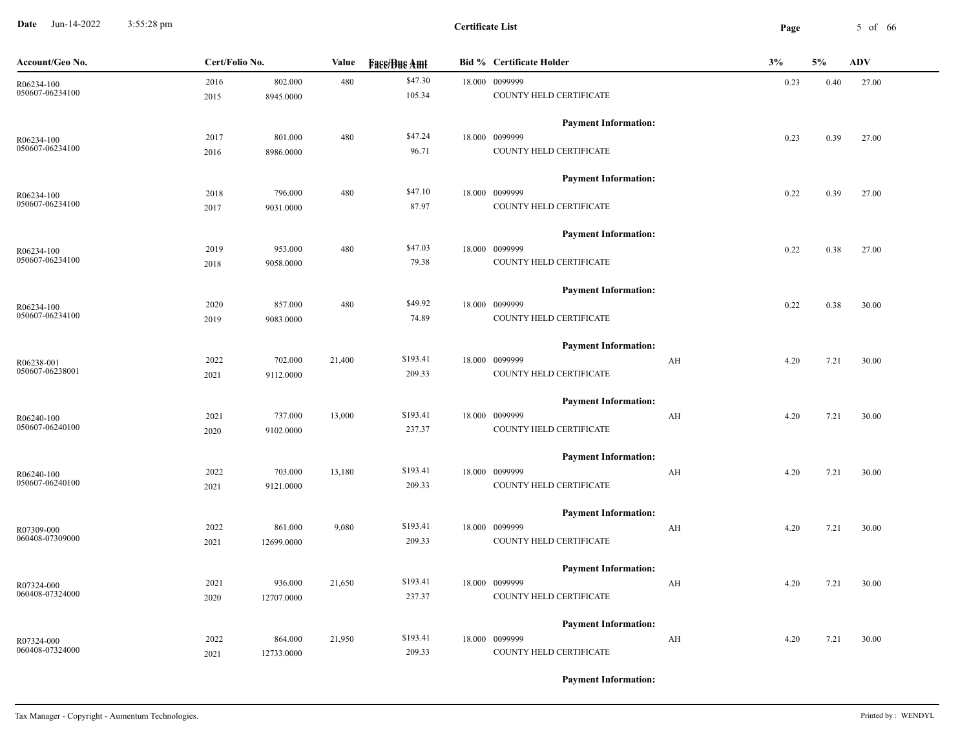**Date** Jun-14-2022 3:55:28 pm **Page** 5 of 66 3:55:28 pm

| Account/Geo No. | Cert/Folio No. |            | Value  | <b>Face/Bue Amt</b> | <b>Bid % Certificate Holder</b> |    | 3%   | 5%   | <b>ADV</b> |
|-----------------|----------------|------------|--------|---------------------|---------------------------------|----|------|------|------------|
| R06234-100      | 2016           | 802.000    | 480    | \$47.30             | 18.000 0099999                  |    | 0.23 | 0.40 | 27.00      |
| 050607-06234100 | 2015           | 8945.0000  |        | 105.34              | COUNTY HELD CERTIFICATE         |    |      |      |            |
|                 |                |            |        |                     | <b>Payment Information:</b>     |    |      |      |            |
| R06234-100      | 2017           | 801.000    | 480    | \$47.24             | 18.000 0099999                  |    | 0.23 | 0.39 | 27.00      |
| 050607-06234100 | 2016           | 8986.0000  |        | 96.71               | COUNTY HELD CERTIFICATE         |    |      |      |            |
|                 |                |            |        |                     | <b>Payment Information:</b>     |    |      |      |            |
| R06234-100      | 2018           | 796.000    | 480    | \$47.10             | 18.000 0099999                  |    | 0.22 | 0.39 | 27.00      |
| 050607-06234100 | 2017           | 9031.0000  |        | 87.97               | COUNTY HELD CERTIFICATE         |    |      |      |            |
|                 |                |            |        |                     | <b>Payment Information:</b>     |    |      |      |            |
| R06234-100      | 2019           | 953.000    | 480    | \$47.03             | 18.000 0099999                  |    | 0.22 | 0.38 | 27.00      |
| 050607-06234100 | 2018           | 9058.0000  |        | 79.38               | COUNTY HELD CERTIFICATE         |    |      |      |            |
|                 |                |            |        |                     | <b>Payment Information:</b>     |    |      |      |            |
| R06234-100      | 2020           | 857.000    | 480    | \$49.92             | 18.000 0099999                  |    | 0.22 | 0.38 | 30.00      |
| 050607-06234100 | 2019           | 9083.0000  |        | 74.89               | COUNTY HELD CERTIFICATE         |    |      |      |            |
|                 |                |            |        |                     | <b>Payment Information:</b>     |    |      |      |            |
| R06238-001      | 2022           | 702.000    | 21,400 | \$193.41            | 18.000 0099999                  | AH | 4.20 | 7.21 | 30.00      |
| 050607-06238001 | 2021           | 9112.0000  |        | 209.33              | COUNTY HELD CERTIFICATE         |    |      |      |            |
|                 |                |            |        |                     | <b>Payment Information:</b>     |    |      |      |            |
| R06240-100      | 2021           | 737.000    | 13,000 | \$193.41            | 18.000 0099999                  | AH | 4.20 | 7.21 | 30.00      |
| 050607-06240100 | 2020           | 9102.0000  |        | 237.37              | COUNTY HELD CERTIFICATE         |    |      |      |            |
|                 |                |            |        |                     | <b>Payment Information:</b>     |    |      |      |            |
| R06240-100      | 2022           | 703.000    | 13,180 | \$193.41            | 18.000 0099999                  | AH | 4.20 | 7.21 | 30.00      |
| 050607-06240100 | 2021           | 9121.0000  |        | 209.33              | COUNTY HELD CERTIFICATE         |    |      |      |            |
|                 |                |            |        |                     | <b>Payment Information:</b>     |    |      |      |            |
| R07309-000      | 2022           | 861.000    | 9,080  | \$193.41            | 18.000 0099999                  | AH | 4.20 | 7.21 | 30.00      |
| 060408-07309000 | 2021           | 12699.0000 |        | 209.33              | COUNTY HELD CERTIFICATE         |    |      |      |            |
|                 |                |            |        |                     | <b>Payment Information:</b>     |    |      |      |            |
| R07324-000      | 2021           | 936.000    | 21,650 | \$193.41            | 18.000 0099999                  | AH | 4.20 | 7.21 | 30.00      |
| 060408-07324000 | 2020           | 12707.0000 |        | 237.37              | COUNTY HELD CERTIFICATE         |    |      |      |            |
|                 |                |            |        |                     | <b>Payment Information:</b>     |    |      |      |            |
| R07324-000      | 2022           | 864.000    | 21,950 | \$193.41            | 18.000 0099999                  | AH | 4.20 | 7.21 | 30.00      |
| 060408-07324000 | 2021           | 12733.0000 |        | 209.33              | COUNTY HELD CERTIFICATE         |    |      |      |            |
|                 |                |            |        |                     |                                 |    |      |      |            |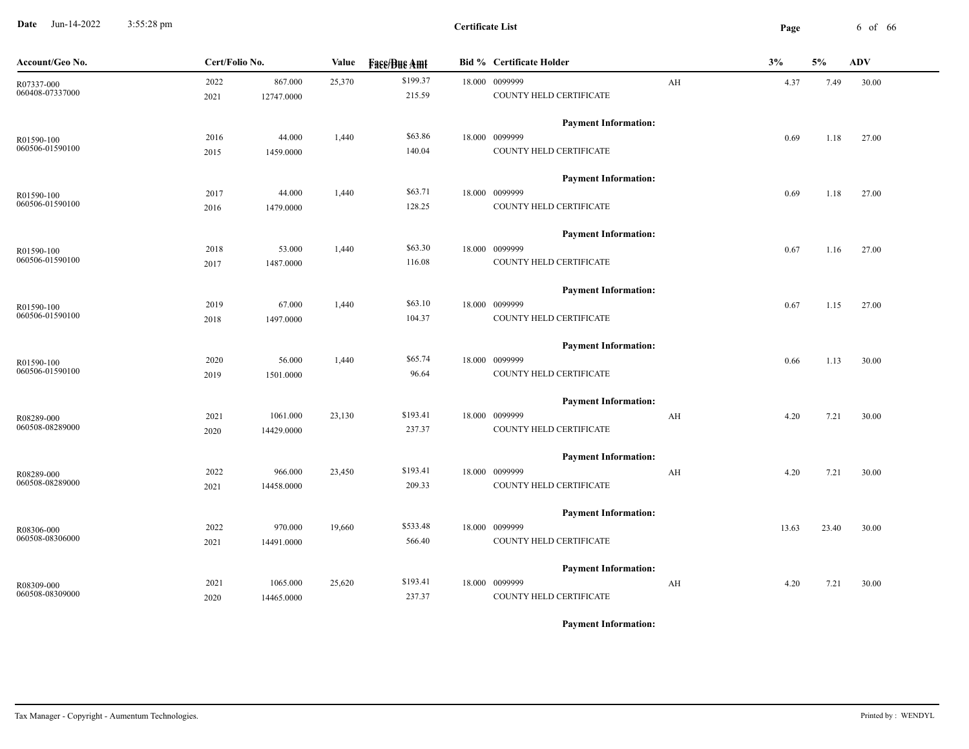**Date** Jun-14-2022 3:55:28 pm **Certificate List Certificate List Page** 6 of 66 3:55:28 pm

| Account/Geo No. | Cert/Folio No. |            | Value  | <b>Fass/Bus Amt</b> | <b>Bid % Certificate Holder</b> |    | 3%    | 5%    | ADV   |
|-----------------|----------------|------------|--------|---------------------|---------------------------------|----|-------|-------|-------|
| R07337-000      | 2022           | 867.000    | 25,370 | \$199.37            | 18.000 0099999                  | AH | 4.37  | 7.49  | 30.00 |
| 060408-07337000 | 2021           | 12747.0000 |        | 215.59              | COUNTY HELD CERTIFICATE         |    |       |       |       |
|                 |                |            |        |                     | <b>Payment Information:</b>     |    |       |       |       |
| R01590-100      | 2016           | 44.000     | 1,440  | \$63.86             | 18.000 0099999                  |    | 0.69  | 1.18  | 27.00 |
| 060506-01590100 | 2015           | 1459.0000  |        | 140.04              | COUNTY HELD CERTIFICATE         |    |       |       |       |
|                 |                |            |        |                     | <b>Payment Information:</b>     |    |       |       |       |
| R01590-100      | 2017           | 44.000     | 1,440  | \$63.71             | 18.000 0099999                  |    | 0.69  | 1.18  | 27.00 |
| 060506-01590100 | 2016           | 1479.0000  |        | 128.25              | COUNTY HELD CERTIFICATE         |    |       |       |       |
|                 |                |            |        |                     | <b>Payment Information:</b>     |    |       |       |       |
| R01590-100      | 2018           | 53.000     | 1,440  | \$63.30             | 18.000 0099999                  |    | 0.67  | 1.16  | 27.00 |
| 060506-01590100 | 2017           | 1487.0000  |        | 116.08              | COUNTY HELD CERTIFICATE         |    |       |       |       |
|                 |                |            |        |                     | <b>Payment Information:</b>     |    |       |       |       |
| R01590-100      | 2019           | 67.000     | 1,440  | \$63.10             | 18.000 0099999                  |    | 0.67  | 1.15  | 27.00 |
| 060506-01590100 | 2018           | 1497.0000  |        | 104.37              | COUNTY HELD CERTIFICATE         |    |       |       |       |
|                 |                |            |        |                     | <b>Payment Information:</b>     |    |       |       |       |
| R01590-100      | 2020           | 56.000     | 1,440  | \$65.74             | 18.000 0099999                  |    | 0.66  | 1.13  | 30.00 |
| 060506-01590100 | 2019           | 1501.0000  |        | 96.64               | COUNTY HELD CERTIFICATE         |    |       |       |       |
|                 |                |            |        |                     | <b>Payment Information:</b>     |    |       |       |       |
| R08289-000      | 2021           | 1061.000   | 23,130 | \$193.41            | 18.000 0099999                  | AH | 4.20  | 7.21  | 30.00 |
| 060508-08289000 | 2020           | 14429.0000 |        | 237.37              | COUNTY HELD CERTIFICATE         |    |       |       |       |
|                 |                |            |        |                     | <b>Payment Information:</b>     |    |       |       |       |
| R08289-000      | 2022           | 966.000    | 23,450 | \$193.41            | 18.000 0099999                  | AH | 4.20  | 7.21  | 30.00 |
| 060508-08289000 | 2021           | 14458.0000 |        | 209.33              | COUNTY HELD CERTIFICATE         |    |       |       |       |
|                 |                |            |        |                     | <b>Payment Information:</b>     |    |       |       |       |
| R08306-000      | 2022           | 970.000    | 19,660 | \$533.48            | 18.000 0099999                  |    | 13.63 | 23.40 | 30.00 |
| 060508-08306000 | 2021           | 14491.0000 |        | 566.40              | COUNTY HELD CERTIFICATE         |    |       |       |       |
|                 |                |            |        |                     | <b>Payment Information:</b>     |    |       |       |       |
| R08309-000      | 2021           | 1065.000   | 25,620 | \$193.41            | 18.000 0099999                  | AH | 4.20  | 7.21  | 30.00 |
| 060508-08309000 | 2020           | 14465.0000 |        | 237.37              | COUNTY HELD CERTIFICATE         |    |       |       |       |
|                 |                |            |        |                     |                                 |    |       |       |       |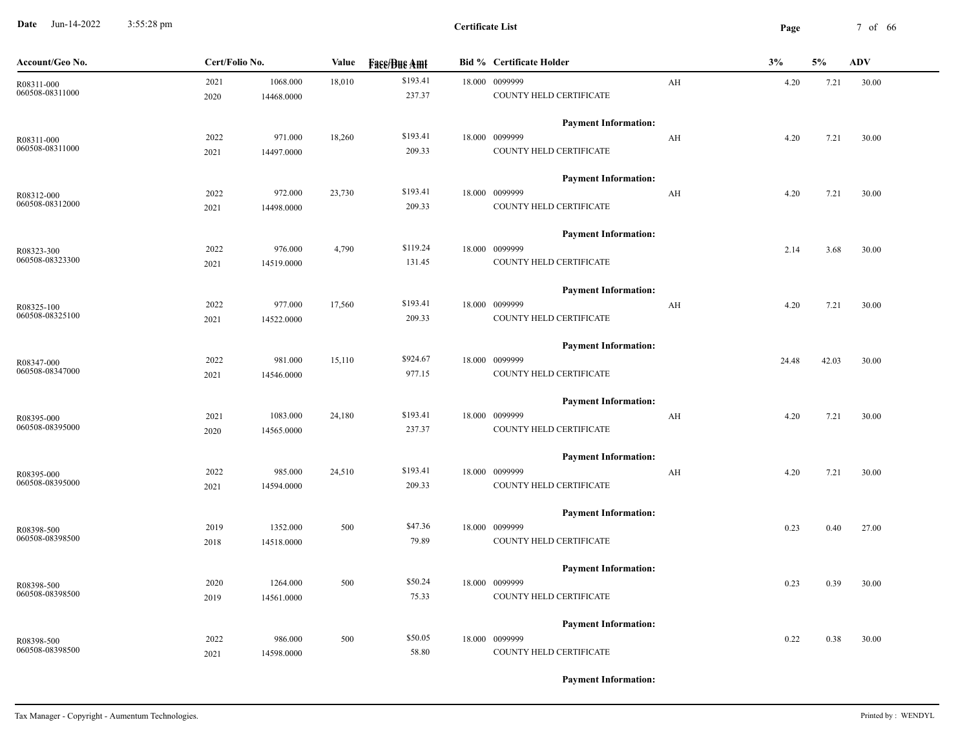**Date** Jun-14-2022 3:55:28 pm **Page** 7 of 66 3:55:28 pm

| Account/Geo No. | Cert/Folio No. |            | Value  | <b>Fase/Bue Amt</b> | <b>Bid % Certificate Holder</b> |                         | 3%    | 5%    | <b>ADV</b> |
|-----------------|----------------|------------|--------|---------------------|---------------------------------|-------------------------|-------|-------|------------|
| R08311-000      | 2021           | 1068.000   | 18,010 | \$193.41            | 18.000 0099999                  | AH                      | 4.20  | 7.21  | 30.00      |
| 060508-08311000 | 2020           | 14468.0000 |        | 237.37              | COUNTY HELD CERTIFICATE         |                         |       |       |            |
|                 |                |            |        |                     | <b>Payment Information:</b>     |                         |       |       |            |
| R08311-000      | 2022           | 971.000    | 18,260 | \$193.41            | 18.000 0099999                  | AH                      | 4.20  | 7.21  | 30.00      |
| 060508-08311000 | 2021           | 14497.0000 |        | 209.33              | COUNTY HELD CERTIFICATE         |                         |       |       |            |
|                 |                |            |        |                     | <b>Payment Information:</b>     |                         |       |       |            |
| R08312-000      | 2022           | 972.000    | 23,730 | \$193.41            | 18.000 0099999                  | AH                      | 4.20  | 7.21  | 30.00      |
| 060508-08312000 | 2021           | 14498.0000 |        | 209.33              | COUNTY HELD CERTIFICATE         |                         |       |       |            |
|                 |                |            |        |                     | <b>Payment Information:</b>     |                         |       |       |            |
| R08323-300      | 2022           | 976.000    | 4,790  | \$119.24            | 18.000 0099999                  |                         | 2.14  | 3.68  | 30.00      |
| 060508-08323300 | 2021           | 14519.0000 |        | 131.45              | COUNTY HELD CERTIFICATE         |                         |       |       |            |
|                 |                |            |        |                     | <b>Payment Information:</b>     |                         |       |       |            |
| R08325-100      | 2022           | 977.000    | 17,560 | \$193.41            | 18.000 0099999                  | AH                      | 4.20  | 7.21  | 30.00      |
| 060508-08325100 | 2021           | 14522.0000 |        | 209.33              | COUNTY HELD CERTIFICATE         |                         |       |       |            |
|                 |                |            |        |                     | <b>Payment Information:</b>     |                         |       |       |            |
| R08347-000      | 2022           | 981.000    | 15,110 | \$924.67            | 18.000 0099999                  |                         | 24.48 | 42.03 | 30.00      |
| 060508-08347000 | 2021           | 14546.0000 |        | 977.15              | COUNTY HELD CERTIFICATE         |                         |       |       |            |
|                 |                |            |        |                     | <b>Payment Information:</b>     |                         |       |       |            |
| R08395-000      | 2021           | 1083.000   | 24,180 | \$193.41            | 18.000 0099999                  | AH                      | 4.20  | 7.21  | 30.00      |
| 060508-08395000 | 2020           | 14565.0000 |        | 237.37              | COUNTY HELD CERTIFICATE         |                         |       |       |            |
|                 |                |            |        |                     | <b>Payment Information:</b>     |                         |       |       |            |
| R08395-000      | 2022           | 985.000    | 24,510 | \$193.41            | 18.000 0099999                  | $\mathbf{A} \mathbf{H}$ | 4.20  | 7.21  | 30.00      |
| 060508-08395000 | 2021           | 14594.0000 |        | 209.33              | COUNTY HELD CERTIFICATE         |                         |       |       |            |
|                 |                |            |        |                     | <b>Payment Information:</b>     |                         |       |       |            |
| R08398-500      | 2019           | 1352.000   | 500    | \$47.36             | 18.000 0099999                  |                         | 0.23  | 0.40  | 27.00      |
| 060508-08398500 | 2018           | 14518.0000 |        | 79.89               | COUNTY HELD CERTIFICATE         |                         |       |       |            |
|                 |                |            |        |                     | <b>Payment Information:</b>     |                         |       |       |            |
| R08398-500      | 2020           | 1264.000   | 500    | \$50.24             | 18.000 0099999                  |                         | 0.23  | 0.39  | 30.00      |
| 060508-08398500 | 2019           | 14561.0000 |        | 75.33               | COUNTY HELD CERTIFICATE         |                         |       |       |            |
|                 |                |            |        |                     | <b>Payment Information:</b>     |                         |       |       |            |
| R08398-500      | 2022           | 986.000    | 500    | \$50.05             | 18.000 0099999                  |                         | 0.22  | 0.38  | 30.00      |
| 060508-08398500 | 2021           | 14598.0000 |        | 58.80               | COUNTY HELD CERTIFICATE         |                         |       |       |            |
|                 |                |            |        |                     |                                 |                         |       |       |            |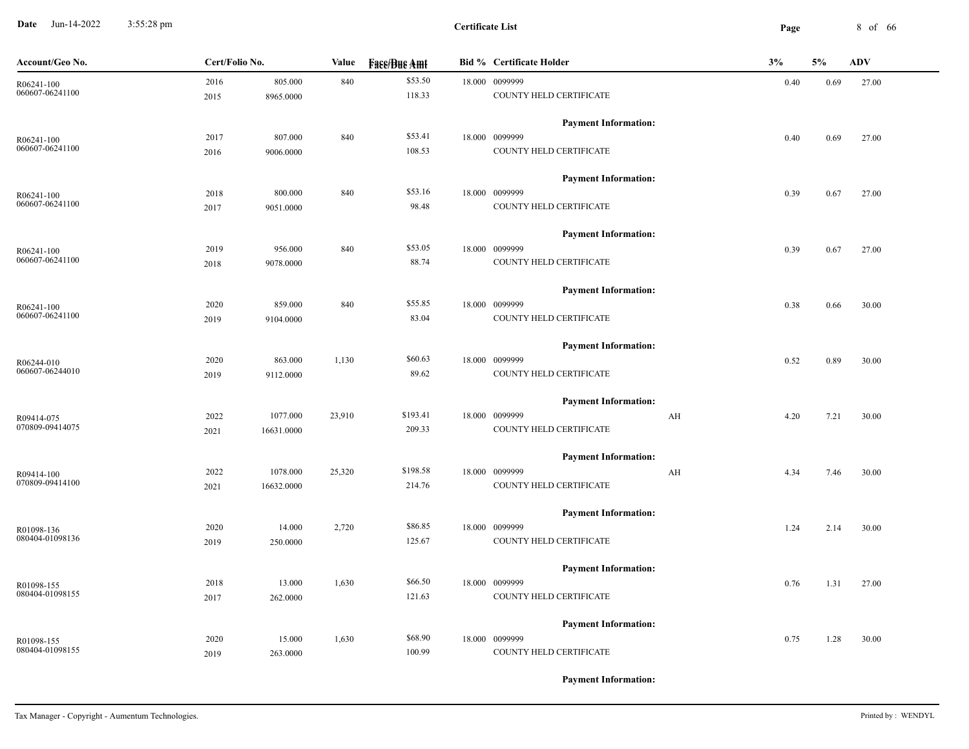**Date** Jun-14-2022 3:55:28 pm **8 of 66 Certificate List Certificate List Page** 8 of 66 3:55:28 pm

| Account/Geo No.               | Cert/Folio No. |            | Value  | <b>Fase/Bue Amt</b> | <b>Bid % Certificate Holder</b> | 3%                              | 5%   | <b>ADV</b> |
|-------------------------------|----------------|------------|--------|---------------------|---------------------------------|---------------------------------|------|------------|
| R06241-100                    | 2016           | 805.000    | 840    | \$53.50             | 18.000 0099999                  | 0.40                            | 0.69 | 27.00      |
| 060607-06241100               | 2015           | 8965.0000  |        | 118.33              | COUNTY HELD CERTIFICATE         |                                 |      |            |
|                               |                |            |        |                     | <b>Payment Information:</b>     |                                 |      |            |
| R06241-100                    | 2017           | 807.000    | 840    | \$53.41             | 18.000 0099999                  | 0.40                            | 0.69 | 27.00      |
| 060607-06241100               | 2016           | 9006.0000  |        | 108.53              | COUNTY HELD CERTIFICATE         |                                 |      |            |
|                               |                |            |        |                     | <b>Payment Information:</b>     |                                 |      |            |
| R06241-100                    | 2018           | 800.000    | 840    | \$53.16             | 18.000 0099999                  | 0.39                            | 0.67 | 27.00      |
| 060607-06241100               | 2017           | 9051.0000  |        | 98.48               | COUNTY HELD CERTIFICATE         |                                 |      |            |
|                               |                |            |        |                     |                                 |                                 |      |            |
|                               |                |            |        |                     | <b>Payment Information:</b>     |                                 |      |            |
| R06241-100                    | 2019           | 956.000    | 840    | \$53.05             | 18.000 0099999                  | 0.39                            | 0.67 | 27.00      |
| 060607-06241100               | 2018           | 9078.0000  |        | 88.74               | COUNTY HELD CERTIFICATE         |                                 |      |            |
|                               |                |            |        |                     | <b>Payment Information:</b>     |                                 |      |            |
| R06241-100                    | 2020           | 859.000    | 840    | \$55.85             | 18.000 0099999                  | 0.38                            | 0.66 | 30.00      |
| 060607-06241100               | 2019           | 9104.0000  |        | 83.04               | COUNTY HELD CERTIFICATE         |                                 |      |            |
|                               |                |            |        |                     | <b>Payment Information:</b>     |                                 |      |            |
|                               | 2020           | 863.000    | 1,130  | \$60.63             | 18.000 0099999                  | 0.52                            | 0.89 | 30.00      |
| R06244-010<br>060607-06244010 | 2019           | 9112.0000  |        | 89.62               | COUNTY HELD CERTIFICATE         |                                 |      |            |
|                               |                |            |        |                     |                                 |                                 |      |            |
|                               |                |            |        |                     | <b>Payment Information:</b>     |                                 |      |            |
| R09414-075                    | 2022           | 1077.000   | 23,910 | \$193.41            | 18.000 0099999                  | $\mathbf{A} \mathbf{H}$<br>4.20 | 7.21 | 30.00      |
| 070809-09414075               | 2021           | 16631.0000 |        | 209.33              | COUNTY HELD CERTIFICATE         |                                 |      |            |
|                               |                |            |        |                     | <b>Payment Information:</b>     |                                 |      |            |
| R09414-100                    | 2022           | 1078.000   | 25,320 | \$198.58            | 18.000 0099999                  | AH<br>4.34                      | 7.46 | 30.00      |
| 070809-09414100               | 2021           | 16632.0000 |        | 214.76              | COUNTY HELD CERTIFICATE         |                                 |      |            |
|                               |                |            |        |                     | <b>Payment Information:</b>     |                                 |      |            |
| R01098-136                    | 2020           | 14.000     | 2,720  | \$86.85             | 18.000 0099999                  | 1.24                            | 2.14 | 30.00      |
| 080404-01098136               | 2019           | 250.0000   |        | 125.67              | COUNTY HELD CERTIFICATE         |                                 |      |            |
|                               |                |            |        |                     |                                 |                                 |      |            |
|                               |                |            |        | \$66.50             | <b>Payment Information:</b>     |                                 |      |            |
| R01098-155<br>080404-01098155 | 2018           | 13.000     | 1,630  |                     | 18.000 0099999                  | 0.76                            | 1.31 | 27.00      |
|                               | 2017           | 262.0000   |        | 121.63              | COUNTY HELD CERTIFICATE         |                                 |      |            |
|                               |                |            |        |                     | <b>Payment Information:</b>     |                                 |      |            |
| R01098-155                    | 2020           | 15.000     | 1,630  | \$68.90             | 18.000 0099999                  | 0.75                            | 1.28 | 30.00      |
| 080404-01098155               | 2019           | 263.0000   |        | 100.99              | COUNTY HELD CERTIFICATE         |                                 |      |            |
|                               |                |            |        |                     |                                 |                                 |      |            |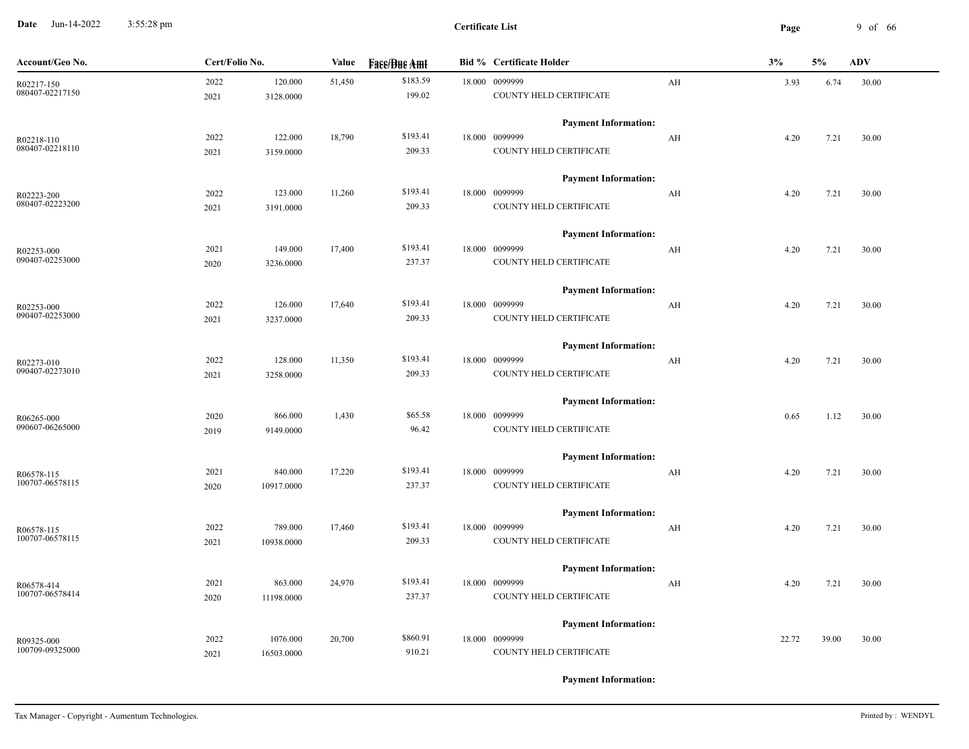**Date** Jun-14-2022 3:55:28 pm **Page** 9 of 66 3:55:28 pm

| Account/Geo No.               | Cert/Folio No. |                      | Value  | <b>Fase/Bue Amt</b> | <b>Bid % Certificate Holder</b>               |                         | 3%    | 5%    | <b>ADV</b> |
|-------------------------------|----------------|----------------------|--------|---------------------|-----------------------------------------------|-------------------------|-------|-------|------------|
| R02217-150<br>080407-02217150 | 2022<br>2021   | 120.000<br>3128.0000 | 51,450 | \$183.59<br>199.02  | 18.000 0099999<br>COUNTY HELD CERTIFICATE     | AH                      | 3.93  | 6.74  | 30.00      |
|                               |                |                      |        |                     | <b>Payment Information:</b>                   |                         |       |       |            |
| R02218-110                    | 2022           | 122.000              | 18,790 | \$193.41            | 18.000 0099999                                | $\mathbf{A} \mathbf{H}$ | 4.20  | 7.21  | 30.00      |
| 080407-02218110               | 2021           | 3159.0000            |        | 209.33              | COUNTY HELD CERTIFICATE                       |                         |       |       |            |
|                               |                |                      |        |                     | <b>Payment Information:</b>                   |                         |       |       |            |
| R02223-200                    | 2022           | 123.000              | 11,260 | \$193.41            | 18.000 0099999                                | AH                      | 4.20  | 7.21  | 30.00      |
| 080407-02223200               | 2021           | 3191.0000            |        | 209.33              | COUNTY HELD CERTIFICATE                       |                         |       |       |            |
|                               |                |                      |        |                     | <b>Payment Information:</b>                   |                         |       |       |            |
| R02253-000<br>090407-02253000 | 2021           | 149.000              | 17,400 | \$193.41            | 18.000 0099999                                | AH                      | 4.20  | 7.21  | 30.00      |
|                               | 2020           | 3236.0000            |        | 237.37              | COUNTY HELD CERTIFICATE                       |                         |       |       |            |
|                               |                |                      |        |                     | <b>Payment Information:</b>                   |                         |       |       |            |
| R02253-000<br>090407-02253000 | 2022           | 126.000              | 17,640 | \$193.41            | 18.000 0099999                                | AH                      | 4.20  | 7.21  | 30.00      |
|                               | 2021           | 3237.0000            |        | 209.33              | COUNTY HELD CERTIFICATE                       |                         |       |       |            |
|                               |                |                      |        |                     | <b>Payment Information:</b>                   |                         |       |       |            |
| R02273-010<br>090407-02273010 | 2022           | 128.000              | 11,350 | \$193.41            | 18.000 0099999                                | AH                      | 4.20  | 7.21  | 30.00      |
|                               | 2021           | 3258.0000            |        | 209.33              | COUNTY HELD CERTIFICATE                       |                         |       |       |            |
|                               |                |                      |        |                     | <b>Payment Information:</b>                   |                         |       |       |            |
| R06265-000<br>090607-06265000 | 2020           | 866.000              | 1,430  | \$65.58             | 18.000 0099999                                |                         | 0.65  | 1.12  | 30.00      |
|                               | 2019           | 9149.0000            |        | 96.42               | COUNTY HELD CERTIFICATE                       |                         |       |       |            |
|                               |                |                      |        |                     | <b>Payment Information:</b>                   |                         |       |       |            |
| R06578-115<br>100707-06578115 | 2021           | 840.000              | 17,220 | \$193.41            | 18.000 0099999                                | AH                      | 4.20  | 7.21  | 30.00      |
|                               | 2020           | 10917.0000           |        | 237.37              | COUNTY HELD CERTIFICATE                       |                         |       |       |            |
|                               |                |                      |        | \$193.41            | <b>Payment Information:</b>                   |                         |       |       |            |
| R06578-115<br>100707-06578115 | 2022           | 789.000              | 17,460 | 209.33              | 18.000 0099999                                | AH                      | 4.20  | 7.21  | 30.00      |
|                               | 2021           | 10938.0000           |        |                     | COUNTY HELD CERTIFICATE                       |                         |       |       |            |
|                               | 2021           | 863.000              | 24,970 | \$193.41            | <b>Payment Information:</b><br>18.000 0099999 | AH                      |       |       |            |
| R06578-414<br>100707-06578414 |                |                      |        | 237.37              | COUNTY HELD CERTIFICATE                       |                         | 4.20  | 7.21  | 30.00      |
|                               | 2020           | 11198.0000           |        |                     |                                               |                         |       |       |            |
|                               |                |                      |        |                     | <b>Payment Information:</b>                   |                         |       |       |            |
| R09325-000<br>100709-09325000 | 2022           | 1076.000             | 20,700 | \$860.91<br>910.21  | 18.000 0099999<br>COUNTY HELD CERTIFICATE     |                         | 22.72 | 39.00 | 30.00      |
|                               | 2021           | 16503.0000           |        |                     |                                               |                         |       |       |            |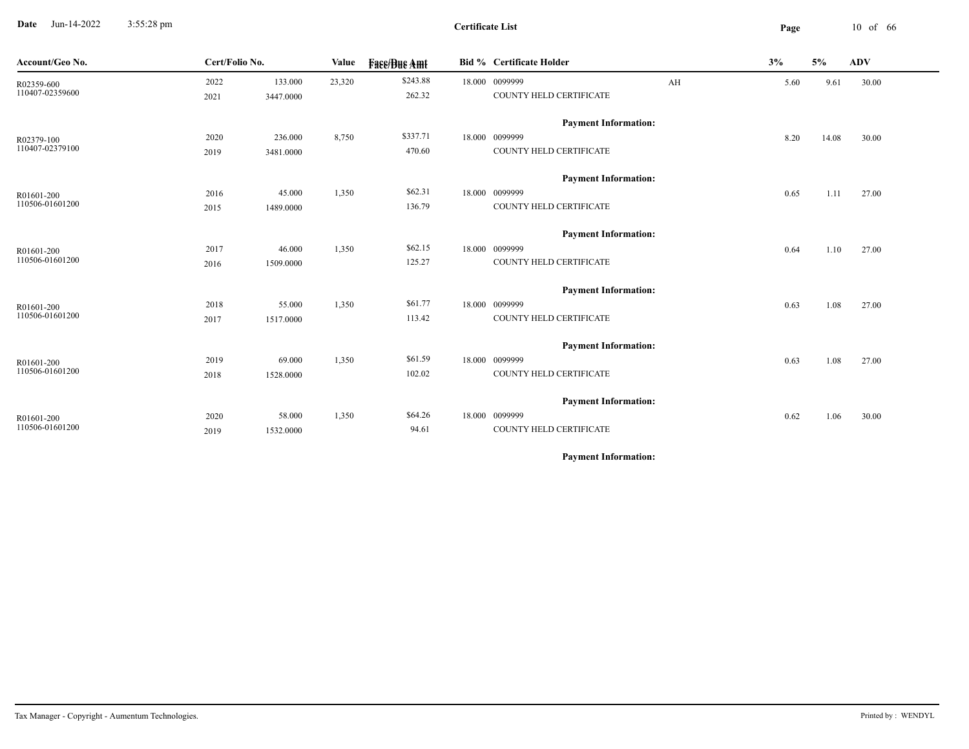**Date** Jun-14-2022 3:55:28 pm **Page** 10 of 66 3:55:28 pm

| Account/Geo No. | Cert/Folio No. |           | Value  | <b>Face/Bue Amt</b> | Bid % Certificate Holder    |    | 3%   | 5%    | <b>ADV</b> |
|-----------------|----------------|-----------|--------|---------------------|-----------------------------|----|------|-------|------------|
| R02359-600      | 2022           | 133.000   | 23,320 | \$243.88            | 18.000 0099999              | AH | 5.60 | 9.61  | 30.00      |
| 110407-02359600 | 2021           | 3447.0000 |        | 262.32              | COUNTY HELD CERTIFICATE     |    |      |       |            |
|                 |                |           |        |                     | <b>Payment Information:</b> |    |      |       |            |
| R02379-100      | 2020           | 236.000   | 8,750  | \$337.71            | 18.000 0099999              |    | 8.20 | 14.08 | 30.00      |
| 110407-02379100 | 2019           | 3481.0000 |        | 470.60              | COUNTY HELD CERTIFICATE     |    |      |       |            |
|                 |                |           |        |                     | <b>Payment Information:</b> |    |      |       |            |
| R01601-200      | 2016           | 45.000    | 1,350  | \$62.31             | 18.000 0099999              |    | 0.65 | 1.11  | 27.00      |
| 110506-01601200 | 2015           | 1489.0000 |        | 136.79              | COUNTY HELD CERTIFICATE     |    |      |       |            |
|                 |                |           |        |                     | <b>Payment Information:</b> |    |      |       |            |
| R01601-200      | 2017           | 46.000    | 1,350  | \$62.15             | 18.000 0099999              |    | 0.64 | 1.10  | 27.00      |
| 110506-01601200 | 2016           | 1509.0000 |        | 125.27              | COUNTY HELD CERTIFICATE     |    |      |       |            |
|                 |                |           |        |                     | <b>Payment Information:</b> |    |      |       |            |
| R01601-200      | 2018           | 55.000    | 1,350  | \$61.77             | 18.000 0099999              |    | 0.63 | 1.08  | 27.00      |
| 110506-01601200 | 2017           | 1517.0000 |        | 113.42              | COUNTY HELD CERTIFICATE     |    |      |       |            |
|                 |                |           |        |                     | <b>Payment Information:</b> |    |      |       |            |
| R01601-200      | 2019           | 69.000    | 1,350  | \$61.59             | 18.000 0099999              |    | 0.63 | 1.08  | 27.00      |
| 110506-01601200 | 2018           | 1528.0000 |        | 102.02              | COUNTY HELD CERTIFICATE     |    |      |       |            |
|                 |                |           |        |                     | <b>Payment Information:</b> |    |      |       |            |
| R01601-200      | 2020           | 58.000    | 1,350  | \$64.26             | 18.000 0099999              |    | 0.62 | 1.06  | 30.00      |
| 110506-01601200 | 2019           | 1532.0000 |        | 94.61               | COUNTY HELD CERTIFICATE     |    |      |       |            |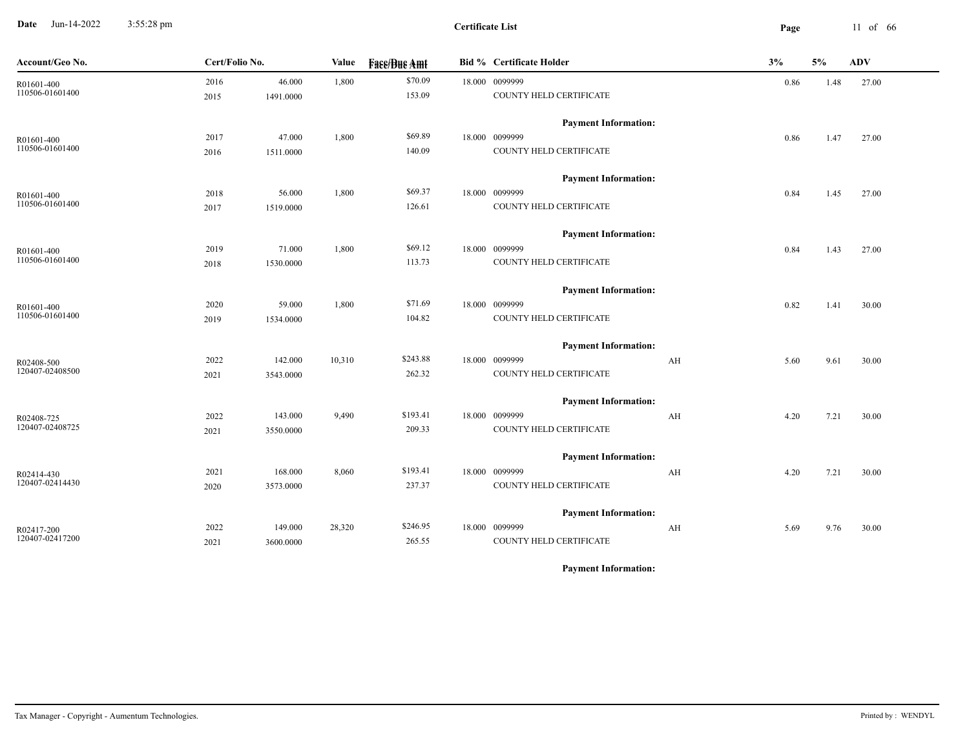**Date** Jun-14-2022 3:55:28 pm **Page** 11 of 66 3:55:28 pm

**Certificate List**

| Account/Geo No. | Cert/Folio No. |           | Value  | <b>Fass/Bus Amt</b> | <b>Bid % Certificate Holder</b> | 3%         | 5%   | ADV   |
|-----------------|----------------|-----------|--------|---------------------|---------------------------------|------------|------|-------|
| R01601-400      | 2016           | 46.000    | 1,800  | \$70.09             | 18.000 0099999                  | 0.86       | 1.48 | 27.00 |
| 110506-01601400 | 2015           | 1491.0000 |        | 153.09              | COUNTY HELD CERTIFICATE         |            |      |       |
|                 |                |           |        |                     | <b>Payment Information:</b>     |            |      |       |
| R01601-400      | 2017           | 47.000    | 1,800  | \$69.89             | 18.000 0099999                  | 0.86       | 1.47 | 27.00 |
| 110506-01601400 | 2016           | 1511.0000 |        | 140.09              | COUNTY HELD CERTIFICATE         |            |      |       |
|                 |                |           |        |                     | <b>Payment Information:</b>     |            |      |       |
| R01601-400      | 2018           | 56.000    | 1,800  | \$69.37             | 18.000 0099999                  | 0.84       | 1.45 | 27.00 |
| 110506-01601400 | 2017           | 1519.0000 |        | 126.61              | COUNTY HELD CERTIFICATE         |            |      |       |
|                 |                |           |        |                     | <b>Payment Information:</b>     |            |      |       |
| R01601-400      | 2019           | 71.000    | 1,800  | \$69.12             | 18.000 0099999                  | 0.84       | 1.43 | 27.00 |
| 110506-01601400 | 2018           | 1530.0000 |        | 113.73              | COUNTY HELD CERTIFICATE         |            |      |       |
|                 |                |           |        |                     | <b>Payment Information:</b>     |            |      |       |
| R01601-400      | 2020           | 59.000    | 1,800  | \$71.69             | 18.000 0099999                  | 0.82       | 1.41 | 30.00 |
| 110506-01601400 | 2019           | 1534.0000 |        | 104.82              | COUNTY HELD CERTIFICATE         |            |      |       |
|                 |                |           |        |                     | <b>Payment Information:</b>     |            |      |       |
| R02408-500      | 2022           | 142.000   | 10,310 | \$243.88            | 18.000 0099999                  | AH<br>5.60 | 9.61 | 30.00 |
| 120407-02408500 | 2021           | 3543.0000 |        | 262.32              | COUNTY HELD CERTIFICATE         |            |      |       |
|                 |                |           |        |                     | <b>Payment Information:</b>     |            |      |       |
| R02408-725      | 2022           | 143.000   | 9,490  | \$193.41            | 18.000 0099999                  | AH<br>4.20 | 7.21 | 30.00 |
| 120407-02408725 | 2021           | 3550.0000 |        | 209.33              | COUNTY HELD CERTIFICATE         |            |      |       |
|                 |                |           |        |                     | <b>Payment Information:</b>     |            |      |       |
| R02414-430      | 2021           | 168.000   | 8,060  | \$193.41            | 18.000 0099999                  | AH<br>4.20 | 7.21 | 30.00 |
| 120407-02414430 | 2020           | 3573.0000 |        | 237.37              | COUNTY HELD CERTIFICATE         |            |      |       |
|                 |                |           |        |                     | <b>Payment Information:</b>     |            |      |       |
| R02417-200      | 2022           | 149.000   | 28,320 | \$246.95            | 18.000 0099999                  | AH<br>5.69 | 9.76 | 30.00 |
| 120407-02417200 | 2021           | 3600.0000 |        | 265.55              | COUNTY HELD CERTIFICATE         |            |      |       |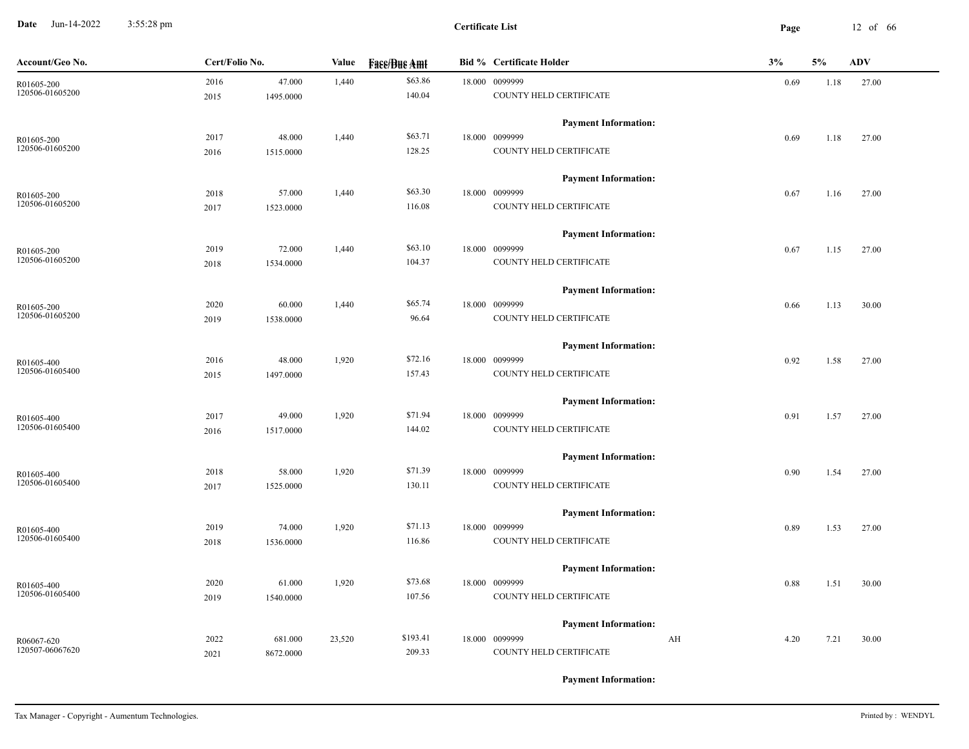**Date** Jun-14-2022 3:55:28 pm **Page** 12 of 66 3:55:28 pm

| Account/Geo No. | Cert/Folio No. |           | <b>Value</b> | <b>Fase/Bue Amt</b> | <b>Bid % Certificate Holder</b> | 3%         | 5%   | <b>ADV</b> |
|-----------------|----------------|-----------|--------------|---------------------|---------------------------------|------------|------|------------|
| R01605-200      | 2016           | 47.000    | 1,440        | \$63.86             | 18.000 0099999                  | 0.69       | 1.18 | 27.00      |
| 120506-01605200 | 2015           | 1495.0000 |              | 140.04              | COUNTY HELD CERTIFICATE         |            |      |            |
|                 |                |           |              |                     | <b>Payment Information:</b>     |            |      |            |
| R01605-200      | 2017           | 48.000    | 1,440        | \$63.71             | 18.000 0099999                  | 0.69       | 1.18 | 27.00      |
| 120506-01605200 | 2016           | 1515.0000 |              | 128.25              | COUNTY HELD CERTIFICATE         |            |      |            |
|                 |                |           |              |                     | <b>Payment Information:</b>     |            |      |            |
| R01605-200      | 2018           | 57.000    | 1,440        | \$63.30             | 18.000 0099999                  | 0.67       | 1.16 | 27.00      |
| 120506-01605200 | 2017           | 1523.0000 |              | 116.08              | COUNTY HELD CERTIFICATE         |            |      |            |
|                 |                |           |              |                     | <b>Payment Information:</b>     |            |      |            |
| R01605-200      | 2019           | 72.000    | 1,440        | \$63.10             | 18.000 0099999                  | 0.67       | 1.15 | 27.00      |
| 120506-01605200 | 2018           | 1534.0000 |              | 104.37              | COUNTY HELD CERTIFICATE         |            |      |            |
|                 |                |           |              |                     | <b>Payment Information:</b>     |            |      |            |
| R01605-200      | 2020           | 60.000    | 1,440        | \$65.74             | 18.000 0099999                  | 0.66       | 1.13 | 30.00      |
| 120506-01605200 | 2019           | 1538.0000 |              | 96.64               | COUNTY HELD CERTIFICATE         |            |      |            |
|                 |                |           |              |                     | <b>Payment Information:</b>     |            |      |            |
| R01605-400      | 2016           | 48.000    | 1,920        | \$72.16             | 18.000 0099999                  | 0.92       | 1.58 | 27.00      |
| 120506-01605400 | 2015           | 1497.0000 |              | 157.43              | COUNTY HELD CERTIFICATE         |            |      |            |
|                 |                |           |              |                     | <b>Payment Information:</b>     |            |      |            |
| R01605-400      | 2017           | 49.000    | 1,920        | \$71.94             | 18.000 0099999                  | 0.91       | 1.57 | 27.00      |
| 120506-01605400 | 2016           | 1517.0000 |              | 144.02              | COUNTY HELD CERTIFICATE         |            |      |            |
|                 |                |           |              |                     | <b>Payment Information:</b>     |            |      |            |
| R01605-400      | 2018           | 58.000    | 1,920        | \$71.39             | 18.000 0099999                  | 0.90       | 1.54 | 27.00      |
| 120506-01605400 | 2017           | 1525.0000 |              | 130.11              | COUNTY HELD CERTIFICATE         |            |      |            |
|                 |                |           |              |                     | <b>Payment Information:</b>     |            |      |            |
| R01605-400      | 2019           | 74.000    | 1,920        | \$71.13             | 18.000 0099999                  | 0.89       | 1.53 | 27.00      |
| 120506-01605400 | 2018           | 1536.0000 |              | 116.86              | COUNTY HELD CERTIFICATE         |            |      |            |
|                 |                |           |              |                     | <b>Payment Information:</b>     |            |      |            |
| R01605-400      | 2020           | 61.000    | 1,920        | \$73.68             | 18.000 0099999                  | 0.88       | 1.51 | 30.00      |
| 120506-01605400 | 2019           | 1540.0000 |              | 107.56              | COUNTY HELD CERTIFICATE         |            |      |            |
|                 |                |           |              |                     | <b>Payment Information:</b>     |            |      |            |
| R06067-620      | 2022           | 681.000   | 23,520       | \$193.41            | 18.000 0099999                  | AH<br>4.20 | 7.21 | 30.00      |
| 120507-06067620 | 2021           | 8672.0000 |              | 209.33              | COUNTY HELD CERTIFICATE         |            |      |            |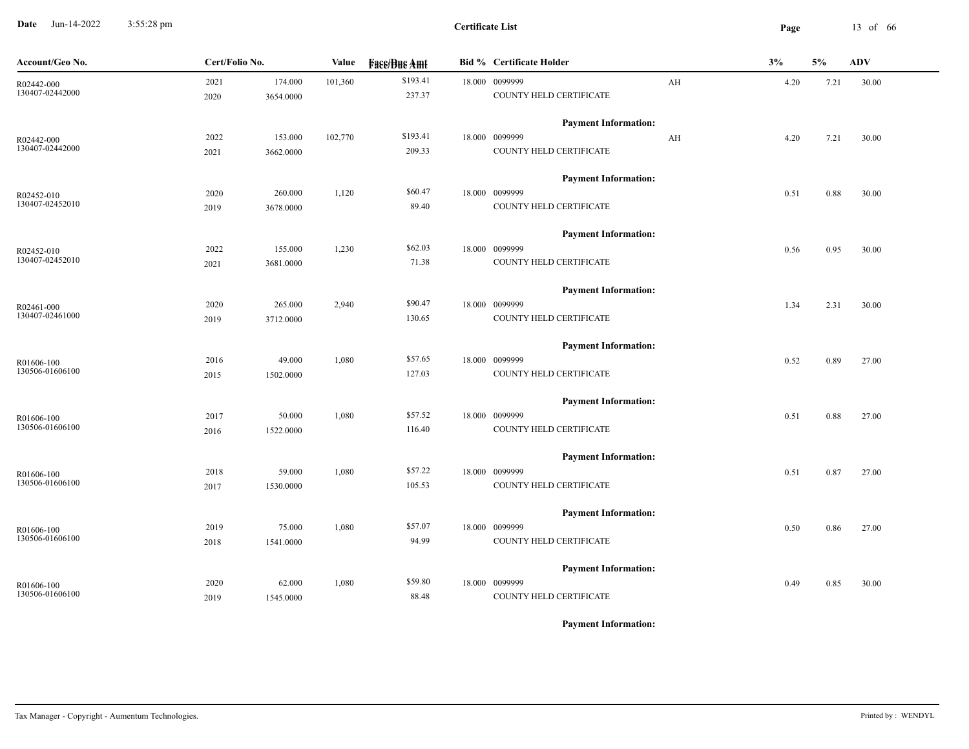**Date** Jun-14-2022 3:55:28 pm **Page** 13 of 66 3:55:28 pm

| Account/Geo No.               | Cert/Folio No. |                      | <b>Value</b> | <b>Fass/Bus Amt</b> | <b>Bid % Certificate Holder</b>           |    | 3%   | 5%   | <b>ADV</b> |
|-------------------------------|----------------|----------------------|--------------|---------------------|-------------------------------------------|----|------|------|------------|
| R02442-000<br>130407-02442000 | 2021<br>2020   | 174.000<br>3654.0000 | 101,360      | \$193.41<br>237.37  | 18.000 0099999<br>COUNTY HELD CERTIFICATE | AH | 4.20 | 7.21 | 30.00      |
|                               |                |                      |              |                     | <b>Payment Information:</b>               |    |      |      |            |
| R02442-000                    | 2022           | 153.000              | 102,770      | \$193.41            | 18.000 0099999                            | AH | 4.20 | 7.21 | 30.00      |
| 130407-02442000               | 2021           | 3662.0000            |              | 209.33              | COUNTY HELD CERTIFICATE                   |    |      |      |            |
|                               |                |                      |              |                     | <b>Payment Information:</b>               |    |      |      |            |
| R02452-010                    | 2020           | 260.000              | 1,120        | \$60.47             | 18.000 0099999                            |    | 0.51 | 0.88 | 30.00      |
| 130407-02452010               | 2019           | 3678.0000            |              | 89.40               | COUNTY HELD CERTIFICATE                   |    |      |      |            |
|                               |                |                      |              |                     | <b>Payment Information:</b>               |    |      |      |            |
| R02452-010<br>130407-02452010 | 2022           | 155.000              | 1,230        | \$62.03             | 18.000 0099999                            |    | 0.56 | 0.95 | 30.00      |
|                               | 2021           | 3681.0000            |              | 71.38               | COUNTY HELD CERTIFICATE                   |    |      |      |            |
|                               |                |                      |              |                     | <b>Payment Information:</b>               |    |      |      |            |
| R02461-000                    | 2020           | 265.000              | 2,940        | \$90.47             | 18.000 0099999                            |    | 1.34 | 2.31 | 30.00      |
| 130407-02461000               | 2019           | 3712.0000            |              | 130.65              | COUNTY HELD CERTIFICATE                   |    |      |      |            |
|                               |                |                      |              |                     | <b>Payment Information:</b>               |    |      |      |            |
| R01606-100                    | 2016           | 49.000               | 1,080        | \$57.65             | 18.000 0099999                            |    | 0.52 | 0.89 | 27.00      |
| 130506-01606100               | 2015           | 1502.0000            |              | 127.03              | COUNTY HELD CERTIFICATE                   |    |      |      |            |
|                               |                |                      |              |                     | <b>Payment Information:</b>               |    |      |      |            |
| R01606-100                    | 2017           | 50.000               | 1,080        | \$57.52             | 18.000 0099999                            |    | 0.51 | 0.88 | 27.00      |
| 130506-01606100               | 2016           | 1522.0000            |              | 116.40              | COUNTY HELD CERTIFICATE                   |    |      |      |            |
|                               |                |                      |              |                     | <b>Payment Information:</b>               |    |      |      |            |
| R01606-100<br>130506-01606100 | 2018           | 59.000               | 1,080        | \$57.22             | 18.000 0099999                            |    | 0.51 | 0.87 | 27.00      |
|                               | 2017           | 1530.0000            |              | 105.53              | COUNTY HELD CERTIFICATE                   |    |      |      |            |
|                               |                |                      |              |                     | <b>Payment Information:</b>               |    |      |      |            |
| R01606-100                    | 2019           | 75.000               | 1,080        | \$57.07             | 18.000 0099999                            |    | 0.50 | 0.86 | 27.00      |
| 130506-01606100               | 2018           | 1541.0000            |              | 94.99               | COUNTY HELD CERTIFICATE                   |    |      |      |            |
|                               |                |                      |              |                     | <b>Payment Information:</b>               |    |      |      |            |
| R01606-100                    | 2020           | 62.000               | 1,080        | \$59.80             | 18.000 0099999                            |    | 0.49 | 0.85 | 30.00      |
| 130506-01606100               | 2019           | 1545.0000            |              | 88.48               | <b>COUNTY HELD CERTIFICATE</b>            |    |      |      |            |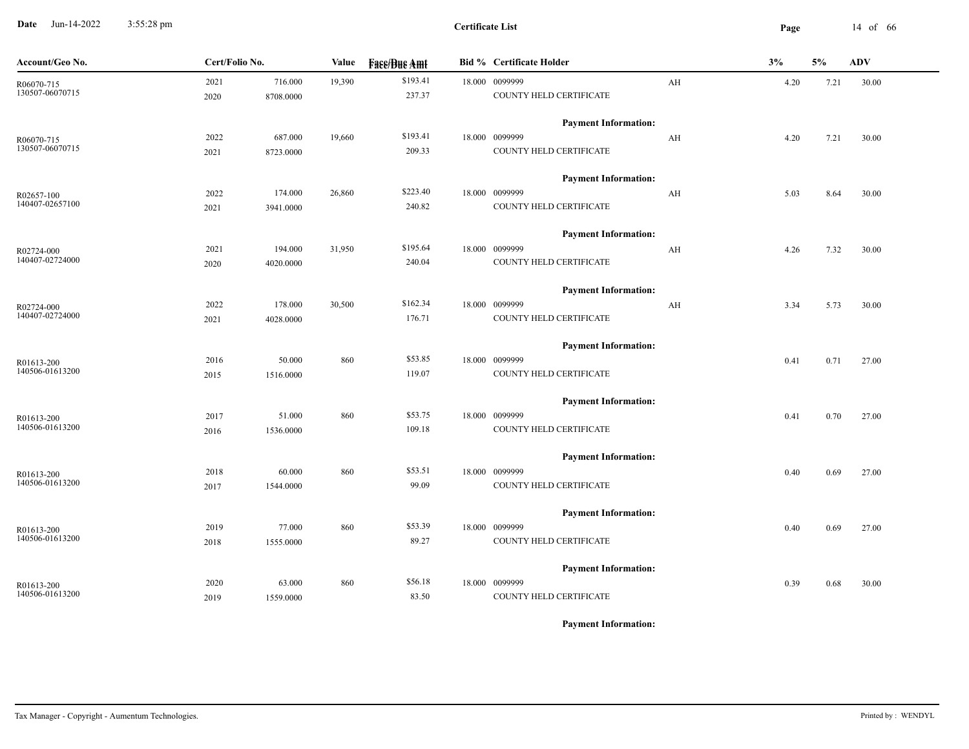**Date** Jun-14-2022 3:55:28 pm **Page** 14 of 66 3:55:28 pm

**Certificate List**

| Account/Geo No. | Cert/Folio No. |           | Value  | <b>Face/Bue Amt</b> | <b>Bid % Certificate Holder</b> |    | 3%   | 5%   | ADV   |
|-----------------|----------------|-----------|--------|---------------------|---------------------------------|----|------|------|-------|
| R06070-715      | 2021           | 716.000   | 19,390 | \$193.41            | 18.000 0099999                  | AH | 4.20 | 7.21 | 30.00 |
| 130507-06070715 | 2020           | 8708.0000 |        | 237.37              | COUNTY HELD CERTIFICATE         |    |      |      |       |
|                 |                |           |        |                     | <b>Payment Information:</b>     |    |      |      |       |
| R06070-715      | 2022           | 687.000   | 19,660 | \$193.41            | 18.000 0099999                  | AH | 4.20 | 7.21 | 30.00 |
| 130507-06070715 | 2021           | 8723.0000 |        | 209.33              | COUNTY HELD CERTIFICATE         |    |      |      |       |
|                 |                |           |        |                     | <b>Payment Information:</b>     |    |      |      |       |
| R02657-100      | 2022           | 174.000   | 26,860 | \$223.40            | 18.000 0099999                  | AH | 5.03 | 8.64 | 30.00 |
| 140407-02657100 | 2021           | 3941.0000 |        | 240.82              | COUNTY HELD CERTIFICATE         |    |      |      |       |
|                 |                |           |        |                     | <b>Payment Information:</b>     |    |      |      |       |
| R02724-000      | 2021           | 194.000   | 31,950 | \$195.64            | 18.000 0099999                  | AH | 4.26 | 7.32 | 30.00 |
| 140407-02724000 | 2020           | 4020.0000 |        | 240.04              | COUNTY HELD CERTIFICATE         |    |      |      |       |
|                 |                |           |        |                     | <b>Payment Information:</b>     |    |      |      |       |
| R02724-000      | 2022           | 178.000   | 30,500 | \$162.34            | 18.000 0099999                  | AH | 3.34 | 5.73 | 30.00 |
| 140407-02724000 | 2021           | 4028.0000 |        | 176.71              | COUNTY HELD CERTIFICATE         |    |      |      |       |
|                 |                |           |        |                     | <b>Payment Information:</b>     |    |      |      |       |
| R01613-200      | 2016           | 50.000    | 860    | \$53.85             | 18.000 0099999                  |    | 0.41 | 0.71 | 27.00 |
| 140506-01613200 | 2015           | 1516.0000 |        | 119.07              | COUNTY HELD CERTIFICATE         |    |      |      |       |
|                 |                |           |        |                     | <b>Payment Information:</b>     |    |      |      |       |
| R01613-200      | 2017           | 51.000    | 860    | \$53.75             | 18.000 0099999                  |    | 0.41 | 0.70 | 27.00 |
| 140506-01613200 | 2016           | 1536.0000 |        | 109.18              | COUNTY HELD CERTIFICATE         |    |      |      |       |
|                 |                |           |        |                     | <b>Payment Information:</b>     |    |      |      |       |
| R01613-200      | 2018           | 60.000    | 860    | \$53.51             | 18.000 0099999                  |    | 0.40 | 0.69 | 27.00 |
| 140506-01613200 | 2017           | 1544.0000 |        | 99.09               | COUNTY HELD CERTIFICATE         |    |      |      |       |
|                 |                |           |        |                     | <b>Payment Information:</b>     |    |      |      |       |
| R01613-200      | 2019           | 77.000    | 860    | \$53.39             | 18.000 0099999                  |    | 0.40 | 0.69 | 27.00 |
| 140506-01613200 | 2018           | 1555.0000 |        | 89.27               | COUNTY HELD CERTIFICATE         |    |      |      |       |
|                 |                |           |        |                     | <b>Payment Information:</b>     |    |      |      |       |
| R01613-200      | 2020           | 63.000    | 860    | \$56.18             | 18.000 0099999                  |    | 0.39 | 0.68 | 30.00 |
| 140506-01613200 | 2019           | 1559.0000 |        | 83.50               | COUNTY HELD CERTIFICATE         |    |      |      |       |
|                 |                |           |        |                     |                                 |    |      |      |       |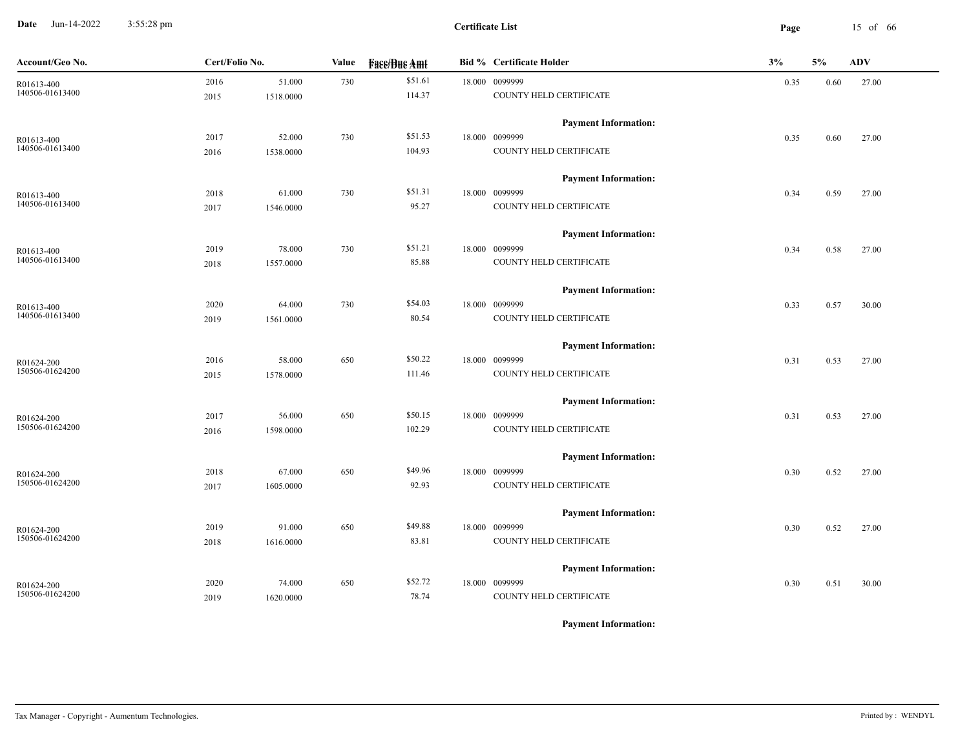**Date** Jun-14-2022 3:55:28 pm **Page** 15 of 66 3:55:28 pm

| \$51.61<br>51.000<br>730<br>18.000 0099999<br>2016<br>0.35<br>27.00<br>0.60<br>R01613-400<br>140506-01613400<br>114.37<br>COUNTY HELD CERTIFICATE<br>1518.0000<br>2015<br><b>Payment Information:</b><br>\$51.53<br>52.000<br>730<br>18.000 0099999<br>2017<br>0.35<br>0.60<br>27.00<br>R01613-400<br>140506-01613400<br>104.93<br>COUNTY HELD CERTIFICATE<br>1538.0000<br>2016<br><b>Payment Information:</b><br>\$51.31<br>18.000 0099999<br>2018<br>61.000<br>730<br>0.34<br>0.59<br>27.00<br>R01613-400<br>140506-01613400<br>95.27<br>COUNTY HELD CERTIFICATE<br>2017<br>1546.0000<br><b>Payment Information:</b><br>\$51.21<br>78.000<br>730<br>18.000 0099999<br>2019<br>0.58<br>27.00<br>0.34<br>R01613-400<br>140506-01613400<br>COUNTY HELD CERTIFICATE<br>85.88<br>1557.0000<br>2018<br><b>Payment Information:</b><br>\$54.03<br>18.000 0099999<br>64.000 | Account/Geo No. | Cert/Folio No. | Value | <b>Face/Bue Amt</b> | <b>Bid % Certificate Holder</b> | 3%   | 5%   | <b>ADV</b> |
|-----------------------------------------------------------------------------------------------------------------------------------------------------------------------------------------------------------------------------------------------------------------------------------------------------------------------------------------------------------------------------------------------------------------------------------------------------------------------------------------------------------------------------------------------------------------------------------------------------------------------------------------------------------------------------------------------------------------------------------------------------------------------------------------------------------------------------------------------------------------------|-----------------|----------------|-------|---------------------|---------------------------------|------|------|------------|
|                                                                                                                                                                                                                                                                                                                                                                                                                                                                                                                                                                                                                                                                                                                                                                                                                                                                       |                 |                |       |                     |                                 |      |      |            |
|                                                                                                                                                                                                                                                                                                                                                                                                                                                                                                                                                                                                                                                                                                                                                                                                                                                                       |                 |                |       |                     |                                 |      |      |            |
|                                                                                                                                                                                                                                                                                                                                                                                                                                                                                                                                                                                                                                                                                                                                                                                                                                                                       |                 |                |       |                     |                                 |      |      |            |
|                                                                                                                                                                                                                                                                                                                                                                                                                                                                                                                                                                                                                                                                                                                                                                                                                                                                       |                 |                |       |                     |                                 |      |      |            |
|                                                                                                                                                                                                                                                                                                                                                                                                                                                                                                                                                                                                                                                                                                                                                                                                                                                                       |                 |                |       |                     |                                 |      |      |            |
|                                                                                                                                                                                                                                                                                                                                                                                                                                                                                                                                                                                                                                                                                                                                                                                                                                                                       |                 |                |       |                     |                                 |      |      |            |
|                                                                                                                                                                                                                                                                                                                                                                                                                                                                                                                                                                                                                                                                                                                                                                                                                                                                       |                 |                |       |                     |                                 |      |      |            |
|                                                                                                                                                                                                                                                                                                                                                                                                                                                                                                                                                                                                                                                                                                                                                                                                                                                                       |                 |                |       |                     |                                 |      |      |            |
|                                                                                                                                                                                                                                                                                                                                                                                                                                                                                                                                                                                                                                                                                                                                                                                                                                                                       |                 |                |       |                     |                                 |      |      |            |
|                                                                                                                                                                                                                                                                                                                                                                                                                                                                                                                                                                                                                                                                                                                                                                                                                                                                       |                 |                |       |                     |                                 |      |      |            |
|                                                                                                                                                                                                                                                                                                                                                                                                                                                                                                                                                                                                                                                                                                                                                                                                                                                                       |                 |                |       |                     |                                 |      |      |            |
|                                                                                                                                                                                                                                                                                                                                                                                                                                                                                                                                                                                                                                                                                                                                                                                                                                                                       |                 |                |       |                     |                                 |      |      |            |
|                                                                                                                                                                                                                                                                                                                                                                                                                                                                                                                                                                                                                                                                                                                                                                                                                                                                       |                 |                |       |                     |                                 |      |      |            |
| 140506-01613400                                                                                                                                                                                                                                                                                                                                                                                                                                                                                                                                                                                                                                                                                                                                                                                                                                                       | R01613-400      | 2020           | 730   |                     |                                 | 0.33 | 0.57 | 30.00      |
| 80.54<br>COUNTY HELD CERTIFICATE<br>1561.0000<br>2019                                                                                                                                                                                                                                                                                                                                                                                                                                                                                                                                                                                                                                                                                                                                                                                                                 |                 |                |       |                     |                                 |      |      |            |
| <b>Payment Information:</b>                                                                                                                                                                                                                                                                                                                                                                                                                                                                                                                                                                                                                                                                                                                                                                                                                                           |                 |                |       |                     |                                 |      |      |            |
| \$50.22<br>18.000 0099999<br>58.000<br>650<br>2016<br>0.31<br>0.53<br>27.00<br>R01624-200                                                                                                                                                                                                                                                                                                                                                                                                                                                                                                                                                                                                                                                                                                                                                                             |                 |                |       |                     |                                 |      |      |            |
| 150506-01624200<br>COUNTY HELD CERTIFICATE<br>111.46<br>2015<br>1578.0000                                                                                                                                                                                                                                                                                                                                                                                                                                                                                                                                                                                                                                                                                                                                                                                             |                 |                |       |                     |                                 |      |      |            |
| <b>Payment Information:</b>                                                                                                                                                                                                                                                                                                                                                                                                                                                                                                                                                                                                                                                                                                                                                                                                                                           |                 |                |       |                     |                                 |      |      |            |
| \$50.15<br>18.000 0099999<br>2017<br>56.000<br>650<br>0.31<br>0.53<br>27.00<br>R01624-200                                                                                                                                                                                                                                                                                                                                                                                                                                                                                                                                                                                                                                                                                                                                                                             |                 |                |       |                     |                                 |      |      |            |
| 150506-01624200<br>102.29<br>COUNTY HELD CERTIFICATE<br>1598.0000<br>2016                                                                                                                                                                                                                                                                                                                                                                                                                                                                                                                                                                                                                                                                                                                                                                                             |                 |                |       |                     |                                 |      |      |            |
| <b>Payment Information:</b>                                                                                                                                                                                                                                                                                                                                                                                                                                                                                                                                                                                                                                                                                                                                                                                                                                           |                 |                |       |                     |                                 |      |      |            |
| \$49.96<br>67.000<br>650<br>18.000 0099999<br>2018<br>0.30<br>0.52<br>27.00<br>R01624-200                                                                                                                                                                                                                                                                                                                                                                                                                                                                                                                                                                                                                                                                                                                                                                             |                 |                |       |                     |                                 |      |      |            |
| 150506-01624200<br>92.93<br>COUNTY HELD CERTIFICATE<br>1605.0000<br>2017                                                                                                                                                                                                                                                                                                                                                                                                                                                                                                                                                                                                                                                                                                                                                                                              |                 |                |       |                     |                                 |      |      |            |
|                                                                                                                                                                                                                                                                                                                                                                                                                                                                                                                                                                                                                                                                                                                                                                                                                                                                       |                 |                |       |                     |                                 |      |      |            |
| <b>Payment Information:</b><br>\$49.88<br>91.000<br>18.000 0099999<br>2019<br>650<br>0.30<br>0.52<br>27.00                                                                                                                                                                                                                                                                                                                                                                                                                                                                                                                                                                                                                                                                                                                                                            |                 |                |       |                     |                                 |      |      |            |
| R01624-200<br>150506-01624200<br>COUNTY HELD CERTIFICATE<br>83.81<br>2018<br>1616.0000                                                                                                                                                                                                                                                                                                                                                                                                                                                                                                                                                                                                                                                                                                                                                                                |                 |                |       |                     |                                 |      |      |            |
|                                                                                                                                                                                                                                                                                                                                                                                                                                                                                                                                                                                                                                                                                                                                                                                                                                                                       |                 |                |       |                     |                                 |      |      |            |
| <b>Payment Information:</b>                                                                                                                                                                                                                                                                                                                                                                                                                                                                                                                                                                                                                                                                                                                                                                                                                                           |                 |                |       |                     |                                 |      |      |            |
| \$52.72<br>2020<br>74.000<br>650<br>18.000 0099999<br>0.30<br>0.51<br>30.00<br>R01624-200<br>150506-01624200                                                                                                                                                                                                                                                                                                                                                                                                                                                                                                                                                                                                                                                                                                                                                          |                 |                |       |                     |                                 |      |      |            |
| COUNTY HELD CERTIFICATE<br>78.74<br>1620.0000<br>2019                                                                                                                                                                                                                                                                                                                                                                                                                                                                                                                                                                                                                                                                                                                                                                                                                 |                 |                |       |                     |                                 |      |      |            |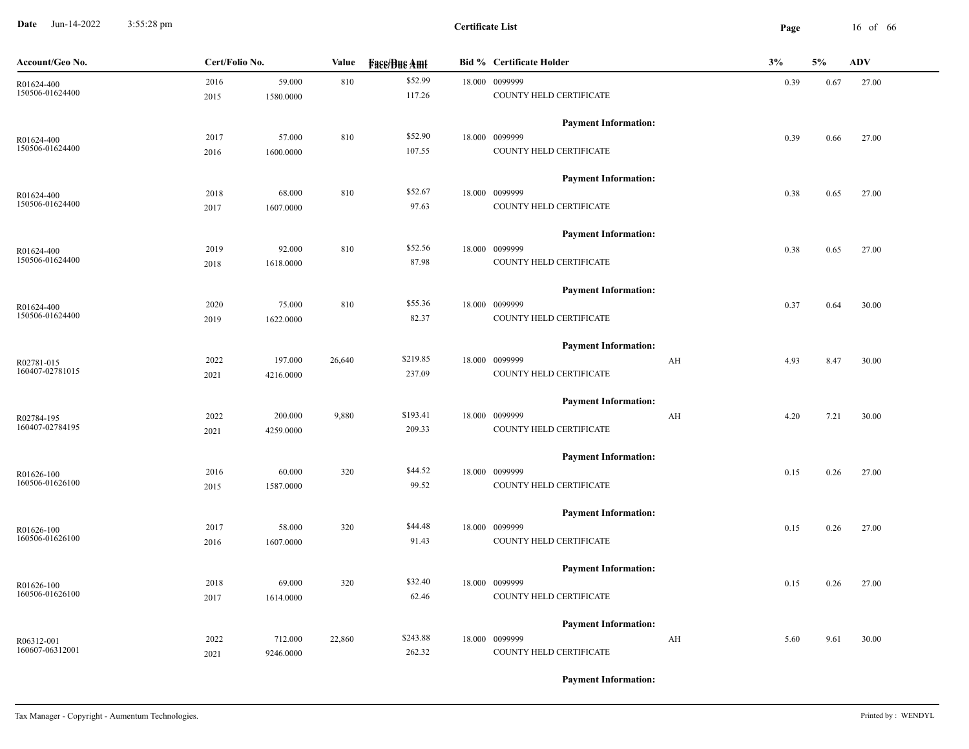**Date** Jun-14-2022 3:55:28 pm **Page** 16 of 66 3:55:28 pm

| Account/Geo No. | Cert/Folio No. |           | Value  | <b>Face/Bue Amt</b> | <b>Bid % Certificate Holder</b> |    | 3%   | 5%   | <b>ADV</b> |
|-----------------|----------------|-----------|--------|---------------------|---------------------------------|----|------|------|------------|
| R01624-400      | 2016           | 59.000    | 810    | \$52.99             | 18.000 0099999                  |    | 0.39 | 0.67 | 27.00      |
| 150506-01624400 | 2015           | 1580.0000 |        | 117.26              | COUNTY HELD CERTIFICATE         |    |      |      |            |
|                 |                |           |        |                     | <b>Payment Information:</b>     |    |      |      |            |
| R01624-400      | 2017           | 57.000    | 810    | \$52.90             | 18.000 0099999                  |    | 0.39 | 0.66 | 27.00      |
| 150506-01624400 | 2016           | 1600.0000 |        | 107.55              | COUNTY HELD CERTIFICATE         |    |      |      |            |
|                 |                |           |        |                     | <b>Payment Information:</b>     |    |      |      |            |
| R01624-400      | 2018           | 68.000    | 810    | \$52.67             | 18.000 0099999                  |    | 0.38 | 0.65 | 27.00      |
| 150506-01624400 | 2017           | 1607.0000 |        | 97.63               | COUNTY HELD CERTIFICATE         |    |      |      |            |
|                 |                |           |        |                     | <b>Payment Information:</b>     |    |      |      |            |
| R01624-400      | 2019           | 92.000    | 810    | \$52.56             | 18.000 0099999                  |    | 0.38 | 0.65 | 27.00      |
| 150506-01624400 | 2018           | 1618.0000 |        | 87.98               | COUNTY HELD CERTIFICATE         |    |      |      |            |
|                 |                |           |        |                     | <b>Payment Information:</b>     |    |      |      |            |
| R01624-400      | 2020           | 75.000    | 810    | \$55.36             | 18.000 0099999                  |    | 0.37 | 0.64 | 30.00      |
| 150506-01624400 | 2019           | 1622.0000 |        | 82.37               | COUNTY HELD CERTIFICATE         |    |      |      |            |
|                 |                |           |        |                     | <b>Payment Information:</b>     |    |      |      |            |
| R02781-015      | 2022           | 197.000   | 26,640 | \$219.85            | 18.000 0099999                  | AH | 4.93 | 8.47 | 30.00      |
| 160407-02781015 | 2021           | 4216.0000 |        | 237.09              | COUNTY HELD CERTIFICATE         |    |      |      |            |
|                 |                |           |        |                     | <b>Payment Information:</b>     |    |      |      |            |
| R02784-195      | 2022           | 200.000   | 9,880  | \$193.41            | 18.000 0099999                  | AH | 4.20 | 7.21 | 30.00      |
| 160407-02784195 | 2021           | 4259.0000 |        | 209.33              | COUNTY HELD CERTIFICATE         |    |      |      |            |
|                 |                |           |        |                     | <b>Payment Information:</b>     |    |      |      |            |
| R01626-100      | 2016           | 60.000    | 320    | \$44.52             | 18.000 0099999                  |    | 0.15 | 0.26 | 27.00      |
| 160506-01626100 | 2015           | 1587.0000 |        | 99.52               | COUNTY HELD CERTIFICATE         |    |      |      |            |
|                 |                |           |        |                     | <b>Payment Information:</b>     |    |      |      |            |
| R01626-100      | 2017           | 58.000    | 320    | \$44.48             | 18.000 0099999                  |    | 0.15 | 0.26 | 27.00      |
| 160506-01626100 | 2016           | 1607.0000 |        | 91.43               | COUNTY HELD CERTIFICATE         |    |      |      |            |
|                 |                |           |        |                     | <b>Payment Information:</b>     |    |      |      |            |
| R01626-100      | 2018           | 69.000    | 320    | \$32.40             | 18.000 0099999                  |    | 0.15 | 0.26 | 27.00      |
| 160506-01626100 | 2017           | 1614.0000 |        | 62.46               | COUNTY HELD CERTIFICATE         |    |      |      |            |
|                 |                |           |        |                     | <b>Payment Information:</b>     |    |      |      |            |
| R06312-001      | 2022           | 712.000   | 22,860 | \$243.88            | 18.000 0099999                  | AH | 5.60 | 9.61 | 30.00      |
| 160607-06312001 | 2021           | 9246.0000 |        | 262.32              | COUNTY HELD CERTIFICATE         |    |      |      |            |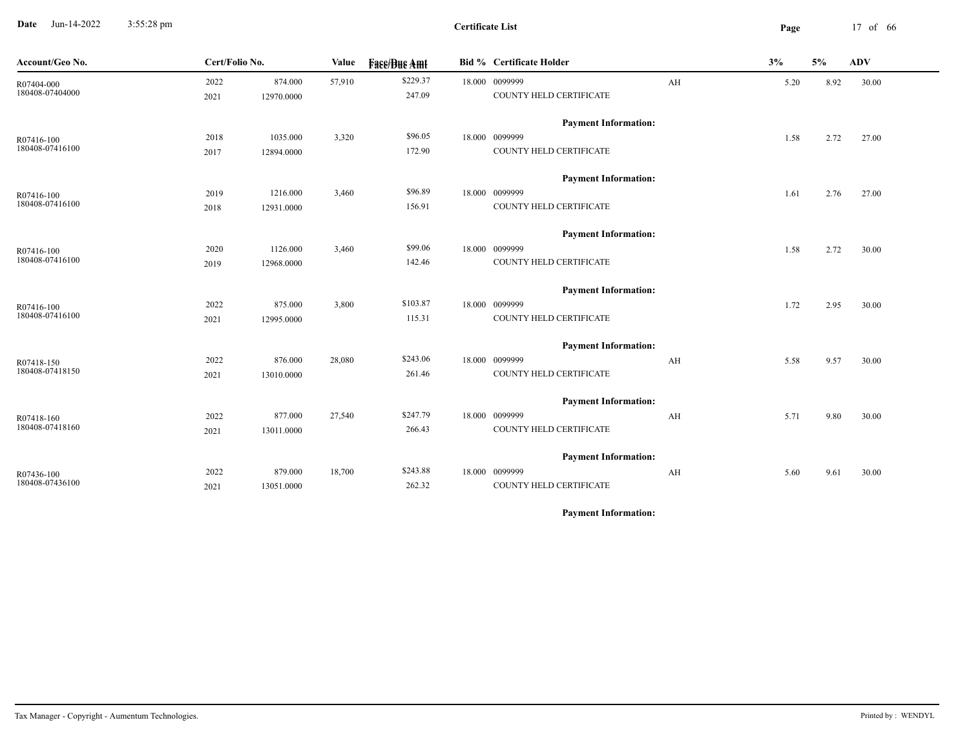**Date** Jun-14-2022 3:55:28 pm **Page** 17 of 66 3:55:28 pm

| Account/Geo No.               | Cert/Folio No. |                       | Value  | <b>Face/Bue Amt</b> | <b>Bid % Certificate Holder</b>           |    | 3%   | 5%   | <b>ADV</b> |
|-------------------------------|----------------|-----------------------|--------|---------------------|-------------------------------------------|----|------|------|------------|
| R07404-000<br>180408-07404000 | 2022<br>2021   | 874.000<br>12970.0000 | 57,910 | \$229.37<br>247.09  | 18.000 0099999<br>COUNTY HELD CERTIFICATE | AH | 5.20 | 8.92 | 30.00      |
|                               |                |                       |        |                     | <b>Payment Information:</b>               |    |      |      |            |
| R07416-100                    | 2018           | 1035.000              | 3,320  | \$96.05             | 18.000 0099999                            |    | 1.58 | 2.72 | 27.00      |
| 180408-07416100               | 2017           | 12894.0000            |        | 172.90              | COUNTY HELD CERTIFICATE                   |    |      |      |            |
|                               |                |                       |        |                     | <b>Payment Information:</b>               |    |      |      |            |
| R07416-100                    | 2019           | 1216.000              | 3,460  | \$96.89             | 18.000 0099999                            |    | 1.61 | 2.76 | 27.00      |
| 180408-07416100               | 2018           | 12931.0000            |        | 156.91              | COUNTY HELD CERTIFICATE                   |    |      |      |            |
|                               |                |                       |        |                     | <b>Payment Information:</b>               |    |      |      |            |
| R07416-100                    | 2020           | 1126.000              | 3,460  | \$99.06             | 18.000 0099999                            |    | 1.58 | 2.72 | 30.00      |
| 180408-07416100               | 2019           | 12968.0000            |        | 142.46              | COUNTY HELD CERTIFICATE                   |    |      |      |            |
|                               |                |                       |        |                     | <b>Payment Information:</b>               |    |      |      |            |
| R07416-100                    | 2022           | 875.000               | 3,800  | \$103.87            | 18.000 0099999                            |    | 1.72 | 2.95 | 30.00      |
| 180408-07416100               | 2021           | 12995.0000            |        | 115.31              | COUNTY HELD CERTIFICATE                   |    |      |      |            |
|                               |                |                       |        |                     | <b>Payment Information:</b>               |    |      |      |            |
| R07418-150                    | 2022           | 876.000               | 28,080 | \$243.06            | 18.000 0099999                            | AH | 5.58 | 9.57 | 30.00      |
| 180408-07418150               | 2021           | 13010.0000            |        | 261.46              | COUNTY HELD CERTIFICATE                   |    |      |      |            |
|                               |                |                       |        |                     | <b>Payment Information:</b>               |    |      |      |            |
| R07418-160                    | 2022           | 877.000               | 27,540 | \$247.79            | 18.000 0099999                            | AH | 5.71 | 9.80 | 30.00      |
| 180408-07418160               | 2021           | 13011.0000            |        | 266.43              | COUNTY HELD CERTIFICATE                   |    |      |      |            |
|                               |                |                       |        |                     | <b>Payment Information:</b>               |    |      |      |            |
| R07436-100                    | 2022           | 879.000               | 18,700 | \$243.88            | 18.000 0099999                            | AH | 5.60 | 9.61 | 30.00      |
| 180408-07436100               | 2021           | 13051.0000            |        | 262.32              | COUNTY HELD CERTIFICATE                   |    |      |      |            |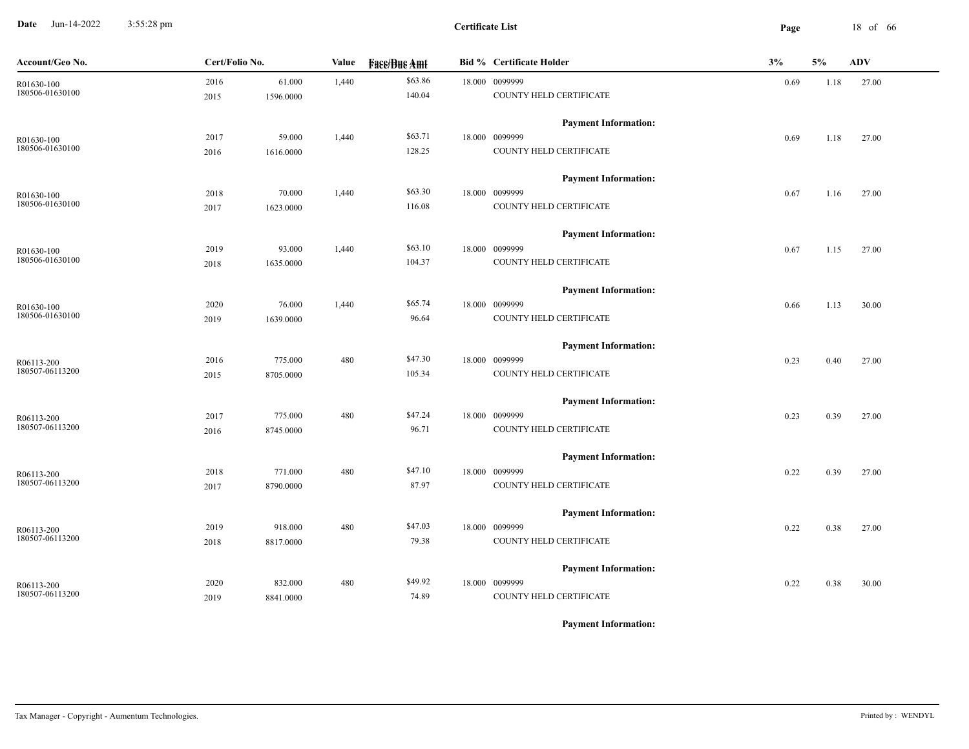**Date** Jun-14-2022 3:55:28 pm **Page** 18 of 66 3:55:28 pm

| Account/Geo No.               | Cert/Folio No. |           | Value | <b>Face/Bue Amt</b> | <b>Bid % Certificate Holder</b>               | 3%   | 5%   | <b>ADV</b> |
|-------------------------------|----------------|-----------|-------|---------------------|-----------------------------------------------|------|------|------------|
| R01630-100                    | 2016           | 61.000    | 1,440 | \$63.86             | 18.000 0099999                                | 0.69 | 1.18 | 27.00      |
| 180506-01630100               | 2015           | 1596.0000 |       | 140.04              | COUNTY HELD CERTIFICATE                       |      |      |            |
|                               |                |           |       |                     | <b>Payment Information:</b>                   |      |      |            |
| R01630-100                    | 2017           | 59.000    | 1,440 | \$63.71             | 18.000 0099999                                | 0.69 | 1.18 | 27.00      |
| 180506-01630100               | 2016           | 1616.0000 |       | 128.25              | COUNTY HELD CERTIFICATE                       |      |      |            |
|                               |                |           |       |                     | <b>Payment Information:</b>                   |      |      |            |
| R01630-100                    | 2018           | 70.000    | 1,440 | \$63.30             | 18.000 0099999                                | 0.67 | 1.16 | 27.00      |
| 180506-01630100               | 2017           | 1623.0000 |       | 116.08              | COUNTY HELD CERTIFICATE                       |      |      |            |
|                               |                |           |       |                     | <b>Payment Information:</b>                   |      |      |            |
| R01630-100                    | 2019           | 93.000    | 1,440 | \$63.10             | 18.000 0099999                                | 0.67 | 1.15 | 27.00      |
| 180506-01630100               | 2018           | 1635.0000 |       | 104.37              | COUNTY HELD CERTIFICATE                       |      |      |            |
|                               |                |           |       |                     | <b>Payment Information:</b>                   |      |      |            |
| R01630-100                    | 2020           | 76.000    | 1,440 | \$65.74             | 18.000 0099999                                | 0.66 | 1.13 | 30.00      |
| 180506-01630100               | 2019           | 1639.0000 |       | 96.64               | COUNTY HELD CERTIFICATE                       |      |      |            |
|                               |                |           |       |                     | <b>Payment Information:</b>                   |      |      |            |
| R06113-200                    | 2016           | 775.000   | 480   | \$47.30             | 18.000 0099999                                | 0.23 | 0.40 | 27.00      |
| 180507-06113200               | 2015           | 8705.0000 |       | 105.34              | COUNTY HELD CERTIFICATE                       |      |      |            |
|                               |                |           |       |                     | <b>Payment Information:</b>                   |      |      |            |
| R06113-200                    | 2017           | 775.000   | 480   | \$47.24             | 18.000 0099999                                | 0.23 | 0.39 | 27.00      |
| 180507-06113200               | 2016           | 8745.0000 |       | 96.71               | COUNTY HELD CERTIFICATE                       |      |      |            |
|                               |                |           |       |                     | <b>Payment Information:</b>                   |      |      |            |
| R06113-200                    | 2018           | 771.000   | 480   | \$47.10             | 18.000 0099999                                | 0.22 | 0.39 | 27.00      |
| 180507-06113200               | 2017           | 8790.0000 |       | 87.97               | COUNTY HELD CERTIFICATE                       |      |      |            |
|                               |                |           |       |                     | <b>Payment Information:</b>                   |      |      |            |
| R06113-200                    | 2019           | 918.000   | 480   | \$47.03             | 18.000 0099999                                | 0.22 | 0.38 | 27.00      |
| 180507-06113200               | 2018           | 8817.0000 |       | 79.38               | COUNTY HELD CERTIFICATE                       |      |      |            |
|                               |                |           |       |                     |                                               |      |      |            |
|                               | 2020           | 832.000   | 480   | \$49.92             | <b>Payment Information:</b><br>18.000 0099999 |      |      |            |
| R06113-200<br>180507-06113200 | 2019           | 8841.0000 |       | 74.89               | COUNTY HELD CERTIFICATE                       | 0.22 | 0.38 | 30.00      |
|                               |                |           |       |                     |                                               |      |      |            |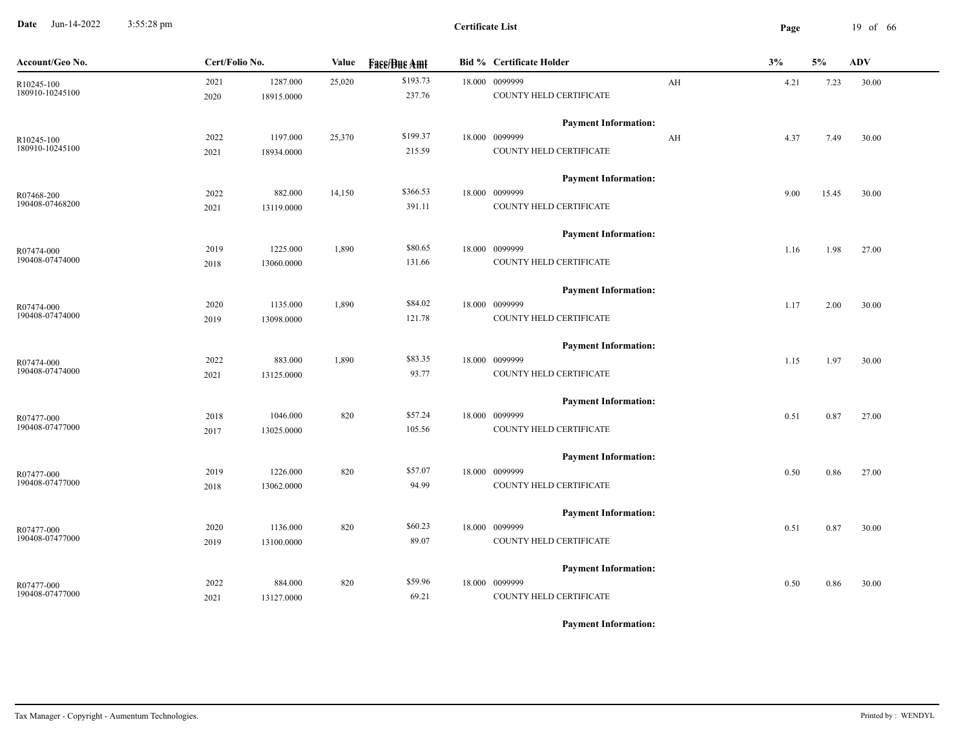**Date** Jun-14-2022 3:55:28 pm **Page** 19 of 66 3:55:28 pm

| Account/Geo No.               | Cert/Folio No. |            | Value  | <b>Face/Bue Amt</b> | <b>Bid % Certificate Holder</b>               |    | 3%   | 5%    | ADV   |
|-------------------------------|----------------|------------|--------|---------------------|-----------------------------------------------|----|------|-------|-------|
| R10245-100<br>180910-10245100 | 2021           | 1287.000   | 25,020 | \$193.73<br>237.76  | 18.000 0099999<br>COUNTY HELD CERTIFICATE     | AH | 4.21 | 7.23  | 30.00 |
|                               | 2020           | 18915.0000 |        |                     |                                               |    |      |       |       |
|                               |                |            |        | \$199.37            | <b>Payment Information:</b>                   |    |      |       |       |
| R10245-100<br>180910-10245100 | 2022           | 1197.000   | 25,370 |                     | 18.000 0099999                                | AH | 4.37 | 7.49  | 30.00 |
|                               | 2021           | 18934.0000 |        | 215.59              | COUNTY HELD CERTIFICATE                       |    |      |       |       |
|                               |                |            |        |                     | <b>Payment Information:</b>                   |    |      |       |       |
| R07468-200                    | 2022           | 882.000    | 14,150 | \$366.53            | 18.000 0099999                                |    | 9.00 | 15.45 | 30.00 |
| 190408-07468200               | 2021           | 13119.0000 |        | 391.11              | COUNTY HELD CERTIFICATE                       |    |      |       |       |
|                               |                |            |        |                     | <b>Payment Information:</b>                   |    |      |       |       |
| R07474-000                    | 2019           | 1225.000   | 1,890  | \$80.65             | 18.000 0099999                                |    | 1.16 | 1.98  | 27.00 |
| 190408-07474000               | 2018           | 13060.0000 |        | 131.66              | COUNTY HELD CERTIFICATE                       |    |      |       |       |
|                               |                |            |        |                     | <b>Payment Information:</b>                   |    |      |       |       |
| R07474-000                    | 2020           | 1135.000   | 1,890  | \$84.02             | 18.000 0099999                                |    | 1.17 | 2.00  | 30.00 |
| 190408-07474000               | 2019           | 13098.0000 |        | 121.78              | COUNTY HELD CERTIFICATE                       |    |      |       |       |
|                               |                |            |        |                     | <b>Payment Information:</b>                   |    |      |       |       |
| R07474-000                    | 2022           | 883.000    | 1,890  | \$83.35             | 18.000 0099999                                |    | 1.15 | 1.97  | 30.00 |
| 190408-07474000               | 2021           | 13125.0000 |        | 93.77               | COUNTY HELD CERTIFICATE                       |    |      |       |       |
|                               |                |            |        |                     | <b>Payment Information:</b>                   |    |      |       |       |
| R07477-000                    | 2018           | 1046.000   | 820    | \$57.24             | 18.000 0099999                                |    | 0.51 | 0.87  | 27.00 |
| 190408-07477000               | 2017           | 13025.0000 |        | 105.56              | COUNTY HELD CERTIFICATE                       |    |      |       |       |
|                               |                |            |        |                     | <b>Payment Information:</b>                   |    |      |       |       |
| R07477-000                    | 2019           | 1226.000   | 820    | \$57.07             | 18.000 0099999                                |    | 0.50 | 0.86  | 27.00 |
| 190408-07477000               | 2018           | 13062.0000 |        | 94.99               | COUNTY HELD CERTIFICATE                       |    |      |       |       |
|                               |                |            |        |                     | <b>Payment Information:</b>                   |    |      |       |       |
| R07477-000                    | 2020           | 1136.000   | 820    | \$60.23             | 18.000 0099999                                |    | 0.51 | 0.87  | 30.00 |
| 190408-07477000               | 2019           | 13100.0000 |        | 89.07               | COUNTY HELD CERTIFICATE                       |    |      |       |       |
|                               |                |            |        |                     |                                               |    |      |       |       |
|                               | 2022           | 884.000    | 820    | \$59.96             | <b>Payment Information:</b><br>18.000 0099999 |    |      |       |       |
| R07477-000<br>190408-07477000 |                |            |        | 69.21               | COUNTY HELD CERTIFICATE                       |    | 0.50 | 0.86  | 30.00 |
|                               | 2021           | 13127.0000 |        |                     |                                               |    |      |       |       |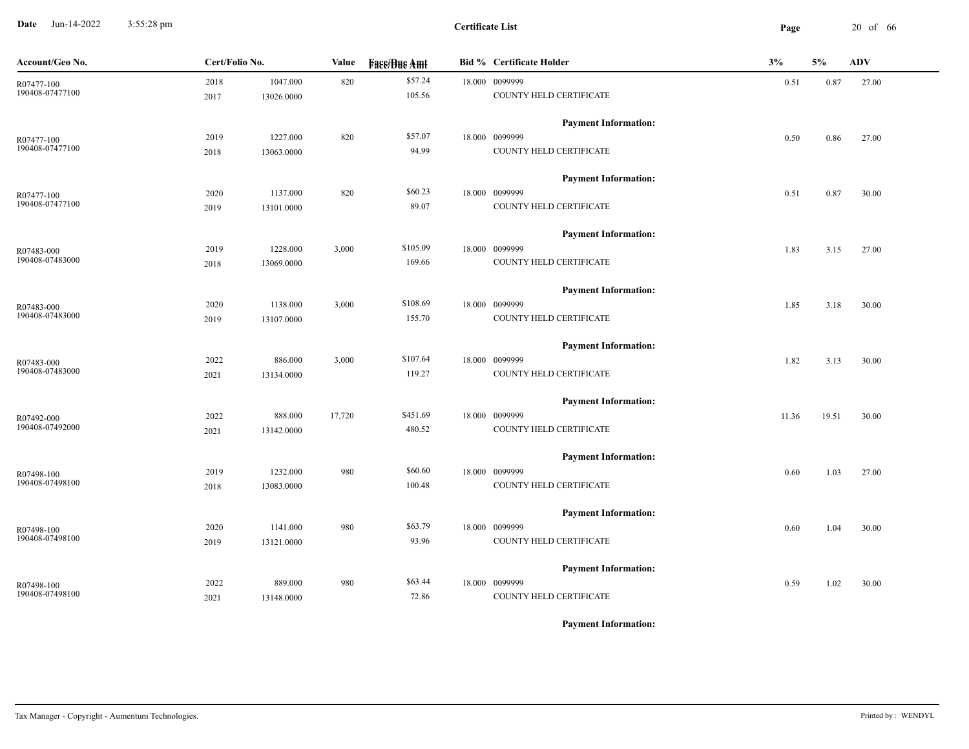**Date** Jun-14-2022 3:55:28 pm **Page** 20 of 66 3:55:28 pm

| Account/Geo No. | Cert/Folio No. |            | Value  | <b>Fase/Bue Amt</b> | <b>Bid % Certificate Holder</b> | 3%    | $5\%$ | <b>ADV</b> |
|-----------------|----------------|------------|--------|---------------------|---------------------------------|-------|-------|------------|
| R07477-100      | 2018           | 1047.000   | 820    | \$57.24             | 18.000 0099999                  | 0.51  | 0.87  | 27.00      |
| 190408-07477100 | 2017           | 13026.0000 |        | 105.56              | COUNTY HELD CERTIFICATE         |       |       |            |
|                 |                |            |        |                     | <b>Payment Information:</b>     |       |       |            |
| R07477-100      | 2019           | 1227.000   | 820    | \$57.07             | 18.000 0099999                  | 0.50  | 0.86  | 27.00      |
| 190408-07477100 | 2018           | 13063.0000 |        | 94.99               | COUNTY HELD CERTIFICATE         |       |       |            |
|                 |                |            |        |                     | <b>Payment Information:</b>     |       |       |            |
| R07477-100      | 2020           | 1137.000   | 820    | \$60.23             | 18.000 0099999                  | 0.51  | 0.87  | 30.00      |
| 190408-07477100 | 2019           | 13101.0000 |        | 89.07               | COUNTY HELD CERTIFICATE         |       |       |            |
|                 |                |            |        |                     | <b>Payment Information:</b>     |       |       |            |
| R07483-000      | 2019           | 1228.000   | 3,000  | \$105.09            | 18.000 0099999                  | 1.83  | 3.15  | 27.00      |
| 190408-07483000 | 2018           | 13069.0000 |        | 169.66              | COUNTY HELD CERTIFICATE         |       |       |            |
|                 |                |            |        |                     | <b>Payment Information:</b>     |       |       |            |
| R07483-000      | 2020           | 1138.000   | 3,000  | \$108.69            | 18.000 0099999                  | 1.85  | 3.18  | 30.00      |
| 190408-07483000 | 2019           | 13107.0000 |        | 155.70              | COUNTY HELD CERTIFICATE         |       |       |            |
|                 |                |            |        |                     | <b>Payment Information:</b>     |       |       |            |
| R07483-000      | 2022           | 886.000    | 3,000  | \$107.64            | 18.000 0099999                  | 1.82  | 3.13  | 30.00      |
| 190408-07483000 | 2021           | 13134.0000 |        | 119.27              | COUNTY HELD CERTIFICATE         |       |       |            |
|                 |                |            |        |                     | <b>Payment Information:</b>     |       |       |            |
| R07492-000      | 2022           | 888.000    | 17,720 | \$451.69            | 18.000 0099999                  | 11.36 | 19.51 | 30.00      |
| 190408-07492000 | 2021           | 13142.0000 |        | 480.52              | COUNTY HELD CERTIFICATE         |       |       |            |
|                 |                |            |        |                     | <b>Payment Information:</b>     |       |       |            |
| R07498-100      | 2019           | 1232.000   | 980    | \$60.60             | 18.000 0099999                  | 0.60  | 1.03  | 27.00      |
| 190408-07498100 | 2018           | 13083.0000 |        | 100.48              | COUNTY HELD CERTIFICATE         |       |       |            |
|                 |                |            |        |                     | <b>Payment Information:</b>     |       |       |            |
| R07498-100      | 2020           | 1141.000   | 980    | \$63.79             | 18.000 0099999                  | 0.60  | 1.04  | 30.00      |
| 190408-07498100 | 2019           | 13121.0000 |        | 93.96               | COUNTY HELD CERTIFICATE         |       |       |            |
|                 |                |            |        |                     | <b>Payment Information:</b>     |       |       |            |
| R07498-100      | 2022           | 889.000    | 980    | \$63.44             | 18.000 0099999                  | 0.59  | 1.02  | 30.00      |
| 190408-07498100 | 2021           | 13148.0000 |        | 72.86               | COUNTY HELD CERTIFICATE         |       |       |            |
|                 |                |            |        |                     |                                 |       |       |            |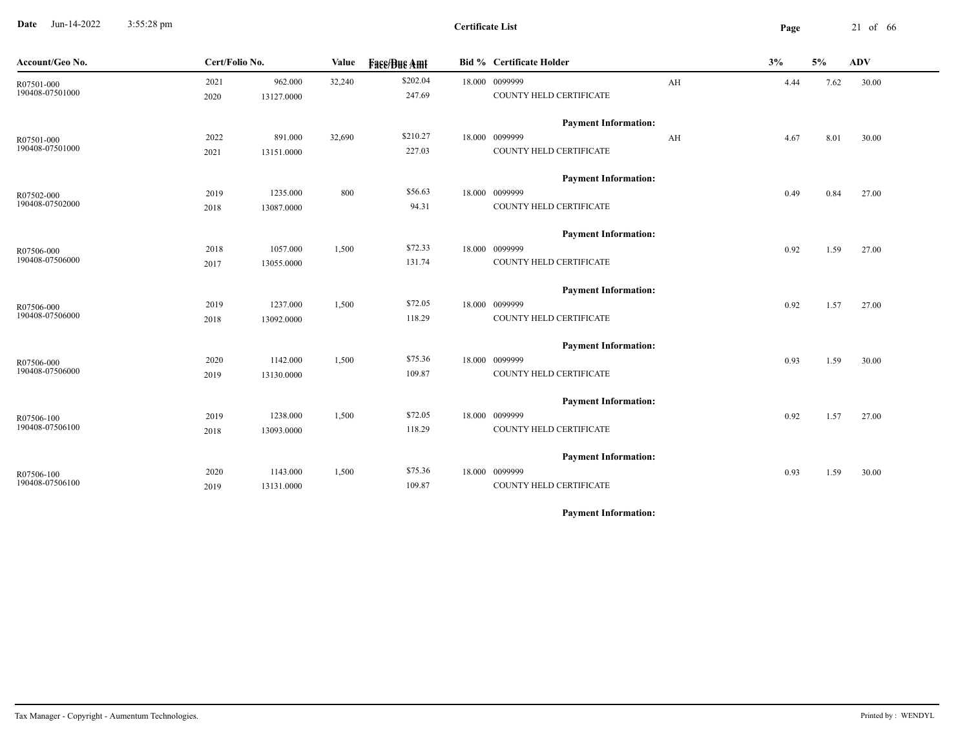**Date** Jun-14-2022 3:55:28 pm **Page** 21 of 66 3:55:28 pm

| Account/Geo No.               | Cert/Folio No. |                       | Value  | <b>Fass/Bus Amt</b> | <b>Bid % Certificate Holder</b>           |    | 3%   | 5%   | <b>ADV</b> |
|-------------------------------|----------------|-----------------------|--------|---------------------|-------------------------------------------|----|------|------|------------|
| R07501-000<br>190408-07501000 | 2021<br>2020   | 962.000<br>13127.0000 | 32,240 | \$202.04<br>247.69  | 18.000 0099999<br>COUNTY HELD CERTIFICATE | AH | 4.44 | 7.62 | 30.00      |
|                               |                |                       |        |                     | <b>Payment Information:</b>               |    |      |      |            |
| R07501-000                    | 2022           | 891.000               | 32,690 | \$210.27            | 18.000 0099999                            | AH | 4.67 | 8.01 | 30.00      |
| 190408-07501000               | 2021           | 13151.0000            |        | 227.03              | COUNTY HELD CERTIFICATE                   |    |      |      |            |
|                               |                |                       |        |                     | <b>Payment Information:</b>               |    |      |      |            |
| R07502-000                    | 2019           | 1235.000              | 800    | \$56.63             | 18.000 0099999                            |    | 0.49 | 0.84 | 27.00      |
| 190408-07502000               | 2018           | 13087.0000            |        | 94.31               | COUNTY HELD CERTIFICATE                   |    |      |      |            |
|                               |                |                       |        |                     | <b>Payment Information:</b>               |    |      |      |            |
| R07506-000                    | 2018           | 1057.000              | 1,500  | \$72.33             | 18.000 0099999                            |    | 0.92 | 1.59 | 27.00      |
| 190408-07506000               | 2017           | 13055.0000            |        | 131.74              | COUNTY HELD CERTIFICATE                   |    |      |      |            |
|                               |                |                       |        |                     | <b>Payment Information:</b>               |    |      |      |            |
| R07506-000                    | 2019           | 1237.000              | 1,500  | \$72.05             | 18.000 0099999                            |    | 0.92 | 1.57 | 27.00      |
| 190408-07506000               | 2018           | 13092.0000            |        | 118.29              | COUNTY HELD CERTIFICATE                   |    |      |      |            |
|                               |                |                       |        |                     | <b>Payment Information:</b>               |    |      |      |            |
| R07506-000                    | 2020           | 1142.000              | 1,500  | \$75.36             | 18.000 0099999                            |    | 0.93 | 1.59 | 30.00      |
| 190408-07506000               | 2019           | 13130.0000            |        | 109.87              | COUNTY HELD CERTIFICATE                   |    |      |      |            |
|                               |                |                       |        |                     | <b>Payment Information:</b>               |    |      |      |            |
| R07506-100                    | 2019           | 1238.000              | 1,500  | \$72.05             | 18.000 0099999                            |    | 0.92 | 1.57 | 27.00      |
| 190408-07506100               | 2018           | 13093.0000            |        | 118.29              | COUNTY HELD CERTIFICATE                   |    |      |      |            |
|                               |                |                       |        |                     | <b>Payment Information:</b>               |    |      |      |            |
| R07506-100                    | 2020           | 1143.000              | 1,500  | \$75.36             | 18.000 0099999                            |    | 0.93 | 1.59 | 30.00      |
| 190408-07506100               | 2019           | 13131.0000            |        | 109.87              | COUNTY HELD CERTIFICATE                   |    |      |      |            |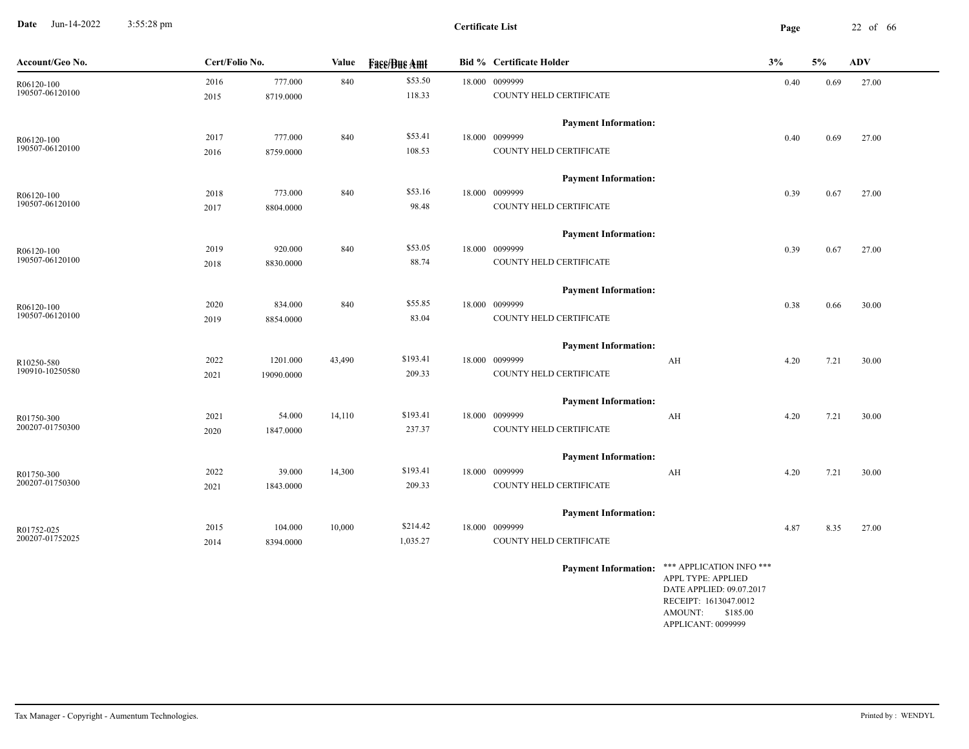**Date** Jun-14-2022 3:55:28 pm **Page** 22 of 66 3:55:28 pm

| Account/Geo No. | Cert/Folio No. |            | Value  | <b>Fase/Bue Amt</b> | <b>Bid % Certificate Holder</b> |                                                                                                                                                  | 3%   | 5%   | ADV   |
|-----------------|----------------|------------|--------|---------------------|---------------------------------|--------------------------------------------------------------------------------------------------------------------------------------------------|------|------|-------|
| R06120-100      | 2016           | 777.000    | 840    | \$53.50             | 18.000 0099999                  |                                                                                                                                                  | 0.40 | 0.69 | 27.00 |
| 190507-06120100 | 2015           | 8719.0000  |        | 118.33              | COUNTY HELD CERTIFICATE         |                                                                                                                                                  |      |      |       |
|                 |                |            |        |                     | <b>Payment Information:</b>     |                                                                                                                                                  |      |      |       |
| R06120-100      | 2017           | 777.000    | 840    | \$53.41             | 18.000 0099999                  |                                                                                                                                                  | 0.40 | 0.69 | 27.00 |
| 190507-06120100 | 2016           | 8759.0000  |        | 108.53              | COUNTY HELD CERTIFICATE         |                                                                                                                                                  |      |      |       |
|                 |                |            |        |                     | <b>Payment Information:</b>     |                                                                                                                                                  |      |      |       |
| R06120-100      | 2018           | 773.000    | 840    | \$53.16             | 18.000 0099999                  |                                                                                                                                                  | 0.39 | 0.67 | 27.00 |
| 190507-06120100 | 2017           | 8804.0000  |        | 98.48               | COUNTY HELD CERTIFICATE         |                                                                                                                                                  |      |      |       |
|                 |                |            |        |                     | <b>Payment Information:</b>     |                                                                                                                                                  |      |      |       |
| R06120-100      | 2019           | 920.000    | 840    | \$53.05             | 18.000 0099999                  |                                                                                                                                                  | 0.39 | 0.67 | 27.00 |
| 190507-06120100 | 2018           | 8830.0000  |        | 88.74               | COUNTY HELD CERTIFICATE         |                                                                                                                                                  |      |      |       |
|                 |                |            |        |                     | <b>Payment Information:</b>     |                                                                                                                                                  |      |      |       |
| R06120-100      | 2020           | 834.000    | 840    | \$55.85             | 18.000 0099999                  |                                                                                                                                                  | 0.38 | 0.66 | 30.00 |
| 190507-06120100 | 2019           | 8854.0000  |        | 83.04               | COUNTY HELD CERTIFICATE         |                                                                                                                                                  |      |      |       |
|                 |                |            |        |                     | <b>Payment Information:</b>     |                                                                                                                                                  |      |      |       |
| R10250-580      | 2022           | 1201.000   | 43,490 | \$193.41            | 18.000 0099999                  | AH                                                                                                                                               | 4.20 | 7.21 | 30.00 |
| 190910-10250580 | 2021           | 19090.0000 |        | 209.33              | COUNTY HELD CERTIFICATE         |                                                                                                                                                  |      |      |       |
|                 |                |            |        |                     | <b>Payment Information:</b>     |                                                                                                                                                  |      |      |       |
| R01750-300      | 2021           | 54.000     | 14,110 | \$193.41            | 18.000 0099999                  | AH                                                                                                                                               | 4.20 | 7.21 | 30.00 |
| 200207-01750300 | 2020           | 1847.0000  |        | 237.37              | COUNTY HELD CERTIFICATE         |                                                                                                                                                  |      |      |       |
|                 |                |            |        |                     | <b>Payment Information:</b>     |                                                                                                                                                  |      |      |       |
| R01750-300      | 2022           | 39.000     | 14,300 | \$193.41            | 18.000 0099999                  | AH                                                                                                                                               | 4.20 | 7.21 | 30.00 |
| 200207-01750300 | 2021           | 1843.0000  |        | 209.33              | COUNTY HELD CERTIFICATE         |                                                                                                                                                  |      |      |       |
|                 |                |            |        |                     | <b>Payment Information:</b>     |                                                                                                                                                  |      |      |       |
| R01752-025      | 2015           | 104.000    | 10,000 | \$214.42            | 18.000 0099999                  |                                                                                                                                                  | 4.87 | 8.35 | 27.00 |
| 200207-01752025 | 2014           | 8394.0000  |        | 1,035.27            | COUNTY HELD CERTIFICATE         |                                                                                                                                                  |      |      |       |
|                 |                |            |        |                     | <b>Payment Information:</b>     | *** APPLICATION INFO ***<br>APPL TYPE: APPLIED<br>DATE APPLIED: 09.07.2017<br>RECEIPT: 1613047.0012<br>AMOUNT:<br>\$185.00<br>APPLICANT: 0099999 |      |      |       |
|                 |                |            |        |                     |                                 |                                                                                                                                                  |      |      |       |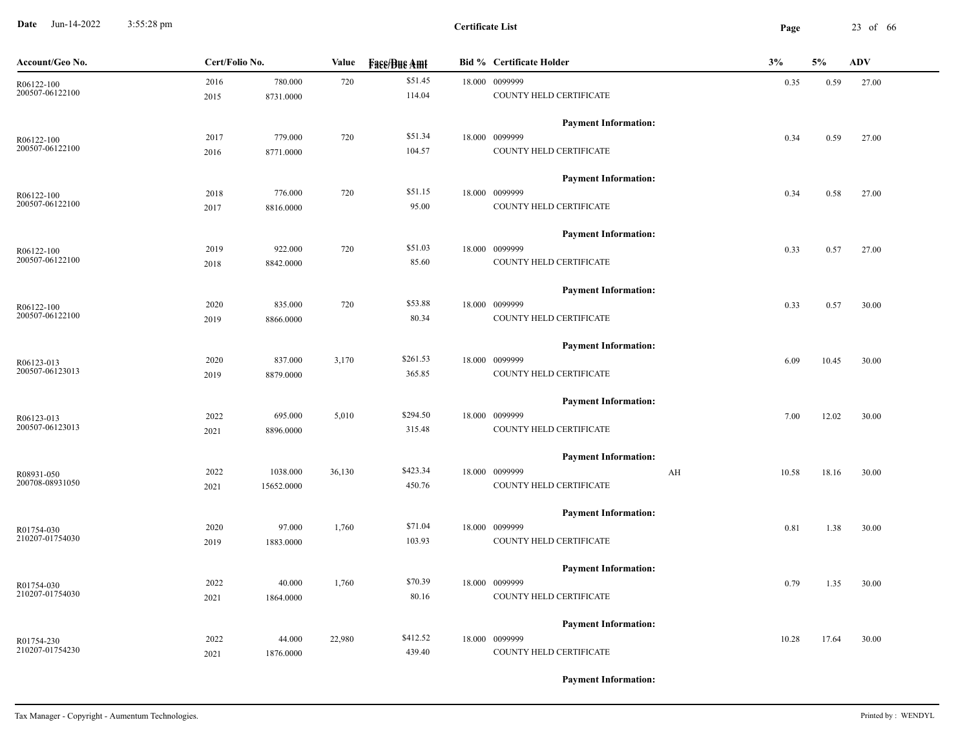**Date** Jun-14-2022 3:55:28 pm **Page** 23 of 66 3:55:28 pm

| Account/Geo No.               | Cert/Folio No. |            | Value  | <b>Face/Bue Amt</b> | <b>Bid % Certificate Holder</b> | 3%          | 5%    | <b>ADV</b> |
|-------------------------------|----------------|------------|--------|---------------------|---------------------------------|-------------|-------|------------|
| R06122-100                    | 2016           | 780.000    | 720    | \$51.45             | 18.000 0099999                  | 0.35        | 0.59  | 27.00      |
| 200507-06122100               | 2015           | 8731.0000  |        | 114.04              | COUNTY HELD CERTIFICATE         |             |       |            |
|                               |                |            |        |                     | <b>Payment Information:</b>     |             |       |            |
| R06122-100                    | 2017           | 779.000    | 720    | \$51.34             | 18.000 0099999                  | 0.34        | 0.59  | 27.00      |
| 200507-06122100               | 2016           | 8771.0000  |        | 104.57              | COUNTY HELD CERTIFICATE         |             |       |            |
|                               |                |            |        |                     | <b>Payment Information:</b>     |             |       |            |
| R06122-100                    | 2018           | 776.000    | 720    | \$51.15             | 18.000 0099999                  | 0.34        | 0.58  | 27.00      |
| 200507-06122100               | 2017           | 8816.0000  |        | 95.00               | COUNTY HELD CERTIFICATE         |             |       |            |
|                               |                |            |        |                     | <b>Payment Information:</b>     |             |       |            |
| R06122-100                    | 2019           | 922.000    | 720    | \$51.03             | 18.000 0099999                  | 0.33        | 0.57  | 27.00      |
| 200507-06122100               | 2018           | 8842.0000  |        | 85.60               | COUNTY HELD CERTIFICATE         |             |       |            |
|                               |                |            |        |                     | <b>Payment Information:</b>     |             |       |            |
| R06122-100                    | 2020           | 835.000    | 720    | \$53.88             | 18.000 0099999                  | 0.33        | 0.57  | 30.00      |
| 200507-06122100               | 2019           | 8866.0000  |        | 80.34               | COUNTY HELD CERTIFICATE         |             |       |            |
|                               |                |            |        |                     | <b>Payment Information:</b>     |             |       |            |
| R06123-013                    | 2020           | 837.000    | 3,170  | \$261.53            | 18.000 0099999                  | 6.09        | 10.45 | 30.00      |
| 200507-06123013               | 2019           | 8879.0000  |        | 365.85              | COUNTY HELD CERTIFICATE         |             |       |            |
|                               |                |            |        |                     | <b>Payment Information:</b>     |             |       |            |
| R06123-013                    | 2022           | 695.000    | 5,010  | \$294.50            | 18.000 0099999                  | 7.00        | 12.02 | 30.00      |
| 200507-06123013               | 2021           | 8896.0000  |        | 315.48              | COUNTY HELD CERTIFICATE         |             |       |            |
|                               |                |            |        |                     | <b>Payment Information:</b>     |             |       |            |
| R08931-050<br>200708-08931050 | 2022           | 1038.000   | 36,130 | \$423.34            | 18.000 0099999                  | AH<br>10.58 | 18.16 | 30.00      |
|                               | 2021           | 15652.0000 |        | 450.76              | COUNTY HELD CERTIFICATE         |             |       |            |
|                               |                |            |        |                     | <b>Payment Information:</b>     |             |       |            |
| R01754-030<br>210207-01754030 | 2020           | 97.000     | 1,760  | \$71.04             | 18.000 0099999                  | 0.81        | 1.38  | 30.00      |
|                               | 2019           | 1883.0000  |        | 103.93              | COUNTY HELD CERTIFICATE         |             |       |            |
|                               |                |            |        |                     | <b>Payment Information:</b>     |             |       |            |
| R01754-030<br>210207-01754030 | 2022           | 40.000     | 1,760  | \$70.39             | 18.000 0099999                  | 0.79        | 1.35  | 30.00      |
|                               | 2021           | 1864.0000  |        | 80.16               | COUNTY HELD CERTIFICATE         |             |       |            |
|                               |                |            |        |                     | <b>Payment Information:</b>     |             |       |            |
| R01754-230<br>210207-01754230 | 2022           | 44.000     | 22,980 | \$412.52            | 18.000 0099999                  | 10.28       | 17.64 | 30.00      |
|                               | 2021           | 1876.0000  |        | 439.40              | COUNTY HELD CERTIFICATE         |             |       |            |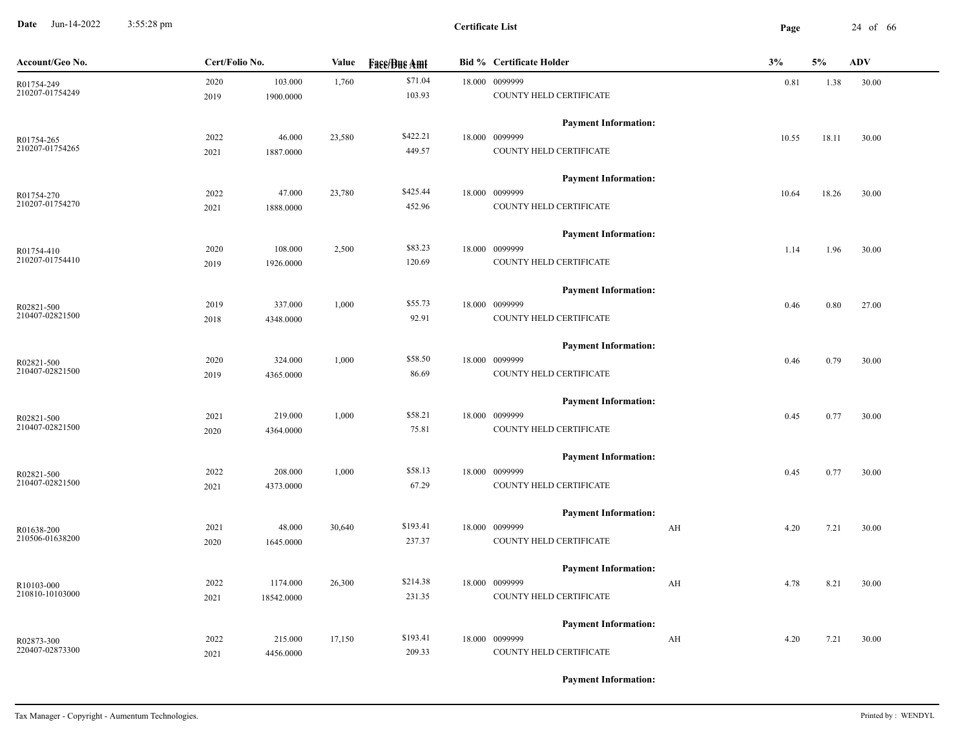**Date** Jun-14-2022 3:55:28 pm **Page** 24 of 66 3:55:28 pm

| Account/Geo No.               | Cert/Folio No. |                      | Value  | <b>Fase/Bue Amt</b> | <b>Bid % Certificate Holder</b>               | 3%         | 5%    | <b>ADV</b> |
|-------------------------------|----------------|----------------------|--------|---------------------|-----------------------------------------------|------------|-------|------------|
| R01754-249<br>210207-01754249 | 2020<br>2019   | 103.000<br>1900.0000 | 1,760  | \$71.04<br>103.93   | 18.000 0099999<br>COUNTY HELD CERTIFICATE     | 0.81       | 1.38  | 30.00      |
|                               |                |                      |        |                     | <b>Payment Information:</b>                   |            |       |            |
| R01754-265                    | 2022           | 46.000               | 23,580 | \$422.21            | 18.000 0099999                                | 10.55      | 18.11 | 30.00      |
| 210207-01754265               | 2021           | 1887.0000            |        | 449.57              | COUNTY HELD CERTIFICATE                       |            |       |            |
|                               |                |                      |        |                     | <b>Payment Information:</b>                   |            |       |            |
| R01754-270                    | 2022           | 47.000               | 23,780 | \$425.44            | 18.000 0099999                                | 10.64      | 18.26 | 30.00      |
| 210207-01754270               | 2021           | 1888.0000            |        | 452.96              | COUNTY HELD CERTIFICATE                       |            |       |            |
|                               |                |                      |        |                     | <b>Payment Information:</b>                   |            |       |            |
| R01754-410                    | 2020           | 108.000              | 2,500  | \$83.23             | 18.000 0099999                                | 1.14       | 1.96  | 30.00      |
| 210207-01754410               | 2019           | 1926.0000            |        | 120.69              | COUNTY HELD CERTIFICATE                       |            |       |            |
|                               |                |                      |        |                     | <b>Payment Information:</b>                   |            |       |            |
| R02821-500                    | 2019           | 337.000              | 1,000  | \$55.73             | 18.000 0099999                                | 0.46       | 0.80  | 27.00      |
| 210407-02821500               | 2018           | 4348.0000            |        | 92.91               | COUNTY HELD CERTIFICATE                       |            |       |            |
|                               |                |                      |        |                     | <b>Payment Information:</b>                   |            |       |            |
| R02821-500                    | 2020           | 324.000              | 1,000  | \$58.50             | 18.000 0099999                                | 0.46       | 0.79  | 30.00      |
| 210407-02821500               | 2019           | 4365.0000            |        | 86.69               | COUNTY HELD CERTIFICATE                       |            |       |            |
|                               |                |                      |        |                     | <b>Payment Information:</b>                   |            |       |            |
| R02821-500<br>210407-02821500 | 2021           | 219.000              | 1,000  | \$58.21             | 18.000 0099999                                | 0.45       | 0.77  | 30.00      |
|                               | 2020           | 4364.0000            |        | 75.81               | COUNTY HELD CERTIFICATE                       |            |       |            |
|                               |                |                      |        |                     | <b>Payment Information:</b>                   |            |       |            |
| R02821-500<br>210407-02821500 | 2022           | 208.000              | 1,000  | \$58.13<br>67.29    | 18.000 0099999<br>COUNTY HELD CERTIFICATE     | 0.45       | 0.77  | 30.00      |
|                               | 2021           | 4373.0000            |        |                     |                                               |            |       |            |
|                               | 2021           | 48.000               |        | \$193.41            | <b>Payment Information:</b><br>18.000 0099999 |            |       |            |
| R01638-200<br>210506-01638200 | 2020           | 1645.0000            | 30,640 | 237.37              | COUNTY HELD CERTIFICATE                       | AH<br>4.20 | 7.21  | 30.00      |
|                               |                |                      |        |                     |                                               |            |       |            |
|                               | 2022           | 1174.000             | 26,300 | \$214.38            | <b>Payment Information:</b><br>18.000 0099999 | AH<br>4.78 | 8.21  | 30.00      |
| R10103-000<br>210810-10103000 | 2021           | 18542.0000           |        | 231.35              | COUNTY HELD CERTIFICATE                       |            |       |            |
|                               |                |                      |        |                     |                                               |            |       |            |
|                               |                |                      |        |                     | <b>Payment Information:</b>                   |            |       |            |
| R02873-300<br>220407-02873300 | 2022           | 215.000              | 17,150 | \$193.41            | 18.000 0099999                                | AH<br>4.20 | 7.21  | 30.00      |
|                               | 2021           | 4456.0000            |        | 209.33              | COUNTY HELD CERTIFICATE                       |            |       |            |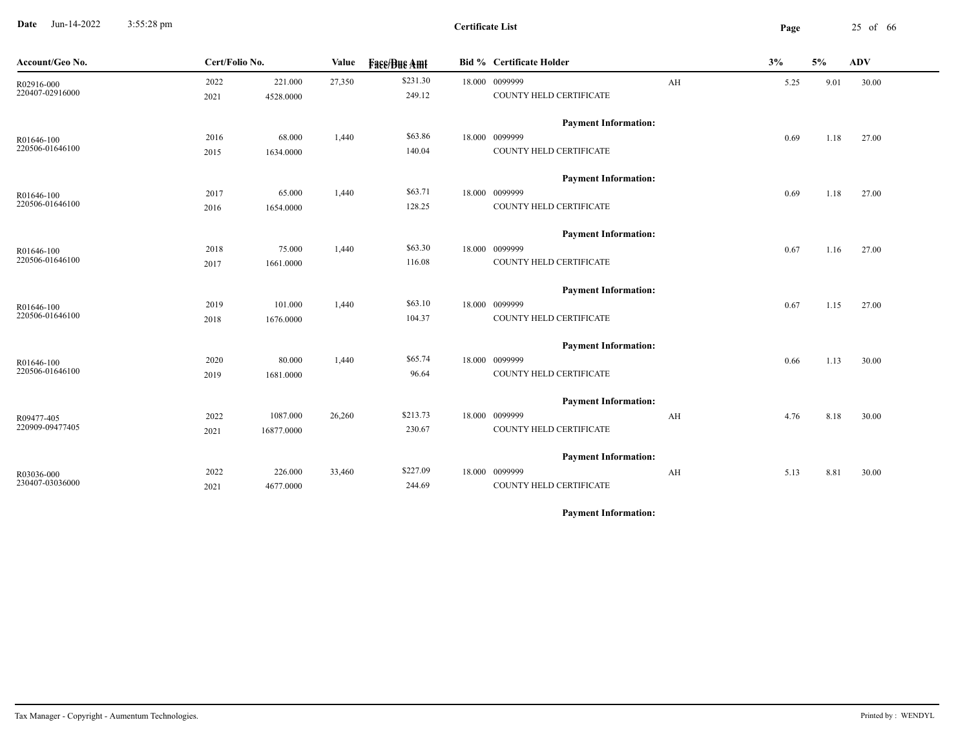**Date** Jun-14-2022 3:55:28 pm **Page** 25 of 66 3:55:28 pm

| Account/Geo No.               | Cert/Folio No. |                      | Value  | <b>Fass/Bus Amt</b> | Bid % Certificate Holder                  |    | 3%   | 5%   | <b>ADV</b> |
|-------------------------------|----------------|----------------------|--------|---------------------|-------------------------------------------|----|------|------|------------|
| R02916-000<br>220407-02916000 | 2022<br>2021   | 221.000<br>4528.0000 | 27,350 | \$231.30<br>249.12  | 18.000 0099999<br>COUNTY HELD CERTIFICATE | AH | 5.25 | 9.01 | 30.00      |
|                               |                |                      |        |                     | <b>Payment Information:</b>               |    |      |      |            |
| R01646-100                    | 2016           | 68.000               | 1,440  | \$63.86             | 18.000 0099999                            |    | 0.69 | 1.18 | 27.00      |
| 220506-01646100               | 2015           | 1634.0000            |        | 140.04              | COUNTY HELD CERTIFICATE                   |    |      |      |            |
|                               |                |                      |        |                     | <b>Payment Information:</b>               |    |      |      |            |
| R01646-100                    | 2017           | 65.000               | 1,440  | \$63.71             | 18.000 0099999                            |    | 0.69 | 1.18 | 27.00      |
| 220506-01646100               | 2016           | 1654.0000            |        | 128.25              | COUNTY HELD CERTIFICATE                   |    |      |      |            |
|                               |                |                      |        |                     | <b>Payment Information:</b>               |    |      |      |            |
| R01646-100                    | 2018           | 75.000               | 1,440  | \$63.30             | 18.000 0099999                            |    | 0.67 | 1.16 | 27.00      |
| 220506-01646100               | 2017           | 1661.0000            |        | 116.08              | COUNTY HELD CERTIFICATE                   |    |      |      |            |
|                               |                |                      |        |                     | <b>Payment Information:</b>               |    |      |      |            |
| R01646-100                    | 2019           | 101.000              | 1,440  | \$63.10             | 18.000 0099999                            |    | 0.67 | 1.15 | 27.00      |
| 220506-01646100               | 2018           | 1676.0000            |        | 104.37              | COUNTY HELD CERTIFICATE                   |    |      |      |            |
|                               |                |                      |        |                     | <b>Payment Information:</b>               |    |      |      |            |
| R01646-100                    | 2020           | 80.000               | 1,440  | \$65.74             | 18.000 0099999                            |    | 0.66 | 1.13 | 30.00      |
| 220506-01646100               | 2019           | 1681.0000            |        | 96.64               | COUNTY HELD CERTIFICATE                   |    |      |      |            |
|                               |                |                      |        |                     | <b>Payment Information:</b>               |    |      |      |            |
| R09477-405                    | 2022           | 1087.000             | 26,260 | \$213.73            | 18.000 0099999                            | AH | 4.76 | 8.18 | 30.00      |
| 220909-09477405               | 2021           | 16877.0000           |        | 230.67              | COUNTY HELD CERTIFICATE                   |    |      |      |            |
|                               |                |                      |        |                     | <b>Payment Information:</b>               |    |      |      |            |
| R03036-000                    | 2022           | 226.000              | 33,460 | \$227.09            | 18.000 0099999                            | AH | 5.13 | 8.81 | 30.00      |
| 230407-03036000               | 2021           | 4677.0000            |        | 244.69              | COUNTY HELD CERTIFICATE                   |    |      |      |            |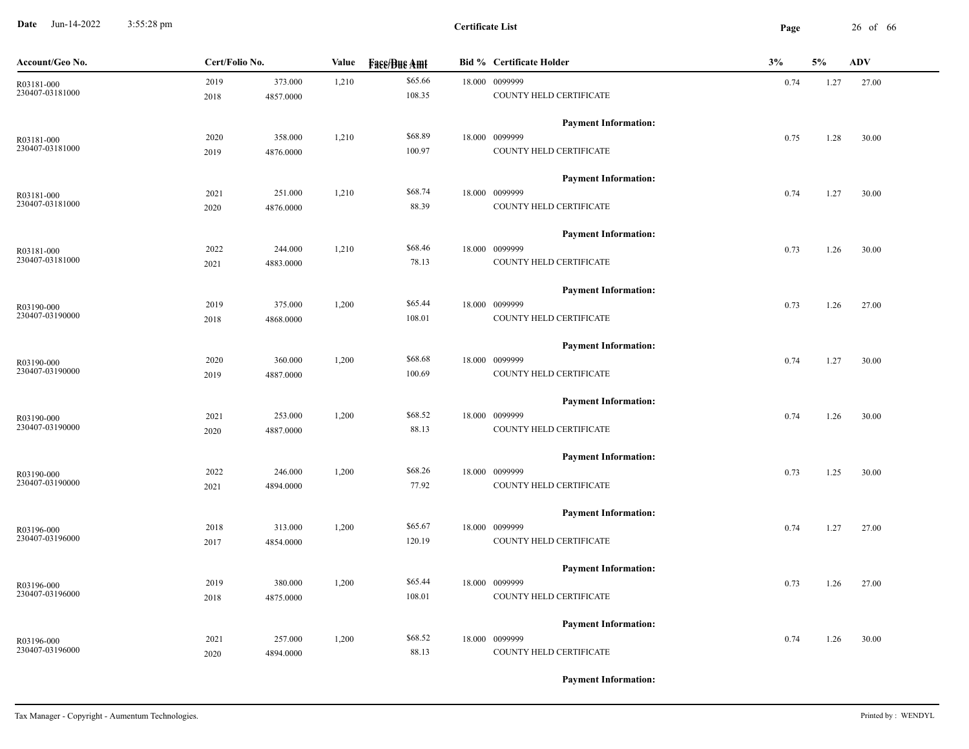**Date** Jun-14-2022 3:55:28 pm **Page** 26 of 66 3:55:28 pm

| Account/Geo No. | Cert/Folio No. |           | Value | <b>Face/Bue Amt</b> | <b>Bid % Certificate Holder</b> | 3%   | 5%   | <b>ADV</b> |
|-----------------|----------------|-----------|-------|---------------------|---------------------------------|------|------|------------|
| R03181-000      | 2019           | 373.000   | 1,210 | \$65.66             | 18.000 0099999                  | 0.74 | 1.27 | 27.00      |
| 230407-03181000 | 2018           | 4857.0000 |       | 108.35              | COUNTY HELD CERTIFICATE         |      |      |            |
|                 |                |           |       |                     | <b>Payment Information:</b>     |      |      |            |
| R03181-000      | 2020           | 358.000   | 1,210 | \$68.89             | 18.000 0099999                  | 0.75 | 1.28 | 30.00      |
| 230407-03181000 | 2019           | 4876.0000 |       | 100.97              | COUNTY HELD CERTIFICATE         |      |      |            |
|                 |                |           |       |                     | <b>Payment Information:</b>     |      |      |            |
| R03181-000      | 2021           | 251.000   | 1,210 | \$68.74             | 18.000 0099999                  | 0.74 | 1.27 | 30.00      |
| 230407-03181000 | 2020           | 4876.0000 |       | 88.39               | COUNTY HELD CERTIFICATE         |      |      |            |
|                 |                |           |       |                     | <b>Payment Information:</b>     |      |      |            |
| R03181-000      | 2022           | 244.000   | 1,210 | \$68.46             | 18.000 0099999                  | 0.73 | 1.26 | 30.00      |
| 230407-03181000 | 2021           | 4883.0000 |       | 78.13               | COUNTY HELD CERTIFICATE         |      |      |            |
|                 |                |           |       |                     | <b>Payment Information:</b>     |      |      |            |
| R03190-000      | 2019           | 375.000   | 1,200 | \$65.44             | 18.000 0099999                  | 0.73 | 1.26 | 27.00      |
| 230407-03190000 | 2018           | 4868.0000 |       | 108.01              | COUNTY HELD CERTIFICATE         |      |      |            |
|                 |                |           |       |                     | <b>Payment Information:</b>     |      |      |            |
| R03190-000      | 2020           | 360.000   | 1,200 | \$68.68             | 18.000 0099999                  | 0.74 | 1.27 | 30.00      |
| 230407-03190000 | 2019           | 4887.0000 |       | 100.69              | COUNTY HELD CERTIFICATE         |      |      |            |
|                 |                |           |       |                     | <b>Payment Information:</b>     |      |      |            |
| R03190-000      | 2021           | 253.000   | 1,200 | \$68.52             | 18.000 0099999                  | 0.74 | 1.26 | 30.00      |
| 230407-03190000 | 2020           | 4887.0000 |       | 88.13               | COUNTY HELD CERTIFICATE         |      |      |            |
|                 |                |           |       |                     | <b>Payment Information:</b>     |      |      |            |
| R03190-000      | 2022           | 246.000   | 1,200 | \$68.26             | 18.000 0099999                  | 0.73 | 1.25 | 30.00      |
| 230407-03190000 | 2021           | 4894.0000 |       | 77.92               | COUNTY HELD CERTIFICATE         |      |      |            |
|                 |                |           |       |                     | <b>Payment Information:</b>     |      |      |            |
| R03196-000      | 2018           | 313.000   | 1,200 | \$65.67             | 18.000 0099999                  | 0.74 | 1.27 | 27.00      |
| 230407-03196000 | 2017           | 4854.0000 |       | 120.19              | COUNTY HELD CERTIFICATE         |      |      |            |
|                 |                |           |       |                     | <b>Payment Information:</b>     |      |      |            |
| R03196-000      | 2019           | 380.000   | 1,200 | \$65.44             | 18.000 0099999                  | 0.73 | 1.26 | 27.00      |
| 230407-03196000 | 2018           | 4875.0000 |       | 108.01              | COUNTY HELD CERTIFICATE         |      |      |            |
|                 |                |           |       |                     | <b>Payment Information:</b>     |      |      |            |
| R03196-000      | 2021           | 257.000   | 1,200 | \$68.52             | 18.000 0099999                  | 0.74 | 1.26 | 30.00      |
| 230407-03196000 | 2020           | 4894.0000 |       | 88.13               | COUNTY HELD CERTIFICATE         |      |      |            |
|                 |                |           |       |                     |                                 |      |      |            |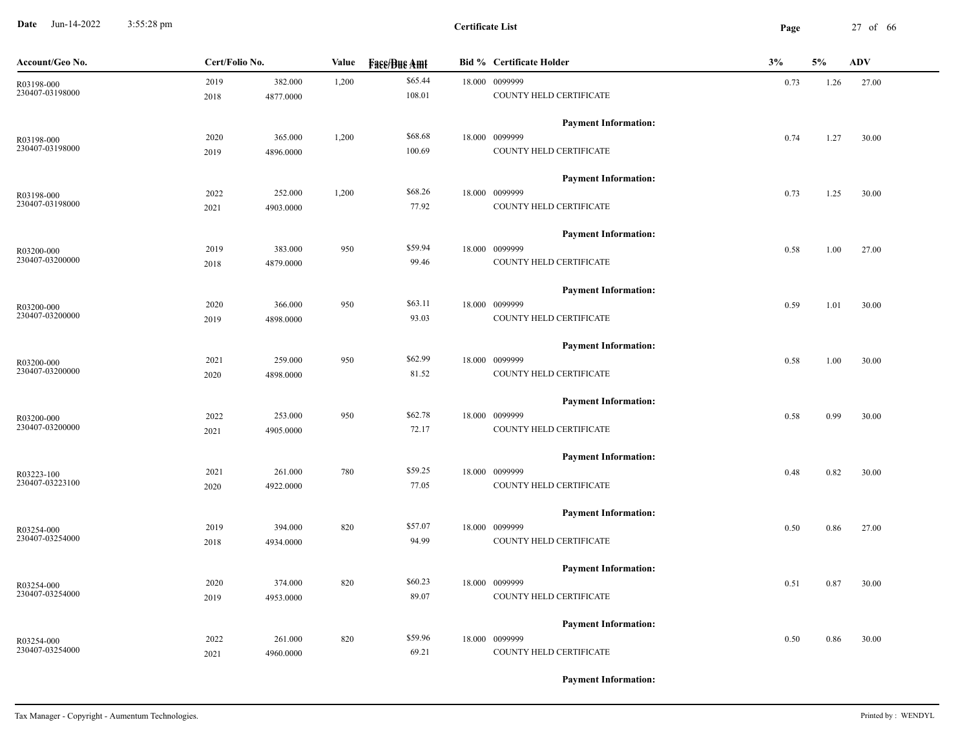**Date** Jun-14-2022 3:55:28 pm **Page** 27 of 66 3:55:28 pm

| Account/Geo No. | Cert/Folio No. |           | Value | <b>Fase/Bue Amt</b> | <b>Bid % Certificate Holder</b> | 3%   | 5%   | <b>ADV</b> |
|-----------------|----------------|-----------|-------|---------------------|---------------------------------|------|------|------------|
| R03198-000      | 2019           | 382.000   | 1,200 | \$65.44             | 18.000 0099999                  | 0.73 | 1.26 | 27.00      |
| 230407-03198000 | 2018           | 4877.0000 |       | 108.01              | COUNTY HELD CERTIFICATE         |      |      |            |
|                 |                |           |       |                     | <b>Payment Information:</b>     |      |      |            |
| R03198-000      | 2020           | 365.000   | 1,200 | \$68.68             | 18.000 0099999                  | 0.74 | 1.27 | 30.00      |
| 230407-03198000 | 2019           | 4896.0000 |       | 100.69              | COUNTY HELD CERTIFICATE         |      |      |            |
|                 |                |           |       |                     | <b>Payment Information:</b>     |      |      |            |
| R03198-000      | 2022           | 252.000   | 1,200 | \$68.26             | 18.000 0099999                  | 0.73 | 1.25 | 30.00      |
| 230407-03198000 | 2021           | 4903.0000 |       | 77.92               | COUNTY HELD CERTIFICATE         |      |      |            |
|                 |                |           |       |                     | <b>Payment Information:</b>     |      |      |            |
| R03200-000      | 2019           | 383.000   | 950   | \$59.94             | 18.000 0099999                  | 0.58 | 1.00 | 27.00      |
| 230407-03200000 | 2018           | 4879.0000 |       | 99.46               | COUNTY HELD CERTIFICATE         |      |      |            |
|                 |                |           |       |                     | <b>Payment Information:</b>     |      |      |            |
| R03200-000      | 2020           | 366.000   | 950   | \$63.11             | 18.000 0099999                  | 0.59 | 1.01 | 30.00      |
| 230407-03200000 | 2019           | 4898.0000 |       | 93.03               | COUNTY HELD CERTIFICATE         |      |      |            |
|                 |                |           |       |                     | <b>Payment Information:</b>     |      |      |            |
| R03200-000      | 2021           | 259.000   | 950   | \$62.99             | 18.000 0099999                  | 0.58 | 1.00 | 30.00      |
| 230407-03200000 | 2020           | 4898.0000 |       | 81.52               | COUNTY HELD CERTIFICATE         |      |      |            |
|                 |                |           |       |                     | <b>Payment Information:</b>     |      |      |            |
| R03200-000      | 2022           | 253.000   | 950   | \$62.78             | 18.000 0099999                  | 0.58 | 0.99 | 30.00      |
| 230407-03200000 | 2021           | 4905.0000 |       | 72.17               | COUNTY HELD CERTIFICATE         |      |      |            |
|                 |                |           |       |                     | <b>Payment Information:</b>     |      |      |            |
| R03223-100      | 2021           | 261.000   | 780   | \$59.25             | 18.000 0099999                  | 0.48 | 0.82 | 30.00      |
| 230407-03223100 | 2020           | 4922.0000 |       | 77.05               | COUNTY HELD CERTIFICATE         |      |      |            |
|                 |                |           |       |                     | <b>Payment Information:</b>     |      |      |            |
| R03254-000      | 2019           | 394.000   | 820   | \$57.07             | 18.000 0099999                  | 0.50 | 0.86 | 27.00      |
| 230407-03254000 | 2018           | 4934.0000 |       | 94.99               | COUNTY HELD CERTIFICATE         |      |      |            |
|                 |                |           |       |                     | <b>Payment Information:</b>     |      |      |            |
| R03254-000      | 2020           | 374.000   | 820   | \$60.23             | 18.000 0099999                  | 0.51 | 0.87 | 30.00      |
| 230407-03254000 | 2019           | 4953.0000 |       | 89.07               | COUNTY HELD CERTIFICATE         |      |      |            |
|                 |                |           |       |                     | <b>Payment Information:</b>     |      |      |            |
| R03254-000      | 2022           | 261.000   | 820   | \$59.96             | 18.000 0099999                  | 0.50 | 0.86 | 30.00      |
| 230407-03254000 | 2021           | 4960.0000 |       | 69.21               | COUNTY HELD CERTIFICATE         |      |      |            |
|                 |                |           |       |                     |                                 |      |      |            |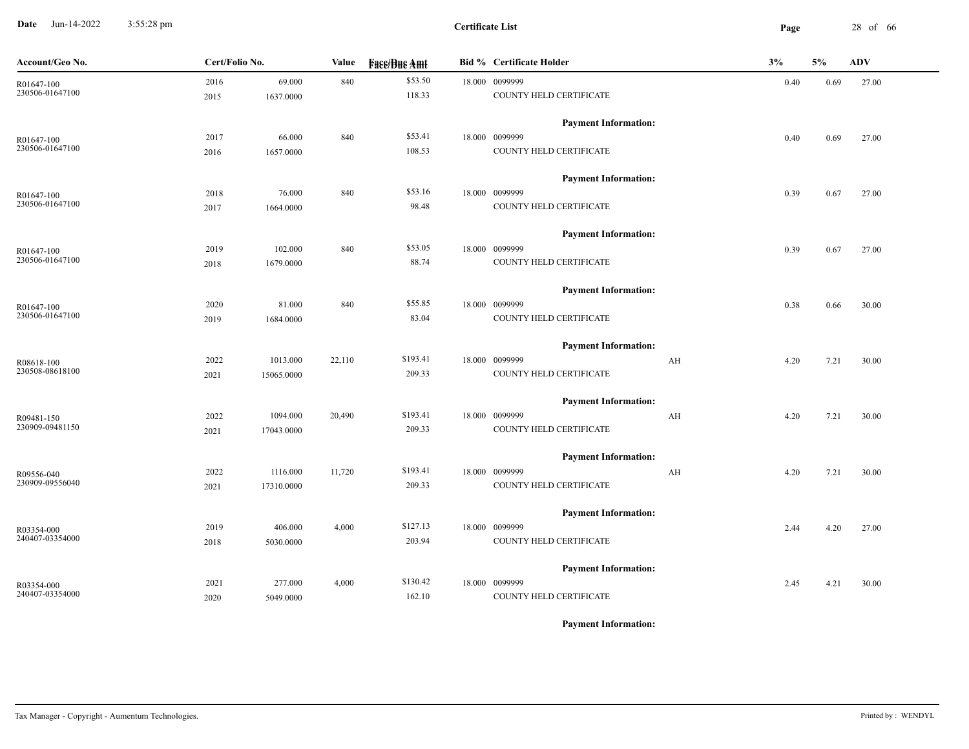**Date** Jun-14-2022 3:55:28 pm **Page** 28 of 66 3:55:28 pm

| Account/Geo No. | Cert/Folio No. |            | Value  | <b>Fase/Bue Amt</b> | <b>Bid % Certificate Holder</b> | 3%                      |      | $5\%$ | <b>ADV</b> |
|-----------------|----------------|------------|--------|---------------------|---------------------------------|-------------------------|------|-------|------------|
| R01647-100      | 2016           | 69.000     | 840    | \$53.50             | 18.000 0099999                  |                         | 0.40 | 0.69  | 27.00      |
| 230506-01647100 | 2015           | 1637.0000  |        | 118.33              | COUNTY HELD CERTIFICATE         |                         |      |       |            |
|                 |                |            |        |                     | <b>Payment Information:</b>     |                         |      |       |            |
| R01647-100      | 2017           | 66.000     | 840    | \$53.41             | 18.000 0099999                  |                         | 0.40 | 0.69  | 27.00      |
| 230506-01647100 | 2016           | 1657.0000  |        | 108.53              | COUNTY HELD CERTIFICATE         |                         |      |       |            |
|                 |                |            |        |                     | <b>Payment Information:</b>     |                         |      |       |            |
| R01647-100      | 2018           | 76.000     | 840    | \$53.16             | 18.000 0099999                  |                         | 0.39 | 0.67  | 27.00      |
| 230506-01647100 | 2017           | 1664.0000  |        | 98.48               | COUNTY HELD CERTIFICATE         |                         |      |       |            |
|                 |                |            |        |                     | <b>Payment Information:</b>     |                         |      |       |            |
| R01647-100      | 2019           | 102.000    | 840    | \$53.05             | 18.000 0099999                  |                         | 0.39 | 0.67  | 27.00      |
| 230506-01647100 | 2018           | 1679.0000  |        | 88.74               | COUNTY HELD CERTIFICATE         |                         |      |       |            |
|                 |                |            |        |                     | <b>Payment Information:</b>     |                         |      |       |            |
| R01647-100      | 2020           | 81.000     | 840    | \$55.85             | 18.000 0099999                  |                         | 0.38 | 0.66  | 30.00      |
| 230506-01647100 | 2019           | 1684.0000  |        | 83.04               | COUNTY HELD CERTIFICATE         |                         |      |       |            |
|                 |                |            |        |                     | <b>Payment Information:</b>     |                         |      |       |            |
| R08618-100      | 2022           | 1013.000   | 22,110 | \$193.41            | 18.000 0099999                  | $\mathbf{A} \mathbf{H}$ | 4.20 | 7.21  | 30.00      |
| 230508-08618100 | 2021           | 15065.0000 |        | 209.33              | COUNTY HELD CERTIFICATE         |                         |      |       |            |
|                 |                |            |        |                     | <b>Payment Information:</b>     |                         |      |       |            |
| R09481-150      | 2022           | 1094.000   | 20,490 | \$193.41            | 18.000 0099999                  | AH                      | 4.20 | 7.21  | 30.00      |
| 230909-09481150 | 2021           | 17043.0000 |        | 209.33              | COUNTY HELD CERTIFICATE         |                         |      |       |            |
|                 |                |            |        |                     | <b>Payment Information:</b>     |                         |      |       |            |
| R09556-040      | 2022           | 1116.000   | 11,720 | \$193.41            | 18.000 0099999                  | AH                      | 4.20 | 7.21  | 30.00      |
| 230909-09556040 | 2021           | 17310.0000 |        | 209.33              | COUNTY HELD CERTIFICATE         |                         |      |       |            |
|                 |                |            |        |                     | <b>Payment Information:</b>     |                         |      |       |            |
| R03354-000      | 2019           | 406.000    | 4,000  | \$127.13            | 18.000 0099999                  |                         | 2.44 | 4.20  | 27.00      |
| 240407-03354000 | 2018           | 5030.0000  |        | 203.94              | COUNTY HELD CERTIFICATE         |                         |      |       |            |
|                 |                |            |        |                     | <b>Payment Information:</b>     |                         |      |       |            |
| R03354-000      | 2021           | 277.000    | 4,000  | \$130.42            | 18.000 0099999                  |                         | 2.45 | 4.21  | 30.00      |
| 240407-03354000 | 2020           | 5049.0000  |        | 162.10              | COUNTY HELD CERTIFICATE         |                         |      |       |            |
|                 |                |            |        |                     |                                 |                         |      |       |            |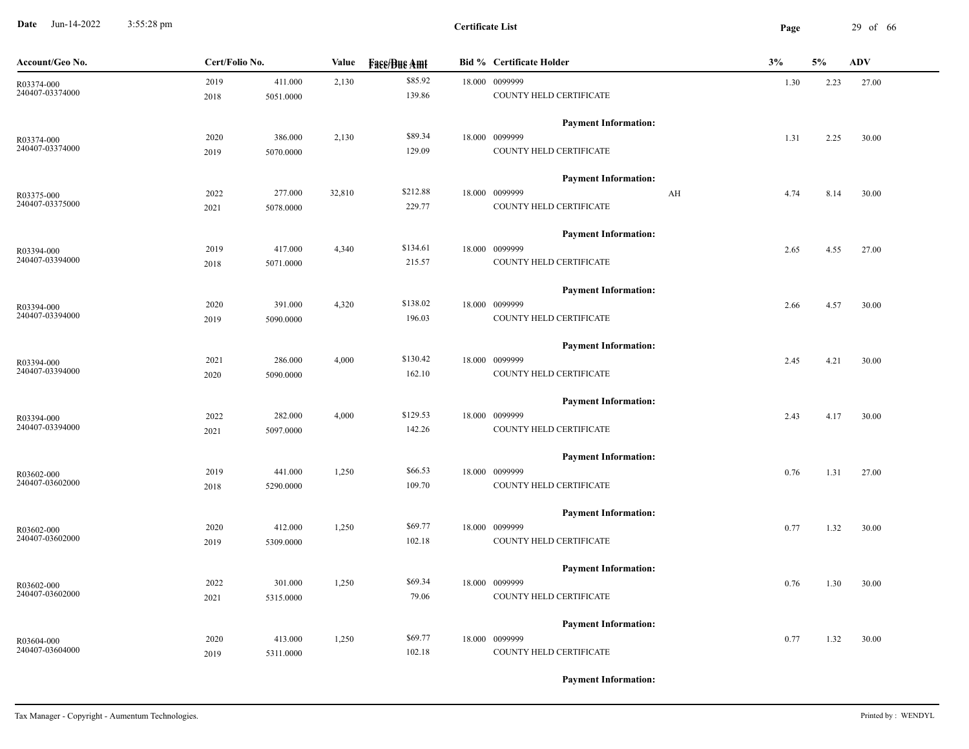**Date** Jun-14-2022 3:55:28 pm **Page** 29 of 66 3:55:28 pm

| Account/Geo No.               | Cert/Folio No. |           | Value  | <b>Fass/Bus Amt</b> | <b>Bid % Certificate Holder</b> | 3%   | 5%   | <b>ADV</b> |
|-------------------------------|----------------|-----------|--------|---------------------|---------------------------------|------|------|------------|
| R03374-000                    | 2019           | 411.000   | 2,130  | \$85.92             | 18.000 0099999                  | 1.30 | 2.23 | 27.00      |
| 240407-03374000               | 2018           | 5051.0000 |        | 139.86              | COUNTY HELD CERTIFICATE         |      |      |            |
|                               |                |           |        |                     | <b>Payment Information:</b>     |      |      |            |
| R03374-000<br>240407-03374000 | 2020           | 386.000   | 2,130  | \$89.34             | 18.000 0099999                  | 1.31 | 2.25 | 30.00      |
|                               | 2019           | 5070.0000 |        | 129.09              | COUNTY HELD CERTIFICATE         |      |      |            |
|                               |                |           |        |                     | <b>Payment Information:</b>     |      |      |            |
| R03375-000                    | 2022           | 277.000   | 32,810 | \$212.88            | 18.000 0099999<br>AH            | 4.74 | 8.14 | 30.00      |
| 240407-03375000               | 2021           | 5078.0000 |        | 229.77              | COUNTY HELD CERTIFICATE         |      |      |            |
|                               |                |           |        |                     | <b>Payment Information:</b>     |      |      |            |
| R03394-000<br>240407-03394000 | 2019           | 417.000   | 4,340  | \$134.61            | 18.000 0099999                  | 2.65 | 4.55 | 27.00      |
|                               | 2018           | 5071.0000 |        | 215.57              | COUNTY HELD CERTIFICATE         |      |      |            |
|                               |                |           |        |                     | <b>Payment Information:</b>     |      |      |            |
| R03394-000                    | 2020           | 391.000   | 4,320  | \$138.02            | 18.000 0099999                  | 2.66 | 4.57 | 30.00      |
| 240407-03394000               | 2019           | 5090.0000 |        | 196.03              | COUNTY HELD CERTIFICATE         |      |      |            |
|                               |                |           |        |                     | <b>Payment Information:</b>     |      |      |            |
| R03394-000                    | 2021           | 286.000   | 4,000  | \$130.42            | 18.000 0099999                  | 2.45 | 4.21 | 30.00      |
| 240407-03394000               | 2020           | 5090.0000 |        | 162.10              | COUNTY HELD CERTIFICATE         |      |      |            |
|                               |                |           |        |                     | <b>Payment Information:</b>     |      |      |            |
| R03394-000                    | 2022           | 282.000   | 4,000  | \$129.53            | 18.000 0099999                  | 2.43 | 4.17 | 30.00      |
| 240407-03394000               | 2021           | 5097.0000 |        | 142.26              | COUNTY HELD CERTIFICATE         |      |      |            |
|                               |                |           |        |                     | <b>Payment Information:</b>     |      |      |            |
| R03602-000                    | 2019           | 441.000   | 1,250  | \$66.53             | 18.000 0099999                  | 0.76 | 1.31 | 27.00      |
| 240407-03602000               | 2018           | 5290.0000 |        | 109.70              | COUNTY HELD CERTIFICATE         |      |      |            |
|                               |                |           |        |                     | <b>Payment Information:</b>     |      |      |            |
| R03602-000                    | 2020           | 412.000   | 1,250  | \$69.77             | 18.000 0099999                  | 0.77 | 1.32 | 30.00      |
| 240407-03602000               | 2019           | 5309.0000 |        | 102.18              | COUNTY HELD CERTIFICATE         |      |      |            |
|                               |                |           |        |                     | <b>Payment Information:</b>     |      |      |            |
| R03602-000                    | 2022           | 301.000   | 1,250  | \$69.34             | 18.000 0099999                  | 0.76 | 1.30 | 30.00      |
| 240407-03602000               | 2021           | 5315.0000 |        | 79.06               | COUNTY HELD CERTIFICATE         |      |      |            |
|                               |                |           |        |                     | <b>Payment Information:</b>     |      |      |            |
| R03604-000                    | 2020           | 413.000   | 1,250  | \$69.77             | 18.000 0099999                  | 0.77 | 1.32 | 30.00      |
| 240407-03604000               | 2019           | 5311.0000 |        | 102.18              | COUNTY HELD CERTIFICATE         |      |      |            |
|                               |                |           |        |                     |                                 |      |      |            |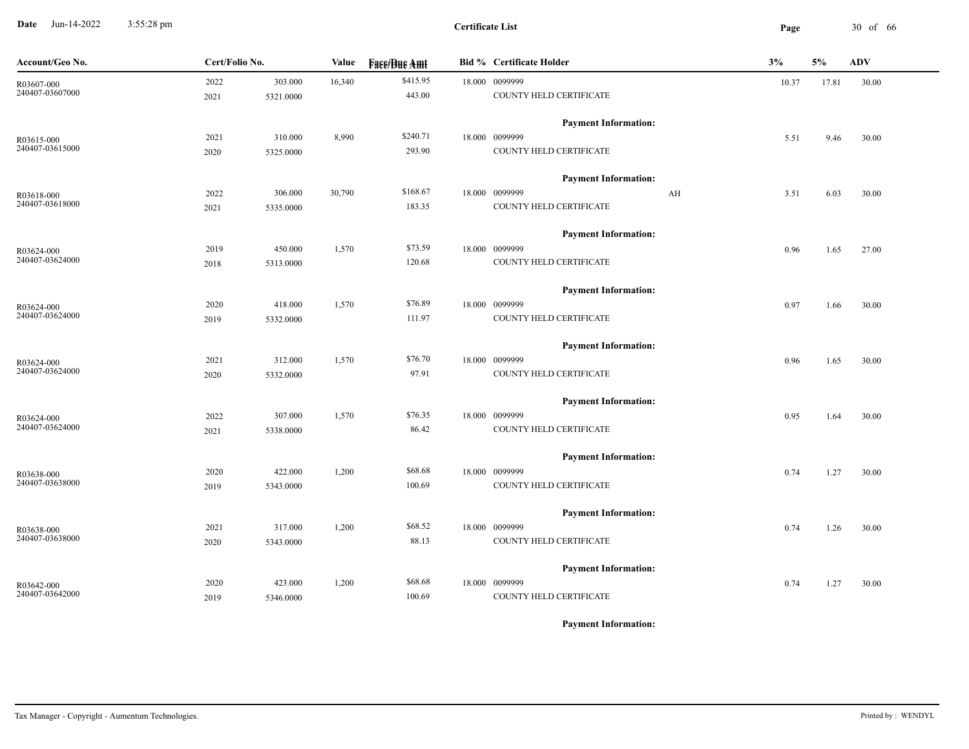**Date** Jun-14-2022 3:55:28 pm **Page** 30 of 66 3:55:28 pm

| \$415.95<br>18.000 0099999<br>2022<br>303.000<br>16,340<br>30.00<br>10.37<br>17.81<br>R03607-000<br>240407-03607000<br>443.00<br>COUNTY HELD CERTIFICATE<br>2021<br>5321.0000<br><b>Payment Information:</b><br>\$240.71<br>8,990<br>18.000 0099999<br>2021<br>310.000<br>5.51<br>9.46<br>30.00<br>R03615-000<br>240407-03615000<br>293.90<br>COUNTY HELD CERTIFICATE<br>2020<br>5325.0000<br><b>Payment Information:</b><br>\$168.67<br>18.000 0099999<br>2022<br>306.000<br>30,790<br>AH<br>3.51<br>6.03<br>30.00<br>R03618-000<br>240407-03618000<br>183.35<br>COUNTY HELD CERTIFICATE<br>2021<br>5335.0000<br><b>Payment Information:</b><br>\$73.59<br>18.000 0099999<br>450.000<br>1,570<br>2019<br>0.96<br>1.65<br>27.00<br>R03624-000<br>240407-03624000<br>120.68<br>COUNTY HELD CERTIFICATE<br>5313.0000<br>2018<br><b>Payment Information:</b><br>\$76.89<br>1,570<br>18.000 0099999<br>2020<br>418.000<br>0.97<br>1.66<br>30.00<br>R03624-000 |  |
|-----------------------------------------------------------------------------------------------------------------------------------------------------------------------------------------------------------------------------------------------------------------------------------------------------------------------------------------------------------------------------------------------------------------------------------------------------------------------------------------------------------------------------------------------------------------------------------------------------------------------------------------------------------------------------------------------------------------------------------------------------------------------------------------------------------------------------------------------------------------------------------------------------------------------------------------------------------|--|
|                                                                                                                                                                                                                                                                                                                                                                                                                                                                                                                                                                                                                                                                                                                                                                                                                                                                                                                                                           |  |
|                                                                                                                                                                                                                                                                                                                                                                                                                                                                                                                                                                                                                                                                                                                                                                                                                                                                                                                                                           |  |
|                                                                                                                                                                                                                                                                                                                                                                                                                                                                                                                                                                                                                                                                                                                                                                                                                                                                                                                                                           |  |
|                                                                                                                                                                                                                                                                                                                                                                                                                                                                                                                                                                                                                                                                                                                                                                                                                                                                                                                                                           |  |
|                                                                                                                                                                                                                                                                                                                                                                                                                                                                                                                                                                                                                                                                                                                                                                                                                                                                                                                                                           |  |
|                                                                                                                                                                                                                                                                                                                                                                                                                                                                                                                                                                                                                                                                                                                                                                                                                                                                                                                                                           |  |
|                                                                                                                                                                                                                                                                                                                                                                                                                                                                                                                                                                                                                                                                                                                                                                                                                                                                                                                                                           |  |
|                                                                                                                                                                                                                                                                                                                                                                                                                                                                                                                                                                                                                                                                                                                                                                                                                                                                                                                                                           |  |
|                                                                                                                                                                                                                                                                                                                                                                                                                                                                                                                                                                                                                                                                                                                                                                                                                                                                                                                                                           |  |
|                                                                                                                                                                                                                                                                                                                                                                                                                                                                                                                                                                                                                                                                                                                                                                                                                                                                                                                                                           |  |
|                                                                                                                                                                                                                                                                                                                                                                                                                                                                                                                                                                                                                                                                                                                                                                                                                                                                                                                                                           |  |
|                                                                                                                                                                                                                                                                                                                                                                                                                                                                                                                                                                                                                                                                                                                                                                                                                                                                                                                                                           |  |
|                                                                                                                                                                                                                                                                                                                                                                                                                                                                                                                                                                                                                                                                                                                                                                                                                                                                                                                                                           |  |
| 240407-03624000<br>111.97<br>COUNTY HELD CERTIFICATE<br>2019<br>5332.0000                                                                                                                                                                                                                                                                                                                                                                                                                                                                                                                                                                                                                                                                                                                                                                                                                                                                                 |  |
| <b>Payment Information:</b>                                                                                                                                                                                                                                                                                                                                                                                                                                                                                                                                                                                                                                                                                                                                                                                                                                                                                                                               |  |
| \$76.70<br>312.000<br>1,570<br>18.000 0099999<br>2021<br>0.96<br>1.65<br>30.00<br>R03624-000                                                                                                                                                                                                                                                                                                                                                                                                                                                                                                                                                                                                                                                                                                                                                                                                                                                              |  |
| 240407-03624000<br>97.91<br>COUNTY HELD CERTIFICATE<br>2020<br>5332.0000                                                                                                                                                                                                                                                                                                                                                                                                                                                                                                                                                                                                                                                                                                                                                                                                                                                                                  |  |
| <b>Payment Information:</b>                                                                                                                                                                                                                                                                                                                                                                                                                                                                                                                                                                                                                                                                                                                                                                                                                                                                                                                               |  |
| \$76.35<br>307.000<br>1,570<br>18.000 0099999<br>2022<br>0.95<br>1.64<br>30.00<br>R03624-000                                                                                                                                                                                                                                                                                                                                                                                                                                                                                                                                                                                                                                                                                                                                                                                                                                                              |  |
| 240407-03624000<br>86.42<br>COUNTY HELD CERTIFICATE<br>2021<br>5338.0000                                                                                                                                                                                                                                                                                                                                                                                                                                                                                                                                                                                                                                                                                                                                                                                                                                                                                  |  |
| <b>Payment Information:</b>                                                                                                                                                                                                                                                                                                                                                                                                                                                                                                                                                                                                                                                                                                                                                                                                                                                                                                                               |  |
| \$68.68<br>2020<br>422.000<br>1,200<br>18.000 0099999<br>0.74<br>1.27<br>30.00<br>R03638-000                                                                                                                                                                                                                                                                                                                                                                                                                                                                                                                                                                                                                                                                                                                                                                                                                                                              |  |
| 240407-03638000<br>100.69<br>COUNTY HELD CERTIFICATE<br>5343.0000<br>2019                                                                                                                                                                                                                                                                                                                                                                                                                                                                                                                                                                                                                                                                                                                                                                                                                                                                                 |  |
| <b>Payment Information:</b>                                                                                                                                                                                                                                                                                                                                                                                                                                                                                                                                                                                                                                                                                                                                                                                                                                                                                                                               |  |
| \$68.52<br>18.000 0099999<br>2021<br>317.000<br>1,200<br>1.26<br>0.74<br>30.00<br>R03638-000                                                                                                                                                                                                                                                                                                                                                                                                                                                                                                                                                                                                                                                                                                                                                                                                                                                              |  |
| 240407-03638000<br>88.13<br>COUNTY HELD CERTIFICATE<br>2020<br>5343.0000                                                                                                                                                                                                                                                                                                                                                                                                                                                                                                                                                                                                                                                                                                                                                                                                                                                                                  |  |
| <b>Payment Information:</b>                                                                                                                                                                                                                                                                                                                                                                                                                                                                                                                                                                                                                                                                                                                                                                                                                                                                                                                               |  |
| \$68.68<br>18.000 0099999<br>2020<br>423.000<br>1,200<br>1.27<br>30.00<br>0.74<br>R03642-000                                                                                                                                                                                                                                                                                                                                                                                                                                                                                                                                                                                                                                                                                                                                                                                                                                                              |  |
| 240407-03642000<br>100.69<br>COUNTY HELD CERTIFICATE<br>5346.0000<br>2019                                                                                                                                                                                                                                                                                                                                                                                                                                                                                                                                                                                                                                                                                                                                                                                                                                                                                 |  |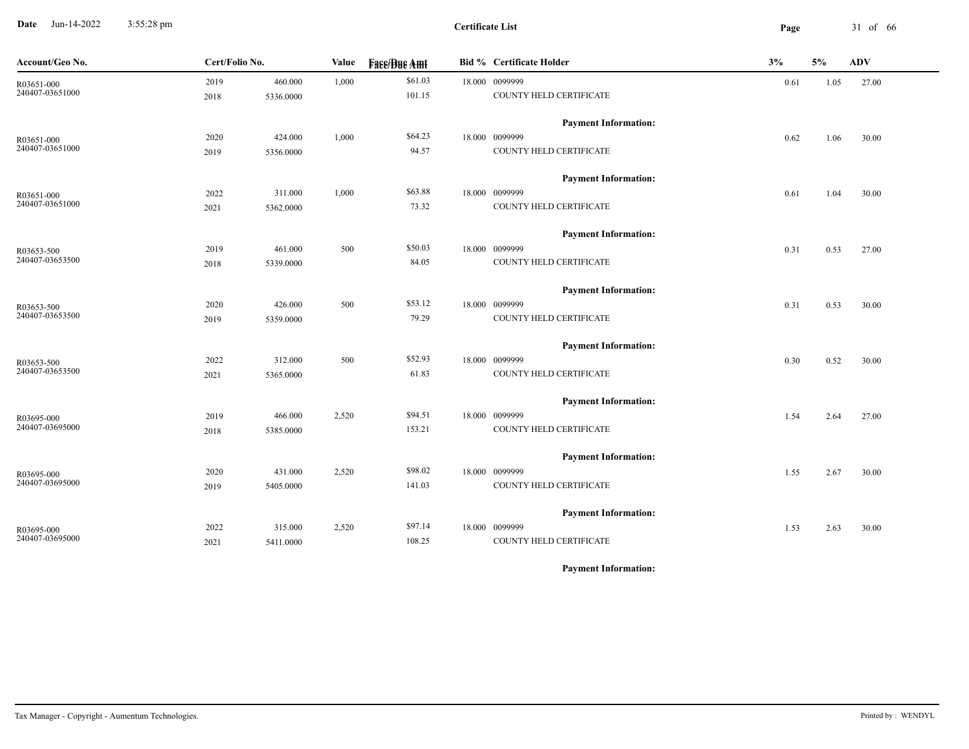**Date** Jun-14-2022 3:55:28 pm **Page** 31 of 66 3:55:28 pm

| Account/Geo No.               | Cert/Folio No. |           | Value | <b>Face/Bue Amt</b> | <b>Bid % Certificate Holder</b> | 3%   | $5\%$ | <b>ADV</b> |
|-------------------------------|----------------|-----------|-------|---------------------|---------------------------------|------|-------|------------|
| R03651-000<br>240407-03651000 | 2019           | 460.000   | 1,000 | \$61.03             | 18.000 0099999                  | 0.61 | 1.05  | 27.00      |
|                               | 2018           | 5336.0000 |       | 101.15              | COUNTY HELD CERTIFICATE         |      |       |            |
|                               |                |           |       |                     | <b>Payment Information:</b>     |      |       |            |
| R03651-000                    | 2020           | 424.000   | 1,000 | \$64.23             | 18.000 0099999                  | 0.62 | 1.06  | 30.00      |
| 240407-03651000               | 2019           | 5356.0000 |       | 94.57               | COUNTY HELD CERTIFICATE         |      |       |            |
|                               |                |           |       |                     | <b>Payment Information:</b>     |      |       |            |
| R03651-000                    | 2022           | 311.000   | 1,000 | \$63.88             | 18.000 0099999                  | 0.61 | 1.04  | 30.00      |
| 240407-03651000               | 2021           | 5362.0000 |       | 73.32               | COUNTY HELD CERTIFICATE         |      |       |            |
|                               |                |           |       |                     | <b>Payment Information:</b>     |      |       |            |
| R03653-500                    | 2019           | 461.000   | 500   | \$50.03             | 18.000 0099999                  | 0.31 | 0.53  | 27.00      |
| 240407-03653500               | 2018           | 5339.0000 |       | 84.05               | COUNTY HELD CERTIFICATE         |      |       |            |
|                               |                |           |       |                     | <b>Payment Information:</b>     |      |       |            |
| R03653-500                    | 2020           | 426.000   | 500   | \$53.12             | 18.000 0099999                  | 0.31 | 0.53  | 30.00      |
| 240407-03653500               | 2019           | 5359.0000 |       | 79.29               | COUNTY HELD CERTIFICATE         |      |       |            |
|                               |                |           |       |                     | <b>Payment Information:</b>     |      |       |            |
| R03653-500<br>240407-03653500 | 2022           | 312.000   | 500   | \$52.93             | 18.000 0099999                  | 0.30 | 0.52  | 30.00      |
|                               | 2021           | 5365.0000 |       | 61.83               | COUNTY HELD CERTIFICATE         |      |       |            |
|                               |                |           |       |                     | <b>Payment Information:</b>     |      |       |            |
| R03695-000                    | 2019           | 466.000   | 2,520 | \$94.51             | 18.000 0099999                  | 1.54 | 2.64  | 27.00      |
| 240407-03695000               | 2018           | 5385.0000 |       | 153.21              | COUNTY HELD CERTIFICATE         |      |       |            |
|                               |                |           |       |                     | <b>Payment Information:</b>     |      |       |            |
| R03695-000                    | 2020           | 431.000   | 2,520 | \$98.02             | 18.000 0099999                  | 1.55 | 2.67  | 30.00      |
| 240407-03695000               | 2019           | 5405.0000 |       | 141.03              | COUNTY HELD CERTIFICATE         |      |       |            |
|                               |                |           |       |                     | <b>Payment Information:</b>     |      |       |            |
| R03695-000                    | 2022           | 315.000   | 2,520 | \$97.14             | 18.000 0099999                  | 1.53 | 2.63  | 30.00      |
| 240407-03695000               | 2021           | 5411.0000 |       | 108.25              | COUNTY HELD CERTIFICATE         |      |       |            |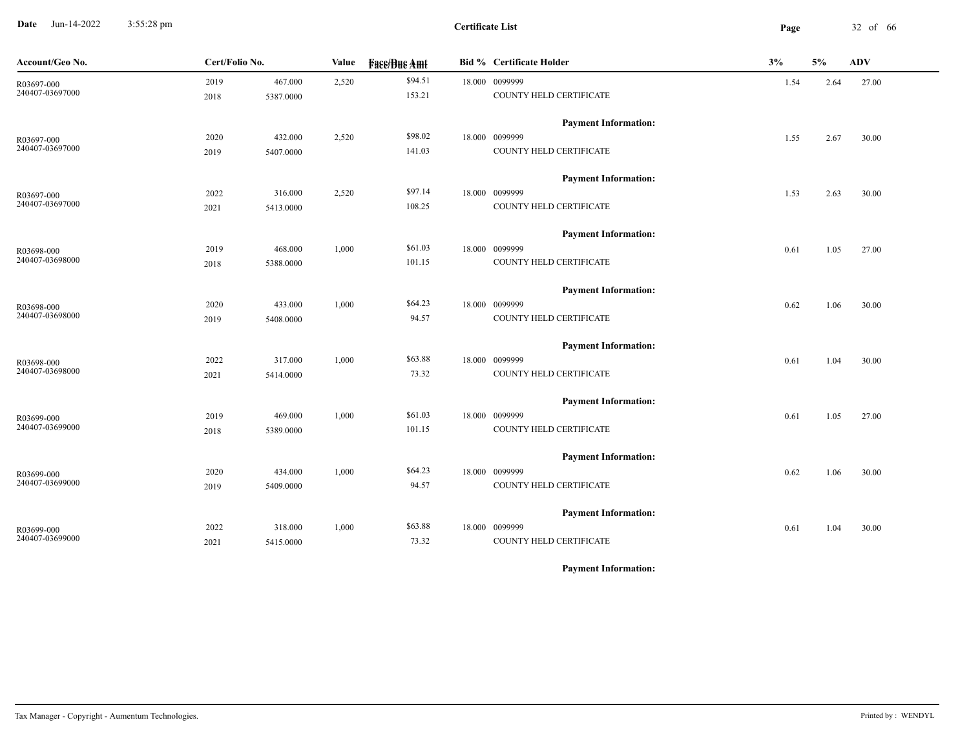**Date** Jun-14-2022 3:55:28 pm **Page** 32 of 66 3:55:28 pm

| Account/Geo No. | Cert/Folio No. |           | Value | <b>Fase/Bue Amt</b> | Bid % Certificate Holder    | 3%   | 5%   | <b>ADV</b> |
|-----------------|----------------|-----------|-------|---------------------|-----------------------------|------|------|------------|
| R03697-000      | 2019           | 467.000   | 2,520 | \$94.51             | 18.000 0099999              | 1.54 | 2.64 | 27.00      |
| 240407-03697000 | 2018           | 5387.0000 |       | 153.21              | COUNTY HELD CERTIFICATE     |      |      |            |
|                 |                |           |       |                     | <b>Payment Information:</b> |      |      |            |
| R03697-000      | 2020           | 432.000   | 2,520 | \$98.02             | 18.000 0099999              | 1.55 | 2.67 | 30.00      |
| 240407-03697000 | 2019           | 5407.0000 |       | 141.03              | COUNTY HELD CERTIFICATE     |      |      |            |
|                 |                |           |       |                     | <b>Payment Information:</b> |      |      |            |
| R03697-000      | 2022           | 316.000   | 2,520 | \$97.14             | 18.000 0099999              | 1.53 | 2.63 | 30.00      |
| 240407-03697000 | 2021           | 5413.0000 |       | 108.25              | COUNTY HELD CERTIFICATE     |      |      |            |
|                 |                |           |       |                     | <b>Payment Information:</b> |      |      |            |
| R03698-000      | 2019           | 468.000   | 1,000 | \$61.03             | 18.000 0099999              | 0.61 | 1.05 | 27.00      |
| 240407-03698000 | 2018           | 5388.0000 |       | 101.15              | COUNTY HELD CERTIFICATE     |      |      |            |
|                 |                |           |       |                     | <b>Payment Information:</b> |      |      |            |
| R03698-000      | 2020           | 433.000   | 1,000 | \$64.23             | 18.000 0099999              | 0.62 | 1.06 | 30.00      |
| 240407-03698000 | 2019           | 5408.0000 |       | 94.57               | COUNTY HELD CERTIFICATE     |      |      |            |
|                 |                |           |       |                     | <b>Payment Information:</b> |      |      |            |
| R03698-000      | 2022           | 317.000   | 1,000 | \$63.88             | 18.000 0099999              | 0.61 | 1.04 | 30.00      |
| 240407-03698000 | 2021           | 5414.0000 |       | 73.32               | COUNTY HELD CERTIFICATE     |      |      |            |
|                 |                |           |       |                     | <b>Payment Information:</b> |      |      |            |
| R03699-000      | 2019           | 469.000   | 1,000 | \$61.03             | 18.000 0099999              | 0.61 | 1.05 | 27.00      |
| 240407-03699000 | 2018           | 5389.0000 |       | 101.15              | COUNTY HELD CERTIFICATE     |      |      |            |
|                 |                |           |       |                     | <b>Payment Information:</b> |      |      |            |
| R03699-000      | 2020           | 434.000   | 1,000 | \$64.23             | 18.000 0099999              | 0.62 | 1.06 | 30.00      |
| 240407-03699000 | 2019           | 5409.0000 |       | 94.57               | COUNTY HELD CERTIFICATE     |      |      |            |
|                 |                |           |       |                     | <b>Payment Information:</b> |      |      |            |
| R03699-000      | 2022           | 318.000   | 1,000 | \$63.88             | 18.000 0099999              | 0.61 | 1.04 | 30.00      |
| 240407-03699000 | 2021           | 5415.0000 |       | 73.32               | COUNTY HELD CERTIFICATE     |      |      |            |
|                 |                |           |       |                     |                             |      |      |            |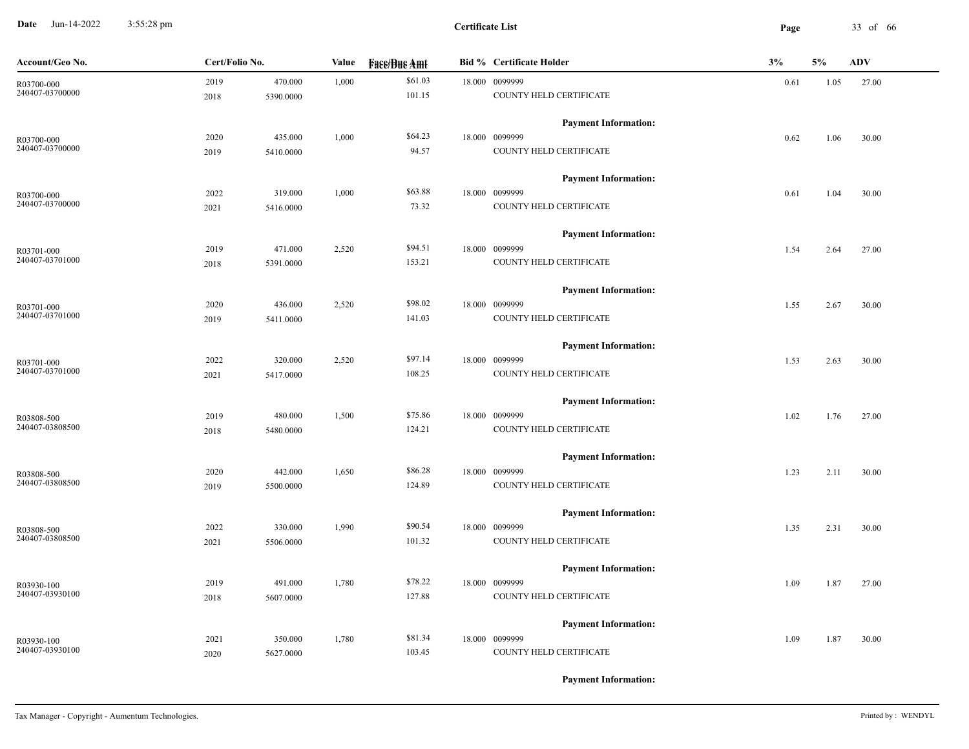**Date** Jun-14-2022 3:55:28 pm **Page** 33 of 66 3:55:28 pm

| Account/Geo No. | Cert/Folio No. |           | Value | <b>Face/Bue Amt</b> | <b>Bid % Certificate Holder</b> | 3%   | 5%   | <b>ADV</b> |
|-----------------|----------------|-----------|-------|---------------------|---------------------------------|------|------|------------|
| R03700-000      | 2019           | 470.000   | 1,000 | \$61.03             | 18.000 0099999                  | 0.61 | 1.05 | 27.00      |
| 240407-03700000 | 2018           | 5390.0000 |       | 101.15              | COUNTY HELD CERTIFICATE         |      |      |            |
|                 |                |           |       |                     | <b>Payment Information:</b>     |      |      |            |
| R03700-000      | 2020           | 435.000   | 1,000 | \$64.23             | 18.000 0099999                  | 0.62 | 1.06 | 30.00      |
| 240407-03700000 | 2019           | 5410.0000 |       | 94.57               | COUNTY HELD CERTIFICATE         |      |      |            |
|                 |                |           |       |                     | <b>Payment Information:</b>     |      |      |            |
| R03700-000      | 2022           | 319.000   | 1,000 | \$63.88             | 18.000 0099999                  | 0.61 | 1.04 | 30.00      |
| 240407-03700000 | 2021           | 5416.0000 |       | 73.32               | COUNTY HELD CERTIFICATE         |      |      |            |
|                 |                |           |       |                     | <b>Payment Information:</b>     |      |      |            |
| R03701-000      | 2019           | 471.000   | 2,520 | \$94.51             | 18.000 0099999                  | 1.54 | 2.64 | 27.00      |
| 240407-03701000 | 2018           | 5391.0000 |       | 153.21              | COUNTY HELD CERTIFICATE         |      |      |            |
|                 |                |           |       |                     | <b>Payment Information:</b>     |      |      |            |
| R03701-000      | 2020           | 436.000   | 2,520 | \$98.02             | 18.000 0099999                  | 1.55 | 2.67 | 30.00      |
| 240407-03701000 | 2019           | 5411.0000 |       | 141.03              | COUNTY HELD CERTIFICATE         |      |      |            |
|                 |                |           |       |                     | <b>Payment Information:</b>     |      |      |            |
| R03701-000      | 2022           | 320.000   | 2,520 | \$97.14             | 18.000 0099999                  | 1.53 | 2.63 | 30.00      |
| 240407-03701000 | 2021           | 5417.0000 |       | 108.25              | COUNTY HELD CERTIFICATE         |      |      |            |
|                 |                |           |       |                     | <b>Payment Information:</b>     |      |      |            |
| R03808-500      | 2019           | 480.000   | 1,500 | \$75.86             | 18.000 0099999                  | 1.02 | 1.76 | 27.00      |
| 240407-03808500 | 2018           | 5480.0000 |       | 124.21              | COUNTY HELD CERTIFICATE         |      |      |            |
|                 |                |           |       |                     | <b>Payment Information:</b>     |      |      |            |
| R03808-500      | 2020           | 442.000   | 1,650 | \$86.28             | 18.000 0099999                  | 1.23 | 2.11 | 30.00      |
| 240407-03808500 | 2019           | 5500.0000 |       | 124.89              | COUNTY HELD CERTIFICATE         |      |      |            |
|                 |                |           |       |                     | <b>Payment Information:</b>     |      |      |            |
| R03808-500      | 2022           | 330.000   | 1,990 | \$90.54             | 18.000 0099999                  | 1.35 | 2.31 | 30.00      |
| 240407-03808500 | 2021           | 5506.0000 |       | 101.32              | COUNTY HELD CERTIFICATE         |      |      |            |
|                 |                |           |       |                     | <b>Payment Information:</b>     |      |      |            |
| R03930-100      | 2019           | 491.000   | 1,780 | \$78.22             | 18.000 0099999                  | 1.09 | 1.87 | 27.00      |
| 240407-03930100 | 2018           | 5607.0000 |       | 127.88              | COUNTY HELD CERTIFICATE         |      |      |            |
|                 |                |           |       |                     | <b>Payment Information:</b>     |      |      |            |
| R03930-100      | 2021           | 350.000   | 1,780 | \$81.34             | 18.000 0099999                  | 1.09 | 1.87 | 30.00      |
|                 | 2020           | 5627.0000 |       | 103.45              | COUNTY HELD CERTIFICATE         |      |      |            |
| 240407-03930100 |                |           |       |                     |                                 |      |      |            |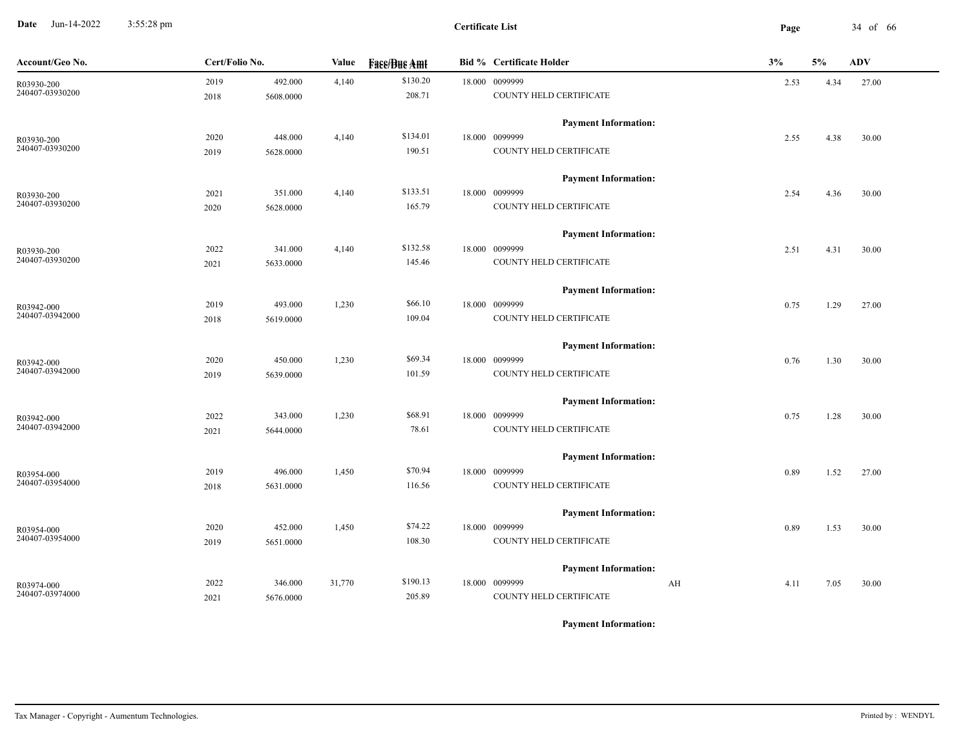**Date** Jun-14-2022 3:55:28 pm **Page** 34 of 66 3:55:28 pm

| Account/Geo No. | Cert/Folio No.    | Value  | <b>Face/Bue Amt</b> | <b>Bid % Certificate Holder</b> | 3%         | 5%   | <b>ADV</b> |
|-----------------|-------------------|--------|---------------------|---------------------------------|------------|------|------------|
| R03930-200      | 2019<br>492.000   | 4,140  | \$130.20            | 18.000 0099999                  | 2.53       | 4.34 | 27.00      |
| 240407-03930200 | 2018<br>5608.0000 |        | 208.71              | COUNTY HELD CERTIFICATE         |            |      |            |
|                 |                   |        |                     | <b>Payment Information:</b>     |            |      |            |
| R03930-200      | 448.000<br>2020   | 4,140  | \$134.01            | 18.000 0099999                  | 2.55       | 4.38 | 30.00      |
| 240407-03930200 | 2019<br>5628.0000 |        | 190.51              | COUNTY HELD CERTIFICATE         |            |      |            |
|                 |                   |        |                     | <b>Payment Information:</b>     |            |      |            |
| R03930-200      | 2021<br>351.000   | 4,140  | \$133.51            | 18.000 0099999                  | 2.54       | 4.36 | 30.00      |
| 240407-03930200 | 2020<br>5628.0000 |        | 165.79              | COUNTY HELD CERTIFICATE         |            |      |            |
|                 |                   |        |                     | <b>Payment Information:</b>     |            |      |            |
| R03930-200      | 341.000<br>2022   | 4,140  | \$132.58            | 18.000 0099999                  | 2.51       | 4.31 | 30.00      |
| 240407-03930200 | 2021<br>5633.0000 |        | 145.46              | COUNTY HELD CERTIFICATE         |            |      |            |
|                 |                   |        |                     | <b>Payment Information:</b>     |            |      |            |
| R03942-000      | 493.000<br>2019   | 1,230  | \$66.10             | 18.000 0099999                  | 0.75       | 1.29 | 27.00      |
| 240407-03942000 | 5619.0000<br>2018 |        | 109.04              | COUNTY HELD CERTIFICATE         |            |      |            |
|                 |                   |        |                     | <b>Payment Information:</b>     |            |      |            |
| R03942-000      | 450.000<br>2020   | 1,230  | \$69.34             | 18.000 0099999                  | 0.76       | 1.30 | 30.00      |
| 240407-03942000 | 2019<br>5639.0000 |        | 101.59              | COUNTY HELD CERTIFICATE         |            |      |            |
|                 |                   |        |                     | <b>Payment Information:</b>     |            |      |            |
| R03942-000      | 2022<br>343.000   | 1,230  | \$68.91             | 18.000 0099999                  | 0.75       | 1.28 | 30.00      |
| 240407-03942000 | 2021<br>5644.0000 |        | 78.61               | COUNTY HELD CERTIFICATE         |            |      |            |
|                 |                   |        |                     | <b>Payment Information:</b>     |            |      |            |
| R03954-000      | 496.000<br>2019   | 1,450  | \$70.94             | 18.000 0099999                  | 0.89       | 1.52 | 27.00      |
| 240407-03954000 | 2018<br>5631.0000 |        | 116.56              | COUNTY HELD CERTIFICATE         |            |      |            |
|                 |                   |        |                     | <b>Payment Information:</b>     |            |      |            |
| R03954-000      | 2020<br>452.000   | 1,450  | \$74.22             | 18.000 0099999                  | 0.89       | 1.53 | 30.00      |
| 240407-03954000 | 2019<br>5651.0000 |        | 108.30              | COUNTY HELD CERTIFICATE         |            |      |            |
|                 |                   |        |                     | <b>Payment Information:</b>     |            |      |            |
| R03974-000      | 2022<br>346.000   | 31,770 | \$190.13            | 18.000 0099999                  | AH<br>4.11 | 7.05 | 30.00      |
| 240407-03974000 | 2021<br>5676.0000 |        | 205.89              | COUNTY HELD CERTIFICATE         |            |      |            |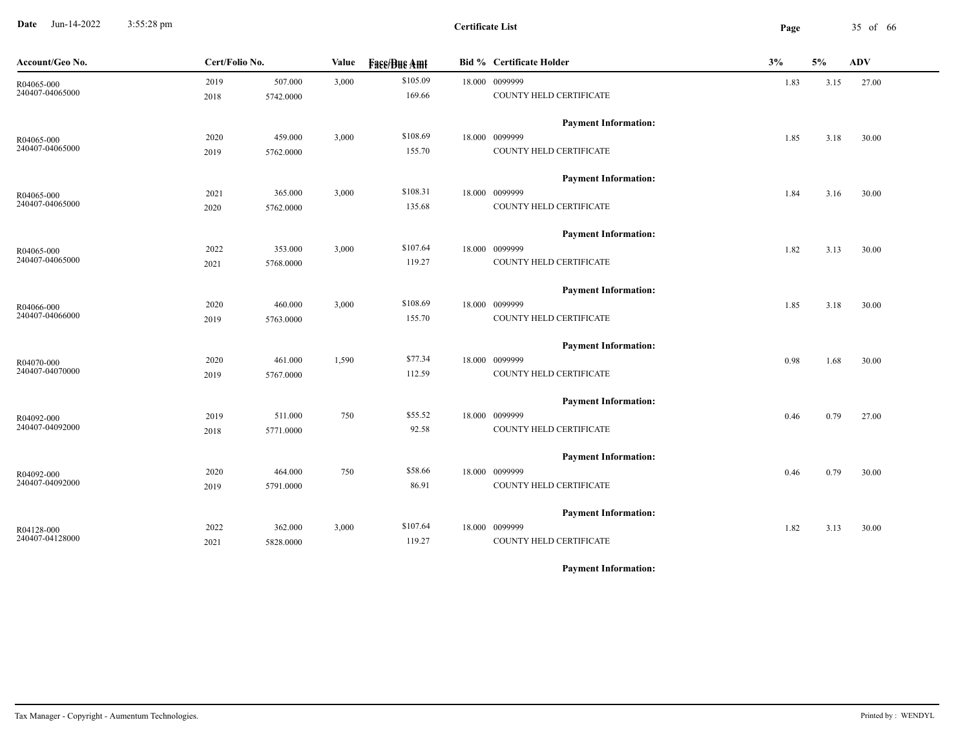**Date** Jun-14-2022 3:55:28 pm **Page** 35 of 66 3:55:28 pm

**Certificate List**

| Account/Geo No.               | Cert/Folio No. |           | Value | <b>Face/Bue Amt</b> | <b>Bid % Certificate Holder</b> | 3%   | $5\%$ | <b>ADV</b> |
|-------------------------------|----------------|-----------|-------|---------------------|---------------------------------|------|-------|------------|
| R04065-000<br>240407-04065000 | 2019           | 507.000   | 3,000 | \$105.09            | 18.000 0099999                  | 1.83 | 3.15  | 27.00      |
|                               | 2018           | 5742.0000 |       | 169.66              | COUNTY HELD CERTIFICATE         |      |       |            |
|                               |                |           |       |                     | <b>Payment Information:</b>     |      |       |            |
| R04065-000                    | 2020           | 459.000   | 3,000 | \$108.69            | 18.000 0099999                  | 1.85 | 3.18  | 30.00      |
| 240407-04065000               | 2019           | 5762.0000 |       | 155.70              | COUNTY HELD CERTIFICATE         |      |       |            |
|                               |                |           |       |                     | <b>Payment Information:</b>     |      |       |            |
| R04065-000                    | 2021           | 365.000   | 3,000 | \$108.31            | 18.000 0099999                  | 1.84 | 3.16  | 30.00      |
| 240407-04065000               | 2020           | 5762.0000 |       | 135.68              | COUNTY HELD CERTIFICATE         |      |       |            |
|                               |                |           |       |                     | <b>Payment Information:</b>     |      |       |            |
| R04065-000                    | 2022           | 353.000   | 3,000 | \$107.64            | 18.000 0099999                  | 1.82 | 3.13  | 30.00      |
| 240407-04065000               | 2021           | 5768.0000 |       | 119.27              | COUNTY HELD CERTIFICATE         |      |       |            |
|                               |                |           |       |                     | <b>Payment Information:</b>     |      |       |            |
| R04066-000                    | 2020           | 460.000   | 3,000 | \$108.69            | 18.000 0099999                  | 1.85 | 3.18  | 30.00      |
| 240407-04066000               | 2019           | 5763.0000 |       | 155.70              | COUNTY HELD CERTIFICATE         |      |       |            |
|                               |                |           |       |                     | <b>Payment Information:</b>     |      |       |            |
| R04070-000                    | 2020           | 461.000   | 1,590 | \$77.34             | 18.000 0099999                  | 0.98 | 1.68  | 30.00      |
| 240407-04070000               | 2019           | 5767.0000 |       | 112.59              | COUNTY HELD CERTIFICATE         |      |       |            |
|                               |                |           |       |                     | <b>Payment Information:</b>     |      |       |            |
| R04092-000                    | 2019           | 511.000   | 750   | \$55.52             | 18.000 0099999                  | 0.46 | 0.79  | 27.00      |
| 240407-04092000               | 2018           | 5771.0000 |       | 92.58               | COUNTY HELD CERTIFICATE         |      |       |            |
|                               |                |           |       |                     | <b>Payment Information:</b>     |      |       |            |
| R04092-000                    | 2020           | 464.000   | 750   | \$58.66             | 18.000 0099999                  | 0.46 | 0.79  | 30.00      |
| 240407-04092000               | 2019           | 5791.0000 |       | 86.91               | COUNTY HELD CERTIFICATE         |      |       |            |
|                               |                |           |       |                     | <b>Payment Information:</b>     |      |       |            |
| R04128-000                    | 2022           | 362.000   | 3,000 | \$107.64            | 18.000 0099999                  | 1.82 | 3.13  | 30.00      |
| 240407-04128000               | 2021           | 5828.0000 |       | 119.27              | COUNTY HELD CERTIFICATE         |      |       |            |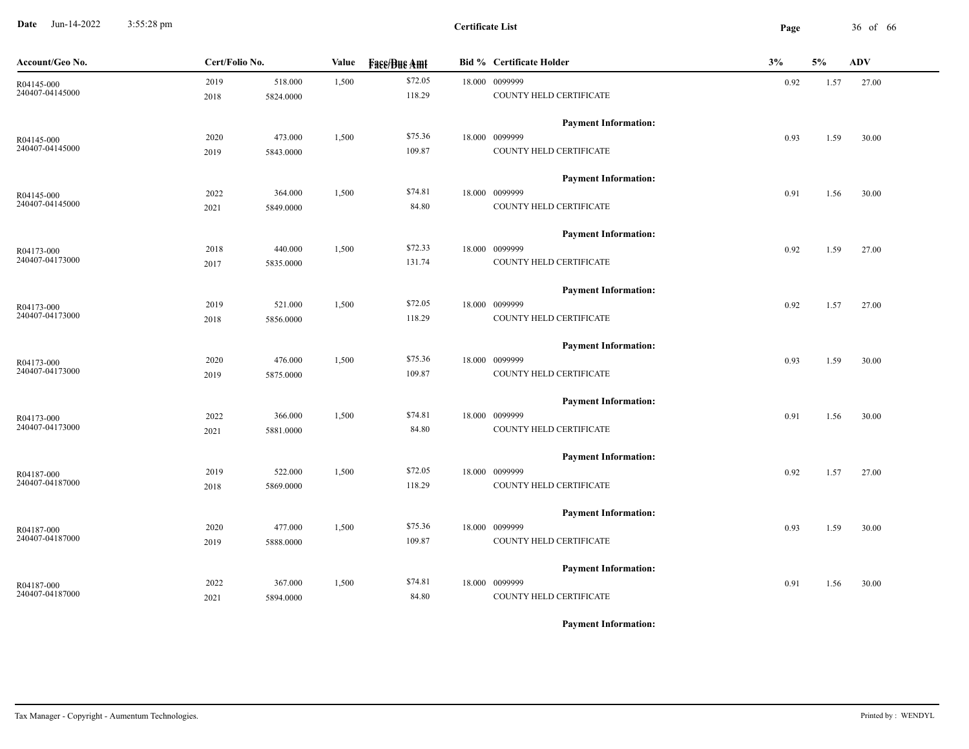**Date** Jun-14-2022 3:55:28 pm **Page** 36 of 66 3:55:28 pm

**Certificate List**

| Account/Geo No. | Cert/Folio No. |           | Value | <b>Face/Bue Amt</b> | <b>Bid % Certificate Holder</b> |                             | 3%   | 5%   | <b>ADV</b> |
|-----------------|----------------|-----------|-------|---------------------|---------------------------------|-----------------------------|------|------|------------|
| R04145-000      | 2019           | 518.000   | 1,500 | \$72.05             |                                 | 18.000 0099999              | 0.92 | 1.57 | 27.00      |
| 240407-04145000 | 2018           | 5824.0000 |       | 118.29              |                                 | COUNTY HELD CERTIFICATE     |      |      |            |
|                 |                |           |       |                     |                                 | <b>Payment Information:</b> |      |      |            |
| R04145-000      | 2020           | 473.000   | 1,500 | \$75.36             |                                 | 18.000 0099999              | 0.93 | 1.59 | 30.00      |
| 240407-04145000 | 2019           | 5843.0000 |       | 109.87              |                                 | COUNTY HELD CERTIFICATE     |      |      |            |
|                 |                |           |       |                     |                                 | <b>Payment Information:</b> |      |      |            |
| R04145-000      | 2022           | 364.000   | 1,500 | \$74.81             |                                 | 18.000 0099999              | 0.91 | 1.56 | 30.00      |
| 240407-04145000 | 2021           | 5849.0000 |       | 84.80               |                                 | COUNTY HELD CERTIFICATE     |      |      |            |
|                 |                |           |       |                     |                                 | <b>Payment Information:</b> |      |      |            |
| R04173-000      | 2018           | 440.000   | 1,500 | \$72.33             |                                 | 18.000 0099999              | 0.92 | 1.59 | 27.00      |
| 240407-04173000 | 2017           | 5835.0000 |       | 131.74              |                                 | COUNTY HELD CERTIFICATE     |      |      |            |
|                 |                |           |       |                     |                                 | <b>Payment Information:</b> |      |      |            |
| R04173-000      | 2019           | 521.000   | 1,500 | \$72.05             |                                 | 18.000 0099999              | 0.92 | 1.57 | 27.00      |
| 240407-04173000 | 2018           | 5856.0000 |       | 118.29              |                                 | COUNTY HELD CERTIFICATE     |      |      |            |
|                 |                |           |       |                     |                                 | <b>Payment Information:</b> |      |      |            |
| R04173-000      | 2020           | 476.000   | 1,500 | \$75.36             |                                 | 18.000 0099999              | 0.93 | 1.59 | 30.00      |
| 240407-04173000 | 2019           | 5875.0000 |       | 109.87              |                                 | COUNTY HELD CERTIFICATE     |      |      |            |
|                 |                |           |       |                     |                                 | <b>Payment Information:</b> |      |      |            |
| R04173-000      | 2022           | 366.000   | 1,500 | \$74.81             |                                 | 18.000 0099999              | 0.91 | 1.56 | 30.00      |
| 240407-04173000 | 2021           | 5881.0000 |       | 84.80               |                                 | COUNTY HELD CERTIFICATE     |      |      |            |
|                 |                |           |       |                     |                                 | <b>Payment Information:</b> |      |      |            |
| R04187-000      | 2019           | 522.000   | 1,500 | \$72.05             |                                 | 18.000 0099999              | 0.92 | 1.57 | 27.00      |
| 240407-04187000 | 2018           | 5869.0000 |       | 118.29              |                                 | COUNTY HELD CERTIFICATE     |      |      |            |
|                 |                |           |       |                     |                                 | <b>Payment Information:</b> |      |      |            |
| R04187-000      | 2020           | 477.000   | 1,500 | \$75.36             |                                 | 18.000 0099999              | 0.93 | 1.59 | 30.00      |
| 240407-04187000 | 2019           | 5888.0000 |       | 109.87              |                                 | COUNTY HELD CERTIFICATE     |      |      |            |
|                 |                |           |       |                     |                                 | <b>Payment Information:</b> |      |      |            |
| R04187-000      | 2022           | 367.000   | 1,500 | \$74.81             |                                 | 18.000 0099999              | 0.91 | 1.56 | 30.00      |
| 240407-04187000 | 2021           | 5894.0000 |       | 84.80               |                                 | COUNTY HELD CERTIFICATE     |      |      |            |
|                 |                |           |       |                     |                                 |                             |      |      |            |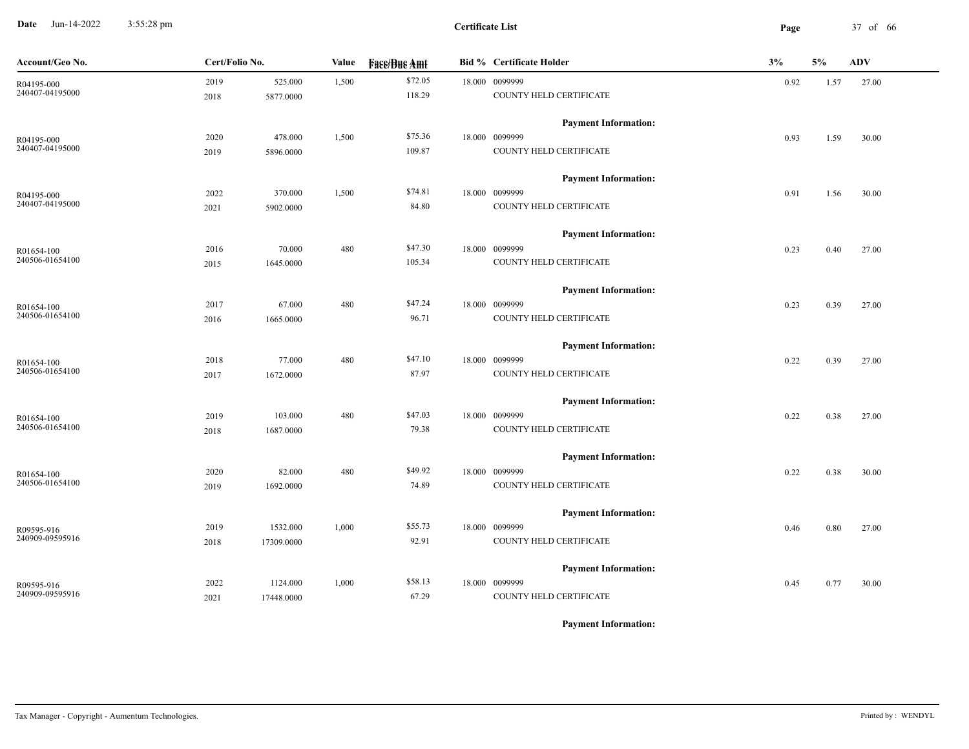**Date** Jun-14-2022 3:55:28 pm **Page** 37 of 66 3:55:28 pm

**Certificate List**

| Account/Geo No. | Cert/Folio No. |            | Value<br><b>Fase/Bue Amt</b> |         | <b>Bid % Certificate Holder</b> | 3%<br>5%                    |      | <b>ADV</b> |       |
|-----------------|----------------|------------|------------------------------|---------|---------------------------------|-----------------------------|------|------------|-------|
| R04195-000      | 2019           | 525.000    | 1,500                        | \$72.05 |                                 | 18.000 0099999              | 0.92 | 1.57       | 27.00 |
| 240407-04195000 | 2018           | 5877.0000  |                              | 118.29  |                                 | COUNTY HELD CERTIFICATE     |      |            |       |
|                 |                |            |                              |         |                                 | <b>Payment Information:</b> |      |            |       |
| R04195-000      | 2020           | 478.000    | 1,500                        | \$75.36 |                                 | 18.000 0099999              | 0.93 | 1.59       | 30.00 |
| 240407-04195000 | 2019           | 5896.0000  |                              | 109.87  |                                 | COUNTY HELD CERTIFICATE     |      |            |       |
|                 |                |            |                              |         |                                 | <b>Payment Information:</b> |      |            |       |
| R04195-000      | 2022           | 370.000    | 1,500                        | \$74.81 |                                 | 18.000 0099999              | 0.91 | 1.56       | 30.00 |
| 240407-04195000 | 2021           | 5902.0000  |                              | 84.80   |                                 | COUNTY HELD CERTIFICATE     |      |            |       |
|                 |                |            |                              |         |                                 | <b>Payment Information:</b> |      |            |       |
| R01654-100      | 2016           | 70.000     | 480                          | \$47.30 |                                 | 18.000 0099999              | 0.23 | 0.40       | 27.00 |
| 240506-01654100 | 2015           | 1645.0000  |                              | 105.34  |                                 | COUNTY HELD CERTIFICATE     |      |            |       |
|                 |                |            |                              |         |                                 | <b>Payment Information:</b> |      |            |       |
| R01654-100      | 2017           | 67.000     | 480                          | \$47.24 |                                 | 18.000 0099999              | 0.23 | 0.39       | 27.00 |
| 240506-01654100 | 2016           | 1665.0000  |                              | 96.71   |                                 | COUNTY HELD CERTIFICATE     |      |            |       |
|                 |                |            |                              |         |                                 | <b>Payment Information:</b> |      |            |       |
| R01654-100      | 2018           | 77.000     | 480                          | \$47.10 |                                 | 18.000 0099999              | 0.22 | 0.39       | 27.00 |
| 240506-01654100 | 2017           | 1672.0000  |                              | 87.97   |                                 | COUNTY HELD CERTIFICATE     |      |            |       |
|                 |                |            |                              |         |                                 | <b>Payment Information:</b> |      |            |       |
| R01654-100      | 2019           | 103.000    | 480                          | \$47.03 |                                 | 18.000 0099999              | 0.22 | 0.38       | 27.00 |
| 240506-01654100 | 2018           | 1687.0000  |                              | 79.38   |                                 | COUNTY HELD CERTIFICATE     |      |            |       |
|                 |                |            |                              |         |                                 | <b>Payment Information:</b> |      |            |       |
| R01654-100      | 2020           | 82.000     | 480                          | \$49.92 |                                 | 18.000 0099999              | 0.22 | 0.38       | 30.00 |
| 240506-01654100 | 2019           | 1692.0000  |                              | 74.89   |                                 | COUNTY HELD CERTIFICATE     |      |            |       |
|                 |                |            |                              |         |                                 | <b>Payment Information:</b> |      |            |       |
| R09595-916      | 2019           | 1532.000   | 1,000                        | \$55.73 |                                 | 18.000 0099999              | 0.46 | 0.80       | 27.00 |
| 240909-09595916 | 2018           | 17309.0000 |                              | 92.91   |                                 | COUNTY HELD CERTIFICATE     |      |            |       |
|                 |                |            |                              |         |                                 | <b>Payment Information:</b> |      |            |       |
| R09595-916      | 2022           | 1124.000   | 1,000                        | \$58.13 |                                 | 18.000 0099999              | 0.45 | 0.77       | 30.00 |
| 240909-09595916 | 2021           | 17448.0000 |                              | 67.29   |                                 | COUNTY HELD CERTIFICATE     |      |            |       |
|                 |                |            |                              |         |                                 |                             |      |            |       |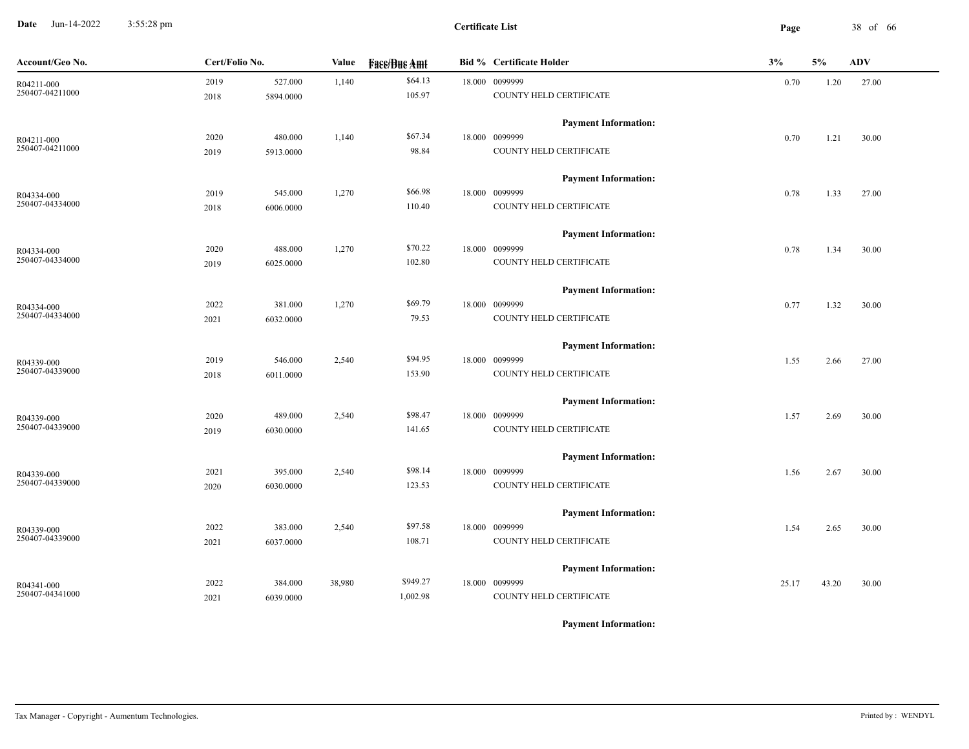**Date** Jun-14-2022 3:55:28 pm **Page** 38 of 66 3:55:28 pm

| Account/Geo No. | Cert/Folio No. |           | Value  | <b>Bid % Certificate Holder</b><br><b>Face/Bue Amt</b> |  |                             | 3%    | 5%    | <b>ADV</b> |
|-----------------|----------------|-----------|--------|--------------------------------------------------------|--|-----------------------------|-------|-------|------------|
| R04211-000      | 2019           | 527.000   | 1,140  | \$64.13                                                |  | 18.000 0099999              | 0.70  | 1.20  | 27.00      |
| 250407-04211000 | 2018           | 5894.0000 |        | 105.97                                                 |  | COUNTY HELD CERTIFICATE     |       |       |            |
|                 |                |           |        |                                                        |  | <b>Payment Information:</b> |       |       |            |
| R04211-000      | 2020           | 480.000   | 1,140  | \$67.34                                                |  | 18.000 0099999              | 0.70  | 1.21  | 30.00      |
| 250407-04211000 | 2019           | 5913.0000 |        | 98.84                                                  |  | COUNTY HELD CERTIFICATE     |       |       |            |
|                 |                |           |        |                                                        |  | <b>Payment Information:</b> |       |       |            |
| R04334-000      | 2019           | 545.000   | 1,270  | \$66.98                                                |  | 18.000 0099999              | 0.78  | 1.33  | 27.00      |
| 250407-04334000 | 2018           | 6006.0000 |        | 110.40                                                 |  | COUNTY HELD CERTIFICATE     |       |       |            |
|                 |                |           |        |                                                        |  | <b>Payment Information:</b> |       |       |            |
| R04334-000      | 2020           | 488.000   | 1,270  | \$70.22                                                |  | 18.000 0099999              | 0.78  | 1.34  | 30.00      |
| 250407-04334000 | 2019           | 6025.0000 |        | 102.80                                                 |  | COUNTY HELD CERTIFICATE     |       |       |            |
|                 |                |           |        |                                                        |  | <b>Payment Information:</b> |       |       |            |
| R04334-000      | 2022           | 381.000   | 1,270  | \$69.79                                                |  | 18.000 0099999              | 0.77  | 1.32  | 30.00      |
| 250407-04334000 | 2021           | 6032.0000 |        | 79.53                                                  |  | COUNTY HELD CERTIFICATE     |       |       |            |
|                 |                |           |        |                                                        |  | <b>Payment Information:</b> |       |       |            |
| R04339-000      | 2019           | 546.000   | 2,540  | \$94.95                                                |  | 18.000 0099999              | 1.55  | 2.66  | 27.00      |
| 250407-04339000 | 2018           | 6011.0000 |        | 153.90                                                 |  | COUNTY HELD CERTIFICATE     |       |       |            |
|                 |                |           |        |                                                        |  | <b>Payment Information:</b> |       |       |            |
| R04339-000      | 2020           | 489.000   | 2,540  | \$98.47                                                |  | 18.000 0099999              | 1.57  | 2.69  | 30.00      |
| 250407-04339000 | 2019           | 6030.0000 |        | 141.65                                                 |  | COUNTY HELD CERTIFICATE     |       |       |            |
|                 |                |           |        |                                                        |  | <b>Payment Information:</b> |       |       |            |
| R04339-000      | 2021           | 395.000   | 2,540  | \$98.14                                                |  | 18.000 0099999              | 1.56  | 2.67  | 30.00      |
| 250407-04339000 | 2020           | 6030.0000 |        | 123.53                                                 |  | COUNTY HELD CERTIFICATE     |       |       |            |
|                 |                |           |        |                                                        |  | <b>Payment Information:</b> |       |       |            |
| R04339-000      | 2022           | 383.000   | 2,540  | \$97.58                                                |  | 18.000 0099999              | 1.54  | 2.65  | 30.00      |
| 250407-04339000 | 2021           | 6037.0000 |        | 108.71                                                 |  | COUNTY HELD CERTIFICATE     |       |       |            |
|                 |                |           |        |                                                        |  | <b>Payment Information:</b> |       |       |            |
| R04341-000      | 2022           | 384.000   | 38,980 | \$949.27                                               |  | 18.000 0099999              | 25.17 | 43.20 | 30.00      |
| 250407-04341000 | 2021           | 6039.0000 |        | 1,002.98                                               |  | COUNTY HELD CERTIFICATE     |       |       |            |
|                 |                |           |        |                                                        |  |                             |       |       |            |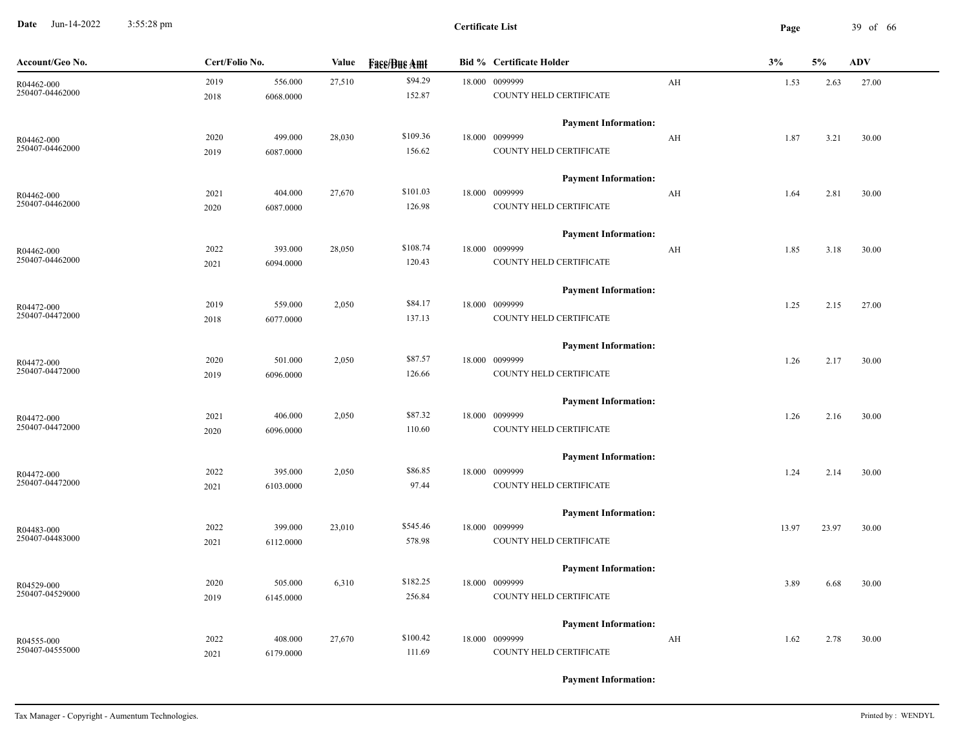**Date** Jun-14-2022 3:55:28 pm **Page** 39 of 66 3:55:28 pm

| \$94.29<br>2019<br>27,510<br>18.000 0099999<br>556.000<br>$\mathbf{A} \mathbf{H}$<br>1.53<br>2.63<br>27.00<br>R04462-000<br>250407-04462000<br>152.87<br>COUNTY HELD CERTIFICATE<br>2018<br>6068.0000<br><b>Payment Information:</b><br>\$109.36<br>499.000<br>28,030<br>18.000 0099999<br>2020<br>AH<br>3.21<br>30.00<br>1.87<br>R04462-000<br>250407-04462000<br>COUNTY HELD CERTIFICATE<br>156.62<br>2019<br>6087.0000<br><b>Payment Information:</b> |  |
|----------------------------------------------------------------------------------------------------------------------------------------------------------------------------------------------------------------------------------------------------------------------------------------------------------------------------------------------------------------------------------------------------------------------------------------------------------|--|
|                                                                                                                                                                                                                                                                                                                                                                                                                                                          |  |
|                                                                                                                                                                                                                                                                                                                                                                                                                                                          |  |
|                                                                                                                                                                                                                                                                                                                                                                                                                                                          |  |
|                                                                                                                                                                                                                                                                                                                                                                                                                                                          |  |
|                                                                                                                                                                                                                                                                                                                                                                                                                                                          |  |
|                                                                                                                                                                                                                                                                                                                                                                                                                                                          |  |
| \$101.03<br>18.000 0099999<br>2021<br>404.000<br>27,670<br>AH<br>30.00<br>1.64<br>2.81<br>R04462-000                                                                                                                                                                                                                                                                                                                                                     |  |
| 250407-04462000<br>126.98<br>COUNTY HELD CERTIFICATE<br>2020<br>6087.0000                                                                                                                                                                                                                                                                                                                                                                                |  |
| <b>Payment Information:</b>                                                                                                                                                                                                                                                                                                                                                                                                                              |  |
| \$108.74<br>18.000 0099999<br>2022<br>393.000<br>28,050<br>AH<br>30.00<br>1.85<br>3.18<br>R04462-000                                                                                                                                                                                                                                                                                                                                                     |  |
| 250407-04462000<br>120.43<br>COUNTY HELD CERTIFICATE<br>6094.0000<br>2021                                                                                                                                                                                                                                                                                                                                                                                |  |
| <b>Payment Information:</b>                                                                                                                                                                                                                                                                                                                                                                                                                              |  |
| \$84.17<br>2019<br>559.000<br>2,050<br>18.000 0099999<br>1.25<br>2.15<br>27.00<br>R04472-000                                                                                                                                                                                                                                                                                                                                                             |  |
| 250407-04472000<br>COUNTY HELD CERTIFICATE<br>137.13<br>2018<br>6077.0000                                                                                                                                                                                                                                                                                                                                                                                |  |
| <b>Payment Information:</b>                                                                                                                                                                                                                                                                                                                                                                                                                              |  |
| \$87.57<br>2,050<br>18.000 0099999<br>2020<br>501.000<br>30.00<br>1.26<br>2.17<br>R04472-000                                                                                                                                                                                                                                                                                                                                                             |  |
| 250407-04472000<br>126.66<br>COUNTY HELD CERTIFICATE<br>2019<br>6096.0000                                                                                                                                                                                                                                                                                                                                                                                |  |
| <b>Payment Information:</b>                                                                                                                                                                                                                                                                                                                                                                                                                              |  |
| \$87.32<br>2021<br>406.000<br>2,050<br>18.000 0099999<br>30.00<br>1.26<br>2.16<br>R04472-000                                                                                                                                                                                                                                                                                                                                                             |  |
| 250407-04472000<br>COUNTY HELD CERTIFICATE<br>110.60<br>2020<br>6096.0000                                                                                                                                                                                                                                                                                                                                                                                |  |
| <b>Payment Information:</b>                                                                                                                                                                                                                                                                                                                                                                                                                              |  |
| \$86.85<br>18.000 0099999<br>2022<br>395.000<br>2,050<br>30.00<br>1.24<br>2.14<br>R04472-000                                                                                                                                                                                                                                                                                                                                                             |  |
| 250407-04472000<br>97.44<br>COUNTY HELD CERTIFICATE<br>2021<br>6103.0000                                                                                                                                                                                                                                                                                                                                                                                 |  |
| <b>Payment Information:</b>                                                                                                                                                                                                                                                                                                                                                                                                                              |  |
| \$545.46<br>18.000 0099999<br>2022<br>399.000<br>23,010<br>13.97<br>23.97<br>30.00<br>R04483-000                                                                                                                                                                                                                                                                                                                                                         |  |
| 250407-04483000<br>578.98<br>COUNTY HELD CERTIFICATE<br>2021<br>6112.0000                                                                                                                                                                                                                                                                                                                                                                                |  |
| <b>Payment Information:</b>                                                                                                                                                                                                                                                                                                                                                                                                                              |  |
| \$182.25<br>18.000 0099999<br>2020<br>505.000<br>6,310<br>3.89<br>6.68<br>30.00<br>R04529-000                                                                                                                                                                                                                                                                                                                                                            |  |
| 250407-04529000<br>256.84<br>COUNTY HELD CERTIFICATE<br>2019<br>6145.0000                                                                                                                                                                                                                                                                                                                                                                                |  |
| <b>Payment Information:</b>                                                                                                                                                                                                                                                                                                                                                                                                                              |  |
| \$100.42<br>2022<br>27,670<br>18.000 0099999<br>408.000<br>AH<br>2.78<br>30.00<br>1.62<br>R04555-000                                                                                                                                                                                                                                                                                                                                                     |  |
| 250407-04555000<br>COUNTY HELD CERTIFICATE<br>111.69<br>2021<br>6179.0000                                                                                                                                                                                                                                                                                                                                                                                |  |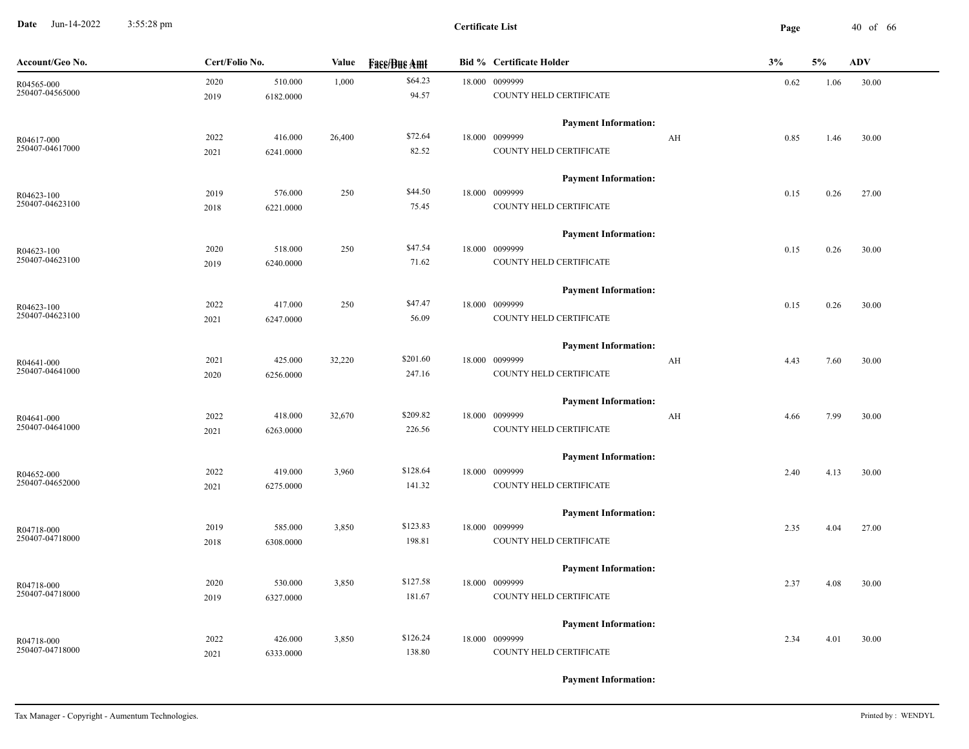**Date** Jun-14-2022 3:55:28 pm **Page** 40 of 66 3:55:28 pm

| Account/Geo No. | Cert/Folio No. |           | Value  | <b>Fase/Bue Amt</b> | <b>Bid % Certificate Holder</b> |    | 3%   | 5%   | <b>ADV</b> |
|-----------------|----------------|-----------|--------|---------------------|---------------------------------|----|------|------|------------|
| R04565-000      | 2020           | 510.000   | 1,000  | \$64.23             | 18.000 0099999                  |    | 0.62 | 1.06 | 30.00      |
| 250407-04565000 | 2019           | 6182.0000 |        | 94.57               | COUNTY HELD CERTIFICATE         |    |      |      |            |
|                 |                |           |        |                     | <b>Payment Information:</b>     |    |      |      |            |
| R04617-000      | 2022           | 416.000   | 26,400 | \$72.64             | 18.000 0099999                  | AH | 0.85 | 1.46 | 30.00      |
| 250407-04617000 | 2021           | 6241.0000 |        | 82.52               | COUNTY HELD CERTIFICATE         |    |      |      |            |
|                 |                |           |        |                     | <b>Payment Information:</b>     |    |      |      |            |
| R04623-100      | 2019           | 576.000   | 250    | \$44.50             | 18.000 0099999                  |    | 0.15 | 0.26 | 27.00      |
| 250407-04623100 | 2018           | 6221.0000 |        | 75.45               | COUNTY HELD CERTIFICATE         |    |      |      |            |
|                 |                |           |        |                     | <b>Payment Information:</b>     |    |      |      |            |
| R04623-100      | 2020           | 518.000   | 250    | \$47.54             | 18.000 0099999                  |    | 0.15 | 0.26 | 30.00      |
| 250407-04623100 | 2019           | 6240.0000 |        | 71.62               | COUNTY HELD CERTIFICATE         |    |      |      |            |
|                 |                |           |        |                     | <b>Payment Information:</b>     |    |      |      |            |
| R04623-100      | 2022           | 417.000   | 250    | \$47.47             | 18.000 0099999                  |    | 0.15 | 0.26 | 30.00      |
| 250407-04623100 | 2021           | 6247.0000 |        | 56.09               | COUNTY HELD CERTIFICATE         |    |      |      |            |
|                 |                |           |        |                     | <b>Payment Information:</b>     |    |      |      |            |
| R04641-000      | 2021           | 425.000   | 32,220 | \$201.60            | 18.000 0099999                  | AH | 4.43 | 7.60 | 30.00      |
| 250407-04641000 | 2020           | 6256.0000 |        | 247.16              | COUNTY HELD CERTIFICATE         |    |      |      |            |
|                 |                |           |        |                     | <b>Payment Information:</b>     |    |      |      |            |
| R04641-000      | 2022           | 418.000   | 32,670 | \$209.82            | 18.000 0099999                  | AH | 4.66 | 7.99 | 30.00      |
| 250407-04641000 | 2021           | 6263.0000 |        | 226.56              | COUNTY HELD CERTIFICATE         |    |      |      |            |
|                 |                |           |        |                     | <b>Payment Information:</b>     |    |      |      |            |
| R04652-000      | 2022           | 419.000   | 3,960  | \$128.64            | 18.000 0099999                  |    | 2.40 | 4.13 | 30.00      |
| 250407-04652000 | 2021           | 6275.0000 |        | 141.32              | COUNTY HELD CERTIFICATE         |    |      |      |            |
|                 |                |           |        |                     | <b>Payment Information:</b>     |    |      |      |            |
| R04718-000      | 2019           | 585.000   | 3,850  | \$123.83            | 18.000 0099999                  |    | 2.35 | 4.04 | 27.00      |
| 250407-04718000 | 2018           | 6308.0000 |        | 198.81              | COUNTY HELD CERTIFICATE         |    |      |      |            |
|                 |                |           |        |                     | <b>Payment Information:</b>     |    |      |      |            |
| R04718-000      | 2020           | 530.000   | 3,850  | \$127.58            | 18.000 0099999                  |    | 2.37 | 4.08 | 30.00      |
| 250407-04718000 | 2019           | 6327.0000 |        | 181.67              | COUNTY HELD CERTIFICATE         |    |      |      |            |
|                 |                |           |        |                     | <b>Payment Information:</b>     |    |      |      |            |
| R04718-000      | 2022           | 426.000   | 3,850  | \$126.24            | 18.000 0099999                  |    | 2.34 | 4.01 | 30.00      |
| 250407-04718000 | 2021           | 6333.0000 |        | 138.80              | COUNTY HELD CERTIFICATE         |    |      |      |            |
|                 |                |           |        |                     |                                 |    |      |      |            |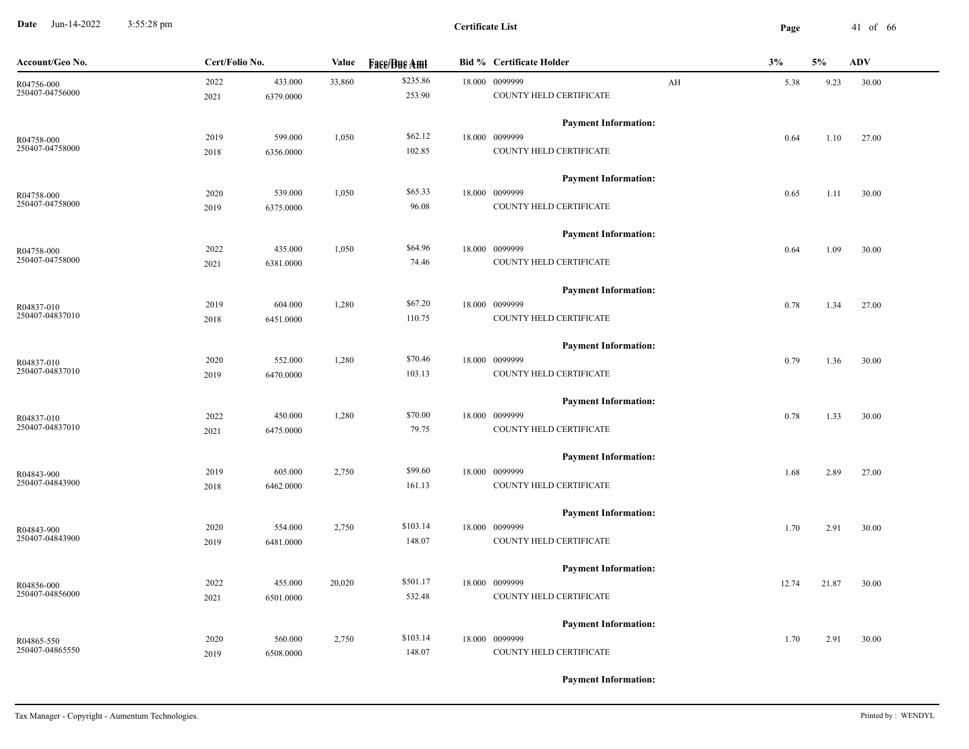**Date** Jun-14-2022 3:55:28 pm **Page** 41 of 66 3:55:28 pm

| Account/Geo No. | Cert/Folio No. |           | Value  | <b>Fass/Bus Amt</b> | <b>Bid % Certificate Holder</b> | 3%    | 5%    | <b>ADV</b> |
|-----------------|----------------|-----------|--------|---------------------|---------------------------------|-------|-------|------------|
| R04756-000      | 2022           | 433.000   | 33,860 | \$235.86            | 18.000 0099999<br>AH            | 5.38  | 9.23  | 30.00      |
| 250407-04756000 | 2021           | 6379.0000 |        | 253.90              | COUNTY HELD CERTIFICATE         |       |       |            |
|                 |                |           |        |                     | <b>Payment Information:</b>     |       |       |            |
| R04758-000      | 2019           | 599.000   | 1,050  | \$62.12             | 18.000 0099999                  | 0.64  | 1.10  | 27.00      |
| 250407-04758000 | 2018           | 6356.0000 |        | 102.85              | COUNTY HELD CERTIFICATE         |       |       |            |
|                 |                |           |        |                     | <b>Payment Information:</b>     |       |       |            |
| R04758-000      | 2020           | 539.000   | 1,050  | \$65.33             | 18.000 0099999                  | 0.65  | 1.11  | 30.00      |
| 250407-04758000 | 2019           | 6375.0000 |        | 96.08               | COUNTY HELD CERTIFICATE         |       |       |            |
|                 |                |           |        |                     | <b>Payment Information:</b>     |       |       |            |
| R04758-000      | 2022           | 435.000   | 1,050  | \$64.96             | 18.000 0099999                  | 0.64  | 1.09  | 30.00      |
| 250407-04758000 | 2021           | 6381.0000 |        | 74.46               | COUNTY HELD CERTIFICATE         |       |       |            |
|                 |                |           |        |                     | <b>Payment Information:</b>     |       |       |            |
| R04837-010      | 2019           | 604.000   | 1,280  | \$67.20             | 18.000 0099999                  | 0.78  | 1.34  | 27.00      |
| 250407-04837010 | 2018           | 6451.0000 |        | 110.75              | COUNTY HELD CERTIFICATE         |       |       |            |
|                 |                |           |        |                     | <b>Payment Information:</b>     |       |       |            |
| R04837-010      | 2020           | 552.000   | 1,280  | \$70.46             | 18.000 0099999                  | 0.79  | 1.36  | 30.00      |
| 250407-04837010 | 2019           | 6470.0000 |        | 103.13              | COUNTY HELD CERTIFICATE         |       |       |            |
|                 |                |           |        |                     | <b>Payment Information:</b>     |       |       |            |
| R04837-010      | 2022           | 450.000   | 1,280  | \$70.00             | 18.000 0099999                  | 0.78  | 1.33  | 30.00      |
| 250407-04837010 | 2021           | 6475.0000 |        | 79.75               | COUNTY HELD CERTIFICATE         |       |       |            |
|                 |                |           |        |                     | <b>Payment Information:</b>     |       |       |            |
| R04843-900      | 2019           | 605.000   | 2,750  | \$99.60             | 18.000 0099999                  | 1.68  | 2.89  | 27.00      |
| 250407-04843900 | 2018           | 6462.0000 |        | 161.13              | COUNTY HELD CERTIFICATE         |       |       |            |
|                 |                |           |        |                     | <b>Payment Information:</b>     |       |       |            |
| R04843-900      | 2020           | 554.000   | 2,750  | \$103.14            | 18.000 0099999                  | 1.70  | 2.91  | 30.00      |
| 250407-04843900 | 2019           | 6481.0000 |        | 148.07              | COUNTY HELD CERTIFICATE         |       |       |            |
|                 |                |           |        |                     | <b>Payment Information:</b>     |       |       |            |
| R04856-000      | 2022           | 455.000   | 20,020 | \$501.17            | 18.000 0099999                  | 12.74 | 21.87 | 30.00      |
| 250407-04856000 | 2021           | 6501.0000 |        | 532.48              | COUNTY HELD CERTIFICATE         |       |       |            |
|                 |                |           |        |                     | <b>Payment Information:</b>     |       |       |            |
| R04865-550      | 2020           | 560.000   | 2,750  | \$103.14            | 18.000 0099999                  | 1.70  | 2.91  | 30.00      |
| 250407-04865550 | 2019           | 6508.0000 |        | 148.07              | COUNTY HELD CERTIFICATE         |       |       |            |
|                 |                |           |        |                     |                                 |       |       |            |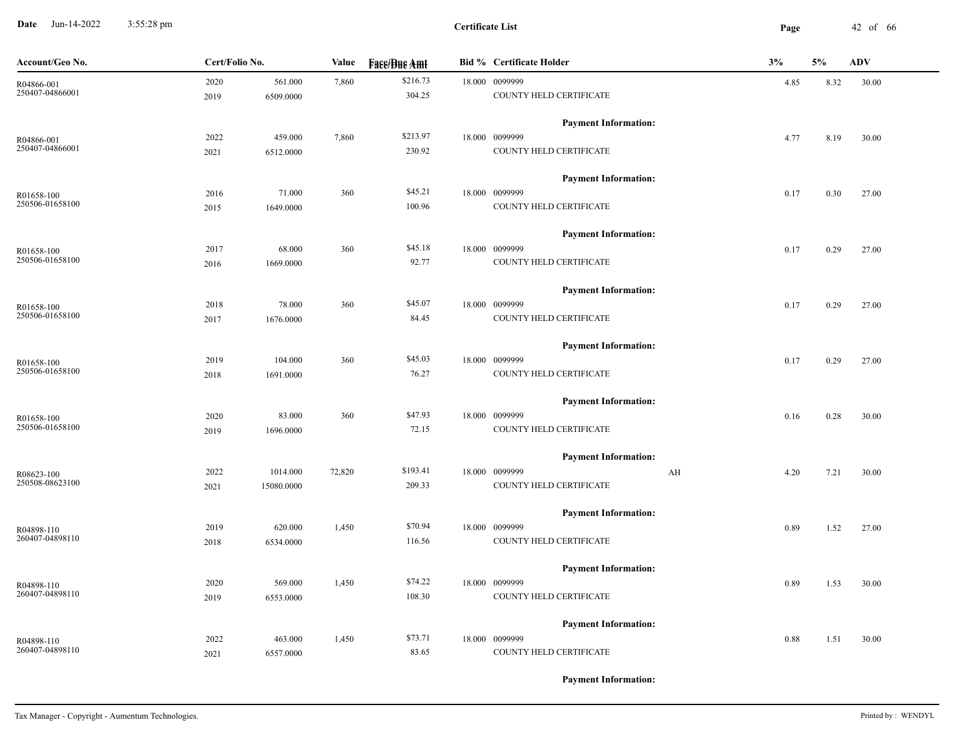**Date** Jun-14-2022 3:55:28 pm **Page** 42 of 66 3:55:28 pm

| Account/Geo No. | Cert/Folio No. |            | <b>Fase/Bue Amt</b><br>Value |          | <b>Bid % Certificate Holder</b> |    | 3%   | 5%   | <b>ADV</b> |
|-----------------|----------------|------------|------------------------------|----------|---------------------------------|----|------|------|------------|
| R04866-001      | 2020           | 561.000    | 7,860                        | \$216.73 | 18.000 0099999                  |    | 4.85 | 8.32 | 30.00      |
| 250407-04866001 | 2019           | 6509.0000  |                              | 304.25   | COUNTY HELD CERTIFICATE         |    |      |      |            |
|                 |                |            |                              |          | <b>Payment Information:</b>     |    |      |      |            |
| R04866-001      | 2022           | 459.000    | 7,860                        | \$213.97 | 18.000 0099999                  |    | 4.77 | 8.19 | 30.00      |
| 250407-04866001 | 2021           | 6512.0000  |                              | 230.92   | COUNTY HELD CERTIFICATE         |    |      |      |            |
|                 |                |            |                              |          | <b>Payment Information:</b>     |    |      |      |            |
| R01658-100      | 2016           | 71.000     | 360                          | \$45.21  | 18.000 0099999                  |    | 0.17 | 0.30 | 27.00      |
| 250506-01658100 | 2015           | 1649.0000  |                              | 100.96   | COUNTY HELD CERTIFICATE         |    |      |      |            |
|                 |                |            |                              |          | <b>Payment Information:</b>     |    |      |      |            |
| R01658-100      | 2017           | 68.000     | 360                          | \$45.18  | 18.000 0099999                  |    | 0.17 | 0.29 | 27.00      |
| 250506-01658100 | 2016           | 1669.0000  |                              | 92.77    | COUNTY HELD CERTIFICATE         |    |      |      |            |
|                 |                |            |                              |          | <b>Payment Information:</b>     |    |      |      |            |
| R01658-100      | 2018           | 78.000     | 360                          | \$45.07  | 18.000 0099999                  |    | 0.17 | 0.29 | 27.00      |
| 250506-01658100 | 2017           | 1676.0000  |                              | 84.45    | COUNTY HELD CERTIFICATE         |    |      |      |            |
|                 |                |            |                              |          | <b>Payment Information:</b>     |    |      |      |            |
| R01658-100      | 2019           | 104.000    | 360                          | \$45.03  | 18.000 0099999                  |    | 0.17 | 0.29 | 27.00      |
| 250506-01658100 | 2018           | 1691.0000  |                              | 76.27    | COUNTY HELD CERTIFICATE         |    |      |      |            |
|                 |                |            |                              |          | <b>Payment Information:</b>     |    |      |      |            |
| R01658-100      | 2020           | 83.000     | 360                          | \$47.93  | 18.000 0099999                  |    | 0.16 | 0.28 | 30.00      |
| 250506-01658100 | 2019           | 1696.0000  |                              | 72.15    | COUNTY HELD CERTIFICATE         |    |      |      |            |
|                 |                |            |                              |          | <b>Payment Information:</b>     |    |      |      |            |
| R08623-100      | 2022           | 1014.000   | 72,820                       | \$193.41 | 18.000 0099999                  | AH | 4.20 | 7.21 | 30.00      |
| 250508-08623100 | 2021           | 15080.0000 |                              | 209.33   | COUNTY HELD CERTIFICATE         |    |      |      |            |
|                 |                |            |                              |          | <b>Payment Information:</b>     |    |      |      |            |
| R04898-110      | 2019           | 620.000    | 1,450                        | \$70.94  | 18.000 0099999                  |    | 0.89 | 1.52 | 27.00      |
| 260407-04898110 | 2018           | 6534.0000  |                              | 116.56   | COUNTY HELD CERTIFICATE         |    |      |      |            |
|                 |                |            |                              |          | <b>Payment Information:</b>     |    |      |      |            |
| R04898-110      | 2020           | 569.000    | 1,450                        | \$74.22  | 18.000 0099999                  |    | 0.89 | 1.53 | 30.00      |
| 260407-04898110 | 2019           | 6553.0000  |                              | 108.30   | COUNTY HELD CERTIFICATE         |    |      |      |            |
|                 |                |            |                              |          | <b>Payment Information:</b>     |    |      |      |            |
| R04898-110      | 2022           | 463.000    | 1,450                        | \$73.71  | 18.000 0099999                  |    | 0.88 | 1.51 | 30.00      |
| 260407-04898110 | 2021           | 6557.0000  |                              | 83.65    | COUNTY HELD CERTIFICATE         |    |      |      |            |
|                 |                |            |                              |          |                                 |    |      |      |            |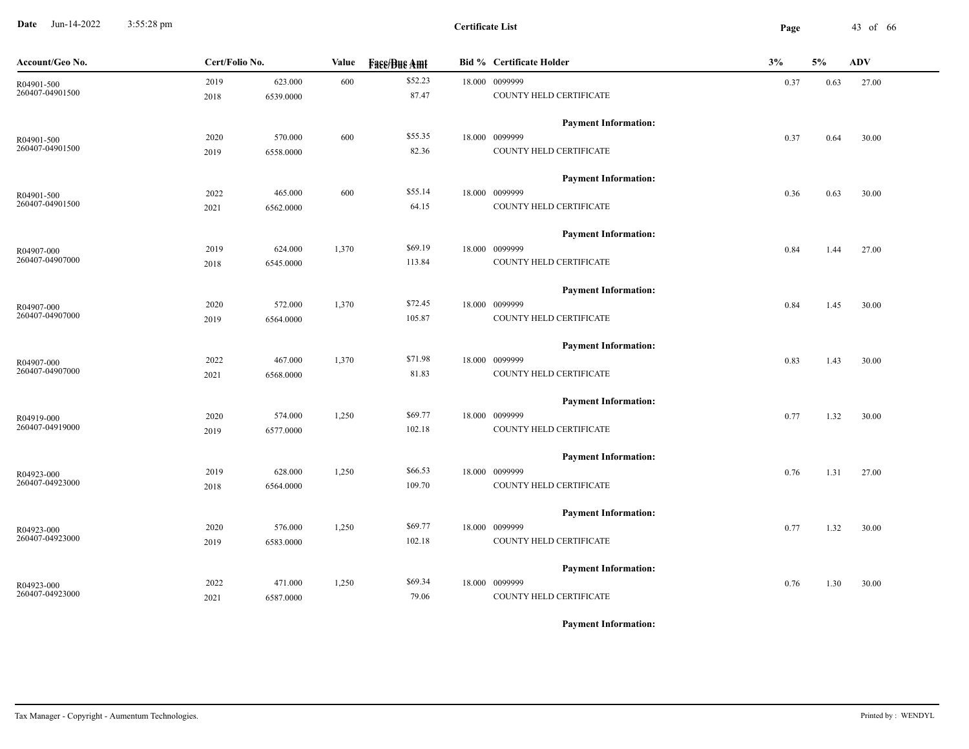**Date** Jun-14-2022 3:55:28 pm **Page** 43 of 66 3:55:28 pm

| Account/Geo No. | Cert/Folio No. |           | Value<br><b>Face/Bue Amt</b> |         | <b>Bid % Certificate Holder</b> | 3%   | <b>ADV</b> |       |
|-----------------|----------------|-----------|------------------------------|---------|---------------------------------|------|------------|-------|
| R04901-500      | 2019           | 623.000   | 600                          | \$52.23 | 18.000 0099999                  | 0.37 | 0.63       | 27.00 |
| 260407-04901500 | 2018           | 6539.0000 |                              | 87.47   | COUNTY HELD CERTIFICATE         |      |            |       |
|                 |                |           |                              |         | <b>Payment Information:</b>     |      |            |       |
| R04901-500      | 2020           | 570.000   | 600                          | \$55.35 | 18.000 0099999                  | 0.37 | 0.64       | 30.00 |
| 260407-04901500 | 2019           | 6558.0000 |                              | 82.36   | COUNTY HELD CERTIFICATE         |      |            |       |
|                 |                |           |                              |         | <b>Payment Information:</b>     |      |            |       |
| R04901-500      | 2022           | 465.000   | 600                          | \$55.14 | 18.000 0099999                  | 0.36 | 0.63       | 30.00 |
| 260407-04901500 | 2021           | 6562.0000 |                              | 64.15   | COUNTY HELD CERTIFICATE         |      |            |       |
|                 |                |           |                              |         | <b>Payment Information:</b>     |      |            |       |
| R04907-000      | 2019           | 624.000   | 1,370                        | \$69.19 | 18.000 0099999                  | 0.84 | 1.44       | 27.00 |
| 260407-04907000 | 2018           | 6545.0000 |                              | 113.84  | COUNTY HELD CERTIFICATE         |      |            |       |
|                 |                |           |                              |         | <b>Payment Information:</b>     |      |            |       |
| R04907-000      | 2020           | 572.000   | 1,370                        | \$72.45 | 18.000 0099999                  | 0.84 | 1.45       | 30.00 |
| 260407-04907000 | 2019           | 6564.0000 |                              | 105.87  | COUNTY HELD CERTIFICATE         |      |            |       |
|                 |                |           |                              |         | <b>Payment Information:</b>     |      |            |       |
| R04907-000      | 2022           | 467.000   | 1,370                        | \$71.98 | 18.000 0099999                  | 0.83 | 1.43       | 30.00 |
| 260407-04907000 | 2021           | 6568.0000 |                              | 81.83   | COUNTY HELD CERTIFICATE         |      |            |       |
|                 |                |           |                              |         | <b>Payment Information:</b>     |      |            |       |
| R04919-000      | 2020           | 574.000   | 1,250                        | \$69.77 | 18.000 0099999                  | 0.77 | 1.32       | 30.00 |
| 260407-04919000 | 2019           | 6577.0000 |                              | 102.18  | COUNTY HELD CERTIFICATE         |      |            |       |
|                 |                |           |                              |         | <b>Payment Information:</b>     |      |            |       |
| R04923-000      | 2019           | 628.000   | 1,250                        | \$66.53 | 18.000 0099999                  | 0.76 | 1.31       | 27.00 |
| 260407-04923000 | 2018           | 6564.0000 |                              | 109.70  | COUNTY HELD CERTIFICATE         |      |            |       |
|                 |                |           |                              |         | <b>Payment Information:</b>     |      |            |       |
| R04923-000      | 2020           | 576.000   | 1,250                        | \$69.77 | 18.000 0099999                  | 0.77 | 1.32       | 30.00 |
| 260407-04923000 | 2019           | 6583.0000 |                              | 102.18  | COUNTY HELD CERTIFICATE         |      |            |       |
|                 |                |           |                              |         | <b>Payment Information:</b>     |      |            |       |
| R04923-000      | 2022           | 471.000   | 1,250                        | \$69.34 | 18.000 0099999                  | 0.76 | 1.30       | 30.00 |
| 260407-04923000 | 2021           | 6587.0000 |                              | 79.06   | COUNTY HELD CERTIFICATE         |      |            |       |
|                 |                |           |                              |         |                                 |      |            |       |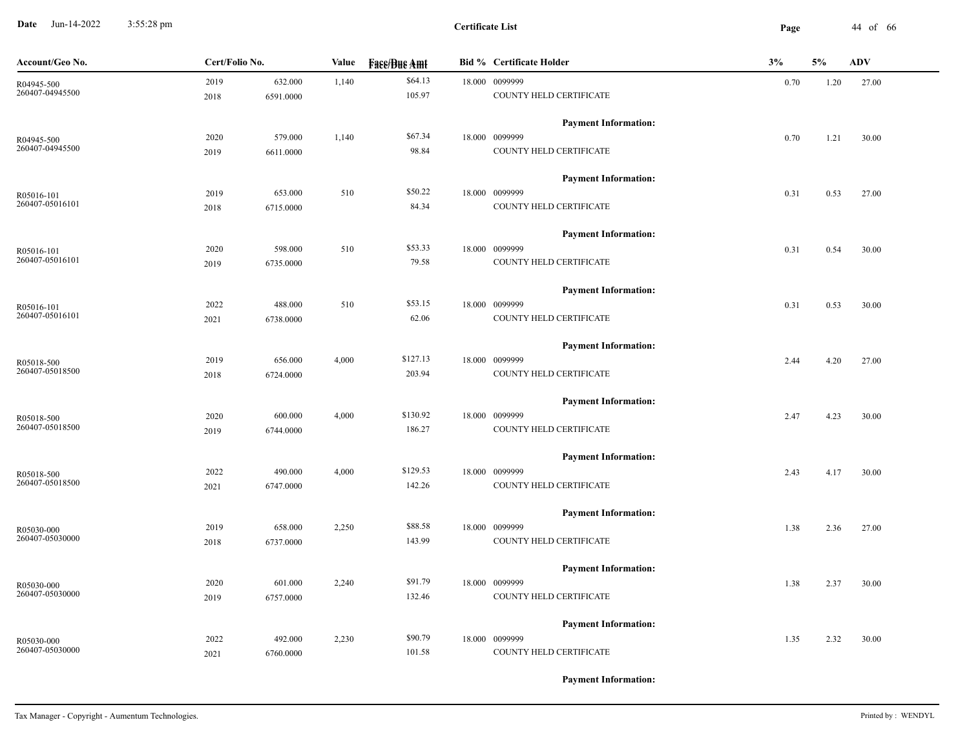**Date** Jun-14-2022 3:55:28 pm **Page** 44 of 66 3:55:28 pm

| Account/Geo No.               | Cert/Folio No. |           | Value | <b>Fase/Bue Amt</b> | <b>Bid % Certificate Holder</b> | 3%   |      | <b>ADV</b> |
|-------------------------------|----------------|-----------|-------|---------------------|---------------------------------|------|------|------------|
| R04945-500                    | 2019           | 632.000   | 1,140 | \$64.13             | 18.000 0099999                  | 0.70 | 1.20 | 27.00      |
| 260407-04945500               | 2018           | 6591.0000 |       | 105.97              | COUNTY HELD CERTIFICATE         |      |      |            |
|                               |                |           |       |                     | <b>Payment Information:</b>     |      |      |            |
| R04945-500                    | 2020           | 579.000   | 1,140 | \$67.34             | 18.000 0099999                  | 0.70 | 1.21 | 30.00      |
| 260407-04945500               | 2019           | 6611.0000 |       | 98.84               | COUNTY HELD CERTIFICATE         |      |      |            |
|                               |                |           |       |                     | <b>Payment Information:</b>     |      |      |            |
| R05016-101                    | 2019           | 653.000   | 510   | \$50.22             | 18.000 0099999                  | 0.31 | 0.53 | 27.00      |
| 260407-05016101               | 2018           | 6715.0000 |       | 84.34               | COUNTY HELD CERTIFICATE         |      |      |            |
|                               |                |           |       |                     | <b>Payment Information:</b>     |      |      |            |
| R05016-101<br>260407-05016101 | 2020           | 598.000   | 510   | \$53.33             | 18.000 0099999                  | 0.31 | 0.54 | 30.00      |
|                               | 2019           | 6735.0000 |       | 79.58               | COUNTY HELD CERTIFICATE         |      |      |            |
|                               |                |           |       |                     | <b>Payment Information:</b>     |      |      |            |
| R05016-101                    | 2022           | 488.000   | 510   | \$53.15             | 18.000 0099999                  | 0.31 | 0.53 | 30.00      |
| 260407-05016101               | 2021           | 6738.0000 |       | 62.06               | COUNTY HELD CERTIFICATE         |      |      |            |
|                               |                |           |       |                     | <b>Payment Information:</b>     |      |      |            |
| R05018-500                    | 2019           | 656.000   | 4,000 | \$127.13            | 18.000 0099999                  | 2.44 | 4.20 | 27.00      |
| 260407-05018500               | 2018           | 6724.0000 |       | 203.94              | COUNTY HELD CERTIFICATE         |      |      |            |
|                               |                |           |       |                     | <b>Payment Information:</b>     |      |      |            |
| R05018-500                    | 2020           | 600.000   | 4,000 | \$130.92            | 18.000 0099999                  | 2.47 | 4.23 | 30.00      |
| 260407-05018500               | 2019           | 6744.0000 |       | 186.27              | COUNTY HELD CERTIFICATE         |      |      |            |
|                               |                |           |       |                     | <b>Payment Information:</b>     |      |      |            |
| R05018-500                    | 2022           | 490.000   | 4,000 | \$129.53            | 18.000 0099999                  | 2.43 | 4.17 | 30.00      |
| 260407-05018500               | 2021           | 6747.0000 |       | 142.26              | COUNTY HELD CERTIFICATE         |      |      |            |
|                               |                |           |       |                     | <b>Payment Information:</b>     |      |      |            |
| R05030-000                    | 2019           | 658.000   | 2,250 | \$88.58             | 18.000 0099999                  | 1.38 | 2.36 | 27.00      |
| 260407-05030000               | 2018           | 6737.0000 |       | 143.99              | COUNTY HELD CERTIFICATE         |      |      |            |
|                               |                |           |       |                     | <b>Payment Information:</b>     |      |      |            |
| R05030-000                    | 2020           | 601.000   | 2,240 | \$91.79             | 18.000 0099999                  | 1.38 | 2.37 | 30.00      |
| 260407-05030000               | 2019           | 6757.0000 |       | 132.46              | COUNTY HELD CERTIFICATE         |      |      |            |
|                               |                |           |       |                     | <b>Payment Information:</b>     |      |      |            |
| R05030-000                    | 2022           | 492.000   | 2,230 | \$90.79             | 18.000 0099999                  | 1.35 | 2.32 | 30.00      |
| 260407-05030000               | 2021           | 6760.0000 |       | 101.58              | COUNTY HELD CERTIFICATE         |      |      |            |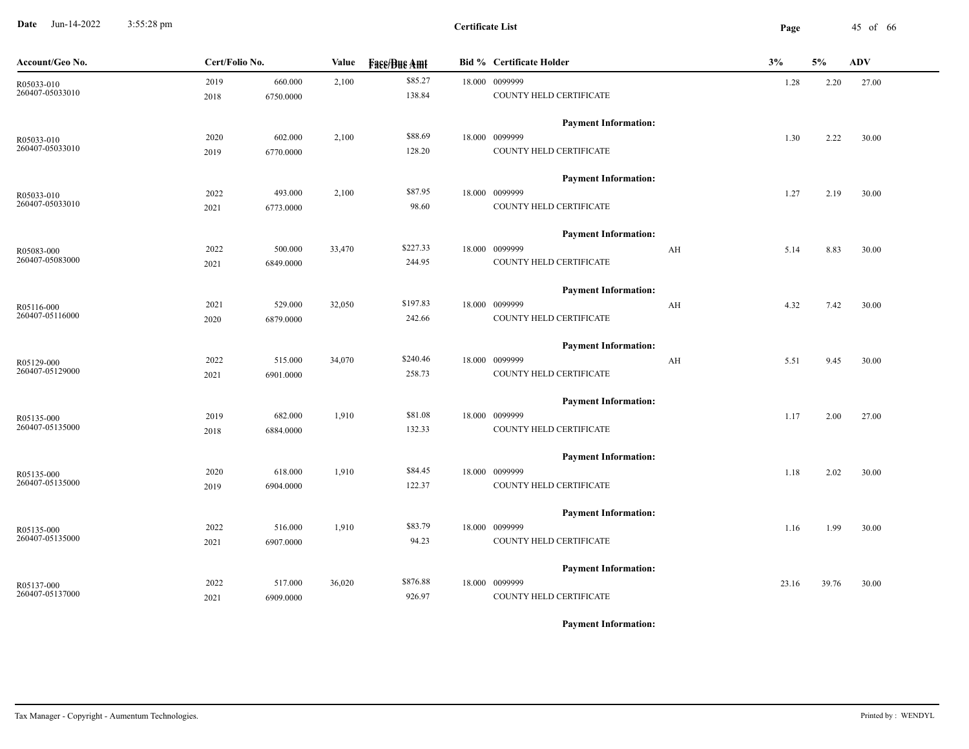**Date** Jun-14-2022 3:55:28 pm **Page** 45 of 66 3:55:28 pm

| Account/Geo No.                       | Cert/Folio No. | Value  | <b>Face/Bue Amt</b> | <b>Bid % Certificate Holder</b> | 3%    | 5%    | <b>ADV</b> |
|---------------------------------------|----------------|--------|---------------------|---------------------------------|-------|-------|------------|
| 2019<br>R05033-010<br>260407-05033010 | 660.000        | 2,100  | \$85.27             | 18.000 0099999                  | 1.28  | 2.20  | 27.00      |
| 2018                                  | 6750.0000      |        | 138.84              | COUNTY HELD CERTIFICATE         |       |       |            |
|                                       |                |        |                     | <b>Payment Information:</b>     |       |       |            |
| 2020<br>R05033-010                    | 602.000        | 2,100  | \$88.69             | 18.000 0099999                  | 1.30  | 2.22  | 30.00      |
| 260407-05033010<br>2019               | 6770.0000      |        | 128.20              | COUNTY HELD CERTIFICATE         |       |       |            |
|                                       |                |        |                     | <b>Payment Information:</b>     |       |       |            |
| 2022<br>R05033-010                    | 493.000        | 2,100  | \$87.95             | 18.000 0099999                  | 1.27  | 2.19  | 30.00      |
| 260407-05033010<br>2021               | 6773.0000      |        | 98.60               | COUNTY HELD CERTIFICATE         |       |       |            |
|                                       |                |        |                     | <b>Payment Information:</b>     |       |       |            |
| 2022<br>R05083-000                    | 500.000        | 33,470 | \$227.33            | 18.000 0099999<br>AH            | 5.14  | 8.83  | 30.00      |
| 260407-05083000<br>2021               | 6849.0000      |        | 244.95              | COUNTY HELD CERTIFICATE         |       |       |            |
|                                       |                |        |                     | <b>Payment Information:</b>     |       |       |            |
| 2021<br>R05116-000                    | 529.000        | 32,050 | \$197.83            | 18.000 0099999<br>AH            | 4.32  | 7.42  | 30.00      |
| 260407-05116000<br>2020               | 6879.0000      |        | 242.66              | COUNTY HELD CERTIFICATE         |       |       |            |
|                                       |                |        |                     | <b>Payment Information:</b>     |       |       |            |
| 2022<br>R05129-000                    | 515.000        | 34,070 | \$240.46            | 18.000 0099999<br>AH            | 5.51  | 9.45  | 30.00      |
| 260407-05129000<br>2021               | 6901.0000      |        | 258.73              | COUNTY HELD CERTIFICATE         |       |       |            |
|                                       |                |        |                     | <b>Payment Information:</b>     |       |       |            |
| 2019<br>R05135-000                    | 682.000        | 1,910  | \$81.08             | 18.000 0099999                  | 1.17  | 2.00  | 27.00      |
| 260407-05135000<br>2018               | 6884.0000      |        | 132.33              | COUNTY HELD CERTIFICATE         |       |       |            |
|                                       |                |        |                     | <b>Payment Information:</b>     |       |       |            |
| 2020<br>R05135-000                    | 618.000        | 1,910  | \$84.45             | 18.000 0099999                  | 1.18  | 2.02  | 30.00      |
| 260407-05135000<br>2019               | 6904.0000      |        | 122.37              | COUNTY HELD CERTIFICATE         |       |       |            |
|                                       |                |        |                     | <b>Payment Information:</b>     |       |       |            |
| 2022<br>R05135-000                    | 516.000        | 1,910  | \$83.79             | 18.000 0099999                  | 1.16  | 1.99  | 30.00      |
| 260407-05135000<br>2021               | 6907.0000      |        | 94.23               | COUNTY HELD CERTIFICATE         |       |       |            |
|                                       |                |        |                     | <b>Payment Information:</b>     |       |       |            |
| 2022<br>R05137-000                    | 517.000        | 36,020 | \$876.88            | 18.000 0099999                  | 23.16 | 39.76 | 30.00      |
| 260407-05137000<br>2021               | 6909.0000      |        | 926.97              | COUNTY HELD CERTIFICATE         |       |       |            |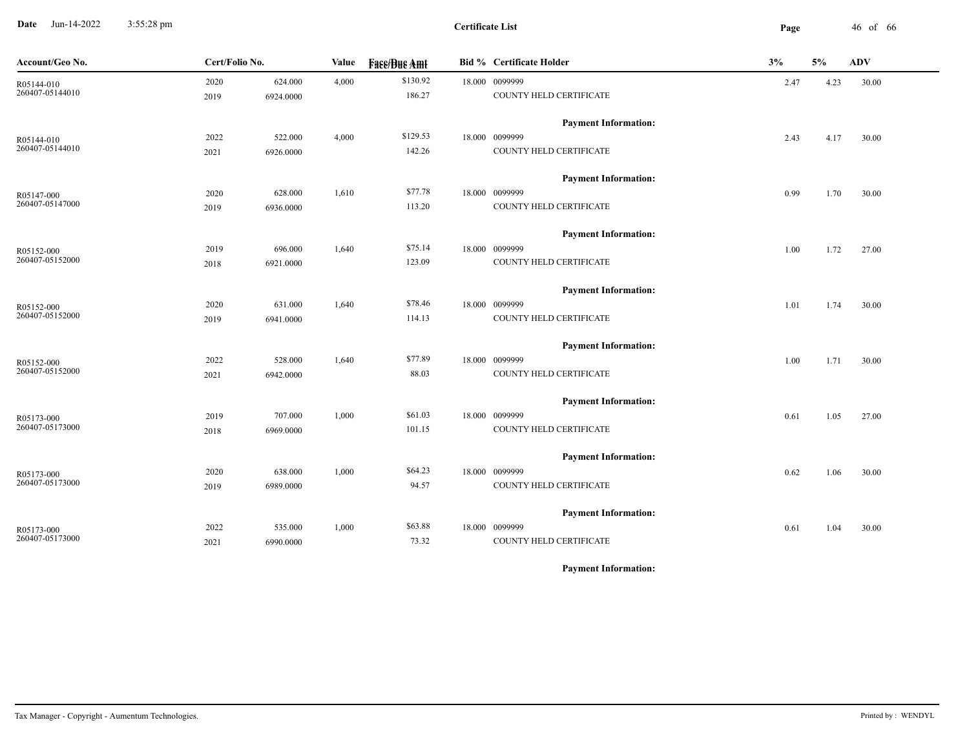**Date** Jun-14-2022 3:55:28 pm **Page** 46 of 66 3:55:28 pm

| Account/Geo No. | Cert/Folio No. |           | <b>Face/Bue Amt</b><br>Value |          | <b>Bid % Certificate Holder</b> | 3%   | 5%   | <b>ADV</b> |
|-----------------|----------------|-----------|------------------------------|----------|---------------------------------|------|------|------------|
| R05144-010      | 2020           | 624.000   | 4,000                        | \$130.92 | 18.000 0099999                  | 2.47 | 4.23 | 30.00      |
| 260407-05144010 | 2019           | 6924.0000 |                              | 186.27   | COUNTY HELD CERTIFICATE         |      |      |            |
|                 |                |           |                              |          | <b>Payment Information:</b>     |      |      |            |
| R05144-010      | 2022           | 522.000   | 4,000                        | \$129.53 | 18.000 0099999                  | 2.43 | 4.17 | 30.00      |
| 260407-05144010 | 2021           | 6926.0000 |                              | 142.26   | COUNTY HELD CERTIFICATE         |      |      |            |
|                 |                |           |                              |          | <b>Payment Information:</b>     |      |      |            |
| R05147-000      | 2020           | 628.000   | 1,610                        | \$77.78  | 18.000 0099999                  | 0.99 | 1.70 | 30.00      |
| 260407-05147000 | 2019           | 6936.0000 |                              | 113.20   | COUNTY HELD CERTIFICATE         |      |      |            |
|                 |                |           |                              |          | <b>Payment Information:</b>     |      |      |            |
| R05152-000      | 2019           | 696.000   | 1,640                        | \$75.14  | 18.000 0099999                  | 1.00 | 1.72 | 27.00      |
| 260407-05152000 | 2018           | 6921.0000 |                              | 123.09   | COUNTY HELD CERTIFICATE         |      |      |            |
|                 |                |           |                              |          | <b>Payment Information:</b>     |      |      |            |
| R05152-000      | 2020           | 631.000   | 1,640                        | \$78.46  | 18.000 0099999                  | 1.01 | 1.74 | 30.00      |
| 260407-05152000 | 2019           | 6941.0000 |                              | 114.13   | COUNTY HELD CERTIFICATE         |      |      |            |
|                 |                |           |                              |          | <b>Payment Information:</b>     |      |      |            |
| R05152-000      | 2022           | 528.000   | 1,640                        | \$77.89  | 18.000 0099999                  | 1.00 | 1.71 | 30.00      |
| 260407-05152000 | 2021           | 6942.0000 |                              | 88.03    | COUNTY HELD CERTIFICATE         |      |      |            |
|                 |                |           |                              |          | <b>Payment Information:</b>     |      |      |            |
| R05173-000      | 2019           | 707.000   | 1,000                        | \$61.03  | 18.000 0099999                  | 0.61 | 1.05 | 27.00      |
| 260407-05173000 | 2018           | 6969.0000 |                              | 101.15   | COUNTY HELD CERTIFICATE         |      |      |            |
|                 |                |           |                              |          | <b>Payment Information:</b>     |      |      |            |
| R05173-000      | 2020           | 638.000   | 1,000                        | \$64.23  | 18.000 0099999                  | 0.62 | 1.06 | 30.00      |
| 260407-05173000 | 2019           | 6989.0000 |                              | 94.57    | COUNTY HELD CERTIFICATE         |      |      |            |
|                 |                |           |                              |          | <b>Payment Information:</b>     |      |      |            |
| R05173-000      | 2022           | 535.000   | 1,000                        | \$63.88  | 18.000 0099999                  | 0.61 | 1.04 | 30.00      |
| 260407-05173000 | 2021           | 6990.0000 |                              | 73.32    | COUNTY HELD CERTIFICATE         |      |      |            |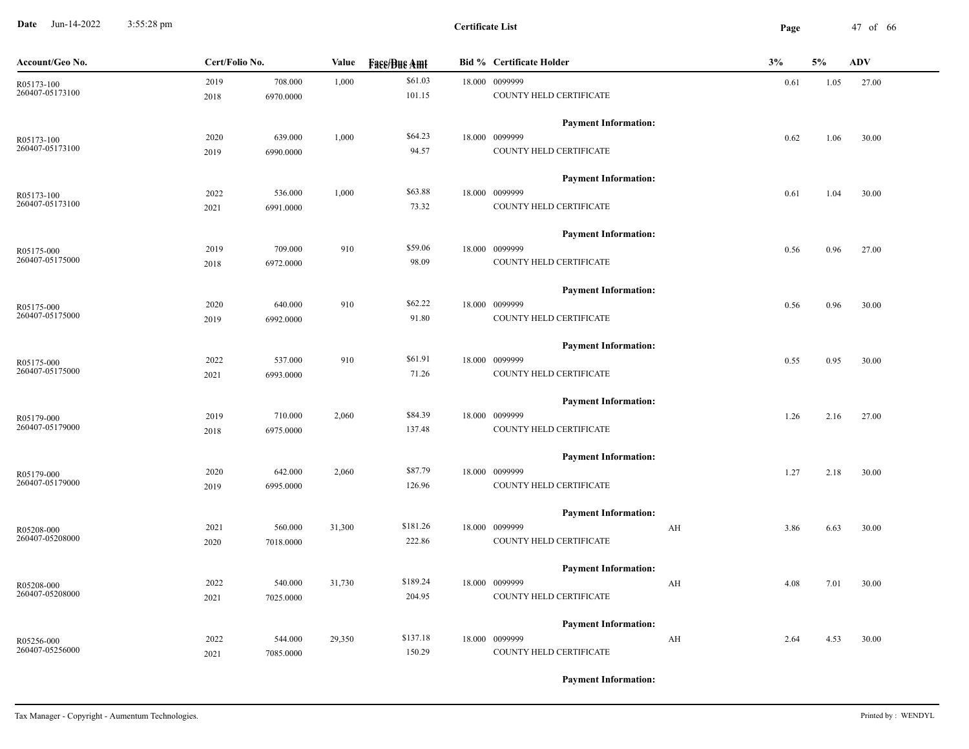**Date** Jun-14-2022 3:55:28 pm **Page** 47 of 66 3:55:28 pm

| Account/Geo No. | Cert/Folio No. |           | Value  | <b>Face/Bue Amt</b> | <b>Bid % Certificate Holder</b> | 3%         | 5%   | <b>ADV</b> |
|-----------------|----------------|-----------|--------|---------------------|---------------------------------|------------|------|------------|
| R05173-100      | 2019           | 708.000   | 1,000  | \$61.03             | 18.000 0099999                  | 0.61       | 1.05 | 27.00      |
| 260407-05173100 | 2018           | 6970.0000 |        | 101.15              | COUNTY HELD CERTIFICATE         |            |      |            |
|                 |                |           |        |                     | <b>Payment Information:</b>     |            |      |            |
| R05173-100      | 2020           | 639.000   | 1,000  | \$64.23             | 18.000 0099999                  | 0.62       | 1.06 | 30.00      |
| 260407-05173100 | 2019           | 6990.0000 |        | 94.57               | COUNTY HELD CERTIFICATE         |            |      |            |
|                 |                |           |        |                     | <b>Payment Information:</b>     |            |      |            |
| R05173-100      | 2022           | 536.000   | 1,000  | \$63.88             | 18.000 0099999                  | 0.61       | 1.04 | 30.00      |
| 260407-05173100 | 2021           | 6991.0000 |        | 73.32               | COUNTY HELD CERTIFICATE         |            |      |            |
|                 |                |           |        |                     | <b>Payment Information:</b>     |            |      |            |
| R05175-000      | 2019           | 709.000   | 910    | \$59.06             | 18.000 0099999                  | 0.56       | 0.96 | 27.00      |
| 260407-05175000 | 2018           | 6972.0000 |        | 98.09               | COUNTY HELD CERTIFICATE         |            |      |            |
|                 |                |           |        |                     | <b>Payment Information:</b>     |            |      |            |
| R05175-000      | 2020           | 640.000   | 910    | \$62.22             | 18.000 0099999                  | 0.56       | 0.96 | 30.00      |
| 260407-05175000 | 2019           | 6992.0000 |        | 91.80               | COUNTY HELD CERTIFICATE         |            |      |            |
|                 |                |           |        |                     | <b>Payment Information:</b>     |            |      |            |
| R05175-000      | 2022           | 537.000   | 910    | \$61.91             | 18.000 0099999                  | 0.55       | 0.95 | 30.00      |
| 260407-05175000 | 2021           | 6993.0000 |        | 71.26               | COUNTY HELD CERTIFICATE         |            |      |            |
|                 |                |           |        |                     | <b>Payment Information:</b>     |            |      |            |
| R05179-000      | 2019           | 710.000   | 2,060  | \$84.39             | 18.000 0099999                  | 1.26       | 2.16 | 27.00      |
| 260407-05179000 | 2018           | 6975.0000 |        | 137.48              | COUNTY HELD CERTIFICATE         |            |      |            |
|                 |                |           |        |                     | <b>Payment Information:</b>     |            |      |            |
| R05179-000      | 2020           | 642.000   | 2,060  | \$87.79             | 18.000 0099999                  | 1.27       | 2.18 | 30.00      |
| 260407-05179000 | 2019           | 6995.0000 |        | 126.96              | COUNTY HELD CERTIFICATE         |            |      |            |
|                 |                |           |        |                     | <b>Payment Information:</b>     |            |      |            |
| R05208-000      | 2021           | 560.000   | 31,300 | \$181.26            | 18.000 0099999                  | AH<br>3.86 | 6.63 | 30.00      |
| 260407-05208000 | 2020           | 7018.0000 |        | 222.86              | COUNTY HELD CERTIFICATE         |            |      |            |
|                 |                |           |        |                     | <b>Payment Information:</b>     |            |      |            |
| R05208-000      | 2022           | 540.000   | 31,730 | \$189.24            | 18.000 0099999                  | AH<br>4.08 | 7.01 | 30.00      |
| 260407-05208000 | 2021           | 7025.0000 |        | 204.95              | COUNTY HELD CERTIFICATE         |            |      |            |
|                 |                |           |        |                     | <b>Payment Information:</b>     |            |      |            |
| R05256-000      | 2022           | 544.000   | 29,350 | \$137.18            | 18.000 0099999                  | AH<br>2.64 | 4.53 | 30.00      |
| 260407-05256000 | 2021           | 7085.0000 |        | 150.29              | COUNTY HELD CERTIFICATE         |            |      |            |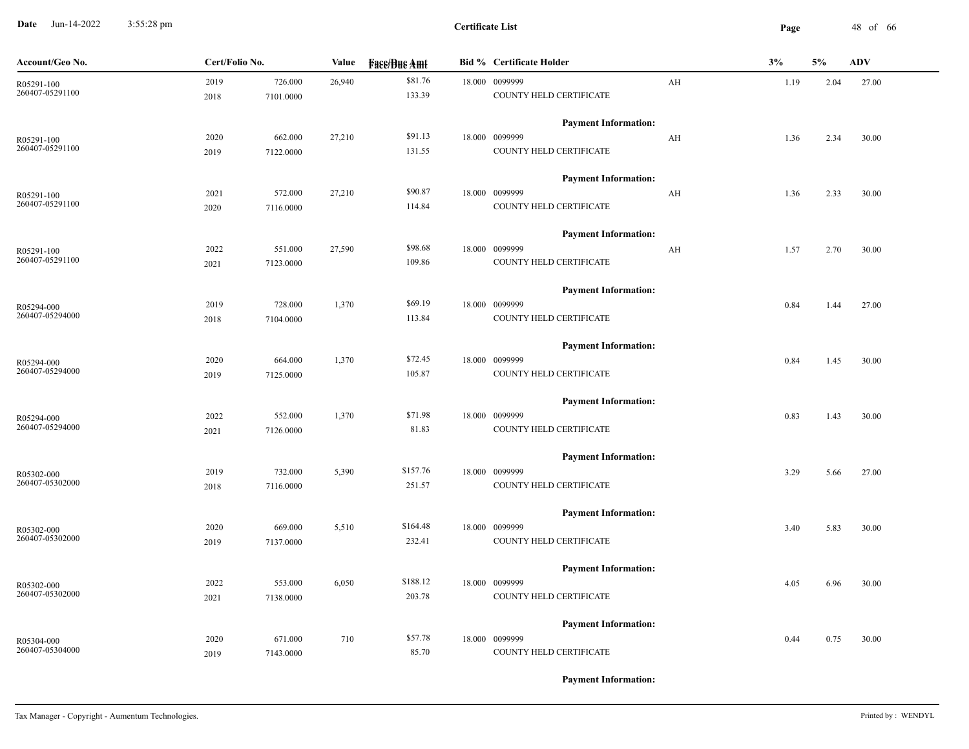**Date** Jun-14-2022 3:55:28 pm **Page** 48 of 66 3:55:28 pm

| Account/Geo No.               | Cert/Folio No. |           | Value  | <b>Fase/Bue Amt</b> | <b>Bid % Certificate Holder</b> |                         | 3%   | 5%   | <b>ADV</b> |
|-------------------------------|----------------|-----------|--------|---------------------|---------------------------------|-------------------------|------|------|------------|
| R05291-100                    | 2019           | 726.000   | 26,940 | \$81.76             | 18.000 0099999                  | AH                      | 1.19 | 2.04 | 27.00      |
| 260407-05291100               | 2018           | 7101.0000 |        | 133.39              | COUNTY HELD CERTIFICATE         |                         |      |      |            |
|                               |                |           |        |                     | <b>Payment Information:</b>     |                         |      |      |            |
| R05291-100<br>260407-05291100 | 2020           | 662.000   | 27,210 | \$91.13             | 18.000 0099999                  | AH                      | 1.36 | 2.34 | 30.00      |
|                               | 2019           | 7122.0000 |        | 131.55              | COUNTY HELD CERTIFICATE         |                         |      |      |            |
|                               |                |           |        |                     | <b>Payment Information:</b>     |                         |      |      |            |
| R05291-100                    | 2021           | 572.000   | 27,210 | \$90.87             | 18.000 0099999                  | $\mathbf{A} \mathbf{H}$ | 1.36 | 2.33 | 30.00      |
| 260407-05291100               | 2020           | 7116.0000 |        | 114.84              | COUNTY HELD CERTIFICATE         |                         |      |      |            |
|                               |                |           |        |                     | <b>Payment Information:</b>     |                         |      |      |            |
| R05291-100                    | 2022           | 551.000   | 27,590 | \$98.68             | 18.000 0099999                  | AH                      | 1.57 | 2.70 | 30.00      |
| 260407-05291100               | 2021           | 7123.0000 |        | 109.86              | COUNTY HELD CERTIFICATE         |                         |      |      |            |
|                               |                |           |        |                     | <b>Payment Information:</b>     |                         |      |      |            |
| R05294-000                    | 2019           | 728.000   | 1,370  | \$69.19             | 18.000 0099999                  |                         | 0.84 | 1.44 | 27.00      |
| 260407-05294000               | 2018           | 7104.0000 |        | 113.84              | COUNTY HELD CERTIFICATE         |                         |      |      |            |
|                               |                |           |        |                     | <b>Payment Information:</b>     |                         |      |      |            |
| R05294-000                    | 2020           | 664.000   | 1,370  | \$72.45             | 18.000 0099999                  |                         | 0.84 | 1.45 | 30.00      |
| 260407-05294000               | 2019           | 7125.0000 |        | 105.87              | COUNTY HELD CERTIFICATE         |                         |      |      |            |
|                               |                |           |        |                     | <b>Payment Information:</b>     |                         |      |      |            |
| R05294-000                    | 2022           | 552.000   | 1,370  | \$71.98             | 18.000 0099999                  |                         | 0.83 | 1.43 | 30.00      |
| 260407-05294000               | 2021           | 7126.0000 |        | 81.83               | COUNTY HELD CERTIFICATE         |                         |      |      |            |
|                               |                |           |        |                     | <b>Payment Information:</b>     |                         |      |      |            |
| R05302-000                    | 2019           | 732.000   | 5,390  | \$157.76            | 18.000 0099999                  |                         | 3.29 | 5.66 | 27.00      |
| 260407-05302000               | 2018           | 7116.0000 |        | 251.57              | COUNTY HELD CERTIFICATE         |                         |      |      |            |
|                               |                |           |        |                     | <b>Payment Information:</b>     |                         |      |      |            |
| R05302-000                    | 2020           | 669.000   | 5,510  | \$164.48            | 18.000 0099999                  |                         | 3.40 | 5.83 | 30.00      |
| 260407-05302000               | 2019           | 7137.0000 |        | 232.41              | COUNTY HELD CERTIFICATE         |                         |      |      |            |
|                               |                |           |        |                     | <b>Payment Information:</b>     |                         |      |      |            |
| R05302-000                    | 2022           | 553.000   | 6,050  | \$188.12            | 18.000 0099999                  |                         | 4.05 | 6.96 | 30.00      |
| 260407-05302000               | 2021           | 7138.0000 |        | 203.78              | COUNTY HELD CERTIFICATE         |                         |      |      |            |
|                               |                |           |        |                     | <b>Payment Information:</b>     |                         |      |      |            |
| R05304-000                    | 2020           | 671.000   | 710    | \$57.78             | 18.000 0099999                  |                         | 0.44 | 0.75 | 30.00      |
| 260407-05304000               | 2019           | 7143.0000 |        | 85.70               | COUNTY HELD CERTIFICATE         |                         |      |      |            |
|                               |                |           |        |                     |                                 |                         |      |      |            |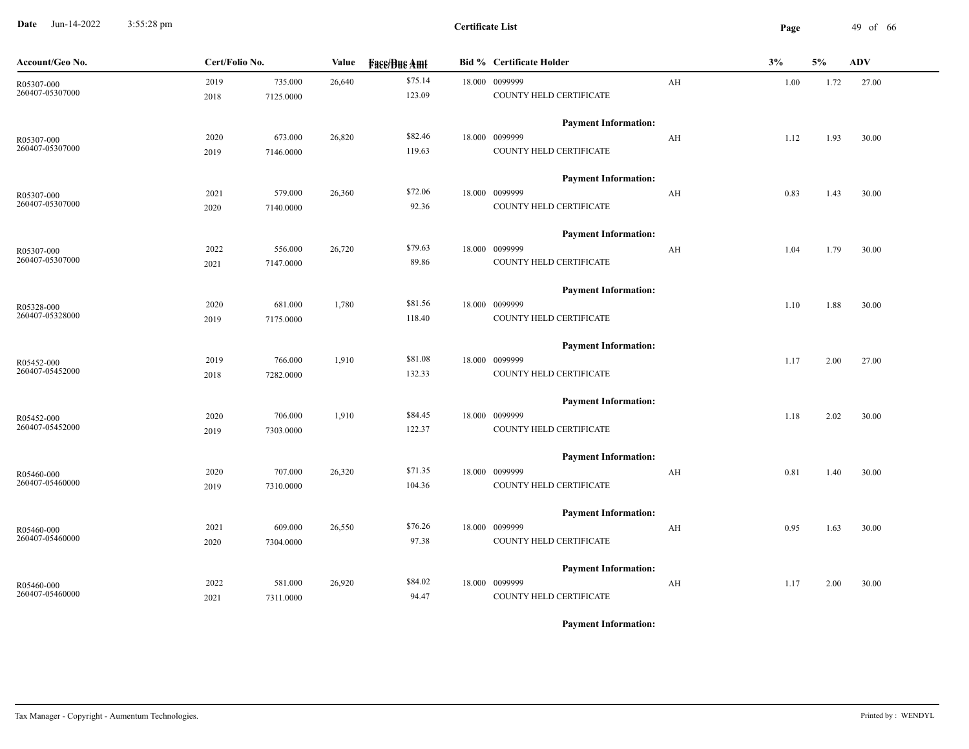**Date** Jun-14-2022 3:55:28 pm **Page** 49 of 66 3:55:28 pm

| Account/Geo No.               | Cert/Folio No.                       | Value  | <b>Fase/Bue Amt</b> | <b>Bid % Certificate Holder</b>               |                         | 3%   | 5%   | <b>ADV</b> |
|-------------------------------|--------------------------------------|--------|---------------------|-----------------------------------------------|-------------------------|------|------|------------|
| R05307-000<br>260407-05307000 | 735.000<br>2019<br>2018<br>7125.0000 | 26,640 | \$75.14<br>123.09   | 18.000 0099999<br>COUNTY HELD CERTIFICATE     | AH                      | 1.00 | 1.72 | 27.00      |
| R05307-000                    | 2020<br>673.000                      | 26,820 | \$82.46             | <b>Payment Information:</b><br>18.000 0099999 | AH                      | 1.12 | 1.93 | 30.00      |
| 260407-05307000               | 7146.0000<br>2019                    |        | 119.63              | COUNTY HELD CERTIFICATE                       |                         |      |      |            |
|                               |                                      |        |                     | <b>Payment Information:</b>                   |                         |      |      |            |
| R05307-000<br>260407-05307000 | 2021<br>579.000<br>2020<br>7140.0000 | 26,360 | \$72.06<br>92.36    | 18.000 0099999<br>COUNTY HELD CERTIFICATE     | AH                      | 0.83 | 1.43 | 30.00      |
|                               |                                      |        | \$79.63             | <b>Payment Information:</b><br>18.000 0099999 |                         |      |      |            |
| R05307-000<br>260407-05307000 | 556.000<br>2022<br>7147.0000<br>2021 | 26,720 | 89.86               | COUNTY HELD CERTIFICATE                       | AH                      | 1.04 | 1.79 | 30.00      |
|                               |                                      |        | \$81.56             | <b>Payment Information:</b>                   |                         |      |      |            |
| R05328-000<br>260407-05328000 | 2020<br>681.000<br>7175.0000<br>2019 | 1,780  | 118.40              | 18.000 0099999<br>COUNTY HELD CERTIFICATE     |                         | 1.10 | 1.88 | 30.00      |
|                               |                                      |        |                     | <b>Payment Information:</b>                   |                         |      |      |            |
| R05452-000<br>260407-05452000 | 766.000<br>2019<br>7282.0000<br>2018 | 1,910  | \$81.08<br>132.33   | 18.000 0099999<br>COUNTY HELD CERTIFICATE     |                         | 1.17 | 2.00 | 27.00      |
|                               |                                      |        |                     | <b>Payment Information:</b>                   |                         |      |      |            |
| R05452-000<br>260407-05452000 | 2020<br>706.000<br>2019<br>7303.0000 | 1,910  | \$84.45<br>122.37   | 18.000 0099999<br>COUNTY HELD CERTIFICATE     |                         | 1.18 | 2.02 | 30.00      |
|                               |                                      |        |                     | <b>Payment Information:</b>                   |                         |      |      |            |
| R05460-000<br>260407-05460000 | 2020<br>707.000<br>2019<br>7310.0000 | 26,320 | \$71.35<br>104.36   | 18.000 0099999<br>COUNTY HELD CERTIFICATE     | $\mathbf{A} \mathbf{H}$ | 0.81 | 1.40 | 30.00      |
|                               |                                      |        |                     | <b>Payment Information:</b>                   |                         |      |      |            |
| R05460-000<br>260407-05460000 | 2021<br>609.000<br>2020<br>7304.0000 | 26,550 | \$76.26<br>97.38    | 18.000 0099999<br>COUNTY HELD CERTIFICATE     | AH                      | 0.95 | 1.63 | 30.00      |
|                               |                                      |        |                     | <b>Payment Information:</b>                   |                         |      |      |            |
| R05460-000<br>260407-05460000 | 2022<br>581.000<br>2021<br>7311.0000 | 26,920 | \$84.02<br>94.47    | 18.000 0099999<br>COUNTY HELD CERTIFICATE     | AH                      | 1.17 | 2.00 | 30.00      |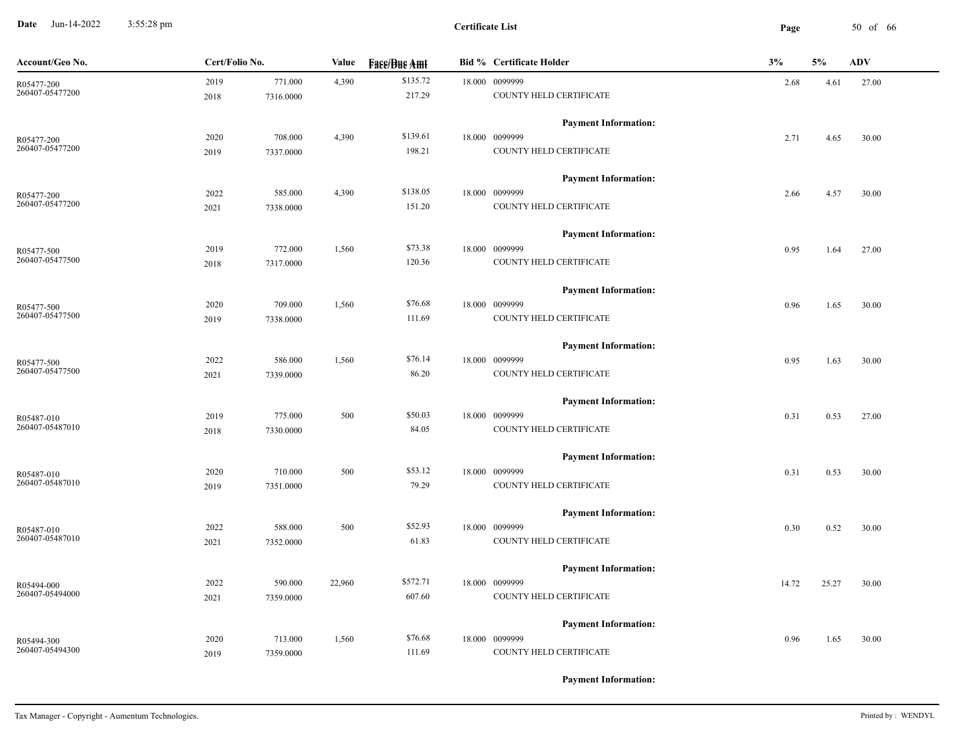**Date** Jun-14-2022 3:55:28 pm **Page** 50 of 66 3:55:28 pm

| Account/Geo No.               | Cert/Folio No. |           | Value  | <b>Fass/Bus Amt</b> | <b>Bid % Certificate Holder</b> | 3%    | 5%    | <b>ADV</b> |  |
|-------------------------------|----------------|-----------|--------|---------------------|---------------------------------|-------|-------|------------|--|
| R05477-200                    | 2019           | 771.000   | 4,390  | \$135.72            | 18.000 0099999                  | 2.68  | 4.61  | 27.00      |  |
| 260407-05477200               | 2018           | 7316.0000 |        | 217.29              | COUNTY HELD CERTIFICATE         |       |       |            |  |
|                               |                |           |        |                     | <b>Payment Information:</b>     |       |       |            |  |
| R05477-200<br>260407-05477200 | 2020           | 708.000   | 4,390  | \$139.61            | 18.000 0099999                  | 2.71  | 4.65  | 30.00      |  |
|                               | 2019           | 7337.0000 |        | 198.21              | COUNTY HELD CERTIFICATE         |       |       |            |  |
|                               |                |           |        |                     | <b>Payment Information:</b>     |       |       |            |  |
| R05477-200                    | 2022           | 585.000   | 4,390  | \$138.05            | 18.000 0099999                  | 2.66  | 4.57  | 30.00      |  |
| 260407-05477200               | 2021           | 7338.0000 |        | 151.20              | COUNTY HELD CERTIFICATE         |       |       |            |  |
|                               |                |           |        |                     | <b>Payment Information:</b>     |       |       |            |  |
| R05477-500                    | 2019           | 772.000   | 1,560  | \$73.38             | 18.000 0099999                  | 0.95  | 1.64  | 27.00      |  |
| 260407-05477500               | 2018           | 7317.0000 |        | 120.36              | COUNTY HELD CERTIFICATE         |       |       |            |  |
|                               |                |           |        |                     | <b>Payment Information:</b>     |       |       |            |  |
| R05477-500                    | 2020           | 709.000   | 1,560  | \$76.68             | 18.000 0099999                  | 0.96  | 1.65  | 30.00      |  |
| 260407-05477500               | 2019           | 7338.0000 |        | 111.69              | COUNTY HELD CERTIFICATE         |       |       |            |  |
|                               |                |           |        |                     | <b>Payment Information:</b>     |       |       |            |  |
| R05477-500                    | 2022           | 586.000   | 1,560  | \$76.14             | 18.000 0099999                  | 0.95  | 1.63  | 30.00      |  |
| 260407-05477500               | 2021           | 7339.0000 |        | 86.20               | COUNTY HELD CERTIFICATE         |       |       |            |  |
|                               |                |           |        |                     | <b>Payment Information:</b>     |       |       |            |  |
| R05487-010                    | 2019           | 775.000   | 500    | \$50.03             | 18.000 0099999                  | 0.31  | 0.53  | 27.00      |  |
| 260407-05487010               | 2018           | 7330.0000 |        | 84.05               | COUNTY HELD CERTIFICATE         |       |       |            |  |
|                               |                |           |        |                     | <b>Payment Information:</b>     |       |       |            |  |
| R05487-010                    | 2020           | 710.000   | 500    | \$53.12             | 18.000 0099999                  | 0.31  | 0.53  | 30.00      |  |
| 260407-05487010               | 2019           | 7351.0000 |        | 79.29               | COUNTY HELD CERTIFICATE         |       |       |            |  |
|                               |                |           |        |                     | <b>Payment Information:</b>     |       |       |            |  |
| R05487-010                    | 2022           | 588.000   | 500    | \$52.93             | 18.000 0099999                  | 0.30  | 0.52  | 30.00      |  |
| 260407-05487010               | 2021           | 7352.0000 |        | 61.83               | COUNTY HELD CERTIFICATE         |       |       |            |  |
|                               |                |           |        |                     | <b>Payment Information:</b>     |       |       |            |  |
| R05494-000                    | 2022           | 590.000   | 22,960 | \$572.71            | 18.000 0099999                  | 14.72 | 25.27 | 30.00      |  |
| 260407-05494000               | 2021           | 7359.0000 |        | 607.60              | COUNTY HELD CERTIFICATE         |       |       |            |  |
|                               |                |           |        |                     | <b>Payment Information:</b>     |       |       |            |  |
| R05494-300                    | 2020           | 713.000   | 1,560  | \$76.68             | 18.000 0099999                  | 0.96  | 1.65  | 30.00      |  |
| 260407-05494300               | 2019           | 7359.0000 |        | 111.69              | COUNTY HELD CERTIFICATE         |       |       |            |  |
|                               |                |           |        |                     |                                 |       |       |            |  |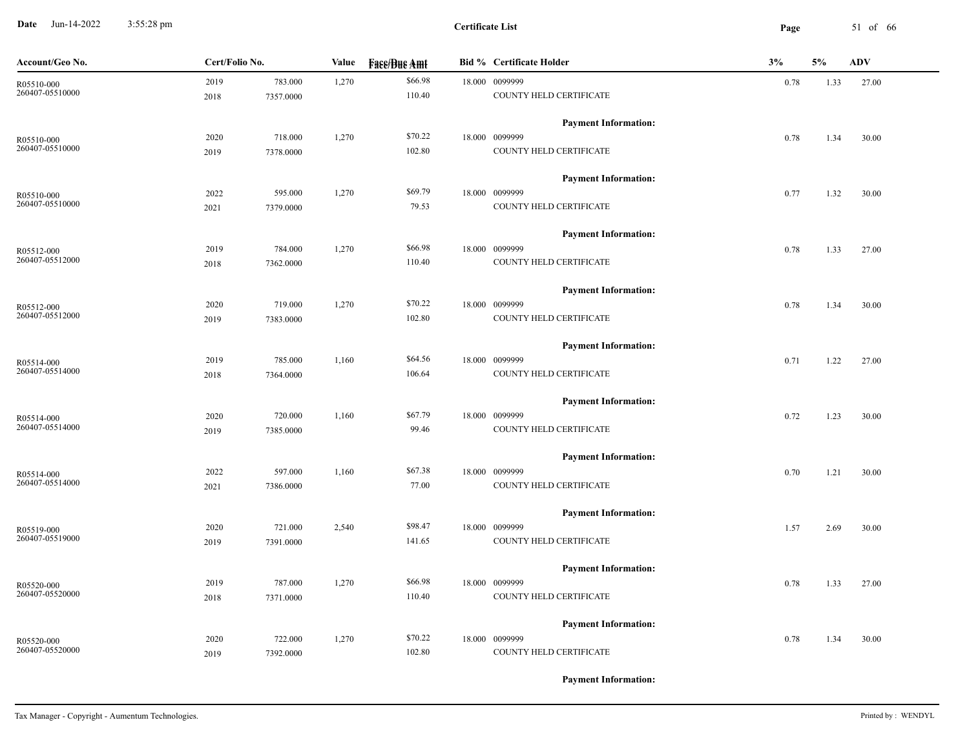**Date** Jun-14-2022 3:55:28 pm **Page** 51 of 66 3:55:28 pm

| Account/Geo No. | Cert/Folio No. |           | Value | <b>Fase/Bue Amt</b> | <b>Bid % Certificate Holder</b> | 3%   |      | <b>ADV</b> |
|-----------------|----------------|-----------|-------|---------------------|---------------------------------|------|------|------------|
| R05510-000      | 2019           | 783.000   | 1,270 | \$66.98             | 18.000 0099999                  | 0.78 | 1.33 | 27.00      |
| 260407-05510000 | 2018           | 7357.0000 |       | 110.40              | COUNTY HELD CERTIFICATE         |      |      |            |
|                 |                |           |       |                     | <b>Payment Information:</b>     |      |      |            |
| R05510-000      | 2020           | 718.000   | 1,270 | \$70.22             | 18.000 0099999                  | 0.78 | 1.34 | 30.00      |
| 260407-05510000 | 2019           | 7378.0000 |       | 102.80              | COUNTY HELD CERTIFICATE         |      |      |            |
|                 |                |           |       |                     | <b>Payment Information:</b>     |      |      |            |
| R05510-000      | 2022           | 595.000   | 1,270 | \$69.79             | 18.000 0099999                  | 0.77 | 1.32 | 30.00      |
| 260407-05510000 | 2021           | 7379.0000 |       | 79.53               | COUNTY HELD CERTIFICATE         |      |      |            |
|                 |                |           |       |                     | <b>Payment Information:</b>     |      |      |            |
| R05512-000      | 2019           | 784.000   | 1,270 | \$66.98             | 18.000 0099999                  | 0.78 | 1.33 | 27.00      |
| 260407-05512000 | 2018           | 7362.0000 |       | 110.40              | COUNTY HELD CERTIFICATE         |      |      |            |
|                 |                |           |       |                     | <b>Payment Information:</b>     |      |      |            |
| R05512-000      | 2020           | 719.000   | 1,270 | \$70.22             | 18.000 0099999                  | 0.78 | 1.34 | 30.00      |
| 260407-05512000 | 2019           | 7383.0000 |       | 102.80              | COUNTY HELD CERTIFICATE         |      |      |            |
|                 |                |           |       |                     | <b>Payment Information:</b>     |      |      |            |
| R05514-000      | 2019           | 785.000   | 1,160 | \$64.56             | 18.000 0099999                  | 0.71 | 1.22 | 27.00      |
| 260407-05514000 | 2018           | 7364.0000 |       | 106.64              | COUNTY HELD CERTIFICATE         |      |      |            |
|                 |                |           |       |                     | <b>Payment Information:</b>     |      |      |            |
| R05514-000      | 2020           | 720.000   | 1,160 | \$67.79             | 18.000 0099999                  | 0.72 | 1.23 | 30.00      |
| 260407-05514000 | 2019           | 7385.0000 |       | 99.46               | COUNTY HELD CERTIFICATE         |      |      |            |
|                 |                |           |       |                     | <b>Payment Information:</b>     |      |      |            |
| R05514-000      | 2022           | 597.000   | 1,160 | \$67.38             | 18.000 0099999                  | 0.70 | 1.21 | 30.00      |
| 260407-05514000 | 2021           | 7386.0000 |       | 77.00               | COUNTY HELD CERTIFICATE         |      |      |            |
|                 |                |           |       |                     | <b>Payment Information:</b>     |      |      |            |
| R05519-000      | 2020           | 721.000   | 2,540 | \$98.47             | 18.000 0099999                  | 1.57 | 2.69 | 30.00      |
| 260407-05519000 | 2019           | 7391.0000 |       | 141.65              | COUNTY HELD CERTIFICATE         |      |      |            |
|                 |                |           |       |                     | <b>Payment Information:</b>     |      |      |            |
| R05520-000      | 2019           | 787.000   | 1,270 | \$66.98             | 18.000 0099999                  | 0.78 | 1.33 | 27.00      |
| 260407-05520000 | 2018           | 7371.0000 |       | 110.40              | COUNTY HELD CERTIFICATE         |      |      |            |
|                 |                |           |       |                     | <b>Payment Information:</b>     |      |      |            |
| R05520-000      | 2020           | 722.000   | 1,270 | \$70.22             | 18.000 0099999                  | 0.78 | 1.34 | 30.00      |
| 260407-05520000 | 2019           | 7392.0000 |       | 102.80              | COUNTY HELD CERTIFICATE         |      |      |            |
|                 |                |           |       |                     |                                 |      |      |            |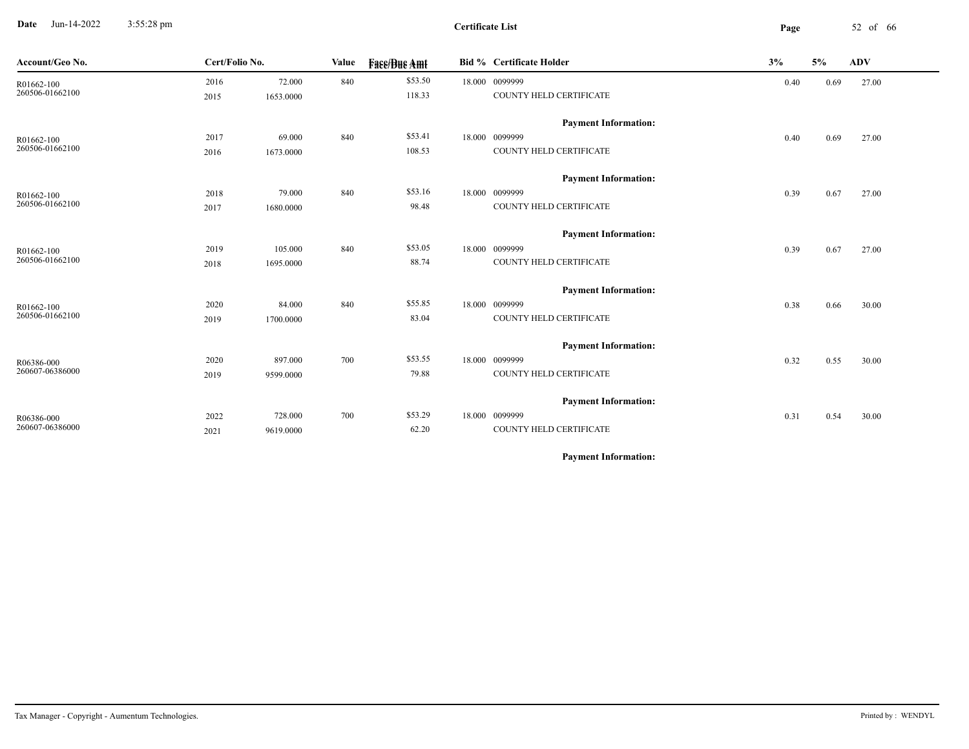**Date** Jun-14-2022 3:55:28 pm **Page** 52 of 66 3:55:28 pm

| Account/Geo No.               | Cert/Folio No. |           | Value | <b>Face/Bue Amt</b> | <b>Bid % Certificate Holder</b> | 3%   | 5%   | <b>ADV</b> |
|-------------------------------|----------------|-----------|-------|---------------------|---------------------------------|------|------|------------|
| R01662-100                    | 2016           | 72.000    | 840   | \$53.50             | 18.000 0099999                  | 0.40 | 0.69 | 27.00      |
| 260506-01662100               | 2015           | 1653.0000 |       | 118.33              | COUNTY HELD CERTIFICATE         |      |      |            |
|                               |                |           |       |                     | <b>Payment Information:</b>     |      |      |            |
| R01662-100                    | 2017           | 69.000    | 840   | \$53.41             | 18.000 0099999                  | 0.40 | 0.69 | 27.00      |
| 260506-01662100               | 2016           | 1673.0000 |       | 108.53              | COUNTY HELD CERTIFICATE         |      |      |            |
|                               |                |           |       |                     | <b>Payment Information:</b>     |      |      |            |
| R01662-100                    | 2018           | 79.000    | 840   | \$53.16             | 18.000 0099999                  | 0.39 | 0.67 | 27.00      |
| 260506-01662100               | 2017           | 1680.0000 |       | 98.48               | COUNTY HELD CERTIFICATE         |      |      |            |
|                               |                |           |       |                     | <b>Payment Information:</b>     |      |      |            |
| R01662-100                    | 2019           | 105.000   | 840   | \$53.05             | 18.000 0099999                  | 0.39 | 0.67 | 27.00      |
| 260506-01662100               | 2018           | 1695.0000 |       | 88.74               | COUNTY HELD CERTIFICATE         |      |      |            |
|                               |                |           |       |                     | <b>Payment Information:</b>     |      |      |            |
| R01662-100                    | 2020           | 84.000    | 840   | \$55.85             | 18.000 0099999                  | 0.38 | 0.66 | 30.00      |
| 260506-01662100               | 2019           | 1700.0000 |       | 83.04               | COUNTY HELD CERTIFICATE         |      |      |            |
|                               |                |           |       |                     | <b>Payment Information:</b>     |      |      |            |
| R06386-000<br>260607-06386000 | 2020           | 897.000   | 700   | \$53.55             | 18.000 0099999                  | 0.32 | 0.55 | 30.00      |
|                               | 2019           | 9599.0000 |       | 79.88               | COUNTY HELD CERTIFICATE         |      |      |            |
|                               |                |           |       |                     | <b>Payment Information:</b>     |      |      |            |
| R06386-000                    | 2022           | 728.000   | 700   | \$53.29             | 18.000 0099999                  | 0.31 | 0.54 | 30.00      |
| 260607-06386000               | 2021           | 9619.0000 |       | 62.20               | COUNTY HELD CERTIFICATE         |      |      |            |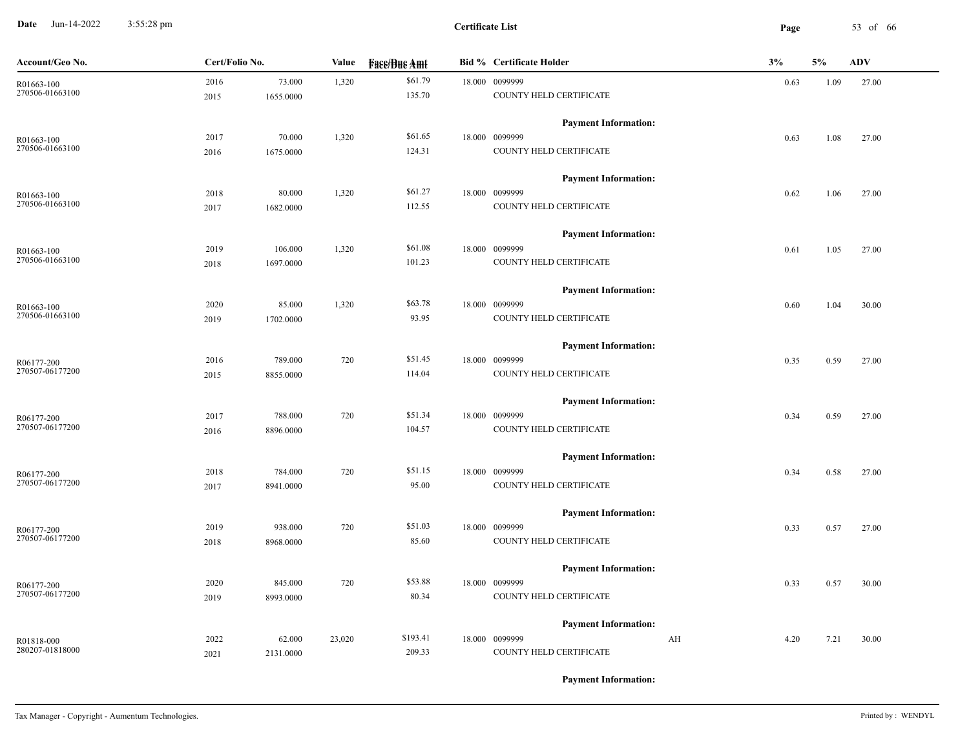**Date** Jun-14-2022 3:55:28 pm **Page** 53 of 66 3:55:28 pm

| Account/Geo No. | Cert/Folio No. |           | Value  | <b>Fase/Bue Amt</b> | <b>Bid % Certificate Holder</b> | 3%         | 5%   | <b>ADV</b> |
|-----------------|----------------|-----------|--------|---------------------|---------------------------------|------------|------|------------|
| R01663-100      | 2016           | 73.000    | 1,320  | \$61.79             | 18.000 0099999                  | 0.63       | 1.09 | 27.00      |
| 270506-01663100 | 2015           | 1655.0000 |        | 135.70              | COUNTY HELD CERTIFICATE         |            |      |            |
|                 |                |           |        |                     | <b>Payment Information:</b>     |            |      |            |
| R01663-100      | 2017           | 70.000    | 1,320  | \$61.65             | 18.000 0099999                  | 0.63       | 1.08 | 27.00      |
| 270506-01663100 | 2016           | 1675.0000 |        | 124.31              | COUNTY HELD CERTIFICATE         |            |      |            |
|                 |                |           |        |                     | <b>Payment Information:</b>     |            |      |            |
| R01663-100      | 2018           | 80.000    | 1,320  | \$61.27             | 18.000 0099999                  | 0.62       | 1.06 | 27.00      |
| 270506-01663100 | 2017           | 1682.0000 |        | 112.55              | COUNTY HELD CERTIFICATE         |            |      |            |
|                 |                |           |        |                     | <b>Payment Information:</b>     |            |      |            |
| R01663-100      | 2019           | 106.000   | 1,320  | \$61.08             | 18.000 0099999                  | 0.61       | 1.05 | 27.00      |
| 270506-01663100 | 2018           | 1697.0000 |        | 101.23              | COUNTY HELD CERTIFICATE         |            |      |            |
|                 |                |           |        |                     | <b>Payment Information:</b>     |            |      |            |
| R01663-100      | 2020           | 85.000    | 1,320  | \$63.78             | 18.000 0099999                  | 0.60       | 1.04 | 30.00      |
| 270506-01663100 | 2019           | 1702.0000 |        | 93.95               | COUNTY HELD CERTIFICATE         |            |      |            |
|                 |                |           |        |                     | <b>Payment Information:</b>     |            |      |            |
| R06177-200      | 2016           | 789.000   | 720    | \$51.45             | 18.000 0099999                  | 0.35       | 0.59 | 27.00      |
| 270507-06177200 | 2015           | 8855.0000 |        | 114.04              | COUNTY HELD CERTIFICATE         |            |      |            |
|                 |                |           |        |                     | <b>Payment Information:</b>     |            |      |            |
| R06177-200      | 2017           | 788.000   | 720    | \$51.34             | 18.000 0099999                  | 0.34       | 0.59 | 27.00      |
| 270507-06177200 | 2016           | 8896.0000 |        | 104.57              | COUNTY HELD CERTIFICATE         |            |      |            |
|                 |                |           |        |                     | <b>Payment Information:</b>     |            |      |            |
| R06177-200      | 2018           | 784.000   | 720    | \$51.15             | 18.000 0099999                  | 0.34       | 0.58 | 27.00      |
| 270507-06177200 | 2017           | 8941.0000 |        | 95.00               | COUNTY HELD CERTIFICATE         |            |      |            |
|                 |                |           |        |                     | <b>Payment Information:</b>     |            |      |            |
| R06177-200      | 2019           | 938.000   | 720    | \$51.03             | 18.000 0099999                  | 0.33       | 0.57 | 27.00      |
| 270507-06177200 | 2018           | 8968.0000 |        | 85.60               | COUNTY HELD CERTIFICATE         |            |      |            |
|                 |                |           |        |                     | <b>Payment Information:</b>     |            |      |            |
| R06177-200      | 2020           | 845.000   | 720    | \$53.88             | 18.000 0099999                  | 0.33       | 0.57 | 30.00      |
| 270507-06177200 | 2019           | 8993.0000 |        | 80.34               | COUNTY HELD CERTIFICATE         |            |      |            |
|                 |                |           |        |                     | <b>Payment Information:</b>     |            |      |            |
| R01818-000      | 2022           | 62.000    | 23,020 | \$193.41            | 18.000 0099999                  | AH<br>4.20 | 7.21 | 30.00      |
| 280207-01818000 | 2021           | 2131.0000 |        | 209.33              | COUNTY HELD CERTIFICATE         |            |      |            |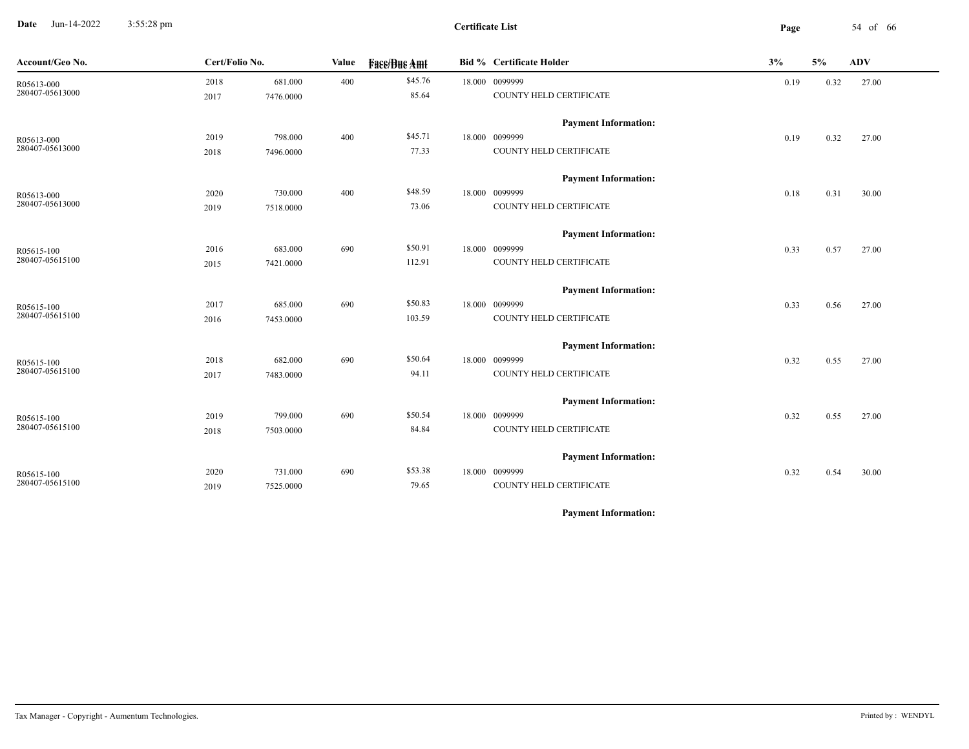**Date** Jun-14-2022 3:55:28 pm **Page** 54 of 66 3:55:28 pm

| Account/Geo No. | Cert/Folio No. |           | Value | <b>Fase/Bue Amt</b> | <b>Bid % Certificate Holder</b> | 3%   | 5%   | ${\bf A}{\bf D}{\bf V}$ |
|-----------------|----------------|-----------|-------|---------------------|---------------------------------|------|------|-------------------------|
| R05613-000      | 2018           | 681.000   | 400   | \$45.76             | 18.000 0099999                  | 0.19 | 0.32 | 27.00                   |
| 280407-05613000 | 2017           | 7476.0000 |       | 85.64               | COUNTY HELD CERTIFICATE         |      |      |                         |
|                 |                |           |       |                     | <b>Payment Information:</b>     |      |      |                         |
| R05613-000      | 2019           | 798.000   | 400   | \$45.71             | 18.000 0099999                  | 0.19 | 0.32 | 27.00                   |
| 280407-05613000 | 2018           | 7496.0000 |       | 77.33               | COUNTY HELD CERTIFICATE         |      |      |                         |
|                 |                |           |       |                     | <b>Payment Information:</b>     |      |      |                         |
| R05613-000      | 2020           | 730.000   | 400   | \$48.59             | 18.000 0099999                  | 0.18 | 0.31 | 30.00                   |
| 280407-05613000 | 2019           | 7518.0000 |       | 73.06               | COUNTY HELD CERTIFICATE         |      |      |                         |
|                 |                |           |       |                     | <b>Payment Information:</b>     |      |      |                         |
| R05615-100      | 2016           | 683.000   | 690   | \$50.91             | 18.000 0099999                  | 0.33 | 0.57 | 27.00                   |
| 280407-05615100 | 2015           | 7421.0000 |       | 112.91              | COUNTY HELD CERTIFICATE         |      |      |                         |
|                 |                |           |       |                     | <b>Payment Information:</b>     |      |      |                         |
| R05615-100      | 2017           | 685.000   | 690   | \$50.83             | 18.000 0099999                  | 0.33 | 0.56 | 27.00                   |
| 280407-05615100 | 2016           | 7453.0000 |       | 103.59              | COUNTY HELD CERTIFICATE         |      |      |                         |
|                 |                |           |       |                     | <b>Payment Information:</b>     |      |      |                         |
| R05615-100      | 2018           | 682.000   | 690   | \$50.64             | 18.000 0099999                  | 0.32 | 0.55 | 27.00                   |
| 280407-05615100 | 2017           | 7483.0000 |       | 94.11               | COUNTY HELD CERTIFICATE         |      |      |                         |
|                 |                |           |       |                     | <b>Payment Information:</b>     |      |      |                         |
| R05615-100      | 2019           | 799.000   | 690   | \$50.54             | 18.000 0099999                  | 0.32 | 0.55 | 27.00                   |
| 280407-05615100 | 2018           | 7503.0000 |       | 84.84               | COUNTY HELD CERTIFICATE         |      |      |                         |
|                 |                |           |       |                     | <b>Payment Information:</b>     |      |      |                         |
| R05615-100      | 2020           | 731.000   | 690   | \$53.38             | 18.000 0099999                  | 0.32 | 0.54 | 30.00                   |
| 280407-05615100 | 2019           | 7525.0000 |       | 79.65               | COUNTY HELD CERTIFICATE         |      |      |                         |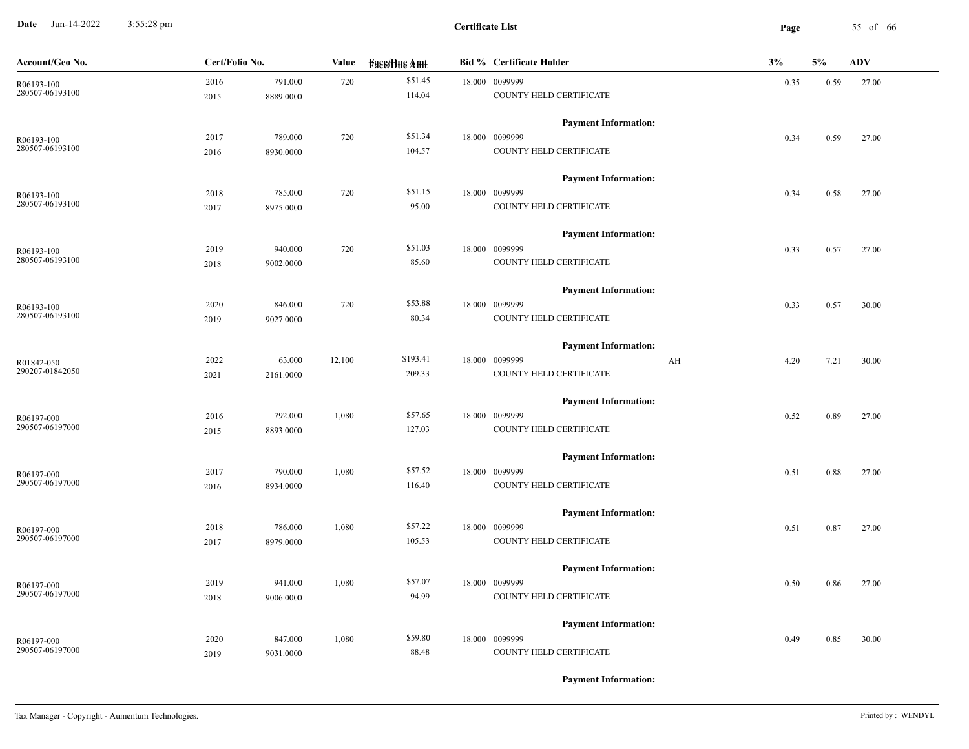**Date** Jun-14-2022 3:55:28 pm **Page** 55 of 66 3:55:28 pm

| Account/Geo No.               | Cert/Folio No. |           | Value  | <b>Fase/Bue Amt</b> | <b>Bid % Certificate Holder</b> | 3%         | 5%   | <b>ADV</b> |
|-------------------------------|----------------|-----------|--------|---------------------|---------------------------------|------------|------|------------|
| R06193-100                    | 2016           | 791.000   | 720    | \$51.45             | 18.000 0099999                  | 0.35       | 0.59 | 27.00      |
| 280507-06193100               | 2015           | 8889.0000 |        | 114.04              | COUNTY HELD CERTIFICATE         |            |      |            |
|                               |                |           |        |                     | <b>Payment Information:</b>     |            |      |            |
| R06193-100                    | 2017           | 789.000   | 720    | \$51.34             | 18.000 0099999                  | 0.34       | 0.59 | 27.00      |
| 280507-06193100               | 2016           | 8930.0000 |        | 104.57              | COUNTY HELD CERTIFICATE         |            |      |            |
|                               |                |           |        |                     | <b>Payment Information:</b>     |            |      |            |
| R06193-100                    | 2018           | 785.000   | 720    | \$51.15             | 18.000 0099999                  | 0.34       | 0.58 | 27.00      |
| 280507-06193100               | 2017           | 8975.0000 |        | 95.00               | COUNTY HELD CERTIFICATE         |            |      |            |
|                               |                |           |        |                     | <b>Payment Information:</b>     |            |      |            |
| R06193-100                    | 2019           | 940.000   | 720    | \$51.03             | 18.000 0099999                  | 0.33       | 0.57 | 27.00      |
| 280507-06193100               | 2018           | 9002.0000 |        | 85.60               | COUNTY HELD CERTIFICATE         |            |      |            |
|                               |                |           |        |                     | <b>Payment Information:</b>     |            |      |            |
| R06193-100                    | 2020           | 846.000   | 720    | \$53.88             | 18.000 0099999                  | 0.33       | 0.57 | 30.00      |
| 280507-06193100               | 2019           | 9027.0000 |        | 80.34               | COUNTY HELD CERTIFICATE         |            |      |            |
|                               |                |           |        |                     | <b>Payment Information:</b>     |            |      |            |
|                               | 2022           | 63.000    | 12,100 | \$193.41            | 18.000 0099999                  | AH<br>4.20 | 7.21 | 30.00      |
| R01842-050<br>290207-01842050 | 2021           | 2161.0000 |        | 209.33              | COUNTY HELD CERTIFICATE         |            |      |            |
|                               |                |           |        |                     |                                 |            |      |            |
|                               |                |           |        |                     | <b>Payment Information:</b>     |            |      |            |
| R06197-000                    | 2016           | 792.000   | 1,080  | \$57.65             | 18.000 0099999                  | 0.52       | 0.89 | 27.00      |
| 290507-06197000               | 2015           | 8893.0000 |        | 127.03              | COUNTY HELD CERTIFICATE         |            |      |            |
|                               |                |           |        |                     | <b>Payment Information:</b>     |            |      |            |
| R06197-000                    | 2017           | 790.000   | 1,080  | \$57.52             | 18.000 0099999                  | 0.51       | 0.88 | 27.00      |
| 290507-06197000               | 2016           | 8934.0000 |        | 116.40              | COUNTY HELD CERTIFICATE         |            |      |            |
|                               |                |           |        |                     | <b>Payment Information:</b>     |            |      |            |
| R06197-000                    | 2018           | 786.000   | 1,080  | \$57.22             | 18.000 0099999                  | 0.51       | 0.87 | 27.00      |
| 290507-06197000               | 2017           | 8979.0000 |        | 105.53              | COUNTY HELD CERTIFICATE         |            |      |            |
|                               |                |           |        |                     | <b>Payment Information:</b>     |            |      |            |
| R06197-000                    | 2019           | 941.000   | 1,080  | \$57.07             | 18.000 0099999                  | 0.50       | 0.86 | 27.00      |
| 290507-06197000               | 2018           | 9006.0000 |        | 94.99               | COUNTY HELD CERTIFICATE         |            |      |            |
|                               |                |           |        |                     | <b>Payment Information:</b>     |            |      |            |
| R06197-000                    | 2020           | 847.000   | 1,080  | \$59.80             | 18.000 0099999                  | 0.49       | 0.85 | 30.00      |
| 290507-06197000               | 2019           | 9031.0000 |        | 88.48               | COUNTY HELD CERTIFICATE         |            |      |            |
|                               |                |           |        |                     |                                 |            |      |            |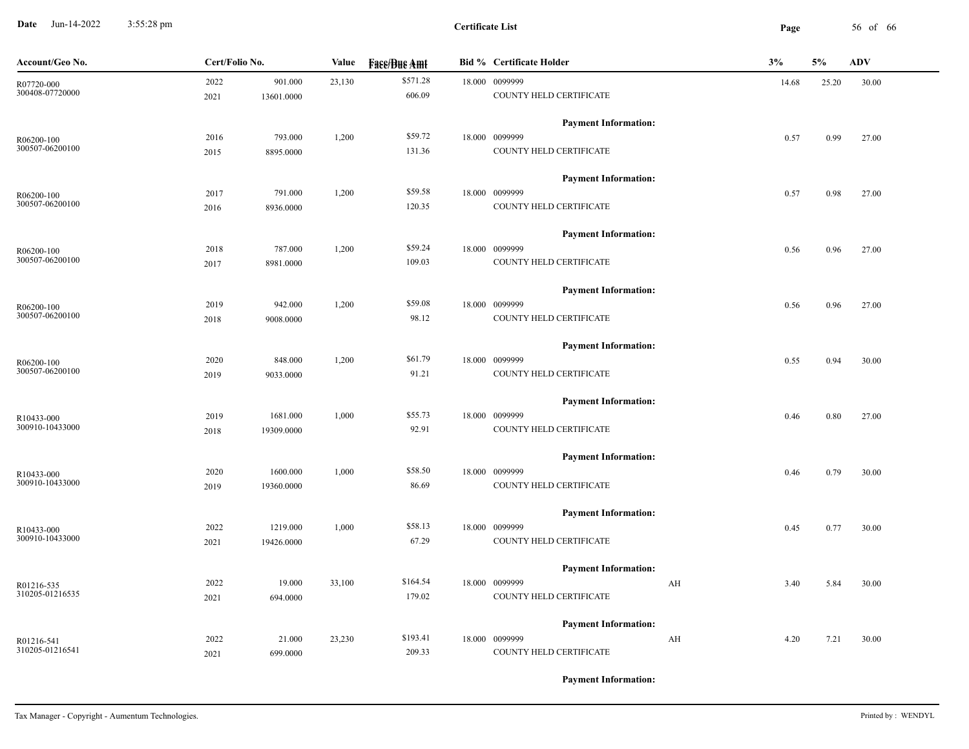**Date** Jun-14-2022 3:55:28 pm **Page** 56 of 66 3:55:28 pm

| Account/Geo No.               | Cert/Folio No. |            | Value  | <b>Face/Bue Amt</b> |  | <b>Bid % Certificate Holder</b>           | 3%         | 5%    | <b>ADV</b> |
|-------------------------------|----------------|------------|--------|---------------------|--|-------------------------------------------|------------|-------|------------|
| R07720-000                    | 2022           | 901.000    | 23,130 | \$571.28            |  | 18.000 0099999                            | 14.68      | 25.20 | 30.00      |
| 300408-07720000               | 2021           | 13601.0000 |        | 606.09              |  | COUNTY HELD CERTIFICATE                   |            |       |            |
|                               |                |            |        |                     |  | <b>Payment Information:</b>               |            |       |            |
| R06200-100                    | 2016           | 793.000    | 1,200  | \$59.72             |  | 18.000 0099999                            | 0.57       | 0.99  | 27.00      |
| 300507-06200100               | 2015           | 8895.0000  |        | 131.36              |  | COUNTY HELD CERTIFICATE                   |            |       |            |
|                               |                |            |        |                     |  | <b>Payment Information:</b>               |            |       |            |
| R06200-100                    | 2017           | 791.000    | 1,200  | \$59.58             |  | 18.000 0099999                            | 0.57       | 0.98  | 27.00      |
| 300507-06200100               | 2016           | 8936.0000  |        | 120.35              |  | COUNTY HELD CERTIFICATE                   |            |       |            |
|                               |                |            |        |                     |  | <b>Payment Information:</b>               |            |       |            |
|                               |                | 787.000    | 1,200  | \$59.24             |  | 18.000 0099999                            |            |       |            |
| R06200-100<br>300507-06200100 | 2018           |            |        |                     |  |                                           | 0.56       | 0.96  | 27.00      |
|                               | 2017           | 8981.0000  |        | 109.03              |  | COUNTY HELD CERTIFICATE                   |            |       |            |
|                               |                |            |        |                     |  | <b>Payment Information:</b>               |            |       |            |
| R06200-100                    | 2019           | 942.000    | 1,200  | \$59.08             |  | 18.000 0099999                            | 0.56       | 0.96  | 27.00      |
| 300507-06200100               | 2018           | 9008.0000  |        | 98.12               |  | COUNTY HELD CERTIFICATE                   |            |       |            |
|                               |                |            |        |                     |  | <b>Payment Information:</b>               |            |       |            |
| R06200-100                    | 2020           | 848.000    | 1,200  | \$61.79             |  | 18.000 0099999                            | 0.55       | 0.94  | 30.00      |
| 300507-06200100               | 2019           | 9033.0000  |        | 91.21               |  | COUNTY HELD CERTIFICATE                   |            |       |            |
|                               |                |            |        |                     |  | <b>Payment Information:</b>               |            |       |            |
|                               | 2019           | 1681.000   | 1,000  | \$55.73             |  | 18.000 0099999                            | 0.46       | 0.80  | 27.00      |
| R10433-000<br>300910-10433000 | 2018           | 19309.0000 |        | 92.91               |  | COUNTY HELD CERTIFICATE                   |            |       |            |
|                               |                |            |        |                     |  |                                           |            |       |            |
|                               |                |            |        |                     |  | <b>Payment Information:</b>               |            |       |            |
| R10433-000<br>300910-10433000 | 2020           | 1600.000   | 1,000  | \$58.50             |  | 18.000 0099999                            | 0.46       | 0.79  | 30.00      |
|                               | 2019           | 19360.0000 |        | 86.69               |  | COUNTY HELD CERTIFICATE                   |            |       |            |
|                               |                |            |        |                     |  | <b>Payment Information:</b>               |            |       |            |
| R10433-000                    | 2022           | 1219.000   | 1,000  | \$58.13             |  | 18.000 0099999                            | 0.45       | 0.77  | 30.00      |
| 300910-10433000               | 2021           | 19426.0000 |        | 67.29               |  | COUNTY HELD CERTIFICATE                   |            |       |            |
|                               |                |            |        |                     |  | <b>Payment Information:</b>               |            |       |            |
| R01216-535                    | 2022           | 19.000     | 33,100 | \$164.54            |  | 18.000 0099999                            | AH<br>3.40 | 5.84  | 30.00      |
| 310205-01216535               | 2021           | 694.0000   |        | 179.02              |  | COUNTY HELD CERTIFICATE                   |            |       |            |
|                               |                |            |        |                     |  | <b>Payment Information:</b>               |            |       |            |
|                               |                |            |        | \$193.41            |  |                                           |            |       |            |
| R01216-541<br>310205-01216541 | 2022           | 21.000     | 23,230 | 209.33              |  | 18.000 0099999<br>COUNTY HELD CERTIFICATE | AH<br>4.20 | 7.21  | 30.00      |
|                               | 2021           | 699.0000   |        |                     |  |                                           |            |       |            |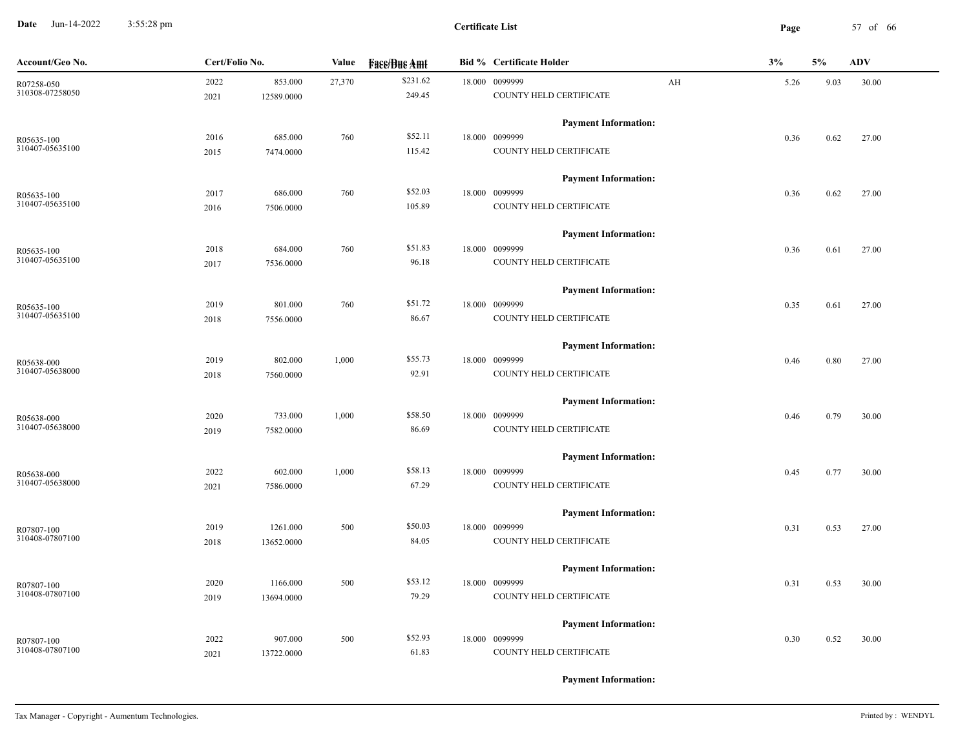**Date** Jun-14-2022 3:55:28 pm **Page** 57 of 66 3:55:28 pm

| Account/Geo No.               | Cert/Folio No. |            | Value  | <b>Fase/Bue Amt</b> | <b>Bid % Certificate Holder</b> | 3%         | 5%   | <b>ADV</b> |
|-------------------------------|----------------|------------|--------|---------------------|---------------------------------|------------|------|------------|
| R07258-050                    | 2022           | 853.000    | 27,370 | \$231.62            | 18.000 0099999                  | AH<br>5.26 | 9.03 | 30.00      |
| 310308-07258050               | 2021           | 12589.0000 |        | 249.45              | COUNTY HELD CERTIFICATE         |            |      |            |
|                               |                |            |        |                     | <b>Payment Information:</b>     |            |      |            |
| R05635-100<br>310407-05635100 | 2016           | 685.000    | 760    | \$52.11             | 18.000 0099999                  | 0.36       | 0.62 | 27.00      |
|                               | 2015           | 7474.0000  |        | 115.42              | COUNTY HELD CERTIFICATE         |            |      |            |
|                               |                |            |        |                     | <b>Payment Information:</b>     |            |      |            |
| R05635-100                    | 2017           | 686.000    | 760    | \$52.03             | 18.000 0099999                  | 0.36       | 0.62 | 27.00      |
| 310407-05635100               | 2016           | 7506.0000  |        | 105.89              | COUNTY HELD CERTIFICATE         |            |      |            |
|                               |                |            |        |                     | <b>Payment Information:</b>     |            |      |            |
| R05635-100                    | 2018           | 684.000    | 760    | \$51.83             | 18.000 0099999                  | 0.36       | 0.61 | 27.00      |
| 310407-05635100               | 2017           | 7536.0000  |        | 96.18               | COUNTY HELD CERTIFICATE         |            |      |            |
|                               |                |            |        |                     | <b>Payment Information:</b>     |            |      |            |
| R05635-100                    | 2019           | 801.000    | 760    | \$51.72             | 18.000 0099999                  | 0.35       | 0.61 | 27.00      |
| 310407-05635100               | 2018           | 7556.0000  |        | 86.67               | COUNTY HELD CERTIFICATE         |            |      |            |
|                               |                |            |        |                     | <b>Payment Information:</b>     |            |      |            |
| R05638-000                    | 2019           | 802.000    | 1,000  | \$55.73             | 18.000 0099999                  | 0.46       | 0.80 | 27.00      |
| 310407-05638000               | 2018           | 7560.0000  |        | 92.91               | COUNTY HELD CERTIFICATE         |            |      |            |
|                               |                |            |        |                     | <b>Payment Information:</b>     |            |      |            |
| R05638-000                    | 2020           | 733.000    | 1,000  | \$58.50             | 18.000 0099999                  | 0.46       | 0.79 | 30.00      |
| 310407-05638000               | 2019           | 7582.0000  |        | 86.69               | COUNTY HELD CERTIFICATE         |            |      |            |
|                               |                |            |        |                     | <b>Payment Information:</b>     |            |      |            |
| R05638-000                    | 2022           | 602.000    | 1,000  | \$58.13             | 18.000 0099999                  | 0.45       | 0.77 | 30.00      |
| 310407-05638000               | 2021           | 7586.0000  |        | 67.29               | COUNTY HELD CERTIFICATE         |            |      |            |
|                               |                |            |        |                     | <b>Payment Information:</b>     |            |      |            |
| R07807-100                    | 2019           | 1261.000   | 500    | \$50.03             | 18.000 0099999                  | 0.31       | 0.53 | 27.00      |
| 310408-07807100               | 2018           | 13652.0000 |        | 84.05               | COUNTY HELD CERTIFICATE         |            |      |            |
|                               |                |            |        |                     | <b>Payment Information:</b>     |            |      |            |
| $R07807-100$                  | 2020           | 1166.000   | 500    | \$53.12             | 18.000 0099999                  | 0.31       | 0.53 | 30.00      |
| 310408-07807100               | 2019           | 13694.0000 |        | 79.29               | COUNTY HELD CERTIFICATE         |            |      |            |
|                               |                |            |        |                     | <b>Payment Information:</b>     |            |      |            |
| R07807-100                    | 2022           | 907.000    | 500    | \$52.93             | 18.000 0099999                  | 0.30       | 0.52 | 30.00      |
| 310408-07807100               | 2021           | 13722.0000 |        | 61.83               | COUNTY HELD CERTIFICATE         |            |      |            |
|                               |                |            |        |                     |                                 |            |      |            |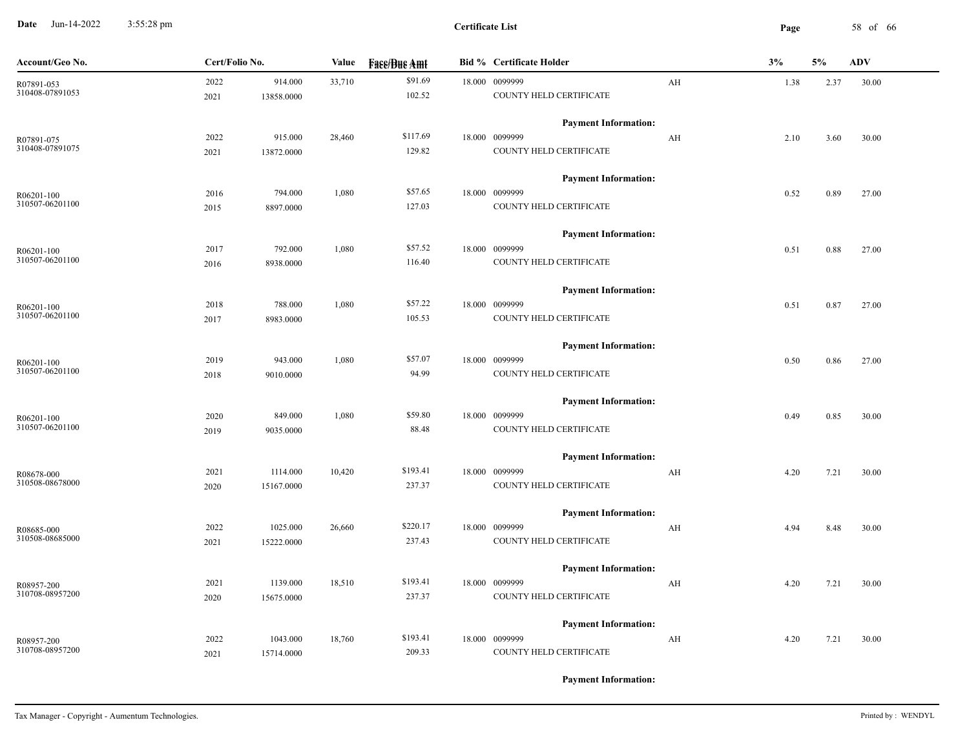**Date** Jun-14-2022 3:55:28 pm **Page** 58 of 66 3:55:28 pm

| Account/Geo No. | Cert/Folio No. |            | Value  | <b>Face/Bue Amt</b> | <b>Bid % Certificate Holder</b> |                         | 3%   | 5%   | ADV   |
|-----------------|----------------|------------|--------|---------------------|---------------------------------|-------------------------|------|------|-------|
| R07891-053      | 2022           | 914.000    | 33,710 | \$91.69             | 18.000 0099999                  | $\mathbf{A} \mathbf{H}$ | 1.38 | 2.37 | 30.00 |
| 310408-07891053 | 2021           | 13858.0000 |        | 102.52              | COUNTY HELD CERTIFICATE         |                         |      |      |       |
|                 |                |            |        |                     | <b>Payment Information:</b>     |                         |      |      |       |
| R07891-075      | 2022           | 915.000    | 28,460 | \$117.69            | 18.000 0099999                  | AH                      | 2.10 | 3.60 | 30.00 |
| 310408-07891075 | 2021           | 13872.0000 |        | 129.82              | COUNTY HELD CERTIFICATE         |                         |      |      |       |
|                 |                |            |        |                     | <b>Payment Information:</b>     |                         |      |      |       |
| R06201-100      | 2016           | 794.000    | 1,080  | \$57.65             | 18.000 0099999                  |                         | 0.52 | 0.89 | 27.00 |
| 310507-06201100 | 2015           | 8897.0000  |        | 127.03              | COUNTY HELD CERTIFICATE         |                         |      |      |       |
|                 |                |            |        |                     | <b>Payment Information:</b>     |                         |      |      |       |
| R06201-100      | 2017           | 792.000    | 1,080  | \$57.52             | 18.000 0099999                  |                         | 0.51 | 0.88 | 27.00 |
| 310507-06201100 | 2016           | 8938.0000  |        | 116.40              | COUNTY HELD CERTIFICATE         |                         |      |      |       |
|                 |                |            |        |                     | <b>Payment Information:</b>     |                         |      |      |       |
| R06201-100      | 2018           | 788.000    | 1,080  | \$57.22             | 18.000 0099999                  |                         | 0.51 | 0.87 | 27.00 |
| 310507-06201100 | 2017           | 8983.0000  |        | 105.53              | COUNTY HELD CERTIFICATE         |                         |      |      |       |
|                 |                |            |        |                     | <b>Payment Information:</b>     |                         |      |      |       |
| R06201-100      | 2019           | 943.000    | 1,080  | \$57.07             | 18.000 0099999                  |                         | 0.50 | 0.86 | 27.00 |
| 310507-06201100 | 2018           | 9010.0000  |        | 94.99               | COUNTY HELD CERTIFICATE         |                         |      |      |       |
|                 |                |            |        |                     | <b>Payment Information:</b>     |                         |      |      |       |
| R06201-100      | 2020           | 849.000    | 1,080  | \$59.80             | 18.000 0099999                  |                         | 0.49 | 0.85 | 30.00 |
| 310507-06201100 | 2019           | 9035.0000  |        | 88.48               | COUNTY HELD CERTIFICATE         |                         |      |      |       |
|                 |                |            |        |                     | <b>Payment Information:</b>     |                         |      |      |       |
| R08678-000      | 2021           | 1114.000   | 10,420 | \$193.41            | 18.000 0099999                  | AH                      | 4.20 | 7.21 | 30.00 |
| 310508-08678000 | 2020           | 15167.0000 |        | 237.37              | COUNTY HELD CERTIFICATE         |                         |      |      |       |
|                 |                |            |        |                     | <b>Payment Information:</b>     |                         |      |      |       |
| R08685-000      | 2022           | 1025.000   | 26,660 | \$220.17            | 18.000 0099999                  | $\mathbf{A} \mathbf{H}$ | 4.94 | 8.48 | 30.00 |
| 310508-08685000 | 2021           | 15222.0000 |        | 237.43              | COUNTY HELD CERTIFICATE         |                         |      |      |       |
|                 |                |            |        |                     | <b>Payment Information:</b>     |                         |      |      |       |
| R08957-200      | 2021           | 1139.000   | 18,510 | \$193.41            | 18.000 0099999                  | AH                      | 4.20 | 7.21 | 30.00 |
| 310708-08957200 | 2020           | 15675.0000 |        | 237.37              | COUNTY HELD CERTIFICATE         |                         |      |      |       |
|                 |                |            |        |                     | <b>Payment Information:</b>     |                         |      |      |       |
| R08957-200      | 2022           | 1043.000   | 18,760 | \$193.41            | 18.000 0099999                  | AH                      | 4.20 | 7.21 | 30.00 |
| 310708-08957200 | 2021           | 15714.0000 |        | 209.33              | COUNTY HELD CERTIFICATE         |                         |      |      |       |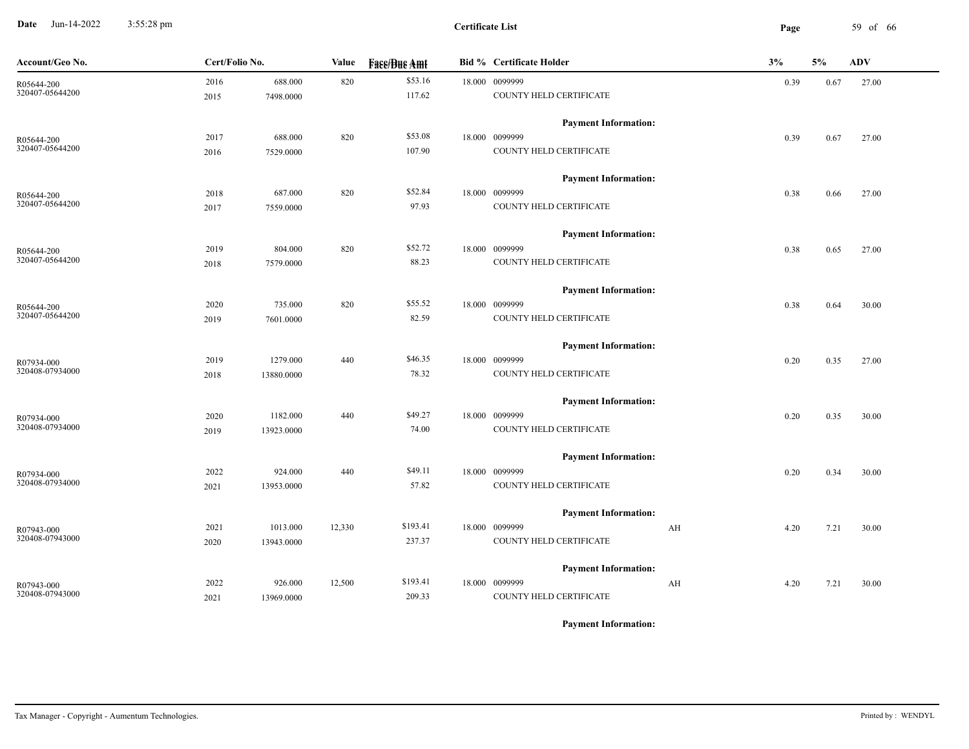**Date** Jun-14-2022 3:55:28 pm **Page** 59 of 66 3:55:28 pm

| Account/Geo No. | Cert/Folio No. |            | Value  | <b>Fase/Bue Amt</b> | <b>Bid % Certificate Holder</b> | 3%         | 5%   | ADV   |
|-----------------|----------------|------------|--------|---------------------|---------------------------------|------------|------|-------|
| R05644-200      | 2016           | 688.000    | 820    | \$53.16             | 18.000 0099999                  | 0.39       | 0.67 | 27.00 |
| 320407-05644200 | 2015           | 7498.0000  |        | 117.62              | COUNTY HELD CERTIFICATE         |            |      |       |
|                 |                |            |        |                     | <b>Payment Information:</b>     |            |      |       |
| R05644-200      | 2017           | 688.000    | 820    | \$53.08             | 18.000 0099999                  | 0.39       | 0.67 | 27.00 |
| 320407-05644200 | 2016           | 7529.0000  |        | 107.90              | COUNTY HELD CERTIFICATE         |            |      |       |
|                 |                |            |        |                     | <b>Payment Information:</b>     |            |      |       |
| R05644-200      | 2018           | 687.000    | 820    | \$52.84             | 18.000 0099999                  | 0.38       | 0.66 | 27.00 |
| 320407-05644200 | 2017           | 7559.0000  |        | 97.93               | COUNTY HELD CERTIFICATE         |            |      |       |
|                 |                |            |        |                     | <b>Payment Information:</b>     |            |      |       |
| R05644-200      | 2019           | 804.000    | 820    | \$52.72             | 18.000 0099999                  | 0.38       | 0.65 | 27.00 |
| 320407-05644200 | 2018           | 7579.0000  |        | 88.23               | COUNTY HELD CERTIFICATE         |            |      |       |
|                 |                |            |        |                     | <b>Payment Information:</b>     |            |      |       |
| R05644-200      | 2020           | 735.000    | 820    | \$55.52             | 18.000 0099999                  | 0.38       | 0.64 | 30.00 |
| 320407-05644200 | 2019           | 7601.0000  |        | 82.59               | COUNTY HELD CERTIFICATE         |            |      |       |
|                 |                |            |        |                     | <b>Payment Information:</b>     |            |      |       |
| R07934-000      | 2019           | 1279.000   | 440    | \$46.35             | 18.000 0099999                  | 0.20       | 0.35 | 27.00 |
| 320408-07934000 | 2018           | 13880.0000 |        | 78.32               | COUNTY HELD CERTIFICATE         |            |      |       |
|                 |                |            |        |                     | <b>Payment Information:</b>     |            |      |       |
| R07934-000      | 2020           | 1182.000   | 440    | \$49.27             | 18.000 0099999                  | 0.20       | 0.35 | 30.00 |
| 320408-07934000 | 2019           | 13923.0000 |        | 74.00               | COUNTY HELD CERTIFICATE         |            |      |       |
|                 |                |            |        |                     | <b>Payment Information:</b>     |            |      |       |
| R07934-000      | 2022           | 924.000    | 440    | \$49.11             | 18.000 0099999                  | 0.20       | 0.34 | 30.00 |
| 320408-07934000 | 2021           | 13953.0000 |        | 57.82               | COUNTY HELD CERTIFICATE         |            |      |       |
|                 |                |            |        |                     | <b>Payment Information:</b>     |            |      |       |
| R07943-000      | 2021           | 1013.000   | 12,330 | \$193.41            | 18.000 0099999                  | AH<br>4.20 | 7.21 | 30.00 |
| 320408-07943000 | 2020           | 13943.0000 |        | 237.37              | COUNTY HELD CERTIFICATE         |            |      |       |
|                 |                |            |        |                     | <b>Payment Information:</b>     |            |      |       |
| R07943-000      | 2022           | 926.000    | 12,500 | \$193.41            | 18.000 0099999                  | AH<br>4.20 | 7.21 | 30.00 |
| 320408-07943000 | 2021           | 13969.0000 |        | 209.33              | COUNTY HELD CERTIFICATE         |            |      |       |
|                 |                |            |        |                     |                                 |            |      |       |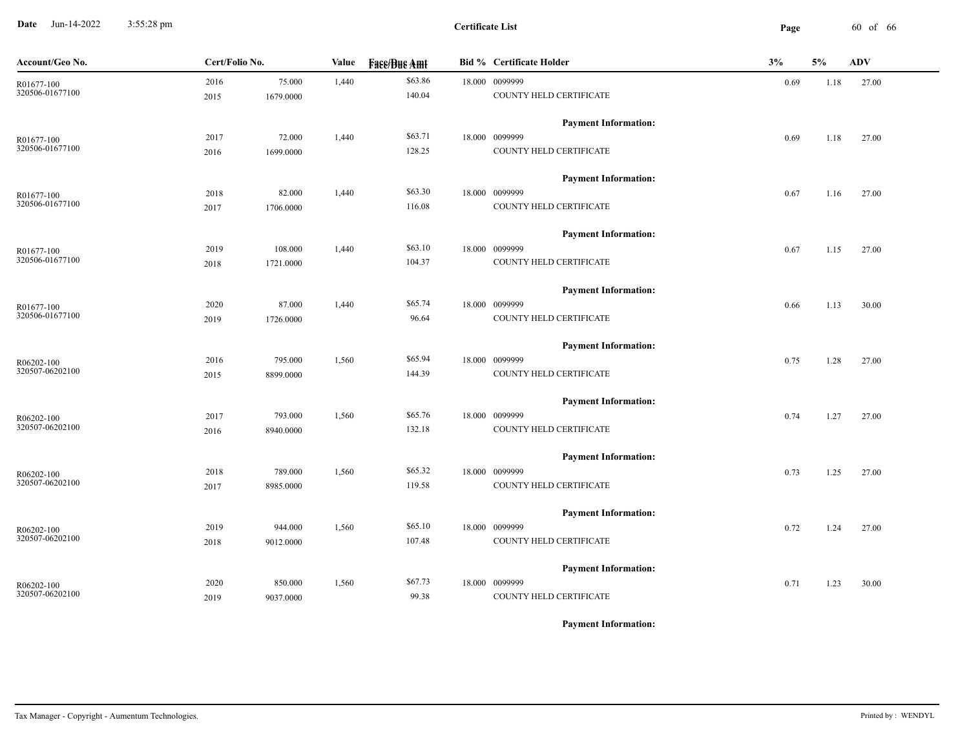**Date** Jun-14-2022 3:55:28 pm **Page** 60 of 66 3:55:28 pm

| Account/Geo No.               | Cert/Folio No. |           | Value | <b>Face/Bue Amt</b> |  | <b>Bid % Certificate Holder</b>               | 3%   | 5%   | <b>ADV</b> |
|-------------------------------|----------------|-----------|-------|---------------------|--|-----------------------------------------------|------|------|------------|
| R01677-100                    | 2016           | 75.000    | 1,440 | \$63.86             |  | 18.000 0099999                                | 0.69 | 1.18 | 27.00      |
| 320506-01677100               | 2015           | 1679.0000 |       | 140.04              |  | COUNTY HELD CERTIFICATE                       |      |      |            |
|                               |                |           |       |                     |  | <b>Payment Information:</b>                   |      |      |            |
| R01677-100                    | 2017           | 72.000    | 1,440 | \$63.71             |  | 18.000 0099999                                | 0.69 | 1.18 | 27.00      |
| 320506-01677100               | 2016           | 1699.0000 |       | 128.25              |  | COUNTY HELD CERTIFICATE                       |      |      |            |
|                               |                |           |       |                     |  | <b>Payment Information:</b>                   |      |      |            |
| R01677-100                    | 2018           | 82.000    | 1,440 | \$63.30             |  | 18.000 0099999                                | 0.67 | 1.16 | 27.00      |
| 320506-01677100               | 2017           | 1706.0000 |       | 116.08              |  | COUNTY HELD CERTIFICATE                       |      |      |            |
|                               |                |           |       |                     |  |                                               |      |      |            |
|                               |                | 108.000   | 1,440 | \$63.10             |  | <b>Payment Information:</b><br>18.000 0099999 |      |      |            |
| R01677-100<br>320506-01677100 | 2019<br>2018   | 1721.0000 |       | 104.37              |  | COUNTY HELD CERTIFICATE                       | 0.67 | 1.15 | 27.00      |
|                               |                |           |       |                     |  |                                               |      |      |            |
|                               |                |           |       |                     |  | <b>Payment Information:</b>                   |      |      |            |
| R01677-100<br>320506-01677100 | 2020           | 87.000    | 1,440 | \$65.74<br>96.64    |  | 18.000 0099999<br>COUNTY HELD CERTIFICATE     | 0.66 | 1.13 | 30.00      |
|                               | 2019           | 1726.0000 |       |                     |  |                                               |      |      |            |
|                               |                |           |       |                     |  | <b>Payment Information:</b>                   |      |      |            |
| R06202-100                    | 2016           | 795.000   | 1,560 | \$65.94             |  | 18.000 0099999                                | 0.75 | 1.28 | 27.00      |
| 320507-06202100               | 2015           | 8899.0000 |       | 144.39              |  | COUNTY HELD CERTIFICATE                       |      |      |            |
|                               |                |           |       |                     |  | <b>Payment Information:</b>                   |      |      |            |
| R06202-100                    | 2017           | 793.000   | 1,560 | \$65.76             |  | 18.000 0099999                                | 0.74 | 1.27 | 27.00      |
| 320507-06202100               | 2016           | 8940.0000 |       | 132.18              |  | COUNTY HELD CERTIFICATE                       |      |      |            |
|                               |                |           |       |                     |  | <b>Payment Information:</b>                   |      |      |            |
| R06202-100                    | 2018           | 789.000   | 1,560 | \$65.32             |  | 18.000 0099999                                | 0.73 | 1.25 | 27.00      |
| 320507-06202100               | 2017           | 8985.0000 |       | 119.58              |  | COUNTY HELD CERTIFICATE                       |      |      |            |
|                               |                |           |       |                     |  |                                               |      |      |            |
|                               | 2019           | 944.000   | 1,560 | \$65.10             |  | <b>Payment Information:</b><br>18.000 0099999 | 0.72 | 1.24 | 27.00      |
| R06202-100<br>320507-06202100 | 2018           | 9012.0000 |       | 107.48              |  | COUNTY HELD CERTIFICATE                       |      |      |            |
|                               |                |           |       |                     |  |                                               |      |      |            |
|                               |                |           |       |                     |  | <b>Payment Information:</b>                   |      |      |            |
| R06202-100<br>320507-06202100 | 2020           | 850.000   | 1,560 | \$67.73<br>99.38    |  | 18.000 0099999<br>COUNTY HELD CERTIFICATE     | 0.71 | 1.23 | 30.00      |
|                               | 2019           | 9037.0000 |       |                     |  |                                               |      |      |            |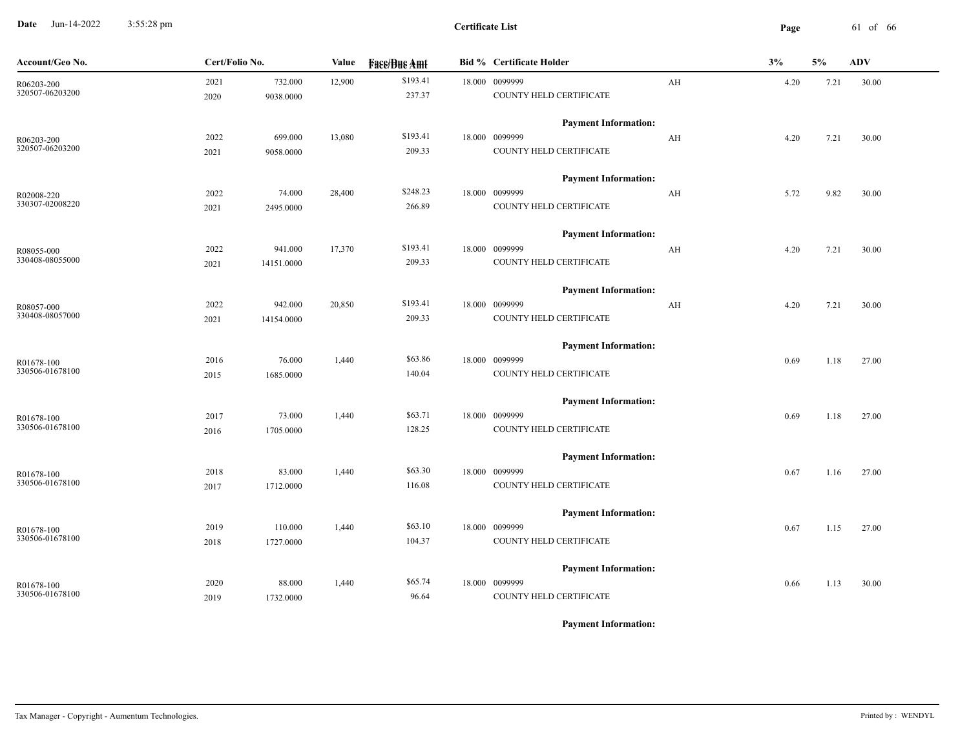**Date** Jun-14-2022 3:55:28 pm **Page** 61 of 66 3:55:28 pm

| Account/Geo No. | Cert/Folio No. |            | Value  | <b>Fase/Bue Amt</b> | <b>Bid % Certificate Holder</b> |    | 3%   | 5%   | <b>ADV</b> |
|-----------------|----------------|------------|--------|---------------------|---------------------------------|----|------|------|------------|
| R06203-200      | 2021           | 732.000    | 12,900 | \$193.41            | 18.000 0099999                  | AH | 4.20 | 7.21 | 30.00      |
| 320507-06203200 | 2020           | 9038.0000  |        | 237.37              | COUNTY HELD CERTIFICATE         |    |      |      |            |
|                 |                |            |        |                     | <b>Payment Information:</b>     |    |      |      |            |
| R06203-200      | 2022           | 699.000    | 13,080 | \$193.41            | 18.000 0099999                  | AH | 4.20 | 7.21 | 30.00      |
| 320507-06203200 | 2021           | 9058.0000  |        | 209.33              | COUNTY HELD CERTIFICATE         |    |      |      |            |
|                 |                |            |        |                     | <b>Payment Information:</b>     |    |      |      |            |
| R02008-220      | 2022           | 74.000     | 28,400 | \$248.23            | 18.000 0099999                  | AH | 5.72 | 9.82 | 30.00      |
| 330307-02008220 | 2021           | 2495.0000  |        | 266.89              | COUNTY HELD CERTIFICATE         |    |      |      |            |
|                 |                |            |        |                     | <b>Payment Information:</b>     |    |      |      |            |
| R08055-000      | 2022           | 941.000    | 17,370 | \$193.41            | 18.000 0099999                  | AH | 4.20 | 7.21 | 30.00      |
| 330408-08055000 | 2021           | 14151.0000 |        | 209.33              | COUNTY HELD CERTIFICATE         |    |      |      |            |
|                 |                |            |        |                     | <b>Payment Information:</b>     |    |      |      |            |
| R08057-000      | 2022           | 942.000    | 20,850 | \$193.41            | 18.000 0099999                  | AH | 4.20 | 7.21 | 30.00      |
| 330408-08057000 | 2021           | 14154.0000 |        | 209.33              | COUNTY HELD CERTIFICATE         |    |      |      |            |
|                 |                |            |        |                     | <b>Payment Information:</b>     |    |      |      |            |
| R01678-100      | 2016           | 76.000     | 1,440  | \$63.86             | 18.000 0099999                  |    | 0.69 | 1.18 | 27.00      |
| 330506-01678100 | 2015           | 1685.0000  |        | 140.04              | COUNTY HELD CERTIFICATE         |    |      |      |            |
|                 |                |            |        |                     | <b>Payment Information:</b>     |    |      |      |            |
| R01678-100      | 2017           | 73.000     | 1,440  | \$63.71             | 18.000 0099999                  |    | 0.69 | 1.18 | 27.00      |
| 330506-01678100 | 2016           | 1705.0000  |        | 128.25              | COUNTY HELD CERTIFICATE         |    |      |      |            |
|                 |                |            |        |                     | <b>Payment Information:</b>     |    |      |      |            |
| R01678-100      | 2018           | 83.000     | 1,440  | \$63.30             | 18.000 0099999                  |    | 0.67 | 1.16 | 27.00      |
| 330506-01678100 | 2017           | 1712.0000  |        | 116.08              | COUNTY HELD CERTIFICATE         |    |      |      |            |
|                 |                |            |        |                     | <b>Payment Information:</b>     |    |      |      |            |
| R01678-100      | 2019           | 110.000    | 1,440  | \$63.10             | 18.000 0099999                  |    | 0.67 | 1.15 | 27.00      |
| 330506-01678100 | 2018           | 1727.0000  |        | 104.37              | COUNTY HELD CERTIFICATE         |    |      |      |            |
|                 |                |            |        |                     | <b>Payment Information:</b>     |    |      |      |            |
| R01678-100      | 2020           | 88.000     | 1,440  | \$65.74             | 18.000 0099999                  |    | 0.66 | 1.13 | 30.00      |
| 330506-01678100 | 2019           | 1732.0000  |        | 96.64               | COUNTY HELD CERTIFICATE         |    |      |      |            |
|                 |                |            |        |                     |                                 |    |      |      |            |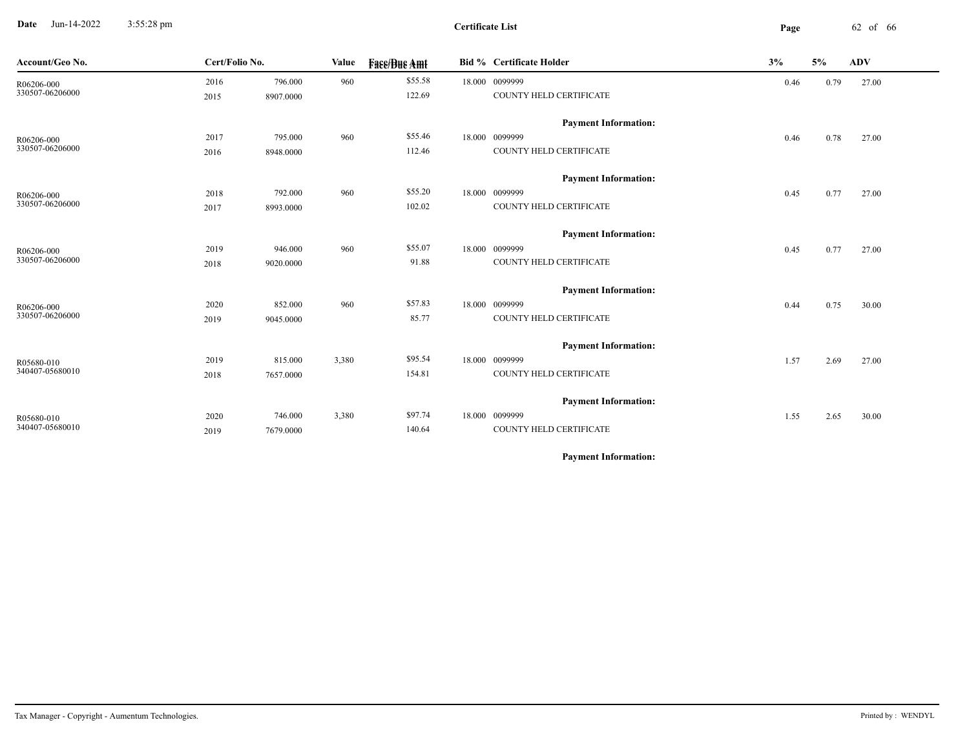**Date** Jun-14-2022 3:55:28 pm **Page** 62 of 66 3:55:28 pm

| Account/Geo No.               | Cert/Folio No. |           | Value | <b>Fase/Bue Amt</b> | <b>Bid % Certificate Holder</b>               | 3%   | 5%   | <b>ADV</b> |
|-------------------------------|----------------|-----------|-------|---------------------|-----------------------------------------------|------|------|------------|
| R06206-000<br>330507-06206000 | 2016           | 796.000   | 960   | \$55.58             | 18.000 0099999                                | 0.46 | 0.79 | 27.00      |
|                               | 2015           | 8907.0000 |       | 122.69              | COUNTY HELD CERTIFICATE                       |      |      |            |
|                               |                |           |       |                     | <b>Payment Information:</b>                   |      |      |            |
| R06206-000                    | 2017           | 795.000   | 960   | \$55.46             | 18.000 0099999                                | 0.46 | 0.78 | 27.00      |
| 330507-06206000               | 2016           | 8948.0000 |       | 112.46              | COUNTY HELD CERTIFICATE                       |      |      |            |
|                               |                |           |       |                     |                                               |      |      |            |
|                               | 2018           | 792.000   | 960   | \$55.20             | <b>Payment Information:</b><br>18.000 0099999 | 0.45 | 0.77 | 27.00      |
| R06206-000<br>330507-06206000 | 2017           | 8993.0000 |       | 102.02              | COUNTY HELD CERTIFICATE                       |      |      |            |
|                               |                |           |       |                     |                                               |      |      |            |
|                               |                |           |       |                     | <b>Payment Information:</b>                   |      |      |            |
| R06206-000<br>330507-06206000 | 2019           | 946.000   | 960   | \$55.07             | 18.000 0099999                                | 0.45 | 0.77 | 27.00      |
|                               | 2018           | 9020.0000 |       | 91.88               | COUNTY HELD CERTIFICATE                       |      |      |            |
|                               |                |           |       |                     | <b>Payment Information:</b>                   |      |      |            |
| R06206-000                    | 2020           | 852.000   | 960   | \$57.83             | 18.000 0099999                                | 0.44 | 0.75 | 30.00      |
| 330507-06206000               | 2019           | 9045.0000 |       | 85.77               | COUNTY HELD CERTIFICATE                       |      |      |            |
|                               |                |           |       |                     | <b>Payment Information:</b>                   |      |      |            |
|                               | 2019           | 815.000   | 3,380 | \$95.54             | 18.000 0099999                                | 1.57 | 2.69 | 27.00      |
| R05680-010<br>340407-05680010 | 2018           | 7657.0000 |       | 154.81              | COUNTY HELD CERTIFICATE                       |      |      |            |
|                               |                |           |       |                     |                                               |      |      |            |
|                               |                |           |       |                     | <b>Payment Information:</b>                   |      |      |            |
| R05680-010                    | 2020           | 746.000   | 3,380 | \$97.74             | 18.000 0099999                                | 1.55 | 2.65 | 30.00      |
| 340407-05680010               | 2019           | 7679.0000 |       | 140.64              | COUNTY HELD CERTIFICATE                       |      |      |            |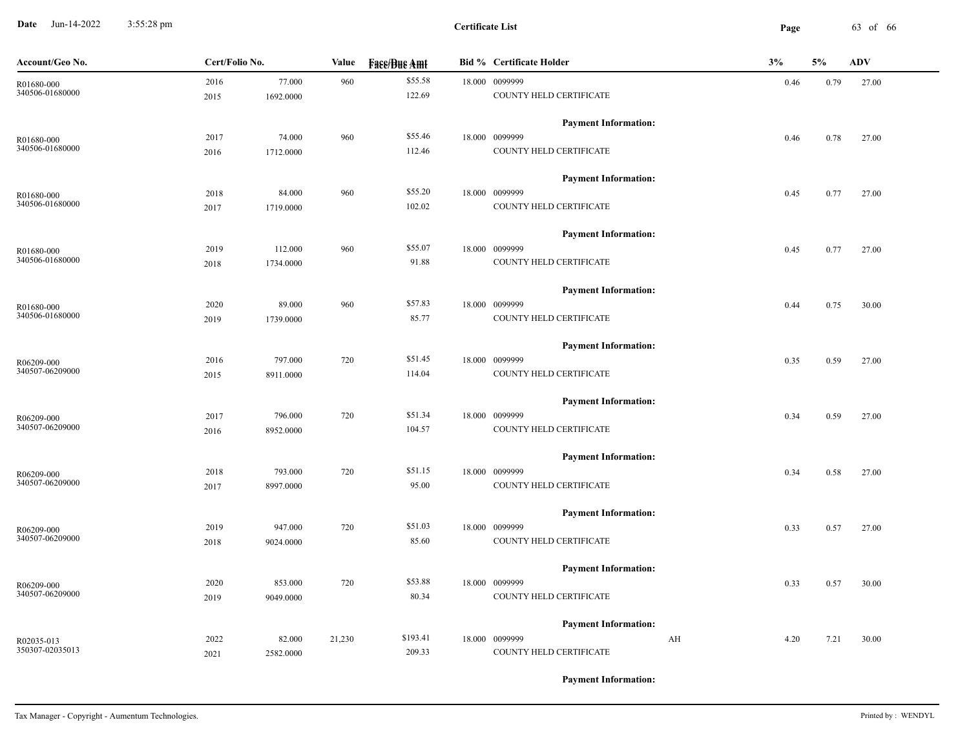**Date** Jun-14-2022 3:55:28 pm **Page** 63 of 66 3:55:28 pm

| Account/Geo No. | Cert/Folio No. |           | <b>Value</b> | <b>Fase/Bue Amt</b> | <b>Bid % Certificate Holder</b> | 3%         | 5%   | <b>ADV</b> |
|-----------------|----------------|-----------|--------------|---------------------|---------------------------------|------------|------|------------|
| R01680-000      | 2016           | 77.000    | 960          | \$55.58             | 18.000 0099999                  | 0.46       | 0.79 | 27.00      |
| 340506-01680000 | 2015           | 1692.0000 |              | 122.69              | COUNTY HELD CERTIFICATE         |            |      |            |
|                 |                |           |              |                     | <b>Payment Information:</b>     |            |      |            |
| R01680-000      | 2017           | 74.000    | 960          | \$55.46             | 18.000 0099999                  | 0.46       | 0.78 | 27.00      |
| 340506-01680000 | 2016           | 1712.0000 |              | 112.46              | COUNTY HELD CERTIFICATE         |            |      |            |
|                 |                |           |              |                     | <b>Payment Information:</b>     |            |      |            |
| R01680-000      | 2018           | 84.000    | 960          | \$55.20             | 18.000 0099999                  | 0.45       | 0.77 | 27.00      |
| 340506-01680000 | 2017           | 1719.0000 |              | 102.02              | COUNTY HELD CERTIFICATE         |            |      |            |
|                 |                |           |              |                     | <b>Payment Information:</b>     |            |      |            |
| R01680-000      | 2019           | 112.000   | 960          | \$55.07             | 18.000 0099999                  | 0.45       | 0.77 | 27.00      |
| 340506-01680000 | 2018           | 1734.0000 |              | 91.88               | COUNTY HELD CERTIFICATE         |            |      |            |
|                 |                |           |              |                     | <b>Payment Information:</b>     |            |      |            |
| R01680-000      | 2020           | 89.000    | 960          | \$57.83             | 18.000 0099999                  | 0.44       | 0.75 | 30.00      |
| 340506-01680000 | 2019           | 1739.0000 |              | 85.77               | COUNTY HELD CERTIFICATE         |            |      |            |
|                 |                |           |              |                     | <b>Payment Information:</b>     |            |      |            |
| R06209-000      | 2016           | 797.000   | 720          | \$51.45             | 18.000 0099999                  | 0.35       | 0.59 | 27.00      |
| 340507-06209000 | 2015           | 8911.0000 |              | 114.04              | COUNTY HELD CERTIFICATE         |            |      |            |
|                 |                |           |              |                     | <b>Payment Information:</b>     |            |      |            |
| R06209-000      | 2017           | 796.000   | 720          | \$51.34             | 18.000 0099999                  | 0.34       | 0.59 | 27.00      |
| 340507-06209000 | 2016           | 8952.0000 |              | 104.57              | COUNTY HELD CERTIFICATE         |            |      |            |
|                 |                |           |              |                     | <b>Payment Information:</b>     |            |      |            |
| R06209-000      | 2018           | 793.000   | 720          | \$51.15             | 18.000 0099999                  | 0.34       | 0.58 | 27.00      |
| 340507-06209000 | 2017           | 8997.0000 |              | 95.00               | COUNTY HELD CERTIFICATE         |            |      |            |
|                 |                |           |              |                     | <b>Payment Information:</b>     |            |      |            |
| R06209-000      | 2019           | 947.000   | 720          | \$51.03             | 18.000 0099999                  | 0.33       | 0.57 | 27.00      |
| 340507-06209000 | 2018           | 9024.0000 |              | 85.60               | COUNTY HELD CERTIFICATE         |            |      |            |
|                 |                |           |              |                     | <b>Payment Information:</b>     |            |      |            |
| R06209-000      | 2020           | 853.000   | 720          | \$53.88             | 18.000 0099999                  | 0.33       | 0.57 | 30.00      |
| 340507-06209000 | 2019           | 9049.0000 |              | 80.34               | COUNTY HELD CERTIFICATE         |            |      |            |
|                 |                |           |              |                     | <b>Payment Information:</b>     |            |      |            |
| R02035-013      | 2022           | 82.000    | 21,230       | \$193.41            | 18.000 0099999                  | AH<br>4.20 | 7.21 | 30.00      |
| 350307-02035013 | 2021           | 2582.0000 |              | 209.33              | COUNTY HELD CERTIFICATE         |            |      |            |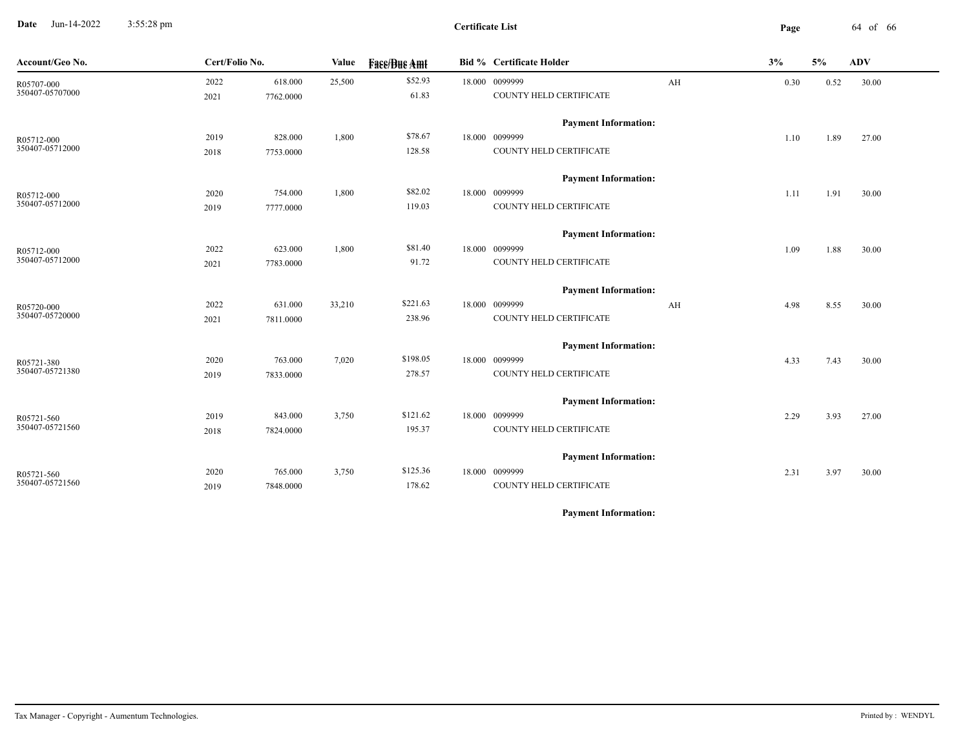**Date** Jun-14-2022 3:55:28 pm **Page** 64 of 66 3:55:28 pm

| Account/Geo No.               | Cert/Folio No. |                      | Value  | <b>Face/Bue Amt</b> | <b>Bid % Certificate Holder</b>           |    | 3%   | 5%   | <b>ADV</b> |  |
|-------------------------------|----------------|----------------------|--------|---------------------|-------------------------------------------|----|------|------|------------|--|
| R05707-000<br>350407-05707000 | 2022<br>2021   | 618.000<br>7762.0000 | 25,500 | \$52.93<br>61.83    | 18.000 0099999<br>COUNTY HELD CERTIFICATE | AH | 0.30 | 0.52 | 30.00      |  |
|                               |                |                      |        |                     | <b>Payment Information:</b>               |    |      |      |            |  |
| R05712-000                    | 2019           | 828.000              | 1,800  | \$78.67             | 18.000 0099999                            |    | 1.10 | 1.89 | 27.00      |  |
| 350407-05712000               | 2018           | 7753.0000            |        | 128.58              | COUNTY HELD CERTIFICATE                   |    |      |      |            |  |
|                               |                |                      |        |                     | <b>Payment Information:</b>               |    |      |      |            |  |
| R05712-000                    | 2020           | 754.000              | 1,800  | \$82.02             | 18.000 0099999                            |    | 1.11 | 1.91 | 30.00      |  |
| 350407-05712000               | 2019           | 7777.0000            |        | 119.03              | COUNTY HELD CERTIFICATE                   |    |      |      |            |  |
|                               |                |                      |        |                     | <b>Payment Information:</b>               |    |      |      |            |  |
| R05712-000                    | 2022           | 623.000              | 1,800  | \$81.40             | 18.000 0099999                            |    | 1.09 | 1.88 | 30.00      |  |
| 350407-05712000               | 2021           | 7783.0000            |        | 91.72               | COUNTY HELD CERTIFICATE                   |    |      |      |            |  |
|                               |                |                      |        |                     | <b>Payment Information:</b>               |    |      |      |            |  |
| R05720-000                    | 2022           | 631.000              | 33,210 | \$221.63            | 18.000 0099999                            | AH | 4.98 | 8.55 | 30.00      |  |
| 350407-05720000               | 2021           | 7811.0000            |        | 238.96              | COUNTY HELD CERTIFICATE                   |    |      |      |            |  |
|                               |                |                      |        |                     | <b>Payment Information:</b>               |    |      |      |            |  |
| R05721-380                    | 2020           | 763.000              | 7,020  | \$198.05            | 18.000 0099999                            |    | 4.33 | 7.43 | 30.00      |  |
| 350407-05721380               | 2019           | 7833.0000            |        | 278.57              | COUNTY HELD CERTIFICATE                   |    |      |      |            |  |
|                               |                |                      |        |                     | <b>Payment Information:</b>               |    |      |      |            |  |
| R05721-560                    | 2019           | 843.000              | 3,750  | \$121.62            | 18.000 0099999                            |    | 2.29 | 3.93 | 27.00      |  |
| 350407-05721560               | 2018           | 7824.0000            |        | 195.37              | COUNTY HELD CERTIFICATE                   |    |      |      |            |  |
|                               |                |                      |        |                     | <b>Payment Information:</b>               |    |      |      |            |  |
| R05721-560                    | 2020           | 765.000              | 3,750  | \$125.36            | 18.000 0099999                            |    | 2.31 | 3.97 | 30.00      |  |
| 350407-05721560               | 2019           | 7848.0000            |        | 178.62              | COUNTY HELD CERTIFICATE                   |    |      |      |            |  |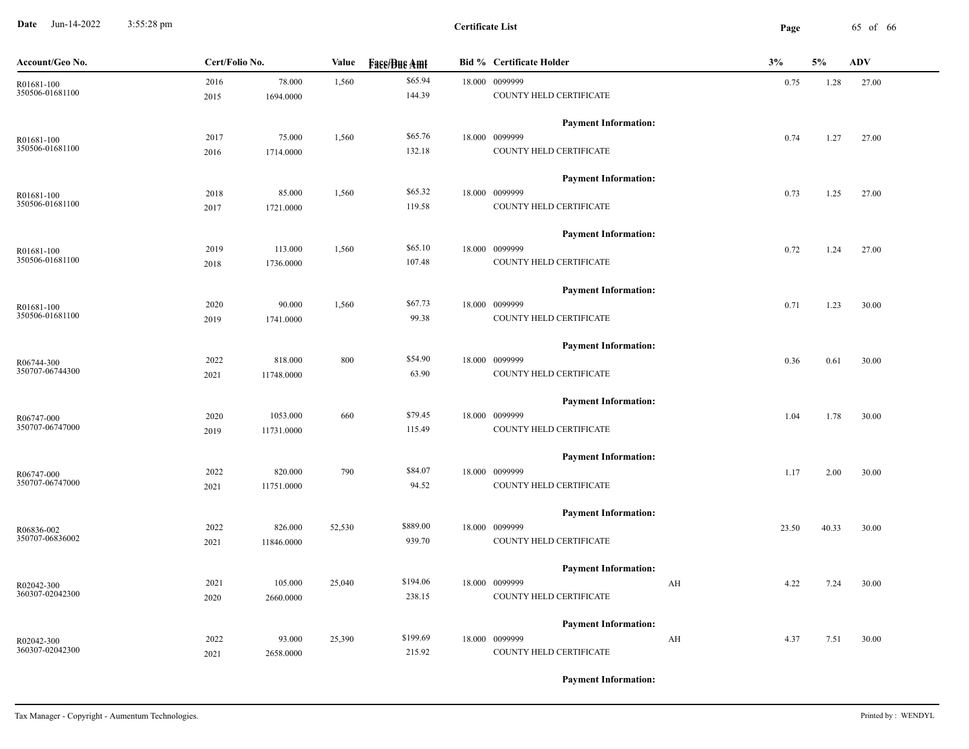**Date** Jun-14-2022 3:55:28 pm **Page** 65 of 66 3:55:28 pm

| Account/Geo No. | Cert/Folio No.     |        | <b>Fase/Bue Amt</b> | <b>Bid % Certificate Holder</b> | 3%         | 5%    | <b>ADV</b> |
|-----------------|--------------------|--------|---------------------|---------------------------------|------------|-------|------------|
| R01681-100      | 78.000<br>2016     | 1,560  | \$65.94             | 18.000 0099999                  | 0.75       | 1.28  | 27.00      |
| 350506-01681100 | 1694.0000<br>2015  |        | 144.39              | COUNTY HELD CERTIFICATE         |            |       |            |
|                 |                    |        |                     | <b>Payment Information:</b>     |            |       |            |
| R01681-100      | 75.000<br>2017     | 1,560  | \$65.76             | 18.000 0099999                  | 0.74       | 1.27  | 27.00      |
| 350506-01681100 | 1714.0000<br>2016  |        | 132.18              | COUNTY HELD CERTIFICATE         |            |       |            |
|                 |                    |        |                     | <b>Payment Information:</b>     |            |       |            |
| R01681-100      | 85.000<br>2018     | 1,560  | \$65.32             | 18.000 0099999                  | 0.73       | 1.25  | 27.00      |
| 350506-01681100 | 2017<br>1721.0000  |        | 119.58              | COUNTY HELD CERTIFICATE         |            |       |            |
|                 |                    |        |                     | <b>Payment Information:</b>     |            |       |            |
| R01681-100      | 113.000<br>2019    | 1,560  | \$65.10             | 18.000 0099999                  | 0.72       | 1.24  | 27.00      |
| 350506-01681100 | 1736.0000<br>2018  |        | 107.48              | COUNTY HELD CERTIFICATE         |            |       |            |
|                 |                    |        |                     | <b>Payment Information:</b>     |            |       |            |
| R01681-100      | 2020<br>90.000     | 1,560  | \$67.73             | 18.000 0099999                  | 0.71       | 1.23  | 30.00      |
| 350506-01681100 | 2019<br>1741.0000  |        | 99.38               | COUNTY HELD CERTIFICATE         |            |       |            |
|                 |                    |        |                     | <b>Payment Information:</b>     |            |       |            |
| R06744-300      | 818.000<br>2022    | 800    | \$54.90             | 18.000 0099999                  | 0.36       | 0.61  | 30.00      |
| 350707-06744300 | 11748.0000<br>2021 |        | 63.90               | COUNTY HELD CERTIFICATE         |            |       |            |
|                 |                    |        |                     | <b>Payment Information:</b>     |            |       |            |
| R06747-000      | 2020<br>1053.000   | 660    | \$79.45             | 18.000 0099999                  | 1.04       | 1.78  | 30.00      |
| 350707-06747000 | 2019<br>11731.0000 |        | 115.49              | COUNTY HELD CERTIFICATE         |            |       |            |
|                 |                    |        |                     | <b>Payment Information:</b>     |            |       |            |
| R06747-000      | 2022<br>820.000    | 790    | \$84.07             | 18.000 0099999                  | 1.17       | 2.00  | 30.00      |
| 350707-06747000 | 2021<br>11751.0000 |        | 94.52               | COUNTY HELD CERTIFICATE         |            |       |            |
|                 |                    |        |                     | <b>Payment Information:</b>     |            |       |            |
| R06836-002      | 2022<br>826.000    | 52,530 | \$889.00            | 18.000 0099999                  | 23.50      | 40.33 | 30.00      |
| 350707-06836002 | 2021<br>11846.0000 |        | 939.70              | COUNTY HELD CERTIFICATE         |            |       |            |
|                 |                    |        |                     | <b>Payment Information:</b>     |            |       |            |
| R02042-300      | 2021<br>105.000    | 25,040 | \$194.06            | 18.000 0099999                  | 4.22<br>AH | 7.24  | 30.00      |
| 360307-02042300 | 2660.0000<br>2020  |        | 238.15              | COUNTY HELD CERTIFICATE         |            |       |            |
|                 |                    |        |                     | <b>Payment Information:</b>     |            |       |            |
| R02042-300      | 2022<br>93.000     | 25,390 | \$199.69            | 18.000 0099999                  | AH<br>4.37 | 7.51  | 30.00      |
| 360307-02042300 | 2021<br>2658.0000  |        | 215.92              | COUNTY HELD CERTIFICATE         |            |       |            |